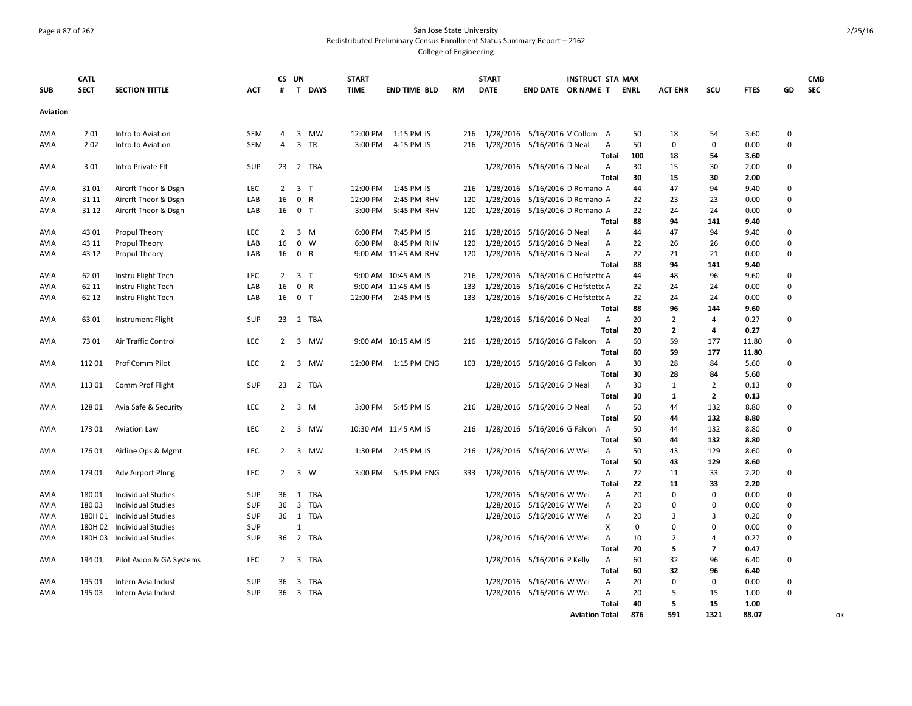# Page # 87 of 262 San Jose State University Redistributed Preliminary Census Enrollment Status Summary Report – 2162 College of Engineering

|             | <b>CATL</b> |                            |            | CS UN          |                |                | <b>START</b> |                       |           | <b>START</b> |                                   | <b>INSTRUCT STA MAX</b> |              |             |                |                |             |             | <b>CMB</b> |
|-------------|-------------|----------------------------|------------|----------------|----------------|----------------|--------------|-----------------------|-----------|--------------|-----------------------------------|-------------------------|--------------|-------------|----------------|----------------|-------------|-------------|------------|
| <b>SUB</b>  | <b>SECT</b> | <b>SECTION TITTLE</b>      | <b>ACT</b> | #              |                | T DAYS         | <b>TIME</b>  | <b>END TIME BLD</b>   | <b>RM</b> | <b>DATE</b>  | END DATE OR NAME T                |                         |              | <b>ENRL</b> | <b>ACT ENR</b> | SCU            | <b>FTES</b> | GD          | <b>SEC</b> |
| Aviation    |             |                            |            |                |                |                |              |                       |           |              |                                   |                         |              |             |                |                |             |             |            |
| <b>AVIA</b> | 201         | Intro to Aviation          | SEM        | 4              |                | 3 MW           | 12:00 PM     | 1:15 PM IS            | 216       |              | 1/28/2016 5/16/2016 V Collom A    |                         |              | 50          | 18             | 54             | 3.60        | 0           |            |
| AVIA        | 202         | Intro to Aviation          | SEM        | 4              |                | 3 TR           | 3:00 PM      | 4:15 PM IS            | 216       |              | 1/28/2016 5/16/2016 D Neal        |                         | A            | 50          | 0              | $\mathbf 0$    | 0.00        | $\Omega$    |            |
|             |             |                            |            |                |                |                |              |                       |           |              |                                   |                         | Total        | 100         | 18             | 54             | 3.60        |             |            |
| <b>AVIA</b> | 3 0 1       | Intro Private Flt          | SUP        | 23             |                | 2 TBA          |              |                       |           |              | 1/28/2016 5/16/2016 D Neal        |                         | A            | 30          | 15             | 30             | 2.00        | 0           |            |
|             |             |                            |            |                |                |                |              |                       |           |              |                                   |                         | <b>Total</b> | 30          | 15             | 30             | 2.00        |             |            |
| AVIA        | 3101        | Aircrft Theor & Dsgn       | LEC        | $\overline{2}$ |                | 3 <sub>1</sub> | 12:00 PM     | 1:45 PM IS            | 216       |              | 1/28/2016 5/16/2016 D Romano A    |                         |              | 44          | 47             | 94             | 9.40        | 0           |            |
| AVIA        | 31 11       | Aircrft Theor & Dsgn       | LAB        | 16             |                | 0 R            | 12:00 PM     | 2:45 PM RHV           | 120       |              | 1/28/2016 5/16/2016 D Romano A    |                         |              | 22          | 23             | 23             | 0.00        | 0           |            |
| AVIA        | 31 12       | Aircrft Theor & Dsgn       | LAB        | 16             | 0 <sub>T</sub> |                | 3:00 PM      | 5:45 PM RHV           | 120       |              | 1/28/2016 5/16/2016 D Romano A    |                         |              | 22          | 24             | 24             | 0.00        | $\Omega$    |            |
|             |             |                            |            |                |                |                |              |                       |           |              |                                   |                         | Total        | 88          | 94             | 141            | 9.40        |             |            |
| AVIA        | 43 01       | Propul Theory              | LEC        | $\overline{2}$ |                | $3 \, M$       | 6:00 PM      | 7:45 PM IS            | 216       |              | 1/28/2016 5/16/2016 D Neal        |                         | Α            | 44          | 47             | 94             | 9.40        | $\Omega$    |            |
| AVIA        | 43 11       | Propul Theory              | LAB        | 16             | $\mathbf 0$    | W              | 6:00 PM      | 8:45 PM RHV           | 120       |              | 1/28/2016 5/16/2016 D Neal        |                         | Α            | 22          | 26             | 26             | 0.00        | 0           |            |
| AVIA        | 43 12       | Propul Theory              | LAB        | 16             |                | 0 R            |              | 9:00 AM 11:45 AM RHV  | 120       |              | 1/28/2016 5/16/2016 D Neal        |                         | Α            | 22          | 21             | 21             | 0.00        | $\Omega$    |            |
|             |             |                            |            |                |                |                |              |                       |           |              |                                   |                         | Total        | 88          | 94             | 141            | 9.40        |             |            |
| <b>AVIA</b> | 62 01       | Instru Flight Tech         | LEC        | $\overline{2}$ | 3 <sub>1</sub> |                |              | 9:00 AM 10:45 AM IS   | 216       |              | 1/28/2016 5/16/2016 C Hofstette A |                         |              | 44          | 48             | 96             | 9.60        | $\mathbf 0$ |            |
| AVIA        | 62 11       | Instru Flight Tech         | LAB        | 16             |                | 0 R            |              | 9:00 AM 11:45 AM IS   | 133       |              | 1/28/2016 5/16/2016 C Hofstette A |                         |              | 22          | 24             | 24             | 0.00        | $\mathbf 0$ |            |
| <b>AVIA</b> | 62 12       | Instru Flight Tech         | LAB        | 16             | 0 <sub>T</sub> |                |              | 12:00 PM 2:45 PM IS   | 133       |              | 1/28/2016 5/16/2016 C Hofstette A |                         |              | 22          | 24             | 24             | 0.00        | $\Omega$    |            |
|             |             |                            |            |                |                |                |              |                       |           |              |                                   |                         | <b>Total</b> | 88          | 96             | 144            | 9.60        |             |            |
| AVIA        | 63 01       | Instrument Flight          | SUP        | 23             |                | 2 TBA          |              |                       |           |              | 1/28/2016 5/16/2016 D Neal        |                         | Α            | 20          | $\overline{2}$ | 4              | 0.27        | 0           |            |
|             |             |                            |            |                |                |                |              |                       |           |              |                                   |                         | <b>Total</b> | 20          | $\overline{2}$ | 4              | 0.27        |             |            |
| <b>AVIA</b> | 7301        | Air Traffic Control        | LEC        | $2^{\circ}$    |                | 3 MW           |              | 9:00 AM 10:15 AM IS   | 216       |              | 1/28/2016 5/16/2016 G Falcon      |                         | A            | 60          | 59             | 177            | 11.80       | 0           |            |
|             |             |                            |            |                |                |                |              |                       |           |              |                                   |                         | <b>Total</b> | 60          | 59             | 177            | 11.80       |             |            |
| AVIA        | 11201       | Prof Comm Pilot            | LEC        | $\overline{2}$ |                | 3 MW           |              | 12:00 PM  1:15 PM ENG | 103       |              | 1/28/2016 5/16/2016 G Falcon      |                         | A            | 30          | 28             | 84             | 5.60        | 0           |            |
|             |             |                            |            |                |                |                |              |                       |           |              |                                   |                         | Total        | 30          | 28             | 84             | 5.60        |             |            |
| <b>AVIA</b> | 113 01      | Comm Prof Flight           | SUP        | 23             |                | 2 TBA          |              |                       |           |              | 1/28/2016 5/16/2016 D Neal        |                         | Α            | 30          | 1              | $\overline{2}$ | 0.13        | 0           |            |
|             |             |                            |            |                |                |                |              |                       |           |              |                                   |                         | Total        | 30          | 1              | $\overline{2}$ | 0.13        |             |            |
| <b>AVIA</b> | 128 01      | Avia Safe & Security       | LEC        | $\overline{2}$ |                | 3 M            | 3:00 PM      | 5:45 PM IS            | 216       |              | 1/28/2016 5/16/2016 D Neal        |                         | Α            | 50          | 44             | 132            | 8.80        | 0           |            |
|             |             |                            |            |                |                |                |              |                       |           |              |                                   |                         | Total        | 50          | 44             | 132            | 8.80        |             |            |
| <b>AVIA</b> | 17301       | <b>Aviation Law</b>        | <b>LEC</b> | $\overline{2}$ |                | 3 MW           |              | 10:30 AM 11:45 AM IS  | 216       |              | 1/28/2016 5/16/2016 G Falcon      |                         | A            | 50          | 44             | 132            | 8.80        | 0           |            |
|             |             |                            |            |                |                |                |              |                       |           |              |                                   |                         | <b>Total</b> | 50          | 44             | 132            | 8.80        |             |            |
| <b>AVIA</b> | 176 01      | Airline Ops & Mgmt         | LEC        | $\overline{2}$ |                | 3 MW           | 1:30 PM      | 2:45 PM IS            | 216       |              | 1/28/2016 5/16/2016 W Wei         |                         | Α            | 50          | 43             | 129            | 8.60        | 0           |            |
|             |             |                            |            |                |                |                |              |                       |           |              |                                   |                         | <b>Total</b> | 50          | 43             | 129            | 8.60        |             |            |
| <b>AVIA</b> | 17901       | Adv Airport Plnng          | LEC        | $\overline{2}$ | $\overline{3}$ | W              | 3:00 PM      | 5:45 PM ENG           | 333       |              | 1/28/2016 5/16/2016 W Wei         |                         | Α            | 22          | 11             | 33             | 2.20        | 0           |            |
|             |             |                            |            |                |                |                |              |                       |           |              |                                   |                         | <b>Total</b> | 22          | 11             | 33             | 2.20        |             |            |
| AVIA        | 18001       | <b>Individual Studies</b>  | SUP        | 36             | $\mathbf{1}$   | TBA            |              |                       |           |              | 1/28/2016 5/16/2016 W Wei         |                         | Α            | 20          | $\mathbf 0$    | $\mathbf 0$    | 0.00        | $\Omega$    |            |
| AVIA        | 18003       | <b>Individual Studies</b>  | SUP        | 36             |                | 3 TBA          |              |                       |           |              | 1/28/2016 5/16/2016 W Wei         |                         | А            | 20          | 0              | $\mathbf 0$    | 0.00        | $\Omega$    |            |
| AVIA        | 180H 01     | <b>Individual Studies</b>  | SUP        | 36             |                | 1 TBA          |              |                       |           |              | 1/28/2016 5/16/2016 W Wei         |                         | A            | 20          | 3              | 3              | 0.20        | $\Omega$    |            |
| AVIA        |             | 180H 02 Individual Studies | SUP        |                | $\mathbf{1}$   |                |              |                       |           |              |                                   |                         | X            | 0           | 0              | $\mathbf 0$    | 0.00        | $\Omega$    |            |
| AVIA        |             | 180H 03 Individual Studies | SUP        | 36             | $\overline{2}$ | TBA            |              |                       |           |              | 1/28/2016 5/16/2016 W Wei         |                         | Α            | 10          | $\overline{2}$ | 4              | 0.27        | 0           |            |
|             |             |                            |            |                |                |                |              |                       |           |              |                                   |                         | Total        | 70          | 5              | $\overline{ }$ | 0.47        |             |            |
| AVIA        | 194 01      | Pilot Avion & GA Systems   | LEC        | $\overline{2}$ | 3              | TBA            |              |                       |           |              | 1/28/2016 5/16/2016 P Kelly       |                         | Α            | 60          | 32             | 96             | 6.40        | 0           |            |
|             |             |                            |            |                |                |                |              |                       |           |              |                                   |                         | Total        | 60          | 32             | 96             | 6.40        |             |            |
| AVIA        | 195 01      | Intern Avia Indust         | SUP        | 36             | 3              | TBA            |              |                       |           |              | 1/28/2016 5/16/2016 W Wei         |                         | A            | 20          | 0              | $\mathbf 0$    | 0.00        | 0           |            |
| AVIA        | 195 03      | Intern Avia Indust         | <b>SUP</b> | 36             |                | 3 TBA          |              |                       |           |              | 1/28/2016 5/16/2016 W Wei         |                         | Α            | 20          | 5              | 15             | 1.00        | $\Omega$    |            |
|             |             |                            |            |                |                |                |              |                       |           |              |                                   |                         | Total        | 40          | 5              | 15             | 1.00        |             |            |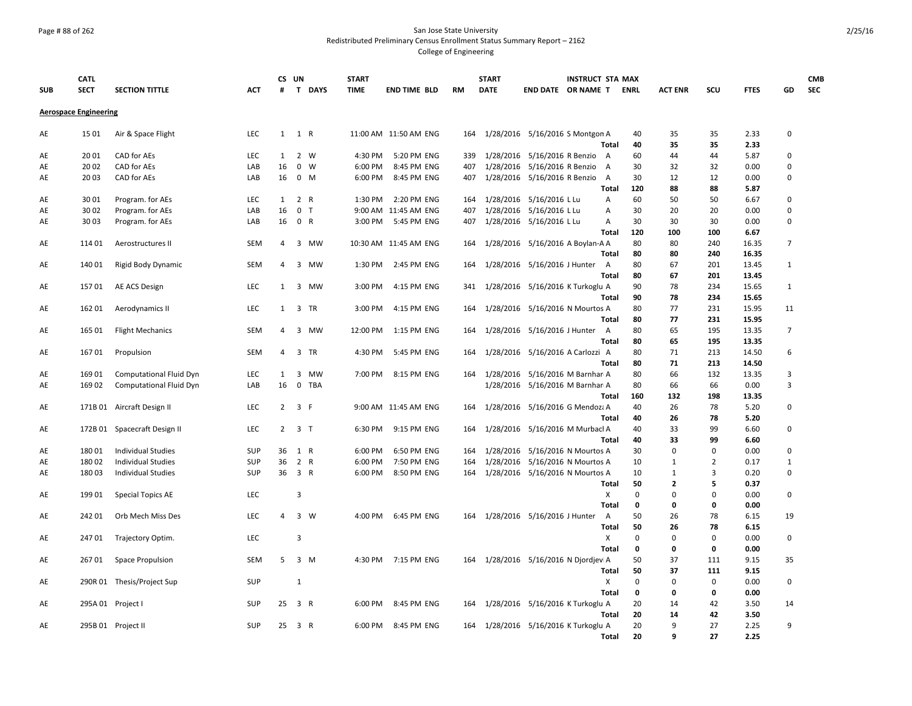### Page # 88 of 262 San Jose State University Redistributed Preliminary Census Enrollment Status Summary Report – 2162 College of Engineering

|            | <b>CATL</b>                  |                              |            | CS UN          |                         |             | <b>START</b> |                       |           | <b>START</b>                          |                                  | <b>INSTRUCT STA MAX</b> |                |          |                |                |             |                | <b>CMB</b> |
|------------|------------------------------|------------------------------|------------|----------------|-------------------------|-------------|--------------|-----------------------|-----------|---------------------------------------|----------------------------------|-------------------------|----------------|----------|----------------|----------------|-------------|----------------|------------|
| <b>SUB</b> | <b>SECT</b>                  | <b>SECTION TITTLE</b>        | ACT        | #              |                         | T DAYS      | <b>TIME</b>  | <b>END TIME BLD</b>   | <b>RM</b> | <b>DATE</b>                           | END DATE OR NAME T ENRL          |                         |                |          | <b>ACT ENR</b> | scu            | <b>FTES</b> | GD             | <b>SEC</b> |
|            | <b>Aerospace Engineering</b> |                              |            |                |                         |             |              |                       |           |                                       |                                  |                         |                |          |                |                |             |                |            |
| AE         | 15 01                        | Air & Space Flight           | LEC        | $\mathbf{1}$   | 1 R                     |             |              | 11:00 AM 11:50 AM ENG | 164       |                                       | 1/28/2016 5/16/2016 S Montgon A  |                         |                | 40       | 35             | 35             | 2.33        | $\mathbf 0$    |            |
|            |                              |                              |            |                |                         |             |              |                       |           |                                       |                                  |                         | Total          | 40       | 35             | 35             | 2.33        |                |            |
| AE         | 20 01                        | CAD for AEs                  | LEC        | 1              |                         | 2 W         | 4:30 PM      | 5:20 PM ENG           | 339       |                                       | 1/28/2016 5/16/2016 R Benzio     |                         | A              | 60       | 44             | 44             | 5.87        | $\Omega$       |            |
| AE         | 20 02                        | <b>CAD</b> for AEs           | LAB        | 16             | $\mathbf 0$             | W           | 6:00 PM      | 8:45 PM ENG           | 407       |                                       | 1/28/2016 5/16/2016 R Benzio     |                         | A              | 30       | 32             | 32             | 0.00        | $\mathbf 0$    |            |
| AE         | 2003                         | CAD for AEs                  | LAB        | 16             |                         | $0 \quad M$ | 6:00 PM      | 8:45 PM ENG           | 407       |                                       | 1/28/2016 5/16/2016 R Benzio     |                         | $\overline{A}$ | 30       | 12             | 12             | 0.00        | $\mathbf 0$    |            |
|            |                              |                              |            |                |                         |             |              |                       |           |                                       |                                  |                         | <b>Total</b>   | 120      | 88             | 88             | 5.87        |                |            |
| AE         | 3001                         | Program. for AEs             | <b>LEC</b> | 1              | 2 R                     |             | 1:30 PM      | 2:20 PM ENG           | 164       |                                       | 1/28/2016 5/16/2016 L Lu         |                         | Α              | 60       | 50             | 50             | 6.67        | $\mathbf 0$    |            |
| AE         | 30 02                        | Program. for AEs             | LAB        | 16             | 0 <sub>T</sub>          |             |              | 9:00 AM 11:45 AM ENG  | 407       |                                       | 1/28/2016 5/16/2016 L Lu         |                         | Α              | 30       | 20             | 20             | 0.00        | $\mathbf 0$    |            |
| AE         | 30 03                        | Program. for AEs             | LAB        | 16             | 0 R                     |             | 3:00 PM      | 5:45 PM ENG           | 407       |                                       | 1/28/2016 5/16/2016 L Lu         |                         | Α              | 30       | 30             | 30             | 0.00        | $\mathbf 0$    |            |
|            |                              |                              |            |                |                         |             |              |                       |           |                                       |                                  |                         | Total          | 120      | 100            | 100            | 6.67        |                |            |
| AE         | 114 01                       | Aerostructures II            | SEM        | 4              |                         | 3 MW        |              | 10:30 AM 11:45 AM ENG | 164       |                                       | 1/28/2016 5/16/2016 A Boylan-A A |                         |                | 80       | 80             | 240            | 16.35       | $\overline{7}$ |            |
|            |                              |                              |            |                |                         |             |              |                       |           |                                       |                                  |                         | Total          | 80       | 80             | 240            | 16.35       |                |            |
| AE         | 140 01                       | Rigid Body Dynamic           | <b>SEM</b> | 4              |                         | 3 MW        | 1:30 PM      | 2:45 PM ENG           | 164       |                                       | 1/28/2016 5/16/2016 J Hunter     |                         | A              | 80       | 67             | 201            | 13.45       | 1              |            |
|            |                              |                              |            |                |                         |             |              |                       |           |                                       |                                  |                         | <b>Total</b>   | 80       | 67             | 201            | 13.45       |                |            |
| AE         | 15701                        | AE ACS Design                | LEC        | $\mathbf{1}$   |                         | 3 MW        | 3:00 PM      | 4:15 PM ENG           | 341       |                                       | 1/28/2016 5/16/2016 K Turkoglu A |                         |                | 90       | 78             | 234            | 15.65       | $\mathbf{1}$   |            |
|            |                              |                              |            |                |                         |             |              |                       |           |                                       |                                  |                         | Total          | 90       | 78             | 234            | 15.65       |                |            |
| AE         | 162 01                       | Aerodynamics II              | <b>LEC</b> | 1              |                         | 3 TR        | 3:00 PM      | 4:15 PM ENG           | 164       |                                       | 1/28/2016 5/16/2016 N Mourtos A  |                         |                | 80       | 77             | 231            | 15.95       | 11             |            |
|            |                              |                              |            |                |                         |             |              |                       |           |                                       |                                  |                         | Total          | 80       | 77             | 231            | 15.95       |                |            |
| AE         | 165 01                       | <b>Flight Mechanics</b>      | SEM        | 4              | $\overline{3}$          | MW          | 12:00 PM     | 1:15 PM ENG           | 164       |                                       | 1/28/2016 5/16/2016 J Hunter     |                         | A              | 80       | 65             | 195            | 13.35       | $\overline{7}$ |            |
|            |                              |                              |            |                |                         |             |              |                       |           |                                       |                                  |                         | <b>Total</b>   | 80       | 65             | 195            | 13.35       |                |            |
| AE         | 16701                        | Propulsion                   | SEM        | 4              | $\overline{3}$          | <b>TR</b>   | 4:30 PM      | 5:45 PM ENG           | 164       |                                       | 1/28/2016 5/16/2016 A Carlozzi A |                         |                | 80       | 71             | 213            | 14.50       | 6              |            |
|            |                              |                              |            |                |                         |             |              |                       |           |                                       |                                  |                         | <b>Total</b>   | 80       | 71             | 213            | 14.50       |                |            |
| AE         | 169 01                       | Computational Fluid Dyn      | LEC        | 1              |                         | 3 MW        | 7:00 PM      | 8:15 PM ENG           | 164       |                                       | 1/28/2016 5/16/2016 M Barnhar A  |                         |                | 80       | 66             | 132            | 13.35       | 3              |            |
| AE         | 16902                        | Computational Fluid Dyn      | LAB        | 16             |                         | 0 TBA       |              |                       |           |                                       | 1/28/2016 5/16/2016 M Barnhar A  |                         |                | 80       | 66             | 66             | 0.00        | $\overline{3}$ |            |
|            |                              |                              |            |                |                         |             |              |                       |           |                                       |                                  |                         | Total          | 160      | 132            | 198            | 13.35       |                |            |
| AE         |                              | 171B 01 Aircraft Design II   | LEC        | $\overline{2}$ | 3 F                     |             |              | 9:00 AM 11:45 AM ENG  | 164       |                                       | 1/28/2016 5/16/2016 G Mendoza A  |                         |                | 40       | 26             | 78             | 5.20        | $\mathbf 0$    |            |
|            |                              |                              |            |                |                         |             |              |                       |           |                                       |                                  |                         | Total          | 40       | 26             | 78             | 5.20        |                |            |
| AE         |                              | 172B 01 Spacecraft Design II | LEC        | $\overline{2}$ | 3 <sub>1</sub>          |             | 6:30 PM      | 9:15 PM ENG           | 164       |                                       | 1/28/2016 5/16/2016 M Murbacl A  |                         |                | 40       | 33             | 99             | 6.60        | $\mathbf 0$    |            |
|            |                              |                              |            |                |                         |             |              |                       |           |                                       |                                  |                         | Total          | 40       | 33             | 99             | 6.60        |                |            |
| AE         | 18001                        | <b>Individual Studies</b>    | SUP        | 36             | 1 R                     |             | 6:00 PM      | 6:50 PM ENG           | 164       | 1/28/2016                             | 5/16/2016 N Mourtos A            |                         |                | 30       | $\mathbf 0$    | $\mathbf 0$    | 0.00        | $\mathbf 0$    |            |
| AE         | 18002                        | <b>Individual Studies</b>    | SUP        | 36             | 2 R                     |             | 6:00 PM      | 7:50 PM ENG           | 164       | 1/28/2016                             | 5/16/2016 N Mourtos A            |                         |                | 10       | 1              | $\overline{2}$ | 0.17        | $\mathbf{1}$   |            |
| AE         | 18003                        | <b>Individual Studies</b>    | SUP        | 36             | 3 R                     |             | 6:00 PM      | 8:50 PM ENG           | 164       |                                       | 1/28/2016 5/16/2016 N Mourtos A  |                         |                | 10       | 1              | 3              | 0.20        | $\mathbf 0$    |            |
|            |                              |                              |            |                |                         |             |              |                       |           |                                       |                                  |                         | Total          | 50       | $\overline{2}$ | 5              | 0.37        |                |            |
| AE         | 199 01                       | <b>Special Topics AE</b>     | LEC        |                | $\overline{3}$          |             |              |                       |           |                                       |                                  |                         | X              | $\Omega$ | $\Omega$       | $\mathbf 0$    | 0.00        | $\mathbf 0$    |            |
|            |                              |                              |            |                |                         |             |              |                       |           |                                       |                                  |                         | Total          | 0        | 0              | 0              | 0.00        |                |            |
| AE         | 242 01                       | Orb Mech Miss Des            | LEC        | 4              | 3 W                     |             |              | 4:00 PM 6:45 PM ENG   | 164       |                                       | 1/28/2016 5/16/2016 J Hunter     |                         | A              | 50       | 26             | 78             | 6.15        | 19             |            |
|            |                              |                              |            |                |                         |             |              |                       |           |                                       |                                  |                         | <b>Total</b>   | 50       | 26             | 78             | 6.15        |                |            |
| AE         | 247 01                       | Trajectory Optim.            | <b>LEC</b> |                | $\overline{\mathbf{3}}$ |             |              |                       |           |                                       |                                  |                         | X              | $\Omega$ | $\mathbf 0$    | $\mathbf 0$    | 0.00        | $\mathbf 0$    |            |
|            |                              |                              |            |                |                         |             |              |                       |           |                                       |                                  |                         | Total          | 0        | 0              | $\mathbf 0$    | 0.00        |                |            |
| AE         | 26701                        | Space Propulsion             | SEM        | 5              | 3 M                     |             | 4:30 PM      | 7:15 PM ENG           |           | 164 1/28/2016 5/16/2016 N Djordjevi A |                                  |                         |                | 50       | 37             | 111            | 9.15        | 35             |            |
|            |                              |                              |            |                |                         |             |              |                       |           |                                       |                                  |                         | Total          | 50       | 37             | 111            | 9.15        |                |            |
| AE         |                              | 290R 01 Thesis/Project Sup   | SUP        |                | 1                       |             |              |                       |           |                                       |                                  |                         | Χ              | $\Omega$ | $\mathbf 0$    | $\mathbf 0$    | 0.00        | $\mathbf 0$    |            |
|            |                              |                              |            |                |                         |             |              |                       |           |                                       |                                  |                         | <b>Total</b>   | 0        | 0              | $\mathbf 0$    | 0.00        |                |            |
| AE         |                              | 295A 01 Project I            | SUP        | 25             | 3 R                     |             | 6:00 PM      | 8:45 PM ENG           | 164       |                                       | 1/28/2016 5/16/2016 K Turkoglu A |                         |                | 20       | 14             | 42             | 3.50        | 14             |            |
|            |                              |                              |            |                |                         |             |              |                       |           |                                       |                                  |                         | Total          | 20       | 14             | 42             | 3.50        |                |            |
| AE         |                              | 295B 01 Project II           | <b>SUP</b> |                | 25 3 R                  |             | 6:00 PM      | 8:45 PM ENG           |           | 164 1/28/2016 5/16/2016 K Turkoglu A  |                                  |                         |                | 20       | 9              | 27             | 2.25        | 9              |            |
|            |                              |                              |            |                |                         |             |              |                       |           |                                       |                                  |                         | Total          | 20       | 9              | 27             | 2.25        |                |            |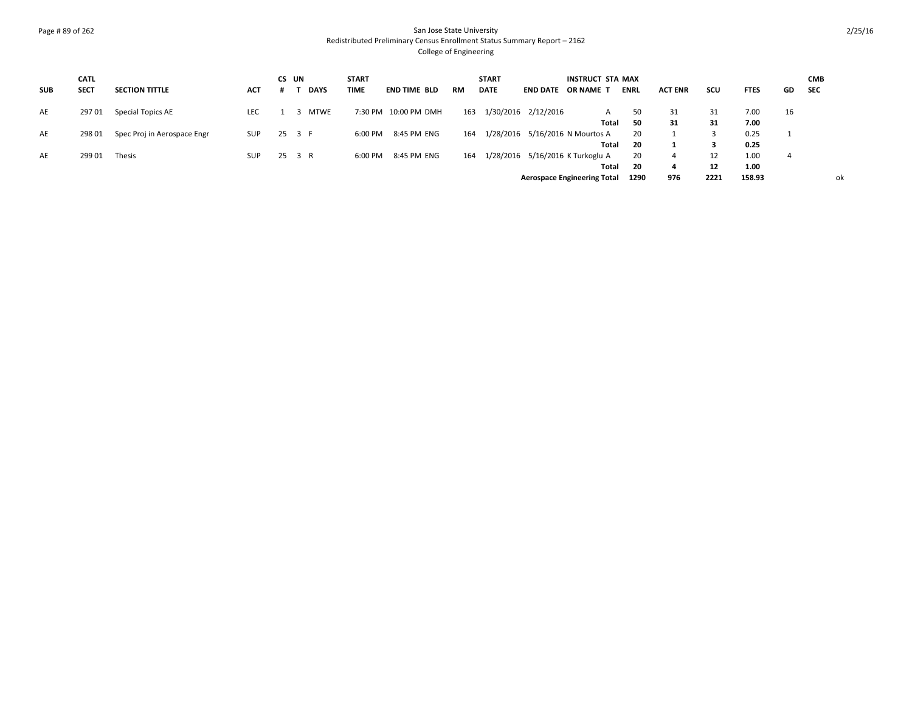### Page # 89 of 262 San Jose State University Redistributed Preliminary Census Enrollment Status Summary Report – 2162 College of Engineering

|            | <b>CATL</b> |                             |            | CS UN  |             | <b>START</b> |                      |           | <b>START</b> |                     | INSTRUCT STA MAX                   |             |                |      |             |     | <b>CMB</b> |
|------------|-------------|-----------------------------|------------|--------|-------------|--------------|----------------------|-----------|--------------|---------------------|------------------------------------|-------------|----------------|------|-------------|-----|------------|
| <b>SUB</b> | <b>SECT</b> | <b>SECTION TITTLE</b>       | ACT        |        | <b>DAYS</b> | <b>TIME</b>  | <b>END TIME BLD</b>  | <b>RM</b> | <b>DATE</b>  | <b>END DATE</b>     | OR NAME T                          | <b>ENRL</b> | <b>ACT ENR</b> | scu  | <b>FTES</b> | GD. | <b>SEC</b> |
| AE         | 29701       | Special Topics AE           | <b>LEC</b> |        | <b>MTWE</b> |              | 7:30 PM 10:00 PM DMH | 163       |              | 1/30/2016 2/12/2016 | А                                  | 50          | 31             | 31   | 7.00        | 16  |            |
|            |             |                             |            |        |             |              |                      |           |              |                     | Total                              | - 50        | 31             | 31   | 7.00        |     |            |
| AE         | 298 01      | Spec Proj in Aerospace Engr | SUP        | 25 3 F |             | 6:00 PM      | 8:45 PM ENG          | 164       |              |                     | 1/28/2016 5/16/2016 N Mourtos A    | 20          |                |      | 0.25        |     |            |
|            |             |                             |            |        |             |              |                      |           |              |                     | Total                              | - 20        |                |      | 0.25        |     |            |
| AE         | 299 01      | Thesis                      | <b>SUP</b> | 25 3 R |             | 6:00 PM      | 8:45 PM ENG          | 164       |              |                     | 1/28/2016 5/16/2016 K Turkoglu A   | 20          |                | 12   | 1.00        | 4   |            |
|            |             |                             |            |        |             |              |                      |           |              |                     | Total                              | -20         | 4              | 12   | 1.00        |     |            |
|            |             |                             |            |        |             |              |                      |           |              |                     | <b>Aerospace Engineering Total</b> | 1290        | 976            | 2221 | 158.93      |     | ok         |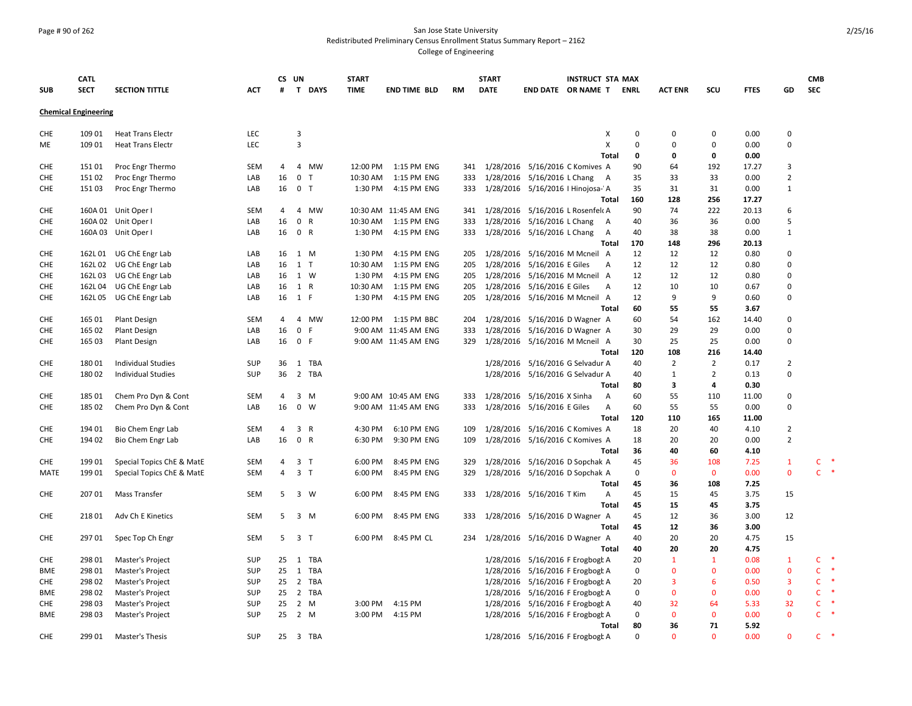**CATL** 

**Chemical Engineering**

**SUB**

### Page # 90 of 262 San Jose State University Redistributed Preliminary Census Enrollment Status Summary Report – 2162 College of Engineering

**SECT SECTION TITTLE ACT CS UN # T DAYS START TIME END TIME BLD RM START DATE END DATE OR NAME T INSTRUCT STA MAX**  CHE 109 01 Heat Trans Electr LEC 3 X 0 0 0 0.00 0 ME 109 01 Heat Trans Electr LEC 3 X 0 0 0 0.00 0 **Total 0 0 0 0.00** CHE 151 01 Proc Engr Thermo SEM 4 4 MW 12:00 PM 1:15 PM ENG 341 1/28/2016 5/16/2016 C Komives A 90 64 192 17.27 3 CHE 151 02 Proc Engr Thermo LAB 16 0 T 10:30 AM 1:15 PM ENG 333 1/28/2016 5/16/2016 L Chang A 35 33 33 0.00 2 CHE 151 03 Proc Engr Thermo LAB 16 0 T 1:30 PM 4:15 PM ENG 333 1/28/2016 5/16/2016 I Hinojosa-VA 35 31 31 0.00 1

|            |         |                           |            |    |                |              |                        |     |           | Total                                         | 160         | 128            | 256            | 17.27 |                |    |           |
|------------|---------|---------------------------|------------|----|----------------|--------------|------------------------|-----|-----------|-----------------------------------------------|-------------|----------------|----------------|-------|----------------|----|-----------|
| <b>CHE</b> |         | 160A 01 Unit Oper I       | SEM        | 4  | Δ              | <b>MW</b>    | 10:30 AM 11:45 AM ENG  | 341 | 1/28/2016 | 5/16/2016 L Rosenfelc A                       | 90          | 74             | 222            | 20.13 | 6              |    |           |
| CHE        |         | 160A 02 Unit Oper I       | LAB        | 16 | $\mathbf 0$    | $\mathsf{R}$ | 10:30 AM   1:15 PM ENG | 333 | 1/28/2016 | 5/16/2016 L Chang<br>A                        | 40          | 36             | 36             | 0.00  | 5              |    |           |
| CHE        |         | 160A 03 Unit Oper I       | LAB        | 16 | 0 R            | 1:30 PM      | 4:15 PM ENG            | 333 |           | 1/28/2016 5/16/2016 L Chang<br>A              | 40          | 38             | 38             | 0.00  | 1              |    |           |
|            |         |                           |            |    |                |              |                        |     |           | Total                                         | 170         | 148            | 296            | 20.13 |                |    |           |
| CHE        |         | 162L 01 UG ChE Engr Lab   | LAB        |    | 16 1 M         | 1:30 PM      | 4:15 PM ENG            | 205 |           | 1/28/2016 5/16/2016 M Mcneil A                | 12          | 12             | 12             | 0.80  | $\mathbf 0$    |    |           |
| CHE        |         | 162L 02 UG ChE Engr Lab   | LAB        |    | 16 1 T         | 10:30 AM     | 1:15 PM ENG            | 205 | 1/28/2016 | 5/16/2016 E Giles<br>A                        | 12          | 12             | 12             | 0.80  | $\mathbf 0$    |    |           |
| <b>CHE</b> |         | 162L03 UG ChE Engr Lab    | LAB        |    | 16 1 W         | 1:30 PM      | 4:15 PM ENG            | 205 |           | 1/28/2016 5/16/2016 M Mcneil A                | 12          | 12             | 12             | 0.80  | $\mathbf 0$    |    |           |
| CHE        | 162L 04 | UG ChE Engr Lab           | LAB        |    | 16 1 R         | 10:30 AM     | 1:15 PM ENG            | 205 |           | 1/28/2016 5/16/2016 E Giles<br>$\overline{A}$ | 12          | 10             | 10             | 0.67  | 0              |    |           |
| CHE        | 162L05  | UG ChE Engr Lab           | LAB        |    | 16 1 F         | 1:30 PM      | 4:15 PM ENG            | 205 |           | 1/28/2016 5/16/2016 M Mcneil A                | 12          | 9              | 9              | 0.60  | 0              |    |           |
|            |         |                           |            |    |                |              |                        |     |           | Total                                         | 60          | 55             | 55             | 3.67  |                |    |           |
| CHE        | 165 01  | Plant Design              | SEM        | 4  | 4              | MW           | 12:00 PM 1:15 PM BBC   | 204 | 1/28/2016 | 5/16/2016 D Wagner A                          | 60          | 54             | 162            | 14.40 | $\mathbf 0$    |    |           |
| <b>CHE</b> | 165 02  | <b>Plant Design</b>       | LAB        | 16 | $\mathbf 0$    | F            | 9:00 AM 11:45 AM ENG   | 333 | 1/28/2016 | 5/16/2016 D Wagner A                          | 30          | 29             | 29             | 0.00  | $\mathbf 0$    |    |           |
| CHE        | 165 03  | <b>Plant Design</b>       | LAB        | 16 | 0 F            |              | 9:00 AM 11:45 AM ENG   | 329 |           | 1/28/2016 5/16/2016 M Mcneil A                | 30          | 25             | 25             | 0.00  | $\mathbf 0$    |    |           |
|            |         |                           |            |    |                |              |                        |     |           | Total                                         | 120         | 108            | 216            | 14.40 |                |    |           |
| CHE        | 18001   | <b>Individual Studies</b> | SUP        | 36 | 1 TBA          |              |                        |     | 1/28/2016 | 5/16/2016 G Selvadur A                        | 40          | $\overline{2}$ | $\overline{2}$ | 0.17  | $\overline{2}$ |    |           |
| CHE        | 18002   | <b>Individual Studies</b> | SUP        |    | 36 2 TBA       |              |                        |     |           | 1/28/2016 5/16/2016 G Selvadur A              | 40          | 1              | $\overline{2}$ | 0.13  | $\Omega$       |    |           |
|            |         |                           |            |    |                |              |                        |     |           | Total                                         | 80          | 3              | 4              | 0.30  |                |    |           |
| CHE        | 185 01  | Chem Pro Dyn & Cont       | <b>SEM</b> | 4  | 3 M            |              | 9:00 AM 10:45 AM ENG   | 333 |           | 1/28/2016 5/16/2016 X Sinha<br>$\overline{A}$ | 60          | 55             | 110            | 11.00 | 0              |    |           |
| CHE        | 185 02  | Chem Pro Dyn & Cont       | LAB        | 16 | $0 \quad W$    |              | 9:00 AM 11:45 AM ENG   | 333 |           | 1/28/2016 5/16/2016 E Giles<br>$\overline{A}$ | 60          | 55             | 55             | 0.00  | $\mathbf 0$    |    |           |
|            |         |                           |            |    |                |              |                        |     |           | Total                                         | 120         | 110            | 165            | 11.00 |                |    |           |
| CHE        | 194 01  | Bio Chem Engr Lab         | SEM        | 4  | 3              | R<br>4:30 PM | 6:10 PM ENG            | 109 |           | 1/28/2016 5/16/2016 C Komives A               | 18          | 20             | 40             | 4.10  | $\overline{2}$ |    |           |
| CHE        | 194 02  | Bio Chem Engr Lab         | LAB        | 16 | $\mathbf 0$    | R<br>6:30 PM | 9:30 PM ENG            | 109 |           | 1/28/2016 5/16/2016 C Komives A               | 18          | 20             | 20             | 0.00  | $\overline{2}$ |    |           |
|            |         |                           |            |    |                |              |                        |     |           | Total                                         | 36          | 40             | 60             | 4.10  |                |    |           |
| <b>CHE</b> | 199 01  | Special Topics ChE & MatE | SEM        | 4  | 3 <sub>T</sub> | 6:00 PM      | 8:45 PM ENG            | 329 |           | 1/28/2016 5/16/2016 D Sopchak A               | 45          | 36             | 108            | 7.25  | $\mathbf{1}$   | c  | $\ast$    |
| MATE       | 199 01  | Special Topics ChE & MatE | <b>SEM</b> | 4  | 3 <sub>1</sub> | 6:00 PM      | 8:45 PM ENG            | 329 |           | 1/28/2016 5/16/2016 D Sopchak A               | 0           | $\mathbf{0}$   | $\mathbf{0}$   | 0.00  | $\mathbf{0}$   | C. | $\;$ $\;$ |
|            |         |                           |            |    |                |              |                        |     |           | Total                                         | 45          | 36             | 108            | 7.25  |                |    |           |
| CHE        | 207 01  | <b>Mass Transfer</b>      | SEM        | 5  | 3 W            | 6:00 PM      | 8:45 PM ENG            |     |           | 333 1/28/2016 5/16/2016 T Kim<br>Α            | 45          | 15             | 45             | 3.75  | 15             |    |           |
|            |         |                           |            |    |                |              |                        |     |           | <b>Total</b>                                  | 45          | 15             | 45             | 3.75  |                |    |           |
| CHE        | 21801   | Adv Ch E Kinetics         | <b>SEM</b> | 5  | 3              | M<br>6:00 PM | 8:45 PM ENG            | 333 |           | 1/28/2016 5/16/2016 D Wagner A                | 45          | 12             | 36             | 3.00  | 12             |    |           |
|            |         |                           |            |    |                |              |                        |     |           | Total                                         | 45          | 12             | 36             | 3.00  |                |    |           |
| CHE        | 29701   | Spec Top Ch Engr          | SEM        | 5  | 3 <sub>1</sub> | 6:00 PM      | 8:45 PM CL             | 234 |           | 1/28/2016 5/16/2016 D Wagner A                | 40          | 20             | 20             | 4.75  | 15             |    |           |
|            |         |                           |            |    |                |              |                        |     |           | Total                                         | 40          | 20             | 20             | 4.75  |                |    |           |
| CHE        | 298 01  | Master's Project          | SUP        |    | 25 1 TBA       |              |                        |     |           | 1/28/2016 5/16/2016 F Erogbogt A              | 20          | $\mathbf{1}$   | $\mathbf{1}$   | 0.08  | $\mathbf{1}$   | C  | $\ast$    |
| <b>BME</b> | 298 01  | Master's Project          | SUP        | 25 | 1 TBA          |              |                        |     |           | 1/28/2016 5/16/2016 F Erogbogt A              | 0           | 0              | $\mathbf{0}$   | 0.00  | $\mathbf 0$    | C. | $\ast$    |
| CHE        | 298 02  | Master's Project          | SUP        |    | 25 2 TBA       |              |                        |     |           | 1/28/2016 5/16/2016 F Erogbogt A              | 20          | 3              | 6              | 0.50  | 3              | C. | $\ast$    |
| BME        | 298 02  | Master's Project          | SUP        | 25 | 2 TBA          |              |                        |     |           | 1/28/2016 5/16/2016 F Erogbogt A              | 0           | $\mathbf 0$    | $\mathbf{0}$   | 0.00  | $\mathbf 0$    | C. | $\ast$    |
| CHE        | 298 03  | Master's Project          | SUP        | 25 | 2 M            | 3:00 PM      | 4:15 PM                |     | 1/28/2016 | 5/16/2016 F Erogbogt A                        | 40          | 32             | 64             | 5.33  | 32             | c  | $\ast$    |
| BME        | 298 03  | Master's Project          | SUP        |    | 25 2 M         | 3:00 PM      | 4:15 PM                |     |           | 1/28/2016 5/16/2016 F Erogbogt A              | $\mathbf 0$ | $\mathbf{0}$   | $\mathbf{0}$   | 0.00  | $\mathbf{0}$   | C. | $\ast$    |
|            |         |                           |            |    |                |              |                        |     |           | Total                                         | 80          | 36             | 71             | 5.92  |                |    |           |
| <b>CHE</b> | 299 01  | Master's Thesis           | SUP        |    | 25 3 TBA       |              |                        |     |           | 1/28/2016 5/16/2016 F Erogbogt A              | $\Omega$    | $\Omega$       | $\Omega$       | 0.00  | $\Omega$       |    | $C$ *     |

**CMB SEC**

**ENRL ACT ENR SCU FTES GD**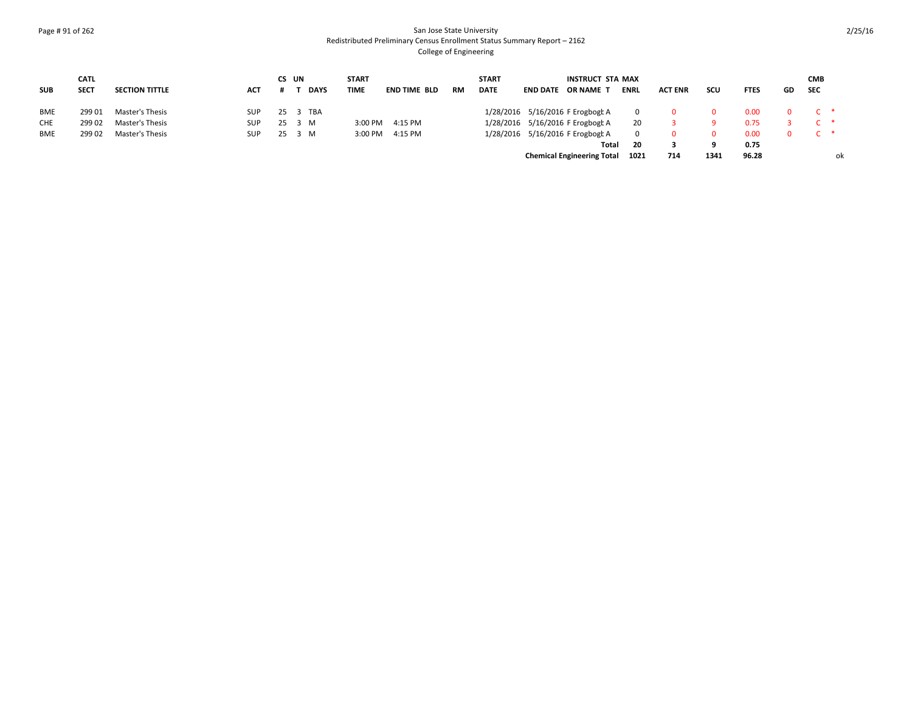### Page # 91 of 262 San Jose State University Redistributed Preliminary Census Enrollment Status Summary Report – 2162 College of Engineering

|            | <b>CATL</b> |                       |            |        | CS UN |             | <b>START</b> |              |           | <b>START</b> | INSTRUCT STA MAX                  |             |                |      |             |     | <b>CMB</b> |    |
|------------|-------------|-----------------------|------------|--------|-------|-------------|--------------|--------------|-----------|--------------|-----------------------------------|-------------|----------------|------|-------------|-----|------------|----|
| <b>SUB</b> | <b>SECT</b> | <b>SECTION TITTLE</b> | <b>ACT</b> |        |       | <b>DAYS</b> | <b>TIME</b>  | END TIME BLD | <b>RM</b> | <b>DATE</b>  | <b>END DATE OR NAME T</b>         | <b>ENRL</b> | <b>ACT ENR</b> | scu  | <b>FTES</b> | GD. | <b>SEC</b> |    |
| <b>BME</b> | 299 01      | Master's Thesis       | SUP        |        |       | 25 3 TBA    |              |              |           |              | 1/28/2016 5/16/2016 F Erogbogt A  |             |                |      | 0.00        |     |            |    |
| <b>CHE</b> | 299 02      | Master's Thesis       | <b>SUP</b> | 25     | 3 M   |             | 3:00 PM      | 4:15 PM      |           |              | 1/28/2016 5/16/2016 F Erogbogt A  | 20          |                |      | 0.75        |     |            |    |
| <b>BME</b> | 299 02      | Master's Thesis       | SUP.       | 25 3 M |       |             | 3:00 PM      | 4:15 PM      |           |              | 1/28/2016 5/16/2016 F Erogbogt A  |             |                | 0.   | 0.00        | 0.  |            |    |
|            |             |                       |            |        |       |             |              |              |           |              | Total                             | - 20        |                |      | 0.75        |     |            |    |
|            |             |                       |            |        |       |             |              |              |           |              | <b>Chemical Engineering Total</b> | 1021        | 714            | 1341 | 96.28       |     |            | оk |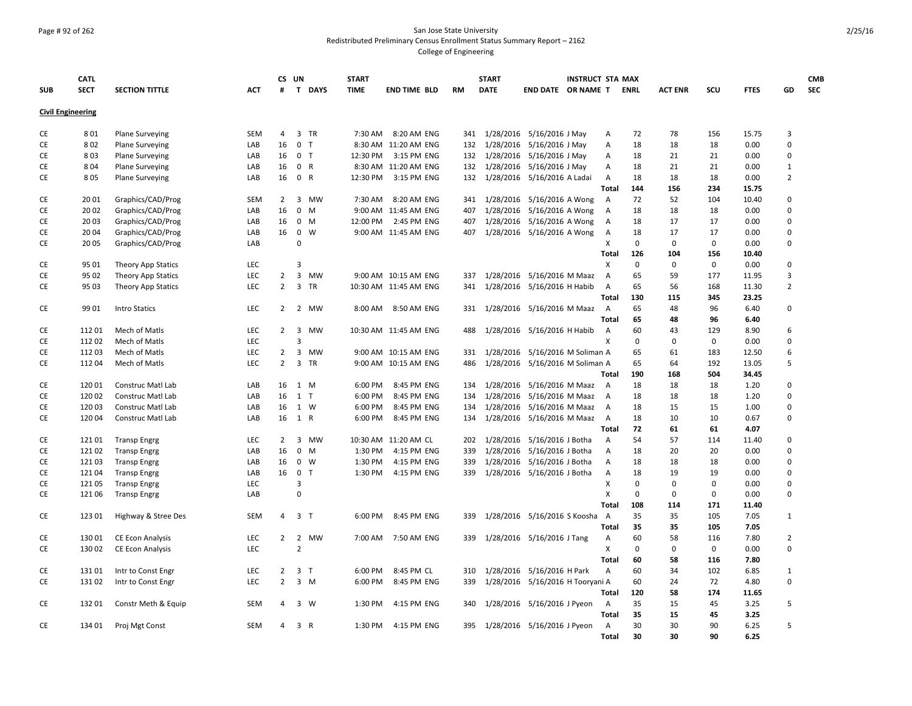### Page # 92 of 262 San Jose State University Redistributed Preliminary Census Enrollment Status Summary Report – 2162 College of Engineering

|                          | <b>CATL</b>    |                                        |            | CS UN          |                         |                   | <b>START</b> |                                     |            | <b>START</b> |                                                          | <b>INSTRUCT STA MAX</b> |                |             |                |             |              |                            | <b>CMB</b> |
|--------------------------|----------------|----------------------------------------|------------|----------------|-------------------------|-------------------|--------------|-------------------------------------|------------|--------------|----------------------------------------------------------|-------------------------|----------------|-------------|----------------|-------------|--------------|----------------------------|------------|
| <b>SUB</b>               | <b>SECT</b>    | <b>SECTION TITTLE</b>                  | <b>ACT</b> | #              |                         | T DAYS            | <b>TIME</b>  | <b>END TIME BLD</b>                 | <b>RM</b>  | <b>DATE</b>  | END DATE OR NAME T                                       |                         |                | <b>ENRL</b> | <b>ACT ENR</b> | SCU         | <b>FTES</b>  | GD                         | <b>SEC</b> |
| <b>Civil Engineering</b> |                |                                        |            |                |                         |                   |              |                                     |            |              |                                                          |                         |                |             |                |             |              |                            |            |
|                          |                |                                        |            |                |                         |                   |              |                                     |            |              |                                                          |                         |                |             |                |             |              |                            |            |
| CE                       | 801            | <b>Plane Surveying</b>                 | <b>SEM</b> | 4              |                         | 3 TR              | 7:30 AM      | 8:20 AM ENG                         | 341        |              | 1/28/2016 5/16/2016 J May                                |                         | А              | 72          | 78             | 156         | 15.75        | 3                          |            |
| CE                       | 802            | <b>Plane Surveying</b>                 | LAB        | 16             | $\mathbf{0}$            | $\mathsf{T}$      |              | 8:30 AM 11:20 AM ENG                | 132        |              | 1/28/2016 5/16/2016 J May                                |                         | А              | 18          | 18             | 18          | 0.00         | $\mathbf 0$                |            |
| <b>CE</b>                | 803            | <b>Plane Surveying</b>                 | LAB        | 16             |                         | 0 <sub>T</sub>    | 12:30 PM     | 3:15 PM ENG                         | 132        |              | 1/28/2016 5/16/2016 J May                                |                         | A              | 18          | 21             | 21          | 0.00         | $\mathbf 0$                |            |
| <b>CE</b>                | 804            | <b>Plane Surveying</b>                 | LAB        | 16             |                         | 0 R               |              | 8:30 AM 11:20 AM ENG                | 132        |              | 1/28/2016 5/16/2016 J May                                |                         | А              | 18          | 21             | 21          | 0.00         | $\mathbf{1}$               |            |
| CE                       | 805            | <b>Plane Surveying</b>                 | LAB        | 16             |                         | 0 R               | 12:30 PM     | 3:15 PM ENG                         | 132        |              | 1/28/2016 5/16/2016 A Ladai                              |                         | A              | 18          | 18             | 18          | 0.00         | $\overline{2}$             |            |
|                          |                |                                        |            |                |                         |                   |              |                                     |            |              |                                                          |                         | <b>Total</b>   | 144         | 156            | 234         | 15.75        |                            |            |
| CE                       | 20 01<br>20 02 | Graphics/CAD/Prog                      | <b>SEM</b> | $\overline{2}$ | 3                       | MW<br>$0 \quad M$ | 7:30 AM      | 8:20 AM ENG                         | 341        |              | 1/28/2016 5/16/2016 A Wong<br>1/28/2016 5/16/2016 A Wong |                         | $\overline{A}$ | 72          | 52<br>18       | 104         | 10.40        | $\mathbf 0$<br>$\mathbf 0$ |            |
| CE<br>CE                 | 20 03          | Graphics/CAD/Prog<br>Graphics/CAD/Prog | LAB<br>LAB | 16<br>16       |                         | $0 \quad M$       | 12:00 PM     | 9:00 AM 11:45 AM ENG<br>2:45 PM ENG | 407<br>407 | 1/28/2016    | 5/16/2016 A Wong                                         |                         | A<br>A         | 18<br>18    | 17             | 18<br>17    | 0.00<br>0.00 | $\mathbf 0$                |            |
|                          | 20 04          |                                        |            | 16             | $\mathbf{0}$            | W                 |              |                                     | 407        |              |                                                          |                         |                | 18          | 17             | 17          | 0.00         | $\mathbf 0$                |            |
| CE<br>CE                 | 20 05          | Graphics/CAD/Prog<br>Graphics/CAD/Prog | LAB<br>LAB |                | $\Omega$                |                   |              | 9:00 AM 11:45 AM ENG                |            |              | 1/28/2016 5/16/2016 A Wong                               |                         | A<br>X         | $\mathbf 0$ | $\mathbf 0$    | $\mathbf 0$ | 0.00         | $\mathbf 0$                |            |
|                          |                |                                        |            |                |                         |                   |              |                                     |            |              |                                                          |                         | <b>Total</b>   | 126         | 104            | 156         | 10.40        |                            |            |
| <b>CE</b>                | 95 01          | Theory App Statics                     | LEC        |                | $\overline{3}$          |                   |              |                                     |            |              |                                                          |                         | X              | $\mathbf 0$ | $\mathbf 0$    | $\mathbf 0$ | 0.00         | $\mathbf 0$                |            |
| CE                       | 95 02          | Theory App Statics                     | LEC        | $\overline{2}$ | $\overline{\mathbf{3}}$ | <b>MW</b>         |              | 9:00 AM 10:15 AM ENG                | 337        |              | 1/28/2016 5/16/2016 M Maaz                               |                         | Α              | 65          | 59             | 177         | 11.95        | $\overline{3}$             |            |
| CE                       | 95 03          | Theory App Statics                     | LEC        | $\overline{2}$ | 3                       | TR                |              | 10:30 AM 11:45 AM ENG               | 341        |              | 1/28/2016 5/16/2016 H Habib                              |                         | Α              | 65          | 56             | 168         | 11.30        | $\overline{2}$             |            |
|                          |                |                                        |            |                |                         |                   |              |                                     |            |              |                                                          |                         | Total          | 130         | 115            | 345         | 23.25        |                            |            |
| CE                       | 99 01          | <b>Intro Statics</b>                   | LEC        | $\overline{2}$ |                         | 2 MW              |              | 8:00 AM 8:50 AM ENG                 | 331        |              | 1/28/2016 5/16/2016 M Maaz                               |                         | A              | 65          | 48             | 96          | 6.40         | $\mathbf 0$                |            |
|                          |                |                                        |            |                |                         |                   |              |                                     |            |              |                                                          |                         | <b>Total</b>   | 65          | 48             | 96          | 6.40         |                            |            |
| CE                       | 11201          | Mech of Matls                          | LEC        | $\overline{2}$ | 3                       | <b>MW</b>         |              | 10:30 AM 11:45 AM ENG               | 488        |              | 1/28/2016 5/16/2016 H Habib                              |                         | $\overline{A}$ | 60          | 43             | 129         | 8.90         | 6                          |            |
| CE                       | 11202          | Mech of Matls                          | LEC        |                | $\mathbf{a}$            |                   |              |                                     |            |              |                                                          |                         | X              | $\Omega$    | $\Omega$       | 0           | 0.00         | $\Omega$                   |            |
| CE                       | 112 03         | Mech of Matls                          | <b>LEC</b> | 2              | 3                       | <b>MW</b>         |              | 9:00 AM 10:15 AM ENG                | 331        |              | 1/28/2016 5/16/2016 M Soliman A                          |                         |                | 65          | 61             | 183         | 12.50        | 6                          |            |
| CE                       | 11204          | Mech of Matls                          | <b>LEC</b> | $\overline{2}$ | $\overline{3}$          | <b>TR</b>         |              | 9:00 AM 10:15 AM ENG                | 486        |              | 1/28/2016 5/16/2016 M Soliman A                          |                         |                | 65          | 64             | 192         | 13.05        | 5                          |            |
|                          |                |                                        |            |                |                         |                   |              |                                     |            |              |                                                          |                         | Total          | 190         | 168            | 504         | 34.45        |                            |            |
| CE                       | 12001          | Construc Matl Lab                      | LAB        | 16             |                         | 1 M               | 6:00 PM      | 8:45 PM ENG                         | 134        |              | 1/28/2016 5/16/2016 M Maaz                               |                         | A              | 18          | 18             | 18          | 1.20         | $\mathbf 0$                |            |
| CE                       | 12002          | Construc Matl Lab                      | LAB        | 16             |                         | 1 T               | 6:00 PM      | 8:45 PM ENG                         | 134        | 1/28/2016    | 5/16/2016 M Maaz                                         |                         | $\overline{A}$ | 18          | 18             | 18          | 1.20         | $\mathbf 0$                |            |
| CE                       | 12003          | Construc Matl Lab                      | LAB        | 16             |                         | 1 W               | 6:00 PM      | 8:45 PM ENG                         | 134        | 1/28/2016    | 5/16/2016 M Maaz                                         |                         | A              | 18          | 15             | 15          | 1.00         | $\mathbf 0$                |            |
| CE                       | 120 04         | Construc Matl Lab                      | LAB        | 16 1 R         |                         |                   | 6:00 PM      | 8:45 PM ENG                         | 134        |              | 1/28/2016 5/16/2016 M Maaz                               |                         | A              | 18          | 10             | 10          | 0.67         | $\mathbf 0$                |            |
|                          |                |                                        |            |                |                         |                   |              |                                     |            |              |                                                          |                         | <b>Total</b>   | 72          | 61             | 61          | 4.07         |                            |            |
| CE                       | 121 01         | <b>Transp Engrg</b>                    | LEC        | $\overline{2}$ |                         | 3 MW              |              | 10:30 AM 11:20 AM CL                | 202        |              | 1/28/2016 5/16/2016 J Botha                              |                         | Α              | 54          | 57             | 114         | 11.40        | $\mathbf 0$                |            |
| CE                       | 121 02         | <b>Transp Engrg</b>                    | LAB        | 16             | $\mathbf{0}$            | M                 | 1:30 PM      | 4:15 PM ENG                         | 339        | 1/28/2016    | 5/16/2016 J Botha                                        |                         | Α              | 18          | 20             | 20          | 0.00         | $\mathbf 0$                |            |
| CE                       | 12103          | <b>Transp Engrg</b>                    | LAB        | 16             |                         | $0 \quad W$       | 1:30 PM      | 4:15 PM ENG                         | 339        |              | 1/28/2016 5/16/2016 J Botha                              |                         | А              | 18          | 18             | 18          | 0.00         | $\mathbf 0$                |            |
| CE                       | 12104          | <b>Transp Engrg</b>                    | LAB        | 16             | $\mathbf{0}$            | $\mathsf{T}$      | 1:30 PM      | 4:15 PM ENG                         | 339        |              | 1/28/2016 5/16/2016 J Botha                              |                         | Α              | 18          | 19             | 19          | 0.00         | $\mathbf 0$                |            |
| CE                       | 121 05         | <b>Transp Engrg</b>                    | LEC        |                | 3                       |                   |              |                                     |            |              |                                                          |                         | Χ              | $\mathbf 0$ | $\mathbf 0$    | 0           | 0.00         | $\mathbf 0$                |            |
| CE                       | 121 06         | <b>Transp Engrg</b>                    | LAB        |                | $\Omega$                |                   |              |                                     |            |              |                                                          |                         | X              | $\mathbf 0$ | 0              | $\mathbf 0$ | 0.00         | $\mathbf 0$                |            |
|                          |                |                                        |            |                |                         |                   |              |                                     |            |              |                                                          |                         | <b>Total</b>   | 108         | 114            | 171         | 11.40        |                            |            |
| CE                       | 123 01         | Highway & Stree Des                    | <b>SEM</b> | $\overline{4}$ |                         | 3 <sub>1</sub>    | 6:00 PM      | 8:45 PM ENG                         | 339        |              | 1/28/2016 5/16/2016 S Koosha                             |                         | $\overline{A}$ | 35          | 35             | 105         | 7.05         | $\mathbf{1}$               |            |
|                          |                |                                        |            |                |                         |                   |              |                                     |            |              |                                                          |                         | Total          | 35          | 35             | 105         | 7.05         |                            |            |
| CE                       | 130 01         | <b>CE Econ Analysis</b>                | LEC        | $\overline{2}$ | $\overline{2}$          | MW                | 7:00 AM      | 7:50 AM ENG                         | 339        |              | 1/28/2016 5/16/2016 J Tang                               |                         | Α              | 60          | 58             | 116         | 7.80         | $\overline{2}$             |            |
| CE                       | 130 02         | <b>CE Econ Analysis</b>                | LEC        |                | $\overline{2}$          |                   |              |                                     |            |              |                                                          |                         | X              | 0           | 0              | 0           | 0.00         | $\mathbf 0$                |            |
|                          |                |                                        |            |                |                         |                   |              |                                     |            |              |                                                          |                         | <b>Total</b>   | 60          | 58             | 116         | 7.80         |                            |            |
| CE                       | 13101          | Intr to Const Engr                     | <b>LEC</b> | $\overline{2}$ |                         | 3 <sub>1</sub>    | 6:00 PM      | 8:45 PM CL                          | 310        |              | 1/28/2016 5/16/2016 H Park                               |                         | А              | 60          | 34             | 102         | 6.85         | 1                          |            |
| CE                       | 13102          | Intr to Const Engr                     | LEC        | $\overline{2}$ |                         | $3 \, M$          | 6:00 PM      | 8:45 PM ENG                         | 339        |              | 1/28/2016 5/16/2016 H Tooryani A                         |                         |                | 60          | 24             | 72          | 4.80         | $\mathbf 0$                |            |
|                          |                |                                        |            |                |                         |                   |              |                                     |            |              |                                                          |                         | Total          | 120         | 58             | 174         | 11.65        |                            |            |
| CE                       | 13201          | Constr Meth & Equip                    | SEM        | 4              | 3                       | W                 | 1:30 PM      | 4:15 PM ENG                         | 340        |              | 1/28/2016 5/16/2016 J Pyeon                              |                         | $\overline{A}$ | 35          | 15             | 45          | 3.25         | 5                          |            |
|                          |                |                                        |            |                |                         |                   |              |                                     |            |              |                                                          |                         | <b>Total</b>   | 35          | 15             | 45          | 3.25         |                            |            |
| CE                       | 134 01         | Proj Mgt Const                         | SEM        | 4              |                         | 3 R               | 1:30 PM      | 4:15 PM ENG                         | 395        |              | 1/28/2016 5/16/2016 J Pyeon                              |                         | Α              | 30          | 30             | 90          | 6.25         | 5                          |            |
|                          |                |                                        |            |                |                         |                   |              |                                     |            |              |                                                          |                         | Total          | 30          | 30             | 90          | 6.25         |                            |            |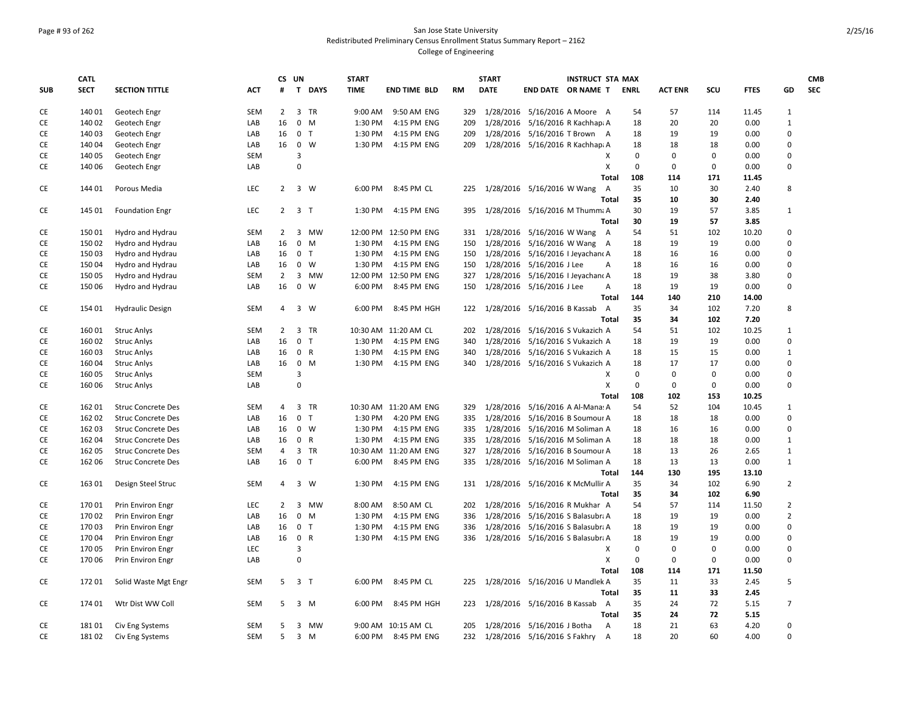# Page # 93 of 262 San Jose State University Redistributed Preliminary Census Enrollment Status Summary Report – 2162 College of Engineering

|            | <b>CATL</b> |                           |            |                | CS UN          |                | <b>START</b> |                       |     | <b>START</b> |                              | <b>INSTRUCT STA MAX</b>           |             |                |             |             |                   | <b>CMB</b> |
|------------|-------------|---------------------------|------------|----------------|----------------|----------------|--------------|-----------------------|-----|--------------|------------------------------|-----------------------------------|-------------|----------------|-------------|-------------|-------------------|------------|
| <b>SUB</b> | <b>SECT</b> | <b>SECTION TITTLE</b>     | <b>ACT</b> | #              | $\mathbf{T}$   | <b>DAYS</b>    | <b>TIME</b>  | <b>END TIME BLD</b>   | RM  | <b>DATE</b>  |                              | END DATE OR NAME T                | ENRL        | <b>ACT ENR</b> | scu         | <b>FTES</b> | GD                | <b>SEC</b> |
| CE         | 140 01      | Geotech Engr              | <b>SEM</b> | $\overline{2}$ |                | 3 TR           | 9:00 AM      | 9:50 AM ENG           | 329 |              |                              | 1/28/2016 5/16/2016 A Moore A     | 54          | 57             | 114         | 11.45       | $\mathbf{1}$      |            |
| CE         | 140 02      | Geotech Engr              | LAB        | 16             | $\mathbf{0}$   | M              | 1:30 PM      | 4:15 PM ENG           | 209 |              |                              | 1/28/2016 5/16/2016 R Kachhapi A  | 18          | 20             | 20          | 0.00        | $\mathbf{1}$      |            |
| CE         | 140 03      | Geotech Engr              | LAB        | 16             |                | 0 <sub>T</sub> | 1:30 PM      | 4:15 PM ENG           | 209 | 1/28/2016    |                              | 5/16/2016 T Brown A               | 18          | 19             | 19          | 0.00        | $\mathbf 0$       |            |
| CE         | 140 04      | Geotech Engr              | LAB        | 16             | $\mathbf 0$    | W              | 1:30 PM      | 4:15 PM ENG           | 209 |              |                              | 1/28/2016 5/16/2016 R Kachhapi A  | 18          | 18             | 18          | 0.00        | $\mathbf 0$       |            |
| CE         | 140 05      | Geotech Engr              | <b>SEM</b> |                | 3              |                |              |                       |     |              |                              | X                                 | $\mathbf 0$ | $\mathbf 0$    | $\mathbf 0$ | 0.00        | $\mathbf 0$       |            |
| CE         | 140 06      | Geotech Engr              | LAB        |                | $\Omega$       |                |              |                       |     |              |                              | X                                 | $\mathbf 0$ | $\mathbf 0$    | $\mathbf 0$ | 0.00        | $\mathbf 0$       |            |
|            |             |                           |            |                |                |                |              |                       |     |              |                              | <b>Total</b>                      | 108         | 114            | 171         | 11.45       |                   |            |
| CE         | 144 01      | Porous Media              | LEC        | $2^{\circ}$    |                | 3 W            | 6:00 PM      | 8:45 PM CL            | 225 |              | 1/28/2016 5/16/2016 W Wang   | A                                 | 35          | 10             | 30          | 2.40        | 8                 |            |
|            |             |                           |            |                |                |                |              |                       |     |              |                              | Total                             | 35          | 10             | 30          | 2.40        |                   |            |
| CE         | 145 01      | <b>Foundation Engr</b>    | LEC        | $\overline{2}$ | 3 <sub>1</sub> |                | 1:30 PM      | 4:15 PM ENG           | 395 |              |                              | 1/28/2016 5/16/2016 M Thumma A    | 30          | 19             | 57          | 3.85        | 1                 |            |
|            |             |                           |            |                |                |                |              |                       |     |              |                              | <b>Total</b>                      | 30          | 19             | 57          | 3.85        |                   |            |
| CE         | 15001       | Hydro and Hydrau          | <b>SEM</b> | 2              |                | 3 MW           |              | 12:00 PM 12:50 PM ENG | 331 |              |                              | 1/28/2016 5/16/2016 W Wang A      | 54          | 51             | 102         | 10.20       | 0                 |            |
| CE         | 150 02      | Hydro and Hydrau          | LAB        | 16             |                | $0$ M          | 1:30 PM      | 4:15 PM ENG           | 150 |              |                              | 1/28/2016 5/16/2016 W Wang A      | 18          | 19             | 19          | 0.00        | $\mathbf 0$       |            |
| CE         | 150 03      | Hydro and Hydrau          | LAB        | 16             | $\mathbf 0$    | $\mathsf{T}$   | 1:30 PM      | 4:15 PM ENG           | 150 | 1/28/2016    |                              | 5/16/2016   Jeyachant A           | 18          | 16             | 16          | 0.00        | $\mathbf 0$       |            |
| CE         | 15004       | Hydro and Hydrau          | LAB        | 16             |                | $0 \quad W$    | 1:30 PM      | 4:15 PM ENG           | 150 |              | 1/28/2016 5/16/2016 J Lee    | А                                 | 18          | 16             | 16          | 0.00        | $\mathbf 0$       |            |
| CE         | 150 05      | Hydro and Hydrau          | <b>SEM</b> | $\overline{2}$ |                | 3 MW           |              | 12:00 PM 12:50 PM ENG | 327 | 1/28/2016    |                              | 5/16/2016   Jeyachanc A           | 18          | 19             | 38          | 3.80        | $\mathbf 0$       |            |
| CE         | 150 06      | Hydro and Hydrau          | LAB        | 16             |                | $0 \quad W$    | 6:00 PM      | 8:45 PM ENG           | 150 |              | 1/28/2016 5/16/2016 J Lee    | Α                                 | 18          | 19             | 19          | 0.00        | $\mathbf 0$       |            |
|            |             |                           |            |                |                |                |              |                       |     |              |                              | Total                             | 144         | 140            | 210         | 14.00       |                   |            |
| CE         | 154 01      | <b>Hydraulic Design</b>   | <b>SEM</b> | 4              |                | 3 W            | 6:00 PM      | 8:45 PM HGH           | 122 |              | 1/28/2016 5/16/2016 B Kassab | A                                 | 35          | 34             | 102         | 7.20        | 8                 |            |
|            |             |                           |            |                |                |                |              |                       |     |              |                              | <b>Total</b>                      | 35          | 34             | 102         | 7.20        |                   |            |
| CE         | 16001       | <b>Struc Anlys</b>        | <b>SEM</b> | $\overline{2}$ | 3              | TR             |              | 10:30 AM 11:20 AM CL  | 202 |              |                              | 1/28/2016 5/16/2016 S Vukazich A  | 54          | 51             | 102         | 10.25       | 1                 |            |
| CE         | 160 02      | <b>Struc Anlys</b>        | LAB        | 16             |                | 0 <sub>T</sub> | 1:30 PM      | 4:15 PM ENG           | 340 |              |                              | 1/28/2016 5/16/2016 S Vukazich A  | 18          | 19             | 19          | 0.00        | $\mathbf 0$       |            |
| CE         | 160 03      | <b>Struc Anlys</b>        | LAB        | 16             | $\mathbf 0$    | $\mathsf{R}$   | 1:30 PM      | 4:15 PM ENG           | 340 | 1/28/2016    |                              | 5/16/2016 S Vukazich A            | 18          | 15             | 15          | 0.00        | $\mathbf{1}$      |            |
| CE         | 160 04      | <b>Struc Anlys</b>        | LAB        | 16             |                | $0$ M          | 1:30 PM      | 4:15 PM ENG           | 340 |              |                              | 1/28/2016 5/16/2016 S Vukazich A  | 18          | 17             | 17          | 0.00        | $\mathbf 0$       |            |
| CE         | 160 05      | <b>Struc Anlys</b>        | <b>SEM</b> |                | 3              |                |              |                       |     |              |                              | х                                 | $\mathbf 0$ | $\mathbf 0$    | $\mathbf 0$ | 0.00        | $\mathbf 0$       |            |
| CE         | 160 06      | <b>Struc Anlys</b>        | LAB        |                | $\mathbf 0$    |                |              |                       |     |              |                              | X                                 | $\mathbf 0$ | 0              | $\mathbf 0$ | 0.00        | $\mathbf 0$       |            |
|            |             |                           |            |                |                |                |              |                       |     |              |                              | Total                             | 108         | 102            | 153         | 10.25       |                   |            |
| CE         | 16201       | <b>Struc Concrete Des</b> | <b>SEM</b> | $\overline{4}$ |                | 3 TR           |              | 10:30 AM 11:20 AM ENG | 329 |              |                              | 1/28/2016 5/16/2016 A Al-Mana: A  | 54          | 52             | 104         | 10.45       | $\mathbf{1}$      |            |
| CE         | 162 02      | <b>Struc Concrete Des</b> | LAB        | 16             |                | 0 <sub>T</sub> | 1:30 PM      | 4:20 PM ENG           | 335 | 1/28/2016    |                              | 5/16/2016 B Soumour A             | 18          | 18             | 18          | 0.00        | $\mathbf 0$       |            |
|            |             |                           | LAB        | 16             | $\mathbf{0}$   | W              | 1:30 PM      |                       | 335 | 1/28/2016    |                              | 5/16/2016 M Soliman A             |             |                | 16          |             | $\mathbf 0$       |            |
| CE         | 162 03      | <b>Struc Concrete Des</b> |            | 16             | $\mathbf 0$    | $\mathsf{R}$   | 1:30 PM      | 4:15 PM ENG           |     | 1/28/2016    |                              |                                   | 18          | 16             | 18          | 0.00        | $\mathbf{1}$      |            |
| CE         | 162 04      | <b>Struc Concrete Des</b> | LAB        |                |                |                |              | 4:15 PM ENG           | 335 | 1/28/2016    |                              | 5/16/2016 M Soliman A             | 18          | 18             |             | 0.00        |                   |            |
| CE         | 162 05      | <b>Struc Concrete Des</b> | <b>SEM</b> | 4              |                | 3 TR           |              | 10:30 AM 11:20 AM ENG | 327 |              |                              | 5/16/2016 B Soumour A             | 18          | 13             | 26          | 2.65        | 1<br>$\mathbf{1}$ |            |
| CE         | 162 06      | <b>Struc Concrete Des</b> | LAB        | 16             |                | 0 <sub>T</sub> | 6:00 PM      | 8:45 PM ENG           | 335 |              |                              | 1/28/2016 5/16/2016 M Soliman A   | 18          | 13             | 13          | 0.00        |                   |            |
|            |             |                           |            |                |                |                |              |                       |     |              |                              | Total                             | 144         | 130            | 195         | 13.10       |                   |            |
| CE         | 163 01      | Design Steel Struc        | <b>SEM</b> | 4              | 3              | W              | 1:30 PM      | 4:15 PM ENG           | 131 |              |                              | 1/28/2016 5/16/2016 K McMullir A  | 35          | 34             | 102         | 6.90        | $\overline{2}$    |            |
|            |             |                           |            |                |                |                |              |                       |     |              |                              | Total                             | 35          | 34             | 102         | 6.90        |                   |            |
| CE         | 17001       | Prin Environ Engr         | LEC        | $\overline{2}$ | $\overline{3}$ | <b>MW</b>      | 8:00 AM      | 8:50 AM CL            | 202 |              |                              | 1/28/2016 5/16/2016 R Mukhar A    | 54          | 57             | 114         | 11.50       | $\overline{2}$    |            |
| CE         | 170 02      | Prin Environ Engr         | LAB        | 16             | $\mathbf 0$    | M              | 1:30 PM      | 4:15 PM ENG           | 336 | 1/28/2016    |                              | 5/16/2016 S Balasubra A           | 18          | 19             | 19          | 0.00        | $\overline{2}$    |            |
| CE         | 170 03      | Prin Environ Engr         | LAB        | 16             | $\mathbf 0$    | $\top$         | 1:30 PM      | 4:15 PM ENG           | 336 | 1/28/2016    |                              | 5/16/2016 S Balasubra A           | 18          | 19             | 19          | 0.00        | $\mathbf 0$       |            |
| СE         | 17004       | Prin Environ Engr         | LAB        | 16             |                | 0 R            | 1:30 PM      | 4:15 PM ENG           | 336 |              |                              | 1/28/2016 5/16/2016 S Balasubra A | 18          | 19             | 19          | 0.00        | $\mathbf 0$       |            |
| CE         | 17005       | Prin Environ Engr         | LEC        |                | 3              |                |              |                       |     |              |                              | Χ                                 | $\mathbf 0$ | $\mathbf 0$    | $\mathbf 0$ | 0.00        | $\mathbf 0$       |            |
| CE         | 170 06      | Prin Environ Engr         | LAB        |                | $\Omega$       |                |              |                       |     |              |                              | X                                 | $\mathbf 0$ | $\mathbf 0$    | $\mathbf 0$ | 0.00        | $\mathbf 0$       |            |
|            |             |                           |            |                |                |                |              |                       |     |              |                              | <b>Total</b>                      | 108         | 114            | 171         | 11.50       |                   |            |
| CE         | 17201       | Solid Waste Mgt Engr      | SEM        | 5              |                | 3 <sub>1</sub> | 6:00 PM      | 8:45 PM CL            | 225 |              |                              | 1/28/2016 5/16/2016 U Mandlek A   | 35          | 11             | 33          | 2.45        | 5                 |            |
|            |             |                           |            |                |                |                |              |                       |     |              |                              | Total                             | 35          | 11             | 33          | 2.45        |                   |            |
| CE         | 174 01      | Wtr Dist WW Coll          | <b>SEM</b> | 5              | $\mathbf{3}$   | M              | 6:00 PM      | 8:45 PM HGH           | 223 |              | 1/28/2016 5/16/2016 B Kassab | A                                 | 35          | 24             | 72          | 5.15        | $\overline{7}$    |            |
|            |             |                           |            |                |                |                |              |                       |     |              |                              | <b>Total</b>                      | 35          | 24             | 72          | 5.15        |                   |            |
| СE         | 18101       | Civ Eng Systems           | SEM        | 5              |                | 3 MW           |              | 9:00 AM 10:15 AM CL   | 205 |              | 1/28/2016 5/16/2016 J Botha  | $\overline{A}$                    | 18          | 21             | 63          | 4.20        | $\mathbf 0$       |            |
| CE         | 18102       | Civ Eng Systems           | <b>SEM</b> | 5              |                | 3 M            | 6:00 PM      | 8:45 PM ENG           | 232 |              | 1/28/2016 5/16/2016 S Fakhry | A                                 | 18          | 20             | 60          | 4.00        | $\mathbf 0$       |            |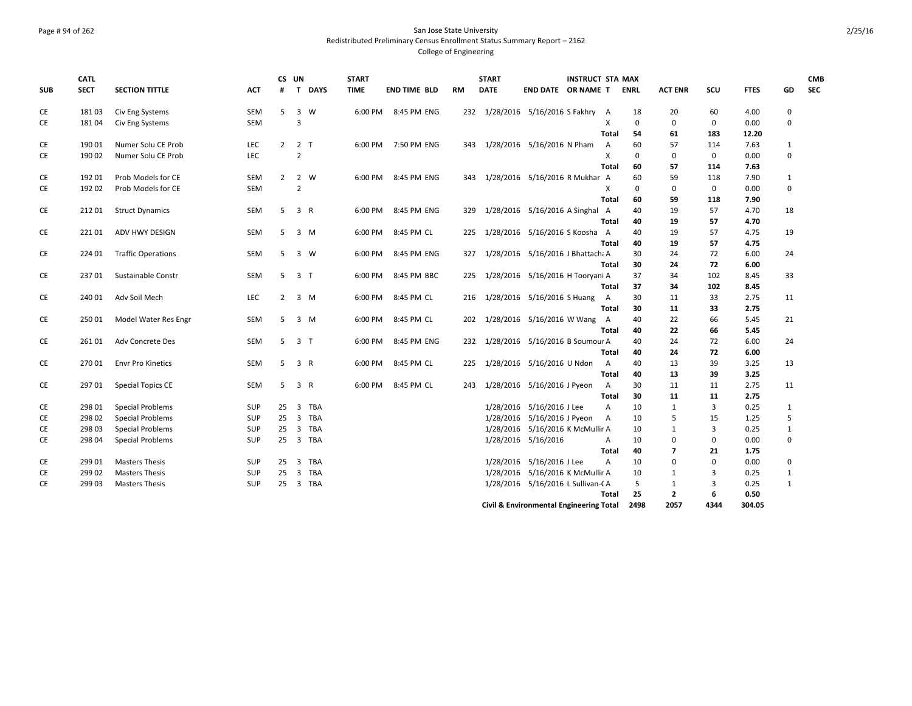### Page # 94 of 262 San Jose State University Redistributed Preliminary Census Enrollment Status Summary Report – 2162 College of Engineering

|            | <b>CATL</b> |                           |            | CS UN          |                |          | <b>START</b> |                     |     | <b>START</b>                        |                                         | <b>INSTRUCT STA MAX</b> |                |             |                |             |             |              | <b>CMB</b> |
|------------|-------------|---------------------------|------------|----------------|----------------|----------|--------------|---------------------|-----|-------------------------------------|-----------------------------------------|-------------------------|----------------|-------------|----------------|-------------|-------------|--------------|------------|
| <b>SUB</b> | <b>SECT</b> | <b>SECTION TITTLE</b>     | ACT        | #              |                | T DAYS   | <b>TIME</b>  | <b>END TIME BLD</b> | RM  | <b>DATE</b>                         | END DATE OR NAME T                      |                         |                | <b>ENRL</b> | <b>ACT ENR</b> | scu         | <b>FTES</b> | GD           | <b>SEC</b> |
| CE         | 18103       | Civ Eng Systems           | SEM        | 5              | 3              | W        |              | 6:00 PM 8:45 PM ENG |     | 232 1/28/2016 5/16/2016 S Fakhry    |                                         |                         | A              | 18          | 20             | 60          | 4.00        | 0            |            |
| CE         | 18104       | Civ Eng Systems           | SEM        |                | 3              |          |              |                     |     |                                     |                                         |                         | X              | $\mathbf 0$ | $\mathbf 0$    | 0           | 0.00        | $\mathbf 0$  |            |
|            |             |                           |            |                |                |          |              |                     |     |                                     |                                         |                         | Total          | 54          | 61             | 183         | 12.20       |              |            |
| CE         | 190 01      | Numer Solu CE Prob        | LEC        |                | $2 \t2 \tT$    |          |              | 6:00 PM 7:50 PM ENG | 343 | 1/28/2016 5/16/2016 N Pham          |                                         |                         | $\overline{A}$ | 60          | 57             | 114         | 7.63        | 1            |            |
| CE         | 190 02      | Numer Solu CE Prob        | <b>LEC</b> |                | $\overline{2}$ |          |              |                     |     |                                     |                                         |                         | X              | $\mathbf 0$ | $\mathbf 0$    | $\mathbf 0$ | 0.00        | $\mathbf 0$  |            |
|            |             |                           |            |                |                |          |              |                     |     |                                     |                                         |                         | <b>Total</b>   | 60          | 57             | 114         | 7.63        |              |            |
| CE         | 192 01      | Prob Models for CE        | SEM        | $\overline{2}$ |                | 2 W      | 6:00 PM      | 8:45 PM ENG         | 343 |                                     | 1/28/2016 5/16/2016 R Mukhar A          |                         |                | 60          | 59             | 118         | 7.90        | 1            |            |
| CE         | 192 02      | Prob Models for CE        | SEM        |                | $\overline{2}$ |          |              |                     |     |                                     |                                         |                         | Χ              | $\mathbf 0$ | 0              | $\mathbf 0$ | 0.00        | $\mathbf 0$  |            |
|            |             |                           |            |                |                |          |              |                     |     |                                     |                                         |                         | Total          | 60          | 59             | 118         | 7.90        |              |            |
| CE         | 212 01      | <b>Struct Dynamics</b>    | SEM        | 5              | 3 R            |          | 6:00 PM      | 8:45 PM ENG         | 329 |                                     | 1/28/2016 5/16/2016 A Singhal           |                         | A              | 40          | 19             | 57          | 4.70        | 18           |            |
|            |             |                           |            |                |                |          |              |                     |     |                                     |                                         |                         | Total          | 40          | 19             | 57          | 4.70        |              |            |
| CE         | 22101       | ADV HWY DESIGN            | SEM        | 5              |                | $3 \, M$ |              | 6:00 PM 8:45 PM CL  | 225 |                                     | 1/28/2016 5/16/2016 S Koosha A          |                         |                | 40          | 19             | 57          | 4.75        | 19           |            |
|            |             |                           |            |                |                |          |              |                     |     |                                     |                                         |                         | Total          | 40          | 19             | 57          | 4.75        |              |            |
| CE         | 224 01      | <b>Traffic Operations</b> | SEM        | -5             |                | 3 W      | 6:00 PM      | 8:45 PM ENG         | 327 |                                     | 1/28/2016 5/16/2016 J Bhattach; A       |                         |                | 30          | 24             | 72          | 6.00        | 24           |            |
|            |             |                           |            |                |                |          |              |                     |     |                                     |                                         |                         | Total          | 30          | 24             | 72          | 6.00        |              |            |
| CE         | 23701       | Sustainable Constr        | SEM        | 5              | 3 <sub>1</sub> |          | 6:00 PM      | 8:45 PM BBC         | 225 |                                     | 1/28/2016 5/16/2016 H Tooryani A        |                         |                | 37          | 34             | 102         | 8.45        | 33           |            |
|            |             |                           |            |                |                |          |              |                     |     |                                     |                                         |                         | Total          | 37          | 34             | 102         | 8.45        |              |            |
| CE         | 240 01      | Adv Soil Mech             | LEC        | $\mathbf{2}$   |                | 3 M      | 6:00 PM      | 8:45 PM CL          |     | 216 1/28/2016 5/16/2016 S Huang     |                                         |                         | Α              | 30          | 11             | 33          | 2.75        | 11           |            |
|            |             |                           |            |                |                |          |              |                     |     |                                     |                                         |                         | Total          | 30          | 11             | 33          | 2.75        |              |            |
| CE         | 25001       | Model Water Res Engr      | SEM        | 5              |                | 3 M      | 6:00 PM      | 8:45 PM CL          | 202 |                                     | 1/28/2016 5/16/2016 W Wang              |                         | $\overline{A}$ | 40          | 22             | 66          | 5.45        | 21           |            |
|            |             |                           |            |                |                |          |              |                     |     |                                     |                                         |                         | Total          | 40          | 22             | 66          | 5.45        |              |            |
| CE         | 26101       | Adv Concrete Des          | SEM        | 5              | 3 <sub>1</sub> |          | 6:00 PM      | 8:45 PM ENG         |     | 232 1/28/2016 5/16/2016 B Soumour A |                                         |                         |                | 40          | 24             | 72          | 6.00        | 24           |            |
|            |             |                           |            |                |                |          |              |                     |     |                                     |                                         |                         | Total          | 40          | 24             | 72          | 6.00        |              |            |
| СE         | 27001       | <b>Envr Pro Kinetics</b>  | SEM        | 5              | 3 R            |          | 6:00 PM      | 8:45 PM CL          | 225 |                                     | 1/28/2016 5/16/2016 U Ndon              |                         | A              | 40          | 13             | 39          | 3.25        | 13           |            |
|            |             |                           |            |                |                |          |              |                     |     |                                     |                                         |                         | <b>Total</b>   | 40          | 13             | 39          | 3.25        |              |            |
| СE         | 297 01      | <b>Special Topics CE</b>  | SEM        | 5              | 3 R            |          | 6:00 PM      | 8:45 PM CL          | 243 |                                     | 1/28/2016 5/16/2016 J Pyeon             |                         | A              | 30          | 11             | 11          | 2.75        | 11           |            |
|            |             |                           |            |                |                |          |              |                     |     |                                     |                                         |                         | <b>Total</b>   | 30          | 11             | 11          | 2.75        |              |            |
| CE         | 298 01      | <b>Special Problems</b>   | <b>SUP</b> | 25             |                | 3 TBA    |              |                     |     |                                     | 1/28/2016 5/16/2016 J Lee               |                         | A              | 10          | 1              | 3           | 0.25        | 1            |            |
| CE         | 298 02      | <b>Special Problems</b>   | SUP        | 25             |                | 3 TBA    |              |                     |     |                                     | 1/28/2016 5/16/2016 J Pyeon             |                         | A              | 10          | 5              | 15          | 1.25        | 5            |            |
| CE         | 298 03      | <b>Special Problems</b>   | <b>SUP</b> | 25             |                | 3 TBA    |              |                     |     | 1/28/2016                           | 5/16/2016 K McMullir A                  |                         |                | 10          | 1              | 3           | 0.25        | $\mathbf{1}$ |            |
| СE         | 298 04      | <b>Special Problems</b>   | SUP        | 25             |                | 3 TBA    |              |                     |     |                                     | 1/28/2016 5/16/2016                     |                         | A              | 10          | 0              | 0           | 0.00        | $\mathbf 0$  |            |
|            |             |                           |            |                |                |          |              |                     |     |                                     |                                         |                         | Total          | 40          | 7              | 21          | 1.75        |              |            |
| CE         | 299 01      | <b>Masters Thesis</b>     | SUP        | 25             |                | 3 TBA    |              |                     |     |                                     | 1/28/2016 5/16/2016 J Lee               |                         | A              | 10          | $\mathbf 0$    | $\mathbf 0$ | 0.00        | $\mathbf 0$  |            |
| СE         | 299 02      | <b>Masters Thesis</b>     | SUP        | 25             |                | 3 TBA    |              |                     |     |                                     | 1/28/2016 5/16/2016 K McMullir A        |                         |                | 10          | 1              | 3           | 0.25        | 1            |            |
| CE         | 299 03      | <b>Masters Thesis</b>     | SUP        | 25             |                | 3 TBA    |              |                     |     |                                     | 1/28/2016 5/16/2016 L Sullivan-CA       |                         |                | 5           | $\mathbf{1}$   | 3           | 0.25        | $\mathbf{1}$ |            |
|            |             |                           |            |                |                |          |              |                     |     |                                     |                                         |                         | Total          | 25          | $\overline{2}$ | 6           | 0.50        |              |            |
|            |             |                           |            |                |                |          |              |                     |     |                                     | Civil & Environmental Engineering Total |                         |                | 2498        | 2057           | 4344        | 304.05      |              |            |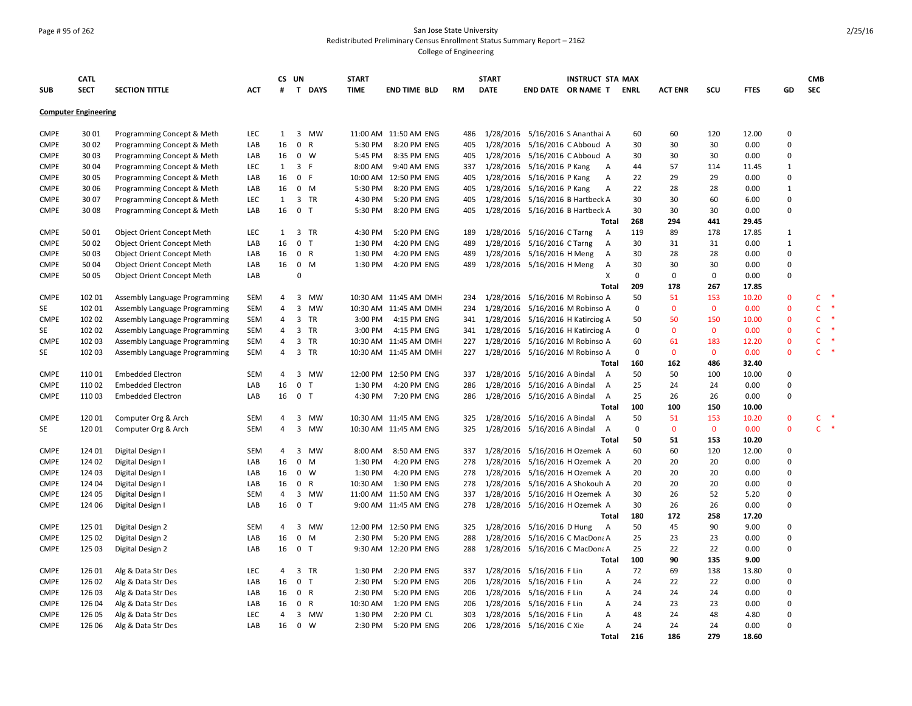### Page # 95 of 262 San Jose State University Redistributed Preliminary Census Enrollment Status Summary Report – 2162 College of Engineering

|             | <b>CATL</b>                 |                                   |            | CS UN          |                |              | <b>START</b>        |                           |            | <b>START</b> |                                   | <b>INSTRUCT STA MAX</b> |                   |             |                |              |              |                         | <b>CMB</b>   |               |
|-------------|-----------------------------|-----------------------------------|------------|----------------|----------------|--------------|---------------------|---------------------------|------------|--------------|-----------------------------------|-------------------------|-------------------|-------------|----------------|--------------|--------------|-------------------------|--------------|---------------|
| <b>SUB</b>  | <b>SECT</b>                 | <b>SECTION TITTLE</b>             | ACT        | #              |                | T DAYS       | <b>TIME</b>         | <b>END TIME BLD</b>       | <b>RM</b>  | <b>DATE</b>  | END DATE OR NAME T                |                         |                   | <b>ENRL</b> | <b>ACT ENR</b> | SCU          | <b>FTES</b>  | GD                      | <b>SEC</b>   |               |
|             | <b>Computer Engineering</b> |                                   |            |                |                |              |                     |                           |            |              |                                   |                         |                   |             |                |              |              |                         |              |               |
| <b>CMPE</b> | 3001                        | Programming Concept & Meth        | <b>LEC</b> | 1              |                | 3 MW         |                     | 11:00 AM 11:50 AM ENG     | 486        |              | 1/28/2016 5/16/2016 S Ananthai A  |                         |                   | 60          | 60             | 120          | 12.00        | $\mathbf 0$             |              |               |
| <b>CMPE</b> | 30 02                       | Programming Concept & Meth        | LAB        | 16             | $\pmb{0}$      | $\mathsf{R}$ | 5:30 PM             | 8:20 PM ENG               | 405        |              | 1/28/2016 5/16/2016 C Abboud A    |                         |                   | 30          | 30             | 30           | 0.00         | $\mathbf 0$             |              |               |
| <b>CMPE</b> | 30 03                       | Programming Concept & Meth        | LAB        | 16             | $0 \quad W$    |              | 5:45 PM             | 8:35 PM ENG               | 405        |              | 1/28/2016 5/16/2016 C Abboud A    |                         |                   | 30          | 30             | 30           | 0.00         | $\pmb{0}$               |              |               |
| <b>CMPE</b> | 30 04                       | Programming Concept & Meth        | <b>LEC</b> | $\mathbf{1}$   | 3 F            |              | 8:00 AM             | 9:40 AM ENG               | 337        |              | 1/28/2016 5/16/2016 P Kang        |                         | Α                 | 44          | 57             | 114          | 11.45        | 1                       |              |               |
| <b>CMPE</b> | 3005                        | Programming Concept & Meth        | LAB        | 16             | 0 F            |              |                     | 10:00 AM 12:50 PM ENG     | 405        | 1/28/2016    | 5/16/2016 P Kang                  |                         | $\overline{A}$    | 22          | 29             | 29           | 0.00         | $\mathbf 0$             |              |               |
| <b>CMPE</b> | 30 06                       | Programming Concept & Meth        | LAB        | 16             | $0$ M          |              | 5:30 PM             | 8:20 PM ENG               | 405        |              | 1/28/2016 5/16/2016 P Kang        |                         | Α                 | 22          | 28             | 28           | 0.00         | $\mathbf{1}$            |              |               |
| <b>CMPE</b> | 30 07                       | Programming Concept & Meth        | LEC        | 1              |                | 3 TR         | 4:30 PM             | 5:20 PM ENG               | 405        |              | 1/28/2016 5/16/2016 B Hartbeck A  |                         |                   | 30          | 30             | 60           | 6.00         | $\mathbf 0$             |              |               |
| <b>CMPE</b> | 30 08                       | Programming Concept & Meth        | LAB        | 16             | 0 <sub>T</sub> |              | 5:30 PM             | 8:20 PM ENG               | 405        |              | 1/28/2016 5/16/2016 B Hartbeck A  |                         |                   | 30          | 30             | 30           | 0.00         | 0                       |              |               |
|             |                             |                                   |            |                |                |              |                     |                           |            |              |                                   |                         | Total             | 268         | 294            | 441          | 29.45        |                         |              |               |
| <b>CMPE</b> | 5001                        | <b>Object Orient Concept Meth</b> | LEC        | 1              |                | 3 TR         | 4:30 PM             | 5:20 PM ENG               | 189        |              | 1/28/2016 5/16/2016 C Tarng       |                         | A                 | 119         | 89             | 178          | 17.85        | 1                       |              |               |
| <b>CMPE</b> | 50 02                       | Object Orient Concept Meth        | LAB        | 16             | $\mathbf 0$    | T            | 1:30 PM             | 4:20 PM ENG               | 489        |              | 1/28/2016 5/16/2016 C Tarng       |                         | Α                 | 30          | 31             | 31           | 0.00         | $\mathbf{1}$            |              |               |
| <b>CMPE</b> | 5003                        | Object Orient Concept Meth        | LAB        | 16             | 0 R            |              | 1:30 PM             | 4:20 PM ENG               | 489        | 1/28/2016    | 5/16/2016 H Meng                  |                         | Α                 | 30          | 28             | 28           | 0.00         | $\mathbf 0$             |              |               |
| <b>CMPE</b> | 50 04                       | Object Orient Concept Meth        | LAB        | 16             | $0 \quad M$    |              | 1:30 PM             | 4:20 PM ENG               | 489        |              | 1/28/2016 5/16/2016 H Meng        |                         | Α                 | 30          | 30             | 30           | 0.00         | $\mathbf 0$             |              |               |
| <b>CMPE</b> | 50 05                       | <b>Object Orient Concept Meth</b> | LAB        |                | 0              |              |                     |                           |            |              |                                   |                         | Х                 | $\mathbf 0$ | $\mathbf 0$    | 0            | 0.00         | 0                       |              |               |
|             |                             |                                   |            |                |                |              |                     |                           |            |              |                                   |                         | <b>Total</b>      | 209         | 178            | 267          | 17.85        |                         |              |               |
| <b>CMPE</b> | 102 01                      | Assembly Language Programming     | SEM        | 4              |                | 3 MW         |                     | 10:30 AM 11:45 AM DMH     | 234        |              | 1/28/2016 5/16/2016 M Robinso A   |                         |                   | 50          | 51             | 153          | 10.20        | $\mathbf 0$             | C            | $\ast$        |
| SE          | 102 01                      | Assembly Language Programming     | SEM        | 4              | 3              | <b>MW</b>    |                     | 10:30 AM 11:45 AM DMH     | 234        | 1/28/2016    | 5/16/2016 M Robinso A             |                         |                   | $\mathbf 0$ | $\mathbf 0$    | $\mathbf 0$  | 0.00         | $\mathbf 0$             | $\mathsf{C}$ |               |
| <b>CMPE</b> | 102 02                      | Assembly Language Programming     | SEM        | 4              |                | 3 TR         | 3:00 PM             | 4:15 PM ENG               | 341        |              | 1/28/2016 5/16/2016 H Katirciog A |                         |                   | 50          | 50             | 150          | 10.00        | $\mathbf 0$             | c            | $\ast$        |
| SE          | 102 02                      | Assembly Language Programming     | SEM        | $\overline{4}$ |                | 3 TR         | 3:00 PM             | 4:15 PM ENG               | 341        |              | 1/28/2016 5/16/2016 H Katirciog A |                         |                   | $\mathbf 0$ | $\mathbf{0}$   | $\mathbf{0}$ | 0.00         | $\mathbf 0$             | C            |               |
| <b>CMPE</b> | 102 03                      | Assembly Language Programming     | SEM        | $\overline{4}$ |                | 3 TR         |                     | 10:30 AM 11:45 AM DMH     | 227        |              | 1/28/2016 5/16/2016 M Robinso A   |                         |                   | 60          | 61             | 183          | 12.20        | $\mathbf 0$             | c            |               |
| SE          | 102 03                      | Assembly Language Programming     | SEM        | 4              |                | 3 TR         |                     | 10:30 AM 11:45 AM DMH     | 227        |              | 1/28/2016 5/16/2016 M Robinso A   |                         |                   | $\mathbf 0$ | $\mathbf{0}$   | $\mathbf{0}$ | 0.00         | $\mathbf{0}$            | $\mathsf{C}$ | $\ast$        |
|             |                             |                                   |            |                |                |              |                     |                           |            |              |                                   |                         | Total             | 160         | 162            | 486          | 32.40        |                         |              |               |
| <b>CMPE</b> | 11001                       | <b>Embedded Electron</b>          | SEM        | $\overline{4}$ | 3              | MW           |                     | 12:00 PM 12:50 PM ENG     | 337        |              | 1/28/2016 5/16/2016 A Bindal      |                         | $\overline{A}$    | 50          | 50             | 100          | 10.00        | $\mathbf 0$             |              |               |
| <b>CMPE</b> | 11002                       | <b>Embedded Electron</b>          | LAB        | 16             | $\mathbf 0$    | $\top$       | 1:30 PM             | 4:20 PM ENG               | 286        |              | 1/28/2016 5/16/2016 A Bindal      |                         | $\overline{A}$    | 25          | 24             | 24           | 0.00         | $\pmb{0}$               |              |               |
| <b>CMPE</b> | 11003                       | <b>Embedded Electron</b>          | LAB        | 16             | 0 <sub>T</sub> |              | 4:30 PM             | 7:20 PM ENG               | 286        |              | 1/28/2016 5/16/2016 A Bindal      |                         | A                 | 25          | 26             | 26           | 0.00         | 0                       |              |               |
|             |                             |                                   |            |                |                |              |                     |                           |            |              |                                   |                         | Total             | 100         | 100            | 150          | 10.00        |                         |              |               |
| <b>CMPE</b> | 12001                       | Computer Org & Arch               | SEM        | $\overline{4}$ |                | 3 MW         |                     | 10:30 AM 11:45 AM ENG     | 325        |              | 1/28/2016 5/16/2016 A Bindal      |                         | $\overline{A}$    | 50          | 51             | 153          | 10.20        | $\mathbf 0$             | $\mathsf{C}$ | $\ast$        |
| SE          | 120 01                      | Computer Org & Arch               | SEM        | 4              |                | 3 MW         |                     | 10:30 AM 11:45 AM ENG     | 325        |              | 1/28/2016 5/16/2016 A Bindal      |                         | A                 | $\mathbf 0$ | $\mathbf 0$    | $\mathbf 0$  | 0.00         | $\mathbf 0$             | $\mathsf{C}$ | $\rightarrow$ |
|             |                             |                                   |            |                |                |              |                     |                           |            |              |                                   |                         | <b>Total</b>      | 50          | 51             | 153          | 10.20        |                         |              |               |
| <b>CMPE</b> | 124 01                      | Digital Design I                  | SEM        | $\overline{4}$ | $\overline{3}$ | <b>MW</b>    | 8:00 AM             | 8:50 AM ENG               | 337        | 1/28/2016    | 5/16/2016 H Ozemek A              |                         |                   | 60          | 60             | 120          | 12.00        | $\mathbf 0$             |              |               |
| <b>CMPE</b> | 124 02                      | Digital Design I                  | LAB        | 16             | $\pmb{0}$      | M            | 1:30 PM             | 4:20 PM ENG               | 278        |              | 1/28/2016 5/16/2016 H Ozemek A    |                         |                   | 20          | 20             | 20           | 0.00         | $\pmb{0}$               |              |               |
| <b>CMPE</b> | 124 03                      | Digital Design I                  | LAB        | 16             | $\mathbf 0$    | W            | 1:30 PM             | 4:20 PM ENG               | 278        |              | 1/28/2016 5/16/2016 H Ozemek A    |                         |                   | 20          | 20             | 20           | 0.00         | 0                       |              |               |
| <b>CMPE</b> | 124 04                      | Digital Design I                  | LAB        | 16             | $\mathbf 0$    | $\mathsf{R}$ | 10:30 AM            | 1:30 PM ENG               | 278        |              | 1/28/2016 5/16/2016 A Shokouh A   |                         |                   | 20          | 20             | 20           | 0.00         | $\mathbf 0$             |              |               |
| <b>CMPE</b> | 124 05                      | Digital Design I                  | SEM        | 4              |                | 3 MW         |                     | 11:00 AM 11:50 AM ENG     | 337        |              | 1/28/2016 5/16/2016 H Ozemek A    |                         |                   | 30          | 26             | 52           | 5.20         | $\mathbf 0$             |              |               |
| <b>CMPE</b> | 124 06                      | Digital Design I                  | LAB        | 16             | 0 <sub>T</sub> |              |                     | 9:00 AM 11:45 AM ENG      | 278        |              | 1/28/2016 5/16/2016 H Ozemek A    |                         |                   | 30          | 26             | 26           | 0.00         | $\pmb{0}$               |              |               |
|             |                             |                                   |            |                |                |              |                     |                           |            |              |                                   |                         | Total             | 180         | 172            | 258          | 17.20        |                         |              |               |
| <b>CMPE</b> | 125 01                      | Digital Design 2                  | SEM        | $\overline{4}$ | 3              | <b>MW</b>    |                     | 12:00 PM 12:50 PM ENG     | 325        | 1/28/2016    | 5/16/2016 D Hung                  |                         | $\overline{A}$    | 50          | 45             | 90           | 9.00         | $\mathbf 0$             |              |               |
| <b>CMPE</b> | 125 02                      | Digital Design 2                  | LAB        | 16             | $\mathbf 0$    | M            | 2:30 PM             | 5:20 PM ENG               | 288        |              | 1/28/2016 5/16/2016 C MacDona A   |                         |                   | 25          | 23             | 23           | 0.00         | $\pmb{0}$               |              |               |
| <b>CMPE</b> | 125 03                      | Digital Design 2                  | LAB        | 16             | 0 <sub>T</sub> |              |                     | 9:30 AM 12:20 PM ENG      | 288        |              | 1/28/2016 5/16/2016 C MacDona A   |                         |                   | 25          | 22             | 22           | 0.00         | $\mathbf 0$             |              |               |
|             |                             |                                   |            |                |                |              |                     |                           |            |              |                                   |                         | Total             | 100         | 90             | 135          | 9.00         |                         |              |               |
| <b>CMPE</b> | 126 01                      | Alg & Data Str Des                | LEC        | 4              |                | 3 TR         | 1:30 PM             | 2:20 PM ENG               | 337        |              | 1/28/2016 5/16/2016 F Lin         |                         | A                 | 72          | 69             | 138          | 13.80        | 0                       |              |               |
| <b>CMPE</b> | 126 02                      | Alg & Data Str Des                | LAB        | 16             | 0 <sub>T</sub> |              | 2:30 PM             | 5:20 PM ENG               | 206        |              | 1/28/2016 5/16/2016 F Lin         |                         | A                 | 24          | 22             | 22           | 0.00         | $\mathbf 0$             |              |               |
| <b>CMPE</b> | 126 03                      | Alg & Data Str Des                | LAB        | 16             | 0 R            |              | 2:30 PM             | 5:20 PM ENG               | 206        |              | 1/28/2016 5/16/2016 F Lin         |                         | Α                 | 24          | 24             | 24           | 0.00         | $\mathbf 0$             |              |               |
| <b>CMPE</b> | 126 04<br>126 05            | Alg & Data Str Des                | LAB        | 16<br>4        | 0 R            | 3 MW         | 10:30 AM<br>1:30 PM | 1:20 PM ENG<br>2:20 PM CL | 206<br>303 |              | 1/28/2016 5/16/2016 F Lin         |                         | Α<br>А            | 24<br>48    | 23<br>24       | 23<br>48     | 0.00<br>4.80 | $\mathbf 0$<br>$\Omega$ |              |               |
| <b>CMPE</b> |                             | Alg & Data Str Des                | LEC        |                | $0 \quad W$    |              |                     |                           |            |              | 1/28/2016 5/16/2016 F Lin         |                         |                   | 24          | 24             | 24           | 0.00         | 0                       |              |               |
| <b>CMPE</b> | 126 06                      | Alg & Data Str Des                | LAB        | 16             |                |              | 2:30 PM             | 5:20 PM ENG               | 206        |              | 1/28/2016 5/16/2016 C Xie         |                         | Α<br><b>Total</b> | 216         | 186            | 279          | 18.60        |                         |              |               |
|             |                             |                                   |            |                |                |              |                     |                           |            |              |                                   |                         |                   |             |                |              |              |                         |              |               |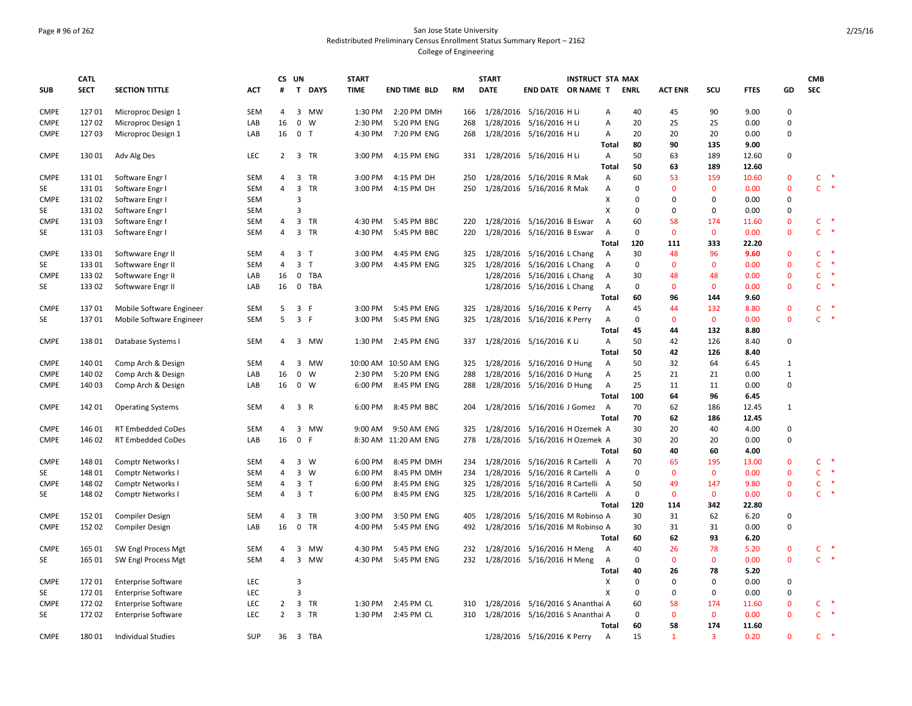### Page # 96 of 262 San Jose State University Redistributed Preliminary Census Enrollment Status Summary Report – 2162 College of Engineering

|             | <b>CATL</b> |                            |            | CS UN          |                         |                | <b>START</b> |                       |           | <b>START</b> |                                  | <b>INSTRUCT STA MAX</b> |                |             |                |                |             |              | <b>CMB</b>   |                      |
|-------------|-------------|----------------------------|------------|----------------|-------------------------|----------------|--------------|-----------------------|-----------|--------------|----------------------------------|-------------------------|----------------|-------------|----------------|----------------|-------------|--------------|--------------|----------------------|
| <b>SUB</b>  | <b>SECT</b> | <b>SECTION TITTLE</b>      | ACT        | #              |                         | T DAYS         | <b>TIME</b>  | <b>END TIME BLD</b>   | <b>RM</b> | <b>DATE</b>  | <b>END DATE OR NAME T</b>        |                         |                | <b>ENRL</b> | <b>ACT ENR</b> | scu            | <b>FTES</b> | GD           | <b>SEC</b>   |                      |
| <b>CMPE</b> | 12701       | Microproc Design 1         | <b>SEM</b> | 4              |                         | 3 MW           | 1:30 PM      | 2:20 PM DMH           | 166       |              | 1/28/2016 5/16/2016 H Li         |                         | Α              | 40          | 45             | 90             | 9.00        | $\mathbf 0$  |              |                      |
| <b>CMPE</b> | 12702       | Microproc Design 1         | LAB        | 16             | $\mathbf 0$             | W              | 2:30 PM      | 5:20 PM ENG           | 268       |              | 1/28/2016 5/16/2016 H Li         |                         | Α              | 20          | 25             | 25             | 0.00        | $\mathbf 0$  |              |                      |
| <b>CMPE</b> | 12703       | Microproc Design 1         | LAB        | 16             |                         | 0 <sub>T</sub> | 4:30 PM      | 7:20 PM ENG           | 268       |              | 1/28/2016 5/16/2016 H Li         |                         | Α              | 20          | 20             | 20             | 0.00        | $\mathbf 0$  |              |                      |
|             |             |                            |            |                |                         |                |              |                       |           |              |                                  |                         | Total          | 80          | 90             | 135            | 9.00        |              |              |                      |
| <b>CMPE</b> | 13001       | Adv Alg Des                | LEC        |                |                         | 2 3 TR         | 3:00 PM      | 4:15 PM ENG           |           |              | 331 1/28/2016 5/16/2016 H Li     |                         | A              | 50          | 63             | 189            | 12.60       | $\mathbf 0$  |              |                      |
|             |             |                            |            |                |                         |                |              |                       |           |              |                                  |                         | <b>Total</b>   | 50          | 63             | 189            | 12.60       |              |              |                      |
| <b>CMPE</b> | 13101       | Software Engr I            | SEM        | 4              | 3                       | TR             | 3:00 PM      | 4:15 PM DH            | 250       |              | 1/28/2016 5/16/2016 R Mak        |                         | A              | 60          | 53             | 159            | 10.60       | $\mathbf 0$  | C            | $\ast$               |
| SE          | 131 01      | Software Engr I            | SEM        | $\overline{4}$ | $\overline{\mathbf{3}}$ | TR             | 3:00 PM      | 4:15 PM DH            | 250       |              | 1/28/2016 5/16/2016 R Mak        |                         | Α              | 0           | $\mathbf{0}$   | $\mathbf{0}$   | 0.00        | $\mathbf 0$  | $\mathsf{C}$ | $\ast$               |
| <b>CMPE</b> | 131 02      | Software Engr I            | SEM        |                | 3                       |                |              |                       |           |              |                                  |                         | X              | 0           | $\Omega$       | $\mathbf 0$    | 0.00        | $\pmb{0}$    |              |                      |
| SE          | 13102       | Software Engr I            | SEM        |                | 3                       |                |              |                       |           |              |                                  |                         | X              | 0           | $\mathbf 0$    | $\mathbf 0$    | 0.00        | $\pmb{0}$    |              |                      |
| <b>CMPE</b> | 13103       | Software Engr I            | SEM        | 4              |                         | 3 TR           | 4:30 PM      | 5:45 PM BBC           | 220       |              | 1/28/2016 5/16/2016 B Eswar      |                         | $\overline{A}$ | 60          | 58             | 174            | 11.60       | $\mathbf 0$  | C            | $\ast$               |
| SE          | 13103       | Software Engr I            | <b>SEM</b> | $\overline{4}$ |                         | 3 TR           | 4:30 PM      | 5:45 PM BBC           | 220       |              | 1/28/2016 5/16/2016 B Eswar      |                         | $\overline{A}$ | 0           | $\mathbf{0}$   | $\mathbf{0}$   | 0.00        | $\mathbf{0}$ | C.           | −¥                   |
|             |             |                            |            |                |                         |                |              |                       |           |              |                                  |                         | Total          | 120         | 111            | 333            | 22.20       |              |              |                      |
| <b>CMPE</b> | 13301       | Softwware Engr II          | SEM        | 4              |                         | 3 <sub>1</sub> | 3:00 PM      | 4:45 PM ENG           | 325       |              | 1/28/2016 5/16/2016 L Chang      |                         | A              | 30          | 48             | 96             | 9.60        | $\mathbf 0$  | C            |                      |
| SE          | 13301       | Softwware Engr II          | SEM        | $\overline{4}$ |                         | 3 <sub>7</sub> | 3:00 PM      | 4:45 PM ENG           | 325       |              | 1/28/2016 5/16/2016 L Chang      |                         | $\overline{A}$ | 0           | $\mathbf{0}$   | $\mathbf{0}$   | 0.00        | $\mathbf{0}$ | C.           | $\ast$               |
| <b>CMPE</b> | 133 02      | Softwware Engr II          | LAB        | 16             | $\mathbf 0$             | TBA            |              |                       |           |              | 1/28/2016 5/16/2016 L Chang      |                         | Α              | 30          | 48             | 48             | 0.00        | $\mathbf 0$  | $\mathsf{C}$ | $\;$                 |
| SE          | 133 02      | Softwware Engr II          | LAB        | 16             |                         | 0 TBA          |              |                       |           |              | 1/28/2016 5/16/2016 L Chang      |                         | A              | 0           | $\mathbf 0$    | $\mathbf 0$    | 0.00        | $\mathbf 0$  | C.           | 一味                   |
|             |             |                            |            |                |                         |                |              |                       |           |              |                                  |                         | Total          | 60          | 96             | 144            | 9.60        |              |              |                      |
| <b>CMPE</b> | 13701       | Mobile Software Engineer   | SEM        | 5              | $\overline{\mathbf{3}}$ | -F             | 3:00 PM      | 5:45 PM ENG           | 325       |              | 1/28/2016 5/16/2016 K Perry      |                         | A              | 45          | 44             | 132            | 8.80        | $\bf{0}$     | $\mathsf{C}$ | $\ddot{\phantom{1}}$ |
| SE          | 13701       | Mobile Software Engineer   | SEM        | 5              | $\overline{\mathbf{3}}$ | F              | 3:00 PM      | 5:45 PM ENG           | 325       |              | 1/28/2016 5/16/2016 K Perry      |                         | Α              | 0           | $\mathbf{0}$   | $\mathbf 0$    | 0.00        | $\mathbf 0$  | $\mathsf{C}$ | $\ast$               |
|             |             |                            |            |                |                         |                |              |                       |           |              |                                  |                         | Total          | 45          | 44             | 132            | 8.80        |              |              |                      |
| <b>CMPE</b> | 13801       | Database Systems I         | SEM        | 4              |                         | 3 MW           | 1:30 PM      | 2:45 PM ENG           | 337       |              | 1/28/2016 5/16/2016 K Li         |                         | $\overline{A}$ | 50          | 42             | 126            | 8.40        | $\mathbf 0$  |              |                      |
|             |             |                            |            |                |                         |                |              |                       |           |              |                                  |                         | Total          | 50          | 42             | 126            | 8.40        |              |              |                      |
| <b>CMPE</b> | 140 01      | Comp Arch & Design         | <b>SEM</b> | $\overline{4}$ | $\overline{3}$          | MW             |              | 10:00 AM 10:50 AM ENG | 325       |              | 1/28/2016 5/16/2016 D Hung       |                         | $\mathsf{A}$   | 50          | 32             | 64             | 6.45        | 1            |              |                      |
| <b>CMPE</b> | 140 02      | Comp Arch & Design         | LAB        | 16             | $\mathbf 0$             | W              | 2:30 PM      | 5:20 PM ENG           | 288       |              | 1/28/2016 5/16/2016 D Hung       |                         | A              | 25          | 21             | 21             | 0.00        | $\mathbf{1}$ |              |                      |
| <b>CMPE</b> | 140 03      | Comp Arch & Design         | LAB        | 16             |                         | 0 W            | 6:00 PM      | 8:45 PM ENG           | 288       |              | 1/28/2016 5/16/2016 D Hung       |                         | A              | 25          | 11             | 11             | 0.00        | $\mathbf 0$  |              |                      |
|             |             |                            |            |                |                         |                |              |                       |           |              |                                  |                         | Total          | 100         | 64             | 96             | 6.45        |              |              |                      |
| <b>CMPE</b> | 142 01      | <b>Operating Systems</b>   | <b>SEM</b> | 4              |                         | 3 R            | 6:00 PM      | 8:45 PM BBC           | 204       |              | 1/28/2016 5/16/2016 J Gomez      |                         | A              | 70          | 62             | 186            | 12.45       | $\mathbf{1}$ |              |                      |
|             |             |                            |            |                |                         |                |              |                       |           |              |                                  |                         | Total          | 70          | 62             | 186            | 12.45       |              |              |                      |
| <b>CMPE</b> | 146 01      | <b>RT Embedded CoDes</b>   | <b>SEM</b> | $\overline{4}$ | $\overline{3}$          | MW             | 9:00 AM      | 9:50 AM ENG           | 325       |              | 1/28/2016 5/16/2016 H Ozemek A   |                         |                | 30          | 20             | 40             | 4.00        | $\mathbf 0$  |              |                      |
| <b>CMPE</b> | 146 02      | RT Embedded CoDes          | LAB        | 16             | $\mathsf 0$             | F              |              | 8:30 AM 11:20 AM ENG  | 278       |              | 1/28/2016 5/16/2016 H Ozemek A   |                         |                | 30          | 20             | 20             | 0.00        | $\mathbf 0$  |              |                      |
|             |             |                            |            |                |                         |                |              |                       |           |              |                                  |                         | Total          | 60          | 40             | 60             | 4.00        |              |              |                      |
| <b>CMPE</b> | 148 01      | Comptr Networks I          | SEM        | $\overline{4}$ |                         | 3 W            | 6:00 PM      | 8:45 PM DMH           | 234       |              | 1/28/2016 5/16/2016 R Cartelli A |                         |                | 70          | 65             | 195            | 13.00       | $\mathbf 0$  | C.           | $\ast$               |
| SE          | 148 01      | Comptr Networks I          | SEM        | 4              |                         | 3 W            | 6:00 PM      | 8:45 PM DMH           | 234       |              | 1/28/2016 5/16/2016 R Cartelli A |                         |                | 0           | $\mathbf{0}$   | $\mathbf{0}$   | 0.00        | $\mathbf 0$  | C.           | $\ast$               |
| <b>CMPE</b> | 14802       | <b>Comptr Networks I</b>   | SEM        | 4              |                         | 3 <sub>1</sub> | 6:00 PM      | 8:45 PM ENG           | 325       |              | 1/28/2016 5/16/2016 R Cartelli A |                         |                | 50          | 49             | 147            | 9.80        | $\mathbf 0$  | C            | $\;$                 |
| SE          | 148 02      | Comptr Networks I          | SEM        | 4              |                         | 3 <sub>1</sub> | 6:00 PM      | 8:45 PM ENG           | 325       |              | 1/28/2016 5/16/2016 R Cartelli A |                         |                | 0           | $\mathbf{0}$   | $\mathbf{0}$   | 0.00        | $\mathbf 0$  | $\mathsf{C}$ | $\ast$               |
|             |             |                            |            |                |                         |                |              |                       |           |              |                                  |                         | Total          | 120         | 114            | 342            | 22.80       |              |              |                      |
| <b>CMPE</b> | 152 01      | <b>Compiler Design</b>     | <b>SEM</b> | $\overline{4}$ |                         | 3 TR           | 3:00 PM      | 3:50 PM ENG           | 405       |              | 1/28/2016 5/16/2016 M Robinso A  |                         |                | 30          | 31             | 62             | 6.20        | $\pmb{0}$    |              |                      |
| <b>CMPE</b> | 152 02      | <b>Compiler Design</b>     | LAB        | 16             |                         | 0 TR           | 4:00 PM      | 5:45 PM ENG           | 492       |              | 1/28/2016 5/16/2016 M Robinso A  |                         |                | 30          | 31             | 31             | 0.00        | $\mathbf 0$  |              |                      |
|             |             |                            |            |                |                         |                |              |                       |           |              |                                  |                         | Total          | 60          | 62             | 93             | 6.20        |              |              |                      |
| <b>CMPE</b> | 165 01      | SW Engl Process Mgt        | SEM        | 4              | 3                       | MW             | 4:30 PM      | 5:45 PM ENG           | 232       |              | 1/28/2016 5/16/2016 H Meng       |                         | A              | 40          | 26             | 78             | 5.20        | $\bf{0}$     | c            | $\ast$               |
| SE          | 165 01      | SW Engl Process Mgt        | SEM        | 4              | 3                       | MW             | 4:30 PM      | 5:45 PM ENG           |           |              | 232 1/28/2016 5/16/2016 H Meng   |                         | A              | 0           | $\mathbf{0}$   | $\mathbf{0}$   | 0.00        | $\mathbf 0$  | C.           | $\;$                 |
|             |             |                            |            |                |                         |                |              |                       |           |              |                                  |                         | Total          | 40          | 26             | 78             | 5.20        |              |              |                      |
| <b>CMPE</b> | 17201       | <b>Enterprise Software</b> | LEC        |                | $\overline{3}$          |                |              |                       |           |              |                                  |                         | X              | 0           | 0              | 0              | 0.00        | $\pmb{0}$    |              |                      |
| SE          | 17201       | <b>Enterprise Software</b> | LEC        |                | 3                       |                |              |                       |           |              |                                  |                         | X              | 0           | $\mathbf 0$    | $\mathbf 0$    | 0.00        | $\mathbf 0$  |              |                      |
| <b>CMPE</b> | 17202       | <b>Enterprise Software</b> | LEC        | $\overline{2}$ |                         | 3 TR           | 1:30 PM      | 2:45 PM CL            | 310       |              | 1/28/2016 5/16/2016 S Ananthai A |                         |                | 60          | 58             | 174            | 11.60       | $\mathbf 0$  | C.           | ×                    |
| SE          | 17202       | <b>Enterprise Software</b> | LEC        | $\overline{2}$ |                         | 3 TR           | 1:30 PM      | 2:45 PM CL            | 310       |              | 1/28/2016 5/16/2016 S Ananthai A |                         |                | 0           | $\mathbf{0}$   | $\mathbf{0}$   | 0.00        | $\mathbf{0}$ | C.           | $\ast$               |
|             |             |                            |            |                |                         |                |              |                       |           |              |                                  |                         | Total          | 60          | 58             | 174            | 11.60       |              |              |                      |
| <b>CMPE</b> | 18001       | <b>Individual Studies</b>  | SUP        | 36             |                         | 3 TBA          |              |                       |           |              | 1/28/2016 5/16/2016 K Perry      |                         | $\overline{A}$ | 15          | $\mathbf{1}$   | $\overline{3}$ | 0.20        | $\Omega$     | $\mathsf{C}$ | $\ast$               |
|             |             |                            |            |                |                         |                |              |                       |           |              |                                  |                         |                |             |                |                |             |              |              |                      |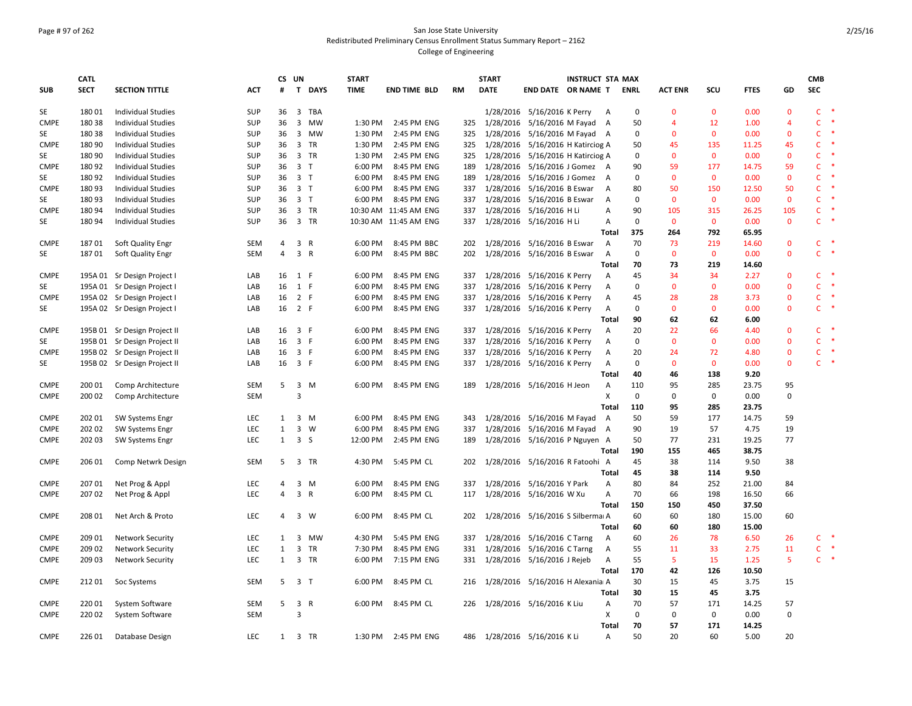# Page # 97 of 262 San Jose State University Redistributed Preliminary Census Enrollment Status Summary Report – 2162 College of Engineering

|             | <b>CATL</b> |                              |            |                | CS UN          |              | <b>START</b> |                       |           | <b>START</b>                 |                                   | <b>INSTRUCT STA MAX</b> |                |             |                |              |             |                | <b>CMB</b>   |           |
|-------------|-------------|------------------------------|------------|----------------|----------------|--------------|--------------|-----------------------|-----------|------------------------------|-----------------------------------|-------------------------|----------------|-------------|----------------|--------------|-------------|----------------|--------------|-----------|
| <b>SUB</b>  | <b>SECT</b> | <b>SECTION TITTLE</b>        | ACT        | #              | $\mathbf{T}$   | <b>DAYS</b>  | <b>TIME</b>  | <b>END TIME BLD</b>   | <b>RM</b> | <b>DATE</b>                  | END DATE OR NAME T                |                         |                | <b>ENRL</b> | <b>ACT ENR</b> | scu          | <b>FTES</b> | GD             | SEC          |           |
| SE          | 18001       | <b>Individual Studies</b>    | SUP        |                |                | 36 3 TBA     |              |                       |           |                              | 1/28/2016 5/16/2016 K Perry A     |                         |                | 0           | $\mathbf{0}$   | $\mathbf{0}$ | 0.00        | $\mathbf{0}$   | $\mathsf{C}$ | $\ast$    |
| <b>CMPE</b> | 180 38      | <b>Individual Studies</b>    | SUP        | 36             | 3              | MW           | 1:30 PM      | 2:45 PM ENG           | 325       | 1/28/2016                    | 5/16/2016 M Fayad A               |                         |                | 50          | 4              | 12           | 1.00        | $\overline{4}$ | $\mathsf{C}$ |           |
| SE          | 18038       | <b>Individual Studies</b>    | SUP        | 36             |                | 3 MW         | 1:30 PM      | 2:45 PM ENG           | 325       | 1/28/2016                    | 5/16/2016 M Fayad A               |                         |                | 0           | $\mathbf{0}$   | $\mathbf 0$  | 0.00        | $\mathbf 0$    | C            | $\ast$    |
| <b>CMPE</b> | 180 90      | <b>Individual Studies</b>    | SUP        | 36             | 3 TR           |              | 1:30 PM      | 2:45 PM ENG           | 325       | 1/28/2016                    | 5/16/2016 H Katirciog A           |                         |                | 50          | 45             | 135          | 11.25       | 45             | $\mathsf{C}$ | $\ast$    |
| SE          | 180 90      | Individual Studies           | SUP        | 36             | 3 TR           |              | 1:30 PM      | 2:45 PM ENG           | 325       | 1/28/2016                    | 5/16/2016 H Katirciog A           |                         |                | 0           | $\mathbf{0}$   | $\mathbf{0}$ | 0.00        | $\mathbf 0$    | C            |           |
| <b>CMPE</b> | 18092       | <b>Individual Studies</b>    | SUP        |                | 36 3 T         |              | 6:00 PM      | 8:45 PM ENG           | 189       | 1/28/2016                    | 5/16/2016 J Gomez A               |                         |                | 90          | 59             | 177          | 14.75       | 59             | $\mathsf{C}$ | $\ast$    |
| SE          | 18092       | <b>Individual Studies</b>    | SUP        |                | 36 3 T         |              | 6:00 PM      | 8:45 PM ENG           | 189       | 1/28/2016                    | 5/16/2016 J Gomez                 |                         | A              | 0           | $\mathbf{0}$   | $\mathbf{0}$ | 0.00        | $\mathbf 0$    | $\mathsf{C}$ | $\ast$    |
| <b>CMPE</b> | 18093       | Individual Studies           | SUP        |                | 36 3 T         |              | 6:00 PM      | 8:45 PM ENG           | 337       |                              | 1/28/2016 5/16/2016 B Eswar       |                         | Α              | 80          | 50             | 150          | 12.50       | 50             | $\mathsf{C}$ | $\ast$    |
| SE          | 18093       | <b>Individual Studies</b>    | SUP        | 36             | 3 <sub>1</sub> |              | 6:00 PM      | 8:45 PM ENG           | 337       |                              | 1/28/2016 5/16/2016 B Eswar       |                         | Α              | $\mathbf 0$ | $\mathbf 0$    | $\mathbf 0$  | 0.00        | $\mathbf 0$    | $\mathsf{C}$ | $\ast$    |
| <b>CMPE</b> | 18094       | <b>Individual Studies</b>    | SUP        |                | 36 3 TR        |              |              | 10:30 AM 11:45 AM ENG | 337       |                              | 1/28/2016 5/16/2016 H Li          |                         | Α              | 90          | 105            | 315          | 26.25       | 105            | $\mathsf{C}$ | *         |
| SE          | 18094       | <b>Individual Studies</b>    | SUP        | 36             | 3 TR           |              |              | 10:30 AM 11:45 AM ENG | 337       |                              | 1/28/2016 5/16/2016 H Li          |                         | $\overline{A}$ | 0           | $\mathbf{0}$   | $\mathbf{0}$ | 0.00        | $\mathbf{0}$   | $\mathsf{C}$ | $\ast$    |
|             |             |                              |            |                |                |              |              |                       |           |                              |                                   |                         | Total          | 375         | 264            | 792          | 65.95       |                |              |           |
| <b>CMPE</b> | 18701       | Soft Quality Engr            | SEM        | $\overline{4}$ | 3 R            |              | 6:00 PM      | 8:45 PM BBC           | 202       |                              | 1/28/2016 5/16/2016 B Eswar       |                         | $\mathsf{A}$   | 70          | 73             | 219          | 14.60       | $\mathbf 0$    | $\mathsf{C}$ |           |
| SE          | 18701       | Soft Quality Engr            | <b>SEM</b> | $\overline{4}$ | 3 R            |              | 6:00 PM      | 8:45 PM BBC           | 202       |                              | 1/28/2016 5/16/2016 B Eswar       |                         | $\overline{A}$ | 0           | $\Omega$       | $\mathbf 0$  | 0.00        | $\Omega$       | C            | $\ast$    |
|             |             |                              |            |                |                |              |              |                       |           |                              |                                   |                         | Total          | 70          | 73             | 219          | 14.60       |                |              |           |
| <b>CMPE</b> |             | 195A 01 Sr Design Project I  | LAB        |                | 16 1 F         |              | 6:00 PM      | 8:45 PM ENG           | 337       | 1/28/2016                    | 5/16/2016 K Perry                 |                         | $\mathsf{A}$   | 45          | 34             | 34           | 2.27        | $\mathbf{0}$   | $\mathsf{C}$ | -*        |
| SE          |             | 195A 01 Sr Design Project    | LAB        |                | 16 1 F         |              | 6:00 PM      | 8:45 PM ENG           | 337       | 1/28/2016                    | 5/16/2016 K Perry                 |                         | A              | 0           | $\mathbf{0}$   | $\mathbf 0$  | 0.00        | $\mathbf 0$    | $\mathsf{C}$ | $\ast$    |
| <b>CMPE</b> |             | 195A 02 Sr Design Project    | LAB        | 16             | 2 F            |              | 6:00 PM      | 8:45 PM ENG           | 337       |                              | 1/28/2016 5/16/2016 K Perry       |                         | A              | 45          | 28             | 28           | 3.73        | $\Omega$       | C            | $\ast$    |
| SE          |             | 195A 02 Sr Design Project I  | LAB        |                | 16 2 F         |              | 6:00 PM      | 8:45 PM ENG           | 337       |                              | 1/28/2016 5/16/2016 K Perry       |                         | Α              | 0           | $\mathbf{0}$   | $\mathbf 0$  | 0.00        | $\mathbf 0$    | $\mathsf{C}$ |           |
|             |             |                              |            |                |                |              |              |                       |           |                              |                                   |                         | <b>Total</b>   | 90          | 62             | 62           | 6.00        |                |              |           |
| <b>CMPE</b> |             | 195B 01 Sr Design Project II | LAB        |                | 16 3 F         |              | 6:00 PM      | 8:45 PM ENG           | 337       | 1/28/2016                    | 5/16/2016 K Perry                 |                         | $\overline{A}$ | 20          | 22             | 66           | 4.40        | $\Omega$       | C.           |           |
| SE          |             | 195B 01 Sr Design Project II | LAB        |                | 16 3 F         |              | 6:00 PM      | 8:45 PM ENG           | 337       | 1/28/2016                    | 5/16/2016 K Perry                 |                         | А              | $\mathsf 0$ | $\mathbf{0}$   | $\mathbf 0$  | 0.00        | $\mathbf{0}$   | $\mathsf{C}$ | $\ast$    |
| <b>CMPE</b> |             | 195B 02 Sr Design Project II | LAB        |                | 16 3 F         |              | 6:00 PM      | 8:45 PM ENG           | 337       |                              | 1/28/2016 5/16/2016 K Perry       |                         | Α              | 20          | 24             | 72           | 4.80        | $\mathbf{0}$   | $\mathsf{C}$ | $\ast$    |
| SE          |             | 195B 02 Sr Design Project II | LAB        |                | 16 3 F         |              | 6:00 PM      | 8:45 PM ENG           | 337       |                              | 1/28/2016 5/16/2016 K Perry       |                         | Α              | $\mathbf 0$ | $\mathbf 0$    | $\mathbf 0$  | 0.00        | $\pmb{0}$      | $\mathsf{C}$ |           |
|             |             |                              |            |                |                |              |              |                       |           |                              |                                   |                         | Total          | 40          | 46             | 138          | 9.20        |                |              |           |
| <b>CMPE</b> | 200 01      | Comp Architecture            | <b>SEM</b> | 5              | 3 M            |              | 6:00 PM      | 8:45 PM ENG           | 189       |                              | 1/28/2016 5/16/2016 H Jeon        |                         | Α              | 110         | 95             | 285          | 23.75       | 95             |              |           |
| <b>CMPE</b> | 200 02      | Comp Architecture            | <b>SEM</b> |                | $\mathbf{a}$   |              |              |                       |           |                              |                                   |                         | X              | $\mathsf 0$ | $\mathbf 0$    | $\mathbf 0$  | 0.00        | 0              |              |           |
|             |             |                              |            |                |                |              |              |                       |           |                              |                                   |                         | Total          | 110         | 95             | 285          | 23.75       |                |              |           |
| <b>CMPE</b> | 202 01      | <b>SW Systems Engr</b>       | LEC        | 1              | 3 M            |              | 6:00 PM      | 8:45 PM ENG           | 343       |                              | 1/28/2016 5/16/2016 M Fayad       |                         | A              | 50          | 59             | 177          | 14.75       | 59             |              |           |
| <b>CMPE</b> | 202 02      | SW Systems Engr              | <b>LEC</b> | $\mathbf{1}$   | 3              | W            | 6:00 PM      | 8:45 PM ENG           | 337       | 1/28/2016                    | 5/16/2016 M Fayad                 |                         | A              | 90          | 19             | 57           | 4.75        | 19             |              |           |
| <b>CMPE</b> | 202 03      | <b>SW Systems Engr</b>       | LEC        | 1              | 3 <sub>5</sub> |              | 12:00 PM     | 2:45 PM ENG           | 189       |                              | 1/28/2016 5/16/2016 P Nguyen A    |                         |                | 50          | 77             | 231          | 19.25       | 77             |              |           |
|             |             |                              |            |                |                |              |              |                       |           |                              |                                   |                         | Total          | 190         | 155            | 465          | 38.75       |                |              |           |
| <b>CMPE</b> | 206 01      | Comp Netwrk Design           | <b>SEM</b> | 5              |                | 3 TR         | 4:30 PM      | 5:45 PM CL            | 202       |                              | 1/28/2016 5/16/2016 R Fatoohi A   |                         |                | 45          | 38             | 114          | 9.50        | 38             |              |           |
|             |             |                              |            |                |                |              |              |                       |           |                              |                                   |                         | <b>Total</b>   | 45          | 38             | 114          | 9.50        |                |              |           |
| <b>CMPE</b> | 207 01      | Net Prog & Appl              | LEC        | 4              | 3              | M            | 6:00 PM      | 8:45 PM ENG           | 337       | 1/28/2016                    | 5/16/2016 Y Park                  |                         | Α              | 80          | 84             | 252          | 21.00       | 84             |              |           |
| <b>CMPE</b> | 20702       | Net Prog & Appl              | <b>LEC</b> | 4              | 3 R            |              | 6:00 PM      | 8:45 PM CL            | 117       |                              | 1/28/2016 5/16/2016 W Xu          |                         | $\overline{A}$ | 70          | 66             | 198          | 16.50       | 66             |              |           |
|             |             |                              |            |                |                |              |              |                       |           |                              |                                   |                         | Total          | 150         | 150            | 450          | 37.50       |                |              |           |
| <b>CMPE</b> | 208 01      | Net Arch & Proto             | LEC        | 4              | 3 W            |              | 6:00 PM      | 8:45 PM CL            | 202       |                              | 1/28/2016 5/16/2016 S Silbermai A |                         |                | 60          | 60             | 180          | 15.00       | 60             |              |           |
|             |             |                              |            |                |                |              |              |                       |           |                              |                                   |                         | <b>Total</b>   | 60          | 60             | 180          | 15.00       |                |              |           |
| <b>CMPE</b> | 209 01      | <b>Network Security</b>      | LEC        | 1              |                | 3 MW         | 4:30 PM      | 5:45 PM ENG           | 337       |                              | 1/28/2016 5/16/2016 C Tarng       |                         | Α              | 60          | 26             | 78           | 6.50        | 26             | $C$ *        |           |
| <b>CMPE</b> | 209 02      | <b>Network Security</b>      | LEC        | $\mathbf{1}$   | $\overline{3}$ | TR           | 7:30 PM      | 8:45 PM ENG           | 331       |                              | 1/28/2016 5/16/2016 C Tarng       |                         | A              | 55          | 11             | 33           | 2.75        | 11             | $\mathsf{C}$ | $\ast$    |
| <b>CMPE</b> | 209 03      | <b>Network Security</b>      | LEC        | $\mathbf{1}$   |                | 3 TR         | 6:00 PM      | 7:15 PM ENG           | 331       |                              | 1/28/2016 5/16/2016 J Rejeb       |                         | Α              | 55          | 5              | 15           | 1.25        | 5              | $\mathsf{C}$ | $\,$ $\,$ |
|             |             |                              |            |                |                |              |              |                       |           |                              |                                   |                         | Total          | 170         | 42             | 126          | 10.50       |                |              |           |
| <b>CMPE</b> | 21201       | Soc Systems                  | SEM        | 5              | 3 <sub>1</sub> |              | 6:00 PM      | 8:45 PM CL            | 216       |                              | 1/28/2016 5/16/2016 H Alexania A  |                         |                | 30          | 15             | 45           | 3.75        | 15             |              |           |
|             |             |                              |            |                |                |              |              |                       |           |                              |                                   |                         | <b>Total</b>   | 30          | 15             | 45           | 3.75        |                |              |           |
| <b>CMPE</b> | 220 01      | System Software              | <b>SEM</b> | 5              | 3              | $\mathsf{R}$ | 6:00 PM      | 8:45 PM CL            | 226       |                              | 1/28/2016 5/16/2016 K Liu         |                         | Α              | 70          | 57             | 171          | 14.25       | 57             |              |           |
| <b>CMPE</b> | 22002       | System Software              | SEM        |                | 3              |              |              |                       |           |                              |                                   |                         | X              | 0           | $\mathbf 0$    | 0            | 0.00        | 0              |              |           |
|             |             |                              |            |                |                |              |              |                       |           |                              |                                   |                         | <b>Total</b>   | 70          | 57             | 171          | 14.25       |                |              |           |
| <b>CMPE</b> | 226 01      | Database Design              | LEC        |                | 1 3 TR         |              | 1:30 PM      | 2:45 PM ENG           |           | 486 1/28/2016 5/16/2016 K Li |                                   |                         | $\overline{A}$ | 50          | 20             | 60           | 5.00        | 20             |              |           |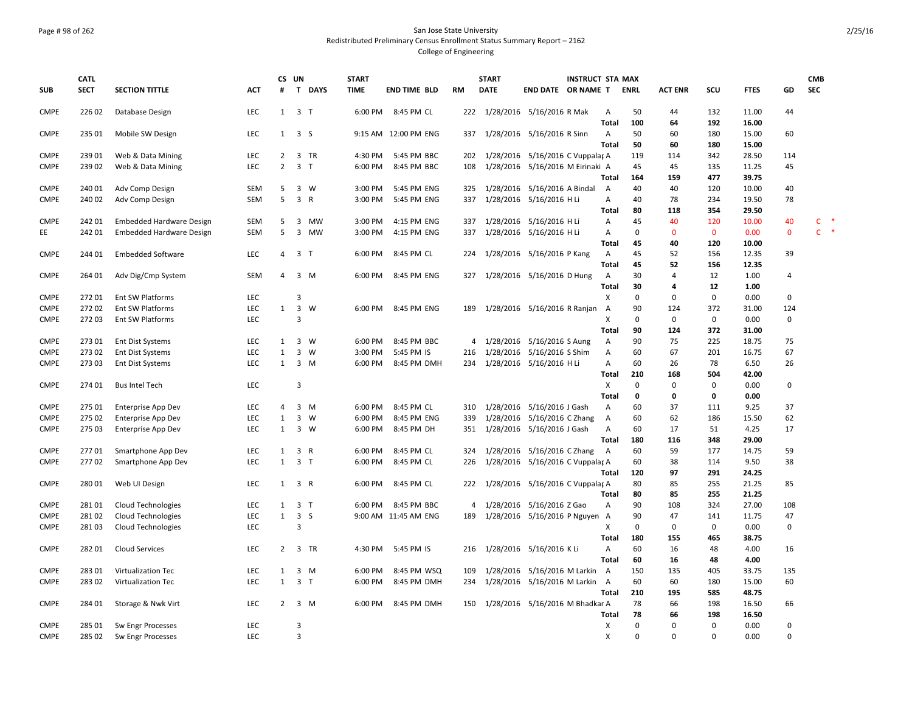### Page # 98 of 262 San Jose State University Redistributed Preliminary Census Enrollment Status Summary Report – 2162 College of Engineering

|             | <b>CATL</b> |                                 |            | CS UN          |                |             | <b>START</b>       |                      |                | <b>START</b> | <b>INSTRUCT STA MAX</b>              |                           |             |                |             |                |               | <b>CMB</b>             |
|-------------|-------------|---------------------------------|------------|----------------|----------------|-------------|--------------------|----------------------|----------------|--------------|--------------------------------------|---------------------------|-------------|----------------|-------------|----------------|---------------|------------------------|
| <b>SUB</b>  | <b>SECT</b> | <b>SECTION TITTLE</b>           | <b>ACT</b> | #              |                | T DAYS      | <b>TIME</b>        | <b>END TIME BLD</b>  | <b>RM</b>      | <b>DATE</b>  | END DATE OR NAME T                   |                           | <b>ENRL</b> | <b>ACT ENR</b> | scu         | <b>FTES</b>    | GD            | <b>SEC</b>             |
| <b>CMPE</b> | 226 02      | Database Design                 | LEC        | 1              | 3 <sub>1</sub> |             | 6:00 PM            | 8:45 PM CL           |                |              | 222 1/28/2016 5/16/2016 R Mak        | Α                         | 50          | 44             | 132         | 11.00          | 44            |                        |
|             |             |                                 |            |                |                |             |                    |                      |                |              |                                      | <b>Total</b>              | 100         | 64             | 192         | 16.00          |               |                        |
| <b>CMPE</b> | 235 01      | Mobile SW Design                | <b>LEC</b> | $\mathbf{1}$   | 3 <sub>5</sub> |             |                    | 9:15 AM 12:00 PM ENG | 337            |              | 1/28/2016 5/16/2016 R Sinn           | A                         | 50          | 60             | 180         | 15.00          | 60            |                        |
|             |             |                                 |            |                |                |             |                    |                      |                |              |                                      | Total                     | 50          | 60             | 180         | 15.00          |               |                        |
| <b>CMPE</b> | 239 01      | Web & Data Mining               | LEC        | $\overline{2}$ |                | 3 TR        | 4:30 PM            | 5:45 PM BBC          | 202            |              | 1/28/2016 5/16/2016 C Vuppalar A     |                           | 119         | 114            | 342         | 28.50          | 114           |                        |
| <b>CMPE</b> | 239 02      | Web & Data Mining               | LEC        | $\overline{2}$ | 3 <sub>T</sub> |             | 6:00 PM            | 8:45 PM BBC          | 108            |              | 1/28/2016 5/16/2016 M Eirinaki A     |                           | 45          | 45             | 135         | 11.25          | 45            |                        |
|             |             |                                 |            |                |                |             |                    |                      |                |              |                                      | Total                     | 164         | 159            | 477         | 39.75          |               |                        |
| <b>CMPE</b> | 240 01      | Adv Comp Design                 | SEM        | 5<br>5         | $\overline{3}$ | 3 W         | 3:00 PM<br>3:00 PM | 5:45 PM ENG          | 325<br>337     |              | 1/28/2016 5/16/2016 A Bindal         | A                         | 40<br>40    | 40             | 120         | 10.00          | 40            |                        |
| <b>CMPE</b> | 240 02      | Adv Comp Design                 | <b>SEM</b> |                |                | $\mathsf R$ |                    | 5:45 PM ENG          |                |              | 1/28/2016 5/16/2016 H Li             | Α<br>Total                | 80          | 78<br>118      | 234<br>354  | 19.50<br>29.50 | 78            |                        |
| <b>CMPE</b> | 242 01      | <b>Embedded Hardware Design</b> | <b>SEM</b> | 5              |                | 3 MW        | 3:00 PM            | 4:15 PM ENG          | 337            |              | 1/28/2016 5/16/2016 H Li             | А                         | 45          | 40             | 120         | 10.00          | 40            | $\rightarrow$<br>C.    |
| EE.         | 242 01      | <b>Embedded Hardware Design</b> | <b>SEM</b> | 5              |                | 3 MW        | 3:00 PM            | 4:15 PM ENG          | 337            |              | 1/28/2016 5/16/2016 H Li             | А                         | 0           | $\mathbf 0$    | $\mathbf 0$ | 0.00           | $\mathbf 0$   | $\ast$<br>$\mathsf{C}$ |
|             |             |                                 |            |                |                |             |                    |                      |                |              |                                      | Total                     | 45          | 40             | 120         | 10.00          |               |                        |
| <b>CMPE</b> | 244 01      | <b>Embedded Software</b>        | <b>LEC</b> | 4              | 3 <sub>1</sub> |             | 6:00 PM            | 8:45 PM CL           | 224            |              | 1/28/2016 5/16/2016 P Kang           | $\overline{A}$            | 45          | 52             | 156         | 12.35          | 39            |                        |
|             |             |                                 |            |                |                |             |                    |                      |                |              |                                      | Total                     | 45          | 52             | 156         | 12.35          |               |                        |
| <b>CMPE</b> | 264 01      | Adv Dig/Cmp System              | SEM        | 4              |                | $3 \, M$    | 6:00 PM            | 8:45 PM ENG          | 327            |              | 1/28/2016 5/16/2016 D Hung           | A                         | 30          | $\overline{4}$ | 12          | 1.00           | 4             |                        |
|             |             |                                 |            |                |                |             |                    |                      |                |              |                                      | Total                     | 30          | 4              | 12          | 1.00           |               |                        |
| <b>CMPE</b> | 27201       | Ent SW Platforms                | LEC        |                | 3              |             |                    |                      |                |              |                                      | Χ                         | $\mathbf 0$ | $\mathbf 0$    | $\mathbf 0$ | 0.00           | 0             |                        |
| <b>CMPE</b> | 27202       | Ent SW Platforms                | LEC        | $\mathbf{1}$   | $\mathbf{3}$   | W           | 6:00 PM            | 8:45 PM ENG          | 189            |              | 1/28/2016 5/16/2016 R Ranjan         | A                         | 90          | 124            | 372         | 31.00          | 124           |                        |
| <b>CMPE</b> | 272 03      | Ent SW Platforms                | <b>LEC</b> |                | $\overline{3}$ |             |                    |                      |                |              |                                      | x                         | 0           | $\mathbf 0$    | $\mathbf 0$ | 0.00           | 0             |                        |
|             |             |                                 |            |                |                |             |                    |                      |                |              |                                      | Total                     | 90          | 124            | 372         | 31.00          |               |                        |
| <b>CMPE</b> | 273 01      | <b>Ent Dist Systems</b>         | LEC        | $\mathbf{1}$   |                | $3 \quad W$ | 6:00 PM            | 8:45 PM BBC          | $\overline{4}$ |              | 1/28/2016 5/16/2016 S Aung           | Α                         | 90          | 75             | 225         | 18.75          | 75            |                        |
| <b>CMPE</b> | 27302       | <b>Ent Dist Systems</b>         | LEC        | $\mathbf{1}$   | 3              | W           | 3:00 PM            | 5:45 PM IS           | 216            |              | 1/28/2016 5/16/2016 S Shim           | А                         | 60          | 67             | 201         | 16.75          | 67            |                        |
| <b>CMPE</b> | 27303       | <b>Ent Dist Systems</b>         | <b>LEC</b> | $\mathbf{1}$   |                | $3 \, M$    | 6:00 PM            | 8:45 PM DMH          | 234            |              | 1/28/2016 5/16/2016 H Li             | A                         | 60          | 26             | 78          | 6.50           | 26            |                        |
|             |             |                                 |            |                |                |             |                    |                      |                |              |                                      | Total                     | 210         | 168            | 504         | 42.00          |               |                        |
| <b>CMPE</b> | 274 01      | <b>Bus Intel Tech</b>           | <b>LEC</b> |                | $\overline{3}$ |             |                    |                      |                |              |                                      | $\boldsymbol{\mathsf{X}}$ | $\mathbf 0$ | $\mathbf 0$    | $\mathbf 0$ | 0.00           | $\mathbf 0$   |                        |
|             |             |                                 |            |                |                |             |                    |                      |                |              |                                      | <b>Total</b>              | 0           | $\mathbf 0$    | $\mathbf 0$ | 0.00           |               |                        |
| <b>CMPE</b> | 275 01      | Enterprise App Dev              | <b>LEC</b> | 4              |                | 3 M         | 6:00 PM            | 8:45 PM CL           | 310            |              | 1/28/2016 5/16/2016 J Gash           | A                         | 60          | 37             | 111         | 9.25           | 37            |                        |
| <b>CMPE</b> | 275 02      | <b>Enterprise App Dev</b>       | LEC        | $\mathbf{1}$   | $\mathbf{3}$   | W           | 6:00 PM            | 8:45 PM ENG          | 339            |              | 1/28/2016 5/16/2016 C Zhang          | Α                         | 60          | 62             | 186         | 15.50          | 62            |                        |
| <b>CMPE</b> | 275 03      | <b>Enterprise App Dev</b>       | LEC        | $\mathbf{1}$   |                | $3 \quad W$ | 6:00 PM            | 8:45 PM DH           | 351            |              | 1/28/2016 5/16/2016 J Gash           | Α                         | 60          | 17             | 51          | 4.25           | 17            |                        |
|             |             |                                 |            |                |                |             |                    |                      |                |              |                                      | <b>Total</b>              | 180         | 116            | 348         | 29.00          |               |                        |
| <b>CMPE</b> | 27701       | Smartphone App Dev              | LEC        | $\mathbf{1}$   | 3 R            |             | 6:00 PM            | 8:45 PM CL           | 324            |              | 1/28/2016 5/16/2016 C Zhang          | A                         | 60          | 59             | 177         | 14.75          | 59            |                        |
| <b>CMPE</b> | 27702       | Smartphone App Dev              | LEC        | $\mathbf{1}$   | 3 <sub>1</sub> |             | 6:00 PM            | 8:45 PM CL           | 226            |              | 1/28/2016 5/16/2016 C Vuppalar A     |                           | 60          | 38             | 114         | 9.50           | 38            |                        |
|             |             |                                 |            |                |                |             |                    |                      |                |              |                                      | Total                     | 120         | 97             | 291         | 24.25          |               |                        |
| <b>CMPE</b> | 28001       | Web UI Design                   | <b>LEC</b> | 1              | 3 R            |             | 6:00 PM            | 8:45 PM CL           |                |              | 222 1/28/2016 5/16/2016 C Vuppalar A |                           | 80          | 85             | 255         | 21.25          | 85            |                        |
|             |             |                                 |            |                |                |             |                    |                      |                |              |                                      | Total                     | 80          | 85             | 255         | 21.25          |               |                        |
| <b>CMPE</b> | 28101       | <b>Cloud Technologies</b>       | LEC        | $\mathbf{1}$   | 3 <sub>1</sub> |             | 6:00 PM            | 8:45 PM BBC          | 4              |              | 1/28/2016 5/16/2016 Z Gao            | Α                         | 90          | 108            | 324         | 27.00          | 108           |                        |
| <b>CMPE</b> | 28102       | <b>Cloud Technologies</b>       | LEC        | $\mathbf{1}$   | 3 <sub>5</sub> |             |                    | 9:00 AM 11:45 AM ENG | 189            |              | 1/28/2016 5/16/2016 P Nguyen A       |                           | 90          | 47             | 141         | 11.75          | 47            |                        |
| <b>CMPE</b> | 28103       | <b>Cloud Technologies</b>       | LEC        |                | 3              |             |                    |                      |                |              |                                      | X                         | $\Omega$    | $\mathsf 0$    | $\mathbf 0$ | 0.00           | 0             |                        |
|             |             |                                 |            |                |                |             |                    |                      |                |              |                                      | Total                     | 180         | 155            | 465         | 38.75          |               |                        |
| <b>CMPE</b> | 282 01      | <b>Cloud Services</b>           | LEC        | $\overline{2}$ |                | 3 TR        | 4:30 PM            | 5:45 PM IS           |                |              | 216 1/28/2016 5/16/2016 KLi          | Α                         | 60          | 16             | 48          | 4.00           | 16            |                        |
|             |             |                                 |            |                |                |             |                    |                      |                |              |                                      | <b>Total</b>              | 60          | 16             | 48          | 4.00           |               |                        |
| <b>CMPE</b> | 283 01      | Virtualization Tec              | LEC        | $\mathbf{1}$   |                | 3 M         | 6:00 PM            | 8:45 PM WSQ          | 109            |              | 1/28/2016 5/16/2016 M Larkin         | A                         | 150         | 135            | 405         | 33.75          | 135           |                        |
| <b>CMPE</b> | 283 02      | Virtualization Tec              | LEC        | $\mathbf{1}$   | 3 <sub>7</sub> |             | 6:00 PM            | 8:45 PM DMH          | 234            |              | 1/28/2016 5/16/2016 M Larkin         | A                         | 60          | 60             | 180         | 15.00          | 60            |                        |
|             |             |                                 |            |                |                |             |                    |                      |                |              |                                      | Total                     | 210         | 195            | 585         | 48.75          |               |                        |
| <b>CMPE</b> | 284 01      | Storage & Nwk Virt              | <b>LEC</b> | $\overline{2}$ |                | 3 M         | 6:00 PM            | 8:45 PM DMH          | 150            |              | 1/28/2016 5/16/2016 M Bhadkar A      |                           | 78          | 66             | 198         | 16.50          | 66            |                        |
|             |             |                                 |            |                |                |             |                    |                      |                |              |                                      | Total                     | 78          | 66             | 198         | 16.50          |               |                        |
| <b>CMPE</b> | 285 01      | Sw Engr Processes               | LEC        |                | $\overline{3}$ |             |                    |                      |                |              |                                      | X                         | $\mathbf 0$ | $\Omega$       | $\mathbf 0$ | 0.00           | 0<br>$\Omega$ |                        |
| <b>CMPE</b> | 285 02      | Sw Engr Processes               | LEC        |                | $\overline{3}$ |             |                    |                      |                |              |                                      | x                         | $\Omega$    | $\Omega$       | $\Omega$    | 0.00           |               |                        |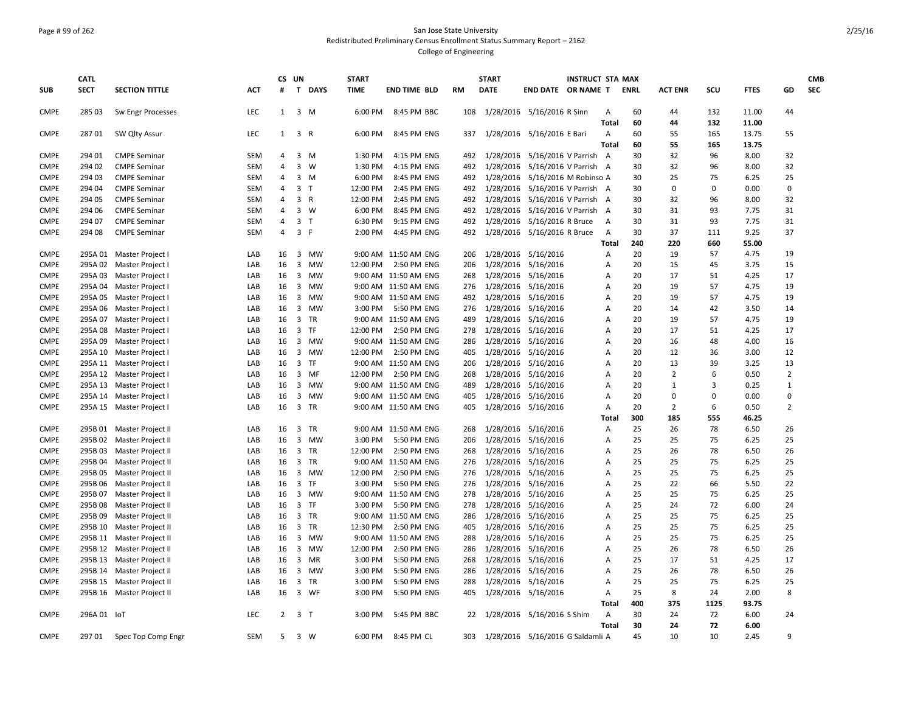### Page # 99 of 262 San Jose State University Redistributed Preliminary Census Enrollment Status Summary Report – 2162 College of Engineering

|                            | <b>CATL</b> |                           |            | CS UN          |                |              | <b>START</b> |                      |           | <b>START</b> |                                  | <b>INSTRUCT STA MAX</b> |              |      |                |             |              |                | <b>CMB</b> |
|----------------------------|-------------|---------------------------|------------|----------------|----------------|--------------|--------------|----------------------|-----------|--------------|----------------------------------|-------------------------|--------------|------|----------------|-------------|--------------|----------------|------------|
| <b>SUB</b>                 | <b>SECT</b> | <b>SECTION TITTLE</b>     | ACT        | #              |                | T DAYS       | <b>TIME</b>  | <b>END TIME BLD</b>  | <b>RM</b> | <b>DATE</b>  | END DATE OR NAME T               |                         |              | ENRL | <b>ACT ENR</b> | scu         | <b>FTES</b>  | GD             | <b>SEC</b> |
| <b>CMPE</b>                | 285 03      | Sw Engr Processes         | LEC        | 1              |                | 3 M          | 6:00 PM      | 8:45 PM BBC          | 108       |              | 1/28/2016 5/16/2016 R Sinn       |                         | Α            | 60   | 44             | 132         | 11.00        | 44             |            |
|                            |             |                           |            |                |                |              |              |                      |           |              |                                  |                         | <b>Total</b> | 60   | 44             | 132         | 11.00        |                |            |
| <b>CMPE</b>                | 28701       | SW Qlty Assur             | LEC        | $\mathbf{1}$   | 3 R            |              | 6:00 PM      | 8:45 PM ENG          | 337       |              | 1/28/2016 5/16/2016 E Bari       |                         | Α            | 60   | 55             | 165         | 13.75        | 55             |            |
|                            |             |                           |            |                |                |              |              |                      |           |              |                                  |                         | Total        | 60   | 55             | 165         | 13.75        |                |            |
| <b>CMPE</b>                | 294 01      | <b>CMPE Seminar</b>       | <b>SEM</b> | $\overline{4}$ |                | 3 M          | 1:30 PM      | 4:15 PM ENG          | 492       | 1/28/2016    | 5/16/2016 V Parrish A            |                         |              | 30   | 32             | 96          | 8.00         | 32             |            |
| <b>CMPE</b>                | 294 02      | <b>CMPE Seminar</b>       | SEM        | $\overline{4}$ |                | $3 \quad W$  | 1:30 PM      | 4:15 PM ENG          | 492       | 1/28/2016    | 5/16/2016 V Parrish A            |                         |              | 30   | 32             | 96          | 8.00         | 32             |            |
| <b>CMPE</b>                | 294 03      | <b>CMPE Seminar</b>       | SEM        | 4              |                | $3 \, M$     | 6:00 PM      | 8:45 PM ENG          | 492       | 1/28/2016    | 5/16/2016 M Robinso A            |                         |              | 30   | 25             | 75          | 6.25         | 25             |            |
| <b>CMPE</b>                | 294 04      | <b>CMPE Seminar</b>       | <b>SEM</b> | 4              | 3 <sub>1</sub> |              | 12:00 PM     | 2:45 PM ENG          | 492       | 1/28/2016    | 5/16/2016 V Parrish A            |                         |              | 30   | $\mathbf 0$    | $\mathbf 0$ | 0.00         | $\mathbf 0$    |            |
| <b>CMPE</b>                | 294 05      | <b>CMPE Seminar</b>       | <b>SEM</b> | $\overline{4}$ | $\mathbf{3}$   | $\mathsf{R}$ | 12:00 PM     | 2:45 PM ENG          | 492       | 1/28/2016    | 5/16/2016 V Parrish A            |                         |              | 30   | 32             | 96          | 8.00         | 32             |            |
| <b>CMPE</b>                | 294 06      | <b>CMPE Seminar</b>       | <b>SEM</b> | 4              |                | $3 \quad W$  | 6:00 PM      | 8:45 PM ENG          | 492       | 1/28/2016    | 5/16/2016 V Parrish A            |                         |              | 30   | 31             | 93          | 7.75         | 31             |            |
| <b>CMPE</b>                | 294 07      | <b>CMPE Seminar</b>       | <b>SEM</b> | 4              | 3 <sub>T</sub> |              | 6:30 PM      | 9:15 PM ENG          | 492       | 1/28/2016    | 5/16/2016 R Bruce                |                         | A            | 30   | 31             | 93          | 7.75         | 31             |            |
| <b>CMPE</b>                | 294 08      | <b>CMPE Seminar</b>       | <b>SEM</b> | 4              | 3 F            |              | 2:00 PM      | 4:45 PM ENG          | 492       |              | 1/28/2016 5/16/2016 R Bruce      |                         | A            | 30   | 37             | 111         | 9.25         | 37             |            |
|                            |             |                           |            |                |                |              |              |                      |           |              |                                  |                         | Total        | 240  | 220            | 660         | 55.00        |                |            |
| <b>CMPE</b>                |             | 295A 01 Master Project I  | LAB        | 16             | $\overline{3}$ | MW           |              | 9:00 AM 11:50 AM ENG | 206       |              | 1/28/2016 5/16/2016              |                         | А            | 20   | 19             | 57          | 4.75         | 19             |            |
| <b>CMPE</b>                |             | 295A 02 Master Project I  | LAB        | 16             |                | 3 MW         | 12:00 PM     | 2:50 PM ENG          | 206       |              | 1/28/2016 5/16/2016              |                         | А            | 20   | 15             | 45          | 3.75         | 15             |            |
| <b>CMPE</b>                |             | 295A 03 Master Project I  | LAB        | 16             |                | 3 MW         |              | 9:00 AM 11:50 AM ENG | 268       |              | 1/28/2016 5/16/2016              |                         | A            | 20   | 17             | 51          | 4.25         | 17             |            |
| <b>CMPE</b>                |             | 295A 04 Master Project I  | LAB        | 16             |                | 3 MW         |              | 9:00 AM 11:50 AM ENG | 276       |              | 1/28/2016 5/16/2016              |                         | А            | 20   | 19             | 57          | 4.75         | 19             |            |
| <b>CMPE</b>                |             | 295A 05 Master Project I  | LAB        | 16             |                | 3 MW         |              | 9:00 AM 11:50 AM ENG | 492       |              | 1/28/2016 5/16/2016              |                         | Α            | 20   | 19             | 57          | 4.75         | 19             |            |
| <b>CMPE</b>                |             | 295A 06 Master Project I  | LAB        | 16             |                | 3 MW         | 3:00 PM      | 5:50 PM ENG          | 276       |              | 1/28/2016 5/16/2016              |                         | А            | 20   | 14             | 42          | 3.50         | 14             |            |
| <b>CMPE</b>                |             | 295A 07 Master Project    | LAB        | 16             |                | 3 TR         |              | 9:00 AM 11:50 AM ENG | 489       |              | 1/28/2016 5/16/2016              |                         | A            | 20   | 19             | 57          | 4.75         | 19             |            |
| <b>CMPE</b>                |             | 295A 08 Master Project    | LAB        | 16             |                | 3 TF         | 12:00 PM     | 2:50 PM ENG          | 278       |              | 1/28/2016 5/16/2016              |                         | А            | 20   | 17             | 51          | 4.25         | 17             |            |
| <b>CMPE</b>                |             | 295A 09 Master Project I  | LAB        | 16             |                | 3 MW         |              | 9:00 AM 11:50 AM ENG | 286       |              | 1/28/2016 5/16/2016              |                         | А            | 20   | 16             | 48          | 4.00         | 16             |            |
| <b>CMPE</b>                |             | 295A 10 Master Project I  | LAB        | 16             |                | 3 MW         | 12:00 PM     | 2:50 PM ENG          | 405       |              | 1/28/2016 5/16/2016              |                         | A            | 20   | 12             | 36          | 3.00         | 12             |            |
| <b>CMPE</b>                |             | 295A 11 Master Project I  | LAB        | 16             |                | 3 TF         |              | 9:00 AM 11:50 AM ENG | 206       |              | 1/28/2016 5/16/2016              |                         | А            | 20   | 13             | 39          | 3.25         | 13             |            |
| <b>CMPE</b>                |             | 295A 12 Master Project I  | LAB        | 16             |                | 3 MF         | 12:00 PM     | 2:50 PM ENG          | 268       | 1/28/2016    | 5/16/2016                        |                         | А            | 20   | $\overline{2}$ | 6           | 0.50         | $\overline{2}$ |            |
| <b>CMPE</b>                |             | 295A 13 Master Project I  | LAB        | 16             |                | 3 MW         |              | 9:00 AM 11:50 AM ENG | 489       | 1/28/2016    | 5/16/2016                        |                         | Α            | 20   | $\mathbf{1}$   | 3           | 0.25         | $\mathbf{1}$   |            |
| <b>CMPE</b>                |             | 295A 14 Master Project I  | LAB        | 16             |                | 3 MW         |              | 9:00 AM 11:50 AM ENG | 405       | 1/28/2016    | 5/16/2016                        |                         | А            | 20   | $\mathbf 0$    | 0           | 0.00         | $\mathbf 0$    |            |
| <b>CMPE</b>                |             | 295A 15 Master Project    | LAB        | 16             |                | 3 TR         |              | 9:00 AM 11:50 AM ENG | 405       |              | 1/28/2016 5/16/2016              |                         | Α            | 20   | $\overline{2}$ | 6           | 0.50         | $\overline{2}$ |            |
|                            |             |                           |            |                |                |              |              |                      |           |              |                                  |                         | Total        | 300  | 185            | 555         | 46.25        |                |            |
| <b>CMPE</b>                |             | 295B 01 Master Project II | LAB        | 16             |                | 3 TR         |              | 9:00 AM 11:50 AM ENG | 268       |              | 1/28/2016 5/16/2016              |                         | A            | 25   | 26             | 78          | 6.50         | 26             |            |
| <b>CMPE</b>                |             | 295B 02 Master Project II | LAB        | 16             |                | 3 MW         | 3:00 PM      | 5:50 PM ENG          | 206       |              | 1/28/2016 5/16/2016              |                         | А            | 25   | 25             | 75          | 6.25         | 25             |            |
| <b>CMPE</b>                | 295B03      | Master Project II         | LAB        | 16             |                | 3 TR         | 12:00 PM     | 2:50 PM ENG          | 268       | 1/28/2016    | 5/16/2016                        |                         | А            | 25   | 26             | 78          | 6.50         | 26             |            |
| <b>CMPE</b>                |             |                           | LAB        | 16             |                | 3 TR         |              | 9:00 AM 11:50 AM ENG | 276       |              | 1/28/2016 5/16/2016              |                         |              | 25   | 25             | 75          | 6.25         | 25             |            |
|                            |             | 295B 04 Master Project II |            |                |                |              | 12:00 PM     | 2:50 PM ENG          | 276       |              |                                  |                         | Α            | 25   | 25             | 75          |              | 25             |            |
| <b>CMPE</b><br><b>CMPE</b> |             | 295B 05 Master Project II | LAB<br>LAB | 16<br>16       |                | 3 MW<br>3 TF | 3:00 PM      |                      | 276       | 1/28/2016    | 5/16/2016<br>1/28/2016 5/16/2016 |                         | А<br>A       | 25   | 22             | 66          | 6.25<br>5.50 | 22             |            |
|                            |             | 295B 06 Master Project II |            |                |                |              |              | 5:50 PM ENG          |           |              |                                  |                         |              | 25   | 25             | 75          |              | 25             |            |
| <b>CMPE</b>                |             | 295B 07 Master Project II | LAB        | 16             |                | 3 MW         |              | 9:00 AM 11:50 AM ENG | 278       |              | 1/28/2016 5/16/2016              |                         | А            |      |                |             | 6.25         |                |            |
| <b>CMPE</b>                |             | 295B 08 Master Project II | LAB        | 16             |                | 3 TF         | 3:00 PM      | 5:50 PM ENG          | 278       |              | 1/28/2016 5/16/2016              |                         | А            | 25   | 24             | 72          | 6.00         | 24             |            |
| <b>CMPE</b>                |             | 295B 09 Master Project II | LAB        | 16             |                | 3 TR         |              | 9:00 AM 11:50 AM ENG | 286       |              | 1/28/2016 5/16/2016              |                         | А            | 25   | 25             | 75          | 6.25         | 25             |            |
| <b>CMPE</b>                | 295B 10     | Master Project II         | LAB        | 16             |                | 3 TR         | 12:30 PM     | 2:50 PM ENG          | 405       | 1/28/2016    | 5/16/2016                        |                         | А            | 25   | 25             | 75          | 6.25         | 25             |            |
| <b>CMPE</b>                |             | 295B 11 Master Project II | LAB        | 16             |                | 3 MW         |              | 9:00 AM 11:50 AM ENG | 288       |              | 1/28/2016 5/16/2016              |                         | А            | 25   | 25             | 75          | 6.25         | 25             |            |
| <b>CMPE</b>                |             | 295B 12 Master Project II | LAB        | 16             |                | 3 MW         | 12:00 PM     | 2:50 PM ENG          | 286       |              | 1/28/2016 5/16/2016              |                         | А            | 25   | 26             | 78          | 6.50         | 26             |            |
| <b>CMPE</b>                |             | 295B 13 Master Project II | LAB        | 16             |                | 3 MR         | 3:00 PM      | 5:50 PM ENG          | 268       |              | 1/28/2016 5/16/2016              |                         | А            | 25   | 17             | 51          | 4.25         | 17             |            |
| <b>CMPE</b>                |             | 295B 14 Master Project II | LAB        | 16             |                | 3 MW         | 3:00 PM      | 5:50 PM ENG          | 286       |              | 1/28/2016 5/16/2016              |                         | А            | 25   | 26             | 78          | 6.50         | 26             |            |
| <b>CMPE</b>                |             | 295B 15 Master Project II | LAB        | 16             |                | 3 TR         | 3:00 PM      | 5:50 PM ENG          | 288       |              | 1/28/2016 5/16/2016              |                         | A            | 25   | 25             | 75          | 6.25         | 25             |            |
| <b>CMPE</b>                |             | 295B 16 Master Project II | LAB        | 16             |                | 3 WF         | 3:00 PM      | 5:50 PM ENG          | 405       |              | 1/28/2016 5/16/2016              |                         | Α            | 25   | 8              | 24          | 2.00         | 8              |            |
|                            |             |                           |            |                |                |              |              |                      |           |              |                                  |                         | Total        | 400  | 375            | 1125        | 93.75        |                |            |
| <b>CMPE</b>                | 296A 01 IoT |                           | LEC        | $\overline{2}$ | 3 <sub>1</sub> |              | 3:00 PM      | 5:45 PM BBC          |           |              | 22 1/28/2016 5/16/2016 S Shim    |                         | Α            | 30   | 24             | 72          | 6.00         | 24             |            |
|                            |             |                           |            |                |                |              |              |                      |           |              |                                  |                         | <b>Total</b> | 30   | 24             | 72          | 6.00         |                |            |
| <b>CMPE</b>                | 29701       | Spec Top Comp Engr        | <b>SEM</b> | .5.            |                | $3 \quad W$  | 6:00 PM      | 8:45 PM CL           | 303       |              | 1/28/2016 5/16/2016 G Saldamli A |                         |              | 45   | 10             | 10          | 2.45         | 9              |            |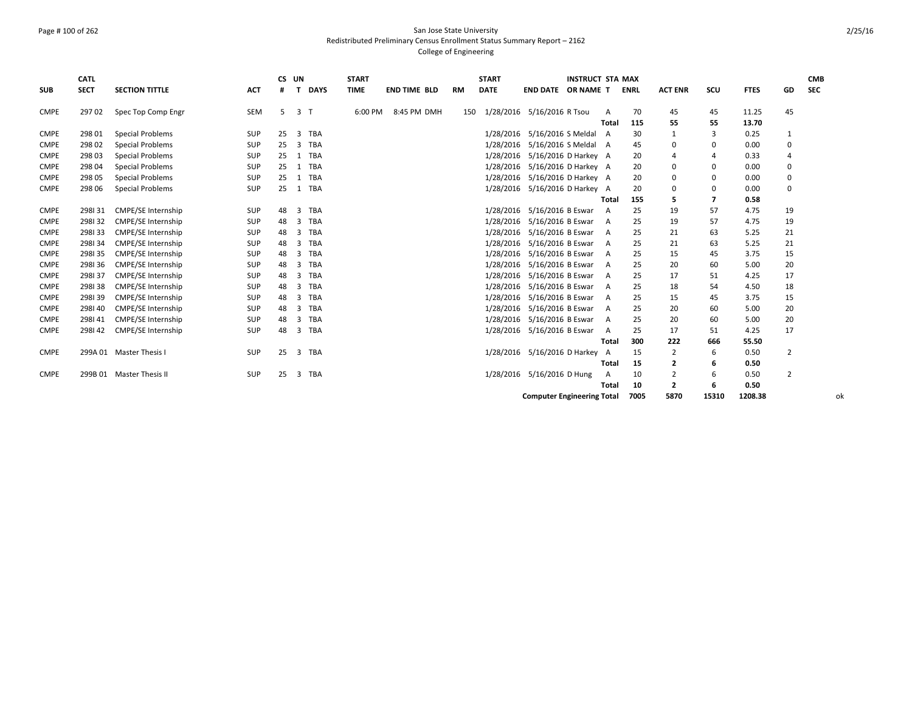# Page # 100 of 262 San Jose State University Redistributed Preliminary Census Enrollment Status Summary Report – 2162 College of Engineering

|             | <b>CATL</b> |                           |            | CS. | UN             |             | <b>START</b> |                     |     | <b>START</b> |                                   | <b>INSTRUCT STA MAX</b> |              |             |                |             |             |                | <b>CMB</b> |
|-------------|-------------|---------------------------|------------|-----|----------------|-------------|--------------|---------------------|-----|--------------|-----------------------------------|-------------------------|--------------|-------------|----------------|-------------|-------------|----------------|------------|
| <b>SUB</b>  | <b>SECT</b> | <b>SECTION TITTLE</b>     | <b>ACT</b> | #   | т              | <b>DAYS</b> | <b>TIME</b>  | <b>END TIME BLD</b> | RM  | <b>DATE</b>  | END DATE OR NAME T                |                         |              | <b>ENRL</b> | <b>ACT ENR</b> | scu         | <b>FTES</b> | GD             | <b>SEC</b> |
| <b>CMPE</b> | 29702       | Spec Top Comp Engr        | SEM        | .5. | 3 <sub>1</sub> |             | 6:00 PM      | 8:45 PM DMH         | 150 | 1/28/2016    | 5/16/2016 R Tsou                  |                         | A            | 70          | 45             | 45          | 11.25       | 45             |            |
|             |             |                           |            |     |                |             |              |                     |     |              |                                   |                         | <b>Total</b> | 115         | 55             | 55          | 13.70       |                |            |
| <b>CMPE</b> | 298 01      | <b>Special Problems</b>   | <b>SUP</b> | 25  | $\overline{3}$ | TBA         |              |                     |     | 1/28/2016    | 5/16/2016 S Meldal A              |                         |              | 30          |                | 3           | 0.25        | 1              |            |
| <b>CMPE</b> | 298 02      | <b>Special Problems</b>   | SUP        | 25  | $\overline{3}$ | TBA         |              |                     |     | 1/28/2016    | 5/16/2016 S Meldal A              |                         |              | 45          |                | $\mathbf 0$ | 0.00        | $\mathbf 0$    |            |
| <b>CMPE</b> | 298 03      | <b>Special Problems</b>   | <b>SUP</b> | 25  | 1              | TBA         |              |                     |     | 1/28/2016    | 5/16/2016 D Harkey A              |                         |              | 20          |                | 4           | 0.33        | 4              |            |
| <b>CMPE</b> | 298 04      | <b>Special Problems</b>   | <b>SUP</b> | 25  | 1              | TBA         |              |                     |     | 1/28/2016    | 5/16/2016 D Harkey A              |                         |              | 20          |                | $\mathbf 0$ | 0.00        | 0              |            |
| <b>CMPE</b> | 298 05      | <b>Special Problems</b>   | SUP        | 25  | 1              | TBA         |              |                     |     | 1/28/2016    | 5/16/2016 D Harkey A              |                         |              | 20          |                | $\mathbf 0$ | 0.00        | 0              |            |
| <b>CMPE</b> | 298 06      | <b>Special Problems</b>   | SUP        | 25  |                | 1 TBA       |              |                     |     |              | 1/28/2016 5/16/2016 D Harkey A    |                         |              | 20          |                | $\mathbf 0$ | 0.00        | $\mathbf 0$    |            |
|             |             |                           |            |     |                |             |              |                     |     |              |                                   |                         | Total        | 155         | 5              | 7           | 0.58        |                |            |
| <b>CMPE</b> | 298131      | <b>CMPE/SE Internship</b> | <b>SUP</b> | 48  | 3              | TBA         |              |                     |     |              | 1/28/2016 5/16/2016 B Eswar       |                         | A            | 25          | 19             | 57          | 4.75        | 19             |            |
| <b>CMPE</b> | 298132      | CMPE/SE Internship        | <b>SUP</b> | 48  | 3              | TBA         |              |                     |     | 1/28/2016    | 5/16/2016 B Eswar                 |                         | A            | 25          | 19             | 57          | 4.75        | 19             |            |
| <b>CMPE</b> | 298133      | <b>CMPE/SE Internship</b> | <b>SUP</b> | 48  | 3              | TBA         |              |                     |     | 1/28/2016    | 5/16/2016 B Eswar A               |                         |              | 25          | 21             | 63          | 5.25        | 21             |            |
| <b>CMPE</b> | 298134      | <b>CMPE/SE Internship</b> | <b>SUP</b> | 48  | 3              | TBA         |              |                     |     | 1/28/2016    | 5/16/2016 B Eswar                 |                         | A            | 25          | 21             | 63          | 5.25        | 21             |            |
| <b>CMPE</b> | 298135      | CMPE/SE Internship        | <b>SUP</b> | 48  | 3              | TBA         |              |                     |     |              | 1/28/2016 5/16/2016 B Eswar A     |                         |              | 25          | 15             | 45          | 3.75        | 15             |            |
| <b>CMPE</b> | 298136      | CMPE/SE Internship        | <b>SUP</b> | 48  | 3              | TBA         |              |                     |     | 1/28/2016    | 5/16/2016 B Eswar                 |                         | A            | 25          | 20             | 60          | 5.00        | 20             |            |
| <b>CMPE</b> | 298137      | <b>CMPE/SE Internship</b> | <b>SUP</b> | 48  | 3              | TBA         |              |                     |     | 1/28/2016    | 5/16/2016 B Eswar A               |                         |              | 25          | 17             | 51          | 4.25        | 17             |            |
| <b>CMPE</b> | 298138      | CMPE/SE Internship        | <b>SUP</b> | 48  | 3              | TBA         |              |                     |     | 1/28/2016    | 5/16/2016 B Eswar                 |                         | A            | 25          | 18             | 54          | 4.50        | 18             |            |
| <b>CMPE</b> | 298139      | CMPE/SE Internship        | <b>SUP</b> | 48  | 3              | TBA         |              |                     |     | 1/28/2016    | 5/16/2016 B Eswar                 |                         | A            | 25          | 15             | 45          | 3.75        | 15             |            |
| <b>CMPE</b> | 298140      | <b>CMPE/SE Internship</b> | <b>SUP</b> | 48  | 3              | TBA         |              |                     |     | 1/28/2016    | 5/16/2016 B Eswar                 |                         | A            | 25          | 20             | 60          | 5.00        | 20             |            |
| <b>CMPE</b> | 298141      | <b>CMPE/SE Internship</b> | <b>SUP</b> | 48  | 3              | TBA         |              |                     |     | 1/28/2016    | 5/16/2016 B Eswar                 |                         | A            | 25          | 20             | 60          | 5.00        | 20             |            |
| <b>CMPE</b> | 298142      | <b>CMPE/SE Internship</b> | <b>SUP</b> | 48  | 3              | TBA         |              |                     |     |              | 1/28/2016 5/16/2016 B Eswar       |                         | A            | 25          | 17             | 51          | 4.25        | 17             |            |
|             |             |                           |            |     |                |             |              |                     |     |              |                                   |                         | Total        | 300         | 222            | 666         | 55.50       |                |            |
| <b>CMPE</b> |             | 299A 01 Master Thesis I   | <b>SUP</b> | 25  | 3              | TBA         |              |                     |     |              | 1/28/2016 5/16/2016 D Harkey      |                         | A            | 15          | 2              | 6           | 0.50        | $\overline{2}$ |            |
|             |             |                           |            |     |                |             |              |                     |     |              |                                   |                         | Total        | 15          | 2              | 6           | 0.50        |                |            |
| <b>CMPE</b> |             | 299B 01 Master Thesis II  | SUP        | 25  | 3              | TBA         |              |                     |     |              | 1/28/2016 5/16/2016 D Hung        |                         | А            | 10          | 2              | 6           | 0.50        | $\overline{2}$ |            |
|             |             |                           |            |     |                |             |              |                     |     |              |                                   |                         | Total        | 10          | $\overline{2}$ | 6           | 0.50        |                |            |
|             |             |                           |            |     |                |             |              |                     |     |              | <b>Computer Engineering Total</b> |                         |              | 7005        | 5870           | 15310       | 1208.38     |                | оk         |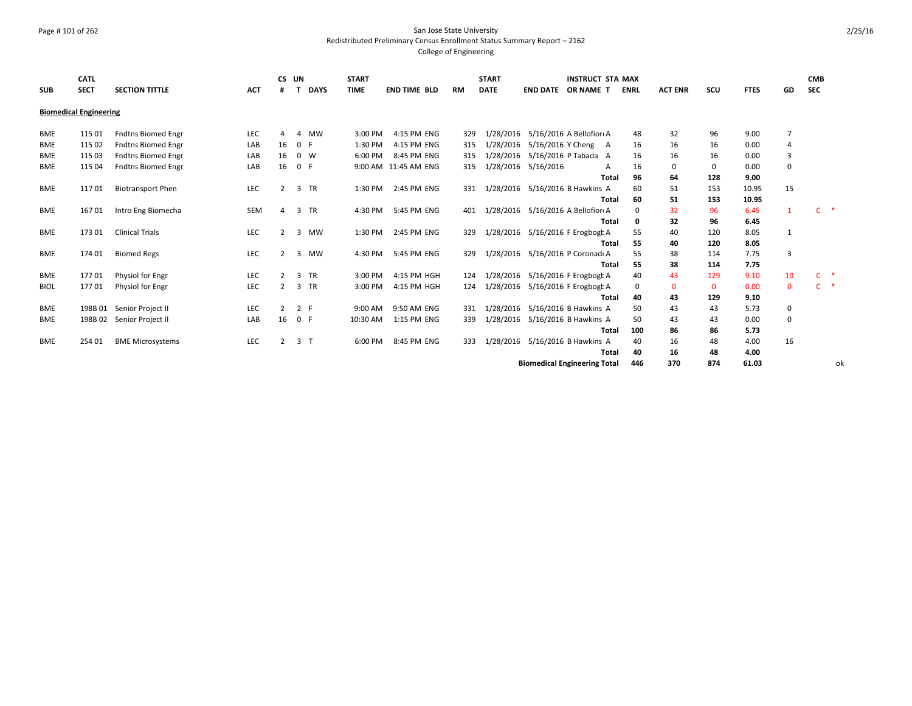### Page # 101 of 262 San Jose State University Redistributed Preliminary Census Enrollment Status Summary Report – 2162 College of Engineering

| <b>SUB</b>  | <b>CATL</b><br><b>SECT</b>    | <b>SECTION TITTLE</b>     | <b>ACT</b> | <b>CS</b>     | UN             | <b>DAYS</b> | <b>START</b><br><b>TIME</b> | <b>END TIME BLD</b>  | RM  | <b>START</b><br><b>DATE</b> |                     | <b>INSTRUCT STA MAX</b><br><b>END DATE OR NAME T</b> | <b>ENRL</b>  | <b>ACT ENR</b> | SCU          | <b>FTES</b> | GD             | <b>CMB</b><br><b>SEC</b>      |    |
|-------------|-------------------------------|---------------------------|------------|---------------|----------------|-------------|-----------------------------|----------------------|-----|-----------------------------|---------------------|------------------------------------------------------|--------------|----------------|--------------|-------------|----------------|-------------------------------|----|
|             | <b>Biomedical Engineering</b> |                           |            |               |                |             |                             |                      |     |                             |                     |                                                      |              |                |              |             |                |                               |    |
| <b>BME</b>  | 115 01                        | <b>Fndtns Biomed Engr</b> | <b>LEC</b> |               | Δ              | <b>MW</b>   | 3:00 PM                     | 4:15 PM ENG          | 329 | 1/28/2016                   |                     | 5/16/2016 A Bellofior A                              | 48           | 32             | 96           | 9.00        | 7              |                               |    |
| <b>BME</b>  | 115 02                        | <b>Fndtns Biomed Engr</b> | LAB        | 16            | 0 F            |             | 1:30 PM                     | 4:15 PM ENG          | 315 | 1/28/2016                   |                     | 5/16/2016 Y Cheng A                                  | 16           | 16             | 16           | 0.00        | 4              |                               |    |
| <b>BME</b>  | 115 03                        | <b>Fndtns Biomed Engr</b> | LAB        | 16            | $0 \quad W$    |             | 6:00 PM                     | 8:45 PM ENG          | 315 | 1/28/2016                   |                     | 5/16/2016 P Tabada A                                 | 16           | 16             | 16           | 0.00        | 3              |                               |    |
| BME         | 115 04                        | <b>Fndtns Biomed Engr</b> | LAB        | 16            | 0 F            |             |                             | 9:00 AM 11:45 AM ENG | 315 |                             | 1/28/2016 5/16/2016 | A                                                    | 16           | $\Omega$       | 0            | 0.00        | 0              |                               |    |
|             |                               |                           |            |               |                |             |                             |                      |     |                             |                     | Total                                                | 96           | 64             | 128          | 9.00        |                |                               |    |
| <b>BME</b>  | 11701                         | <b>Biotransport Phen</b>  | LEC        |               | 3 TR           |             | 1:30 PM                     | 2:45 PM ENG          | 331 |                             |                     | 1/28/2016 5/16/2016 B Hawkins A                      | 60           | 51             | 153          | 10.95       | 15             |                               |    |
|             |                               |                           |            |               |                |             |                             |                      |     |                             |                     | Total                                                | 60           | 51             | 153          | 10.95       |                |                               |    |
| <b>BME</b>  | 16701                         | Intro Eng Biomecha        | SEM        |               | 3 TR           |             | 4:30 PM                     | 5:45 PM ENG          | 401 |                             |                     | 1/28/2016 5/16/2016 A Bellofior A                    | $\Omega$     | 32             | 96           | 6.45        | $\mathbf{1}$   | $\mathsf{C}$<br>$\rightarrow$ |    |
|             |                               |                           |            |               |                |             |                             |                      |     |                             |                     | <b>Total</b>                                         | 0            | 32             | 96           | 6.45        |                |                               |    |
| <b>BME</b>  | 17301                         | <b>Clinical Trials</b>    | LEC        | $\mathcal{P}$ | 3 MW           |             | 1:30 PM                     | 2:45 PM ENG          | 329 |                             |                     | 1/28/2016 5/16/2016 F Erogbogt A                     | 55           | 40             | 120          | 8.05        | 1              |                               |    |
|             |                               |                           |            |               |                |             |                             |                      |     |                             |                     | <b>Total</b>                                         | 55           | 40             | 120          | 8.05        |                |                               |    |
| <b>BME</b>  | 174 01                        | <b>Biomed Regs</b>        | LEC        |               | 3 MW           |             | 4:30 PM                     | 5:45 PM ENG          | 329 |                             |                     | 1/28/2016 5/16/2016 P Coronad A                      | 55           | 38             | 114          | 7.75        | $\overline{3}$ |                               |    |
|             |                               |                           |            |               |                |             |                             |                      |     |                             |                     | Total                                                | 55           | 38             | 114          | 7.75        |                |                               |    |
| BME         | 177 01                        | Physiol for Engr          | <b>LEC</b> |               | 3 TR           |             | 3:00 PM                     | 4:15 PM HGH          | 124 |                             |                     | 1/28/2016 5/16/2016 F Erogbogt A                     | 40           | 43             | 129          | 9.10        | 10             | $C$ *                         |    |
| <b>BIOL</b> | 17701                         | Physiol for Engr          | <b>LEC</b> |               | 3 TR           |             | 3:00 PM                     | 4:15 PM HGH          | 124 | 1/28/2016                   |                     | 5/16/2016 F Erogbogt A                               | $\mathbf{0}$ | $\mathbf{0}$   | $\mathbf{0}$ | 0.00        | $\mathbf{0}$   | $\ast$<br>C.                  |    |
|             |                               |                           |            |               |                |             |                             |                      |     |                             |                     | Total                                                | 40           | 43             | 129          | 9.10        |                |                               |    |
| <b>BME</b>  |                               | 198B 01 Senior Project II | LEC        |               | 2 F            |             | 9:00 AM                     | 9:50 AM ENG          | 331 |                             |                     | 1/28/2016 5/16/2016 B Hawkins A                      | 50           | 43             | 43           | 5.73        | 0              |                               |    |
| <b>BME</b>  | 198B 02                       | Senior Project II         | LAB        | 16            | 0 F            |             | 10:30 AM                    | 1:15 PM ENG          | 339 | 1/28/2016                   |                     | 5/16/2016 B Hawkins A                                | 50           | 43             | 43           | 0.00        | 0              |                               |    |
|             |                               |                           |            |               |                |             |                             |                      |     |                             |                     | Total                                                | 100          | 86             | 86           | 5.73        |                |                               |    |
| <b>BME</b>  | 254 01                        | <b>BME Microsystems</b>   | LEC        |               | 3 <sub>1</sub> |             | 6:00 PM                     | 8:45 PM ENG          | 333 |                             |                     | 1/28/2016 5/16/2016 B Hawkins A                      | 40           | 16             | 48           | 4.00        | 16             |                               |    |
|             |                               |                           |            |               |                |             |                             |                      |     |                             |                     | Total                                                | 40           | 16             | 48           | 4.00        |                |                               |    |
|             |                               |                           |            |               |                |             |                             |                      |     |                             |                     | <b>Biomedical Engineering Total</b>                  | 446          | 370            | 874          | 61.03       |                |                               | ok |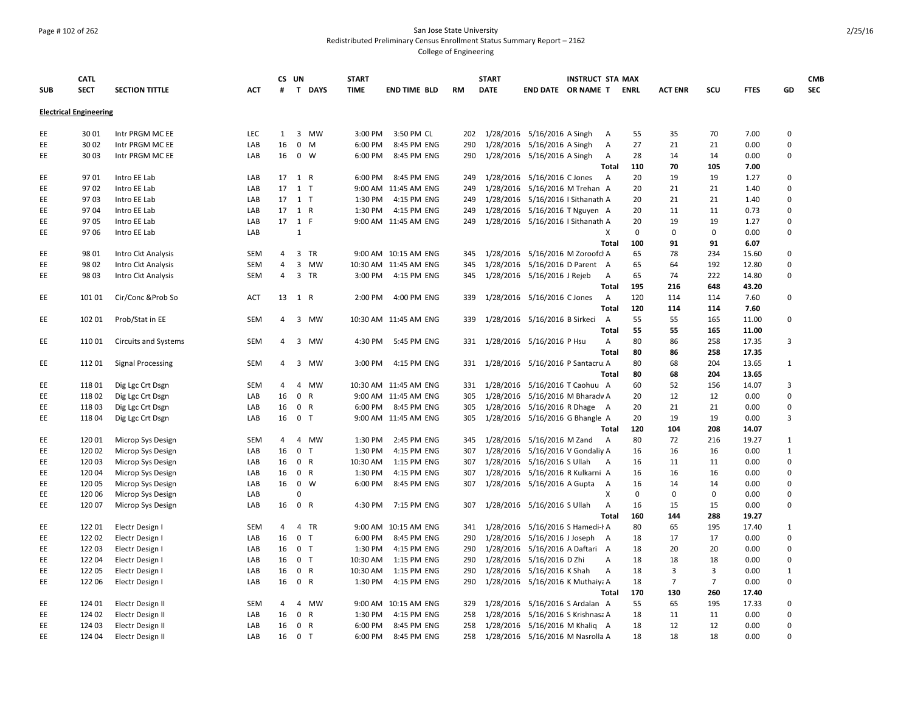### Page # 102 of 262 San Jose State University Redistributed Preliminary Census Enrollment Status Summary Report – 2162 College of Engineering

|            | <b>CATL</b>                   |                              |            | CS UN |                |                       | <b>START</b>       |                            |            | <b>START</b> | <b>INSTRUCT STA MAX</b>                         |                |             |                |                |              |                | <b>CMB</b> |
|------------|-------------------------------|------------------------------|------------|-------|----------------|-----------------------|--------------------|----------------------------|------------|--------------|-------------------------------------------------|----------------|-------------|----------------|----------------|--------------|----------------|------------|
| <b>SUB</b> | <b>SECT</b>                   | <b>SECTION TITTLE</b>        | АСТ        | #     |                | T DAYS                | <b>TIME</b>        | <b>END TIME BLD</b>        | <b>RM</b>  | <b>DATE</b>  | <b>END DATE OR NAME T</b>                       |                | <b>ENRL</b> | <b>ACT ENR</b> | scu            | <b>FTES</b>  | GD             | <b>SEC</b> |
|            | <b>Electrical Engineering</b> |                              |            |       |                |                       |                    |                            |            |              |                                                 |                |             |                |                |              |                |            |
|            |                               |                              |            |       |                |                       |                    |                            |            |              |                                                 |                |             |                |                |              |                |            |
| EE         | 3001                          | Intr PRGM MC EE              | <b>LEC</b> | 1     |                | 3 MW                  | 3:00 PM            | 3:50 PM CL                 | 202        |              | 1/28/2016 5/16/2016 A Singh                     | A              | 55          | 35             | 70             | 7.00         | $\mathbf 0$    |            |
| EE         | 30 02                         | Intr PRGM MC EE              | LAB        | 16    |                | $0$ M                 | 6:00 PM            | 8:45 PM ENG                | 290        |              | 1/28/2016 5/16/2016 A Singh                     | A              | 27          | 21             | 21             | 0.00         | $\Omega$       |            |
| EE.        | 30 03                         | Intr PRGM MC EE              | LAB        | 16    |                | $0 \quad W$           | 6:00 PM            | 8:45 PM ENG                | 290        |              | 1/28/2016 5/16/2016 A Singh                     | A              | 28          | 14             | 14             | 0.00         | $\Omega$       |            |
|            |                               |                              |            | 17    |                |                       |                    |                            |            |              |                                                 | Total          | 110         | 70             | 105<br>19      | 7.00         | $\Omega$       |            |
| EE<br>EE   | 9701<br>9702                  | Intro EE Lab                 | LAB<br>LAB | 17    | 1 R            | $1$ T                 | 6:00 PM            | 8:45 PM ENG                | 249<br>249 |              | 1/28/2016 5/16/2016 C Jones                     | A              | 20<br>20    | 19<br>21       | 21             | 1.27         | $\Omega$       |            |
|            |                               | Intro EE Lab                 |            | 17    |                |                       |                    | 9:00 AM 11:45 AM ENG       |            | 1/28/2016    | 1/28/2016 5/16/2016 M Trehan A                  |                |             |                | 21             | 1.40         | $\Omega$       |            |
| EE<br>EE   | 9703<br>9704                  | Intro EE Lab<br>Intro EE Lab | LAB<br>LAB | 17    |                | 1 <sub>T</sub><br>1 R | 1:30 PM<br>1:30 PM | 4:15 PM ENG<br>4:15 PM ENG | 249<br>249 | 1/28/2016    | 5/16/2016 I Sithanath A<br>5/16/2016 T Nguyen A |                | 20<br>20    | 21<br>11       | 11             | 1.40<br>0.73 | $\Omega$       |            |
| EE         | 9705                          | Intro EE Lab                 | LAB        | 17    | 1 F            |                       |                    | 9:00 AM 11:45 AM ENG       | 249        |              | 1/28/2016 5/16/2016   Sithanath A               |                | 20          | 19             | 19             | 1.27         | $\Omega$       |            |
| EE         | 9706                          |                              | LAB        |       | 1              |                       |                    |                            |            |              |                                                 | Х              | 0           | 0              | $\mathbf 0$    | 0.00         | $\Omega$       |            |
|            |                               | Intro EE Lab                 |            |       |                |                       |                    |                            |            |              |                                                 | Total          | 100         | 91             | 91             | 6.07         |                |            |
| EE         | 98 01                         | Intro Ckt Analysis           | <b>SEM</b> | 4     |                | 3 TR                  |                    | 9:00 AM 10:15 AM ENG       | 345        |              | 1/28/2016 5/16/2016 M Zoroofcl A                |                | 65          | 78             | 234            | 15.60        | $\Omega$       |            |
| EE.        | 98 02                         | Intro Ckt Analysis           | SEM        | 4     |                | 3 MW                  |                    | 10:30 AM 11:45 AM ENG      | 345        |              | 1/28/2016 5/16/2016 D Parent A                  |                | 65          | 64             | 192            | 12.80        | $\Omega$       |            |
| EE         | 98 03                         | Intro Ckt Analysis           | SEM        | 4     |                | 3 TR                  | 3:00 PM            | 4:15 PM ENG                | 345        |              | 1/28/2016 5/16/2016 J Rejeb                     | A              | 65          | 74             | 222            | 14.80        | 0              |            |
|            |                               |                              |            |       |                |                       |                    |                            |            |              |                                                 | Total          | 195         | 216            | 648            | 43.20        |                |            |
| EE.        | 101 01                        | Cir/Conc & Prob So           | ACT        | 13    |                | 1 R                   | 2:00 PM            | 4:00 PM ENG                | 339        |              | 1/28/2016 5/16/2016 C Jones                     | A              | 120         | 114            | 114            | 7.60         | $\pmb{0}$      |            |
|            |                               |                              |            |       |                |                       |                    |                            |            |              |                                                 | Total          | 120         | 114            | 114            | 7.60         |                |            |
| EE         | 102 01                        | Prob/Stat in EE              | <b>SEM</b> | 4     |                | 3 MW                  |                    | 10:30 AM 11:45 AM ENG      | 339        |              | 1/28/2016 5/16/2016 B Sirkeci                   | $\overline{A}$ | 55          | 55             | 165            | 11.00        | $\mathbf 0$    |            |
|            |                               |                              |            |       |                |                       |                    |                            |            |              |                                                 | Total          | 55          | 55             | 165            | 11.00        |                |            |
| EE         | 11001                         | <b>Circuits and Systems</b>  | SEM        | 4     |                | 3 MW                  | 4:30 PM            | 5:45 PM ENG                | 331        |              | 1/28/2016 5/16/2016 P Hsu                       | A              | 80          | 86             | 258            | 17.35        | 3              |            |
|            |                               |                              |            |       |                |                       |                    |                            |            |              |                                                 | <b>Total</b>   | 80          | 86             | 258            | 17.35        |                |            |
| EE         | 112 01                        | <b>Signal Processing</b>     | SEM        | 4     |                | 3 MW                  | 3:00 PM            | 4:15 PM ENG                | 331        |              | 1/28/2016 5/16/2016 P Santacru A                |                | 80          | 68             | 204            | 13.65        | $\mathbf{1}$   |            |
|            |                               |                              |            |       |                |                       |                    |                            |            |              |                                                 | Total          | 80          | 68             | 204            | 13.65        |                |            |
| EE.        | 11801                         | Dig Lgc Crt Dsgn             | <b>SEM</b> | 4     |                | 4 MW                  |                    | 10:30 AM 11:45 AM ENG      | 331        |              | 1/28/2016 5/16/2016 T Caohuu A                  |                | 60          | 52             | 156            | 14.07        | $\overline{3}$ |            |
| EE         | 11802                         | Dig Lgc Crt Dsgn             | LAB        | 16    | $\mathbf 0$    | R                     |                    | 9:00 AM 11:45 AM ENG       | 305        | 1/28/2016    | 5/16/2016 M Bharadv A                           |                | 20          | 12             | 12             | 0.00         | $\Omega$       |            |
| EE         | 11803                         | Dig Lgc Crt Dsgn             | LAB        | 16    |                | 0 R                   | 6:00 PM            | 8:45 PM ENG                | 305        |              | 1/28/2016 5/16/2016 R Dhage A                   |                | 20          | 21             | 21             | 0.00         | $\Omega$       |            |
| EE         | 11804                         | Dig Lgc Crt Dsgn             | LAB        | 16    |                | 0 <sub>T</sub>        |                    | 9:00 AM 11:45 AM ENG       | 305        |              | 1/28/2016 5/16/2016 G Bhangle A                 |                | 20          | 19             | 19             | 0.00         | $\overline{3}$ |            |
|            |                               |                              |            |       |                |                       |                    |                            |            |              |                                                 | Total          | 120         | 104            | 208            | 14.07        |                |            |
| EE         | 12001                         | Microp Sys Design            | <b>SEM</b> | 4     |                | 4 MW                  | 1:30 PM            | 2:45 PM ENG                | 345        |              | 1/28/2016 5/16/2016 M Zand                      | A              | 80          | 72             | 216            | 19.27        | $\mathbf{1}$   |            |
| EE.        | 120 02                        | Microp Sys Design            | LAB        | 16    | $\mathbf{0}$   | T                     | 1:30 PM            | 4:15 PM ENG                | 307        | 1/28/2016    | 5/16/2016 V Gondaliy A                          |                | 16          | 16             | 16             | 0.00         | $\mathbf{1}$   |            |
| EE         | 12003                         | Microp Sys Design            | LAB        | 16    |                | 0 R                   | 10:30 AM           | 1:15 PM ENG                | 307        |              | 1/28/2016 5/16/2016 S Ullah                     | A              | 16          | 11             | 11             | 0.00         | $\mathbf 0$    |            |
| EE         | 12004                         | Microp Sys Design            | LAB        | 16    | $\mathbf 0$    | R                     | 1:30 PM            | 4:15 PM ENG                | 307        |              | 1/28/2016 5/16/2016 R Kulkarni A                |                | 16          | 16             | 16             | 0.00         | $\Omega$       |            |
| EE         | 120 05                        | Microp Sys Design            | LAB        | 16    |                | $0 \quad W$           | 6:00 PM            | 8:45 PM ENG                | 307        |              | 1/28/2016 5/16/2016 A Gupta                     | A              | 16          | 14             | 14             | 0.00         | $\Omega$       |            |
| EE         | 120 06                        | Microp Sys Design            | LAB        |       | $\Omega$       |                       |                    |                            |            |              |                                                 | Х              | $\mathbf 0$ | $\mathbf 0$    | $\mathbf 0$    | 0.00         | $\Omega$       |            |
| EE         | 120 07                        | Microp Sys Design            | LAB        | 16    |                | 0 R                   | 4:30 PM            | 7:15 PM ENG                | 307        |              | 1/28/2016 5/16/2016 S Ullah                     | A              | 16          | 15             | 15             | 0.00         | $\Omega$       |            |
|            |                               |                              |            |       |                |                       |                    |                            |            |              |                                                 | <b>Total</b>   | 160         | 144            | 288            | 19.27        |                |            |
| EE.        | 122 01                        | Electr Design I              | <b>SEM</b> | 4     | $\overline{4}$ | TR                    |                    | 9:00 AM 10:15 AM ENG       | 341        |              | 1/28/2016 5/16/2016 S Hamedi-I A                |                | 80          | 65             | 195            | 17.40        | $\mathbf{1}$   |            |
| EE         | 122 02                        | Electr Design I              | LAB        | 16    |                | 0 <sub>T</sub>        | 6:00 PM            | 8:45 PM ENG                | 290        |              | 1/28/2016 5/16/2016 J Joseph A                  |                | 18          | 17             | 17             | 0.00         | $\mathbf 0$    |            |
| EE         | 122 03                        | Electr Design I              | LAB        | 16    |                | 0 <sub>T</sub>        | 1:30 PM            | 4:15 PM ENG                | 290        | 1/28/2016    | 5/16/2016 A Daftari                             | A              | 18          | 20             | 20             | 0.00         | $\Omega$       |            |
| EE.        | 12204                         | Electr Design I              | LAB        | 16    |                | 0 <sub>T</sub>        | 10:30 AM           | 1:15 PM ENG                | 290        | 1/28/2016    | 5/16/2016 D Zhi                                 | Α              | 18          | 18             | 18             | 0.00         | $\Omega$       |            |
| EE         | 122 05                        | Electr Design I              | LAB        | 16    |                | 0 R                   | 10:30 AM           | 1:15 PM ENG                | 290        |              | 1/28/2016 5/16/2016 K Shah                      | $\overline{A}$ | 18          | 3              | $\overline{3}$ | 0.00         | 1              |            |
| EE         | 122 06                        | Electr Design I              | LAB        | 16    |                | 0 R                   | 1:30 PM            | 4:15 PM ENG                | 290        |              | 1/28/2016 5/16/2016 K Muthaiya A                |                | 18          | $\overline{7}$ | $\overline{7}$ | 0.00         | $\Omega$       |            |
|            |                               |                              |            |       |                |                       |                    |                            |            |              |                                                 | Total          | 170         | 130            | 260            | 17.40        |                |            |
| EE         | 124 01                        | Electr Design II             | <b>SEM</b> | 4     | $\overline{4}$ | MW                    |                    | 9:00 AM 10:15 AM ENG       | 329        | 1/28/2016    | 5/16/2016 S Ardalan A                           |                | 55          | 65             | 195            | 17.33        | $\Omega$       |            |
| EE         | 124 02                        | Electr Design II             | LAB        | 16    | $\mathbf{0}$   | $\mathsf{R}$          | 1:30 PM            | 4:15 PM ENG                | 258        |              | 1/28/2016 5/16/2016 S Krishnasa A               |                | 18          | 11             | 11             | 0.00         | $\Omega$       |            |
| EE         | 124 03                        | Electr Design II             | LAB        | 16    |                | 0 R                   | 6:00 PM            | 8:45 PM ENG                | 258        |              | 1/28/2016 5/16/2016 M Khaliq A                  |                | 18          | 12             | 12             | 0.00         | $\Omega$       |            |
| EE         | 124 04                        | Electr Design II             | LAB        | 16    |                | 0 <sub>T</sub>        | 6:00 PM            | 8:45 PM ENG                | 258        |              | 1/28/2016 5/16/2016 M Nasrolla A                |                | 18          | 18             | 18             | 0.00         | $\Omega$       |            |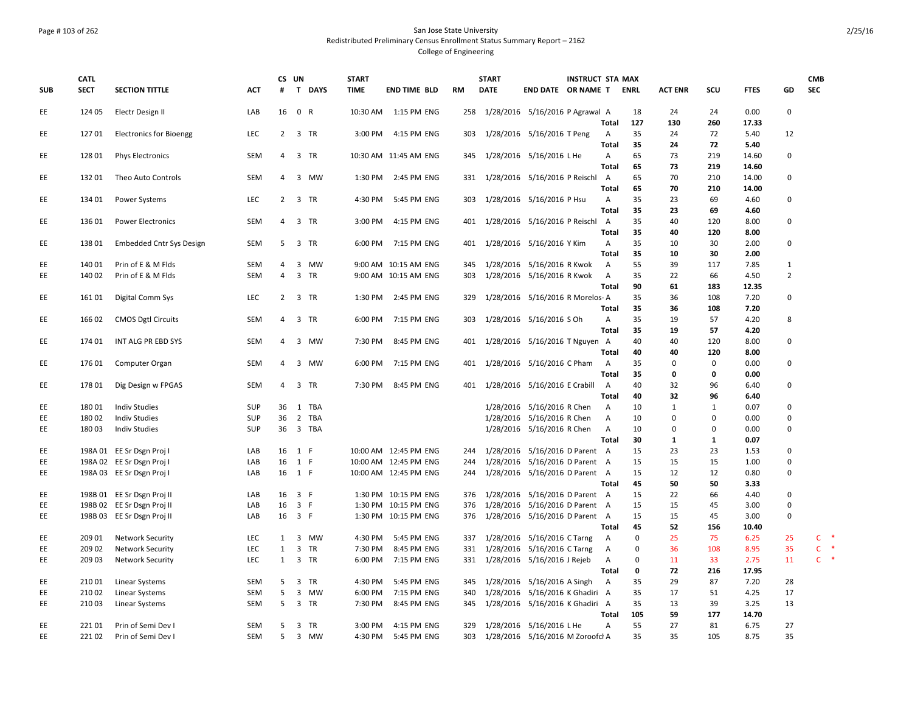### Page # 103 of 262 San Jose State University Redistributed Preliminary Census Enrollment Status Summary Report – 2162 College of Engineering

|            | <b>CATL</b>      |                                  |            | CS UN          |                |            | <b>START</b>       |                            |            | <b>START</b> | <b>INSTRUCT STA MAX</b>                                        |                |             |                   |              |              |                | <b>CMB</b>             |
|------------|------------------|----------------------------------|------------|----------------|----------------|------------|--------------------|----------------------------|------------|--------------|----------------------------------------------------------------|----------------|-------------|-------------------|--------------|--------------|----------------|------------------------|
| <b>SUB</b> | <b>SECT</b>      | <b>SECTION TITTLE</b>            | <b>ACT</b> | #              |                | T DAYS     | <b>TIME</b>        | <b>END TIME BLD</b>        | <b>RM</b>  | <b>DATE</b>  | END DATE OR NAME T                                             |                | ENRL        | <b>ACT ENR</b>    | scu          | <b>FTES</b>  | GD             | <b>SEC</b>             |
| EE         | 124 05           | Electr Design II                 | LAB        | 16             | 0 R            |            | 10:30 AM           | 1:15 PM ENG                |            |              | 258 1/28/2016 5/16/2016 P Agrawal A                            |                | 18          | 24                | 24           | 0.00         | $\pmb{0}$      |                        |
|            |                  |                                  |            |                |                |            |                    |                            |            |              |                                                                | Total          | 127         | 130               | 260          | 17.33        |                |                        |
| EE         | 12701            | <b>Electronics for Bioengg</b>   | LEC        | $\overline{2}$ |                | 3 TR       | 3:00 PM            | 4:15 PM ENG                | 303        |              | 1/28/2016 5/16/2016 T Peng                                     | A<br>Total     | 35<br>35    | 24<br>24          | 72<br>72     | 5.40<br>5.40 | 12             |                        |
| EE         | 128 01           | <b>Phys Electronics</b>          | <b>SEM</b> | 4              |                | 3 TR       |                    | 10:30 AM 11:45 AM ENG      | 345        |              | 1/28/2016  5/16/2016 L He                                      | Α              | 65          | 73                | 219          | 14.60        | $\mathbf 0$    |                        |
|            |                  |                                  |            |                |                |            |                    |                            |            |              |                                                                | Total          | 65          | 73                | 219          | 14.60        |                |                        |
| EE         | 13201            | Theo Auto Controls               | SEM        | 4              |                | 3 MW       | 1:30 PM            | 2:45 PM ENG                |            |              | 331 1/28/2016 5/16/2016 P Reischl A                            |                | 65          | 70                | 210          | 14.00        | $\Omega$       |                        |
|            |                  |                                  |            |                |                |            |                    |                            |            |              |                                                                | <b>Total</b>   | 65          | 70                | 210          | 14.00        |                |                        |
| EE         | 134 01           | Power Systems                    | LEC        | 2              |                | 3 TR       | 4:30 PM            | 5:45 PM ENG                | 303        |              | 1/28/2016 5/16/2016 P Hsu                                      | Α              | 35          | 23                | 69           | 4.60         | $\mathbf 0$    |                        |
|            |                  |                                  |            |                |                |            |                    |                            |            |              |                                                                | Total          | 35          | 23                | 69           | 4.60         |                |                        |
| EE         | 136 01           | <b>Power Electronics</b>         | <b>SEM</b> | 4              |                | 3 TR       | 3:00 PM            | 4:15 PM ENG                | 401        |              | 1/28/2016 5/16/2016 P Reischl A                                |                | 35          | 40                | 120          | 8.00         | $\mathbf 0$    |                        |
|            |                  |                                  |            |                |                |            |                    |                            |            |              |                                                                | Total          | 35          | 40                | 120          | 8.00         |                |                        |
| EE         | 13801            | <b>Embedded Cntr Sys Design</b>  | SEM        | 5              |                | 3 TR       | 6:00 PM            | 7:15 PM ENG                |            |              | 401 1/28/2016 5/16/2016 Y Kim                                  | Α              | 35          | 10                | 30           | 2.00         | $\mathbf 0$    |                        |
|            |                  |                                  |            |                |                |            |                    |                            |            |              |                                                                | Total          | 35          | 10                | 30           | 2.00         |                |                        |
| EE         | 140 01           | Prin of E & M Flds               | SEM        | 4              |                | 3 MW       |                    | 9:00 AM 10:15 AM ENG       | 345        |              | 1/28/2016 5/16/2016 R Kwok                                     | A              | 55          | 39                | 117          | 7.85         | 1              |                        |
| EE         | 140 02           | Prin of E & M Flds               | <b>SEM</b> | 4              |                | 3 TR       |                    | 9:00 AM 10:15 AM ENG       | 303        |              | 1/28/2016 5/16/2016 R Kwok                                     | $\overline{A}$ | 35          | 22                | 66           | 4.50         | $\overline{2}$ |                        |
|            |                  |                                  |            |                |                |            |                    |                            |            |              |                                                                | Total          | 90          | 61                | 183          | 12.35        |                |                        |
| EE         | 161 01           | Digital Comm Sys                 | <b>LEC</b> | 2              |                | 3 TR       | 1:30 PM            | 2:45 PM ENG                | 329        |              | 1/28/2016 5/16/2016 R Morelos-A                                |                | 35          | 36                | 108          | 7.20         | $\mathbf 0$    |                        |
|            |                  |                                  |            |                |                |            |                    |                            |            |              |                                                                | Total          | 35          | 36                | 108          | 7.20         |                |                        |
| EE         | 166 02           | <b>CMOS Dgtl Circuits</b>        | SEM        | $\overline{4}$ |                | 3 TR       | 6:00 PM            | 7:15 PM ENG                |            |              | 303 1/28/2016 5/16/2016 S Oh                                   | Α              | 35          | 19                | 57           | 4.20         | 8              |                        |
|            |                  |                                  |            |                |                |            |                    |                            |            |              |                                                                | <b>Total</b>   | 35          | 19                | 57           | 4.20         |                |                        |
| EE         | 174 01           | INT ALG PR EBD SYS               | SEM        | 4              |                | 3 MW       | 7:30 PM            | 8:45 PM ENG                |            |              | 401 1/28/2016 5/16/2016 T Nguyen A                             |                | 40          | 40                | 120          | 8.00         | $\mathbf 0$    |                        |
|            |                  |                                  |            |                |                |            |                    |                            | 401        |              |                                                                | Total          | 40          | 40<br>$\mathbf 0$ | 120          | 8.00<br>0.00 | 0              |                        |
| EE         | 176 01           | Computer Organ                   | SEM        | 4              |                | 3 MW       | 6:00 PM            | 7:15 PM ENG                |            |              | 1/28/2016 5/16/2016 C Pham                                     | A<br>Total     | 35<br>35    | 0                 | 0<br>0       | 0.00         |                |                        |
| EE         | 17801            | Dig Design w FPGAS               | SEM        | 4              |                | 3 TR       | 7:30 PM            | 8:45 PM ENG                |            |              | 401 1/28/2016 5/16/2016 E Crabill                              | A              | 40          | 32                | 96           | 6.40         | $\mathbf 0$    |                        |
|            |                  |                                  |            |                |                |            |                    |                            |            |              |                                                                | <b>Total</b>   | 40          | 32                | 96           | 6.40         |                |                        |
| EE         | 18001            | <b>Indiv Studies</b>             | <b>SUP</b> | 36             |                | 1 TBA      |                    |                            |            |              | 1/28/2016 5/16/2016 R Chen                                     | Α              | 10          | 1                 | 1            | 0.07         | $\Omega$       |                        |
| EE         | 18002            | <b>Indiv Studies</b>             | <b>SUP</b> | 36             |                | 2 TBA      |                    |                            |            |              | 1/28/2016 5/16/2016 R Chen                                     | Α              | 10          | $\mathbf 0$       | 0            | 0.00         | $\pmb{0}$      |                        |
| EE         | 18003            | <b>Indiv Studies</b>             | SUP        | 36             |                | 3 TBA      |                    |                            |            |              | 1/28/2016 5/16/2016 R Chen                                     | A              | 10          | $\mathbf 0$       | 0            | 0.00         | 0              |                        |
|            |                  |                                  |            |                |                |            |                    |                            |            |              |                                                                | <b>Total</b>   | 30          | $\mathbf{1}$      | $\mathbf{1}$ | 0.07         |                |                        |
| EE         |                  | 198A 01 EE Sr Dsgn Proj I        | LAB        | 16             | 1 F            |            |                    | 10:00 AM 12:45 PM ENG      | 244        |              | 1/28/2016 5/16/2016 D Parent A                                 |                | 15          | 23                | 23           | 1.53         | $\pmb{0}$      |                        |
| EE         |                  | 198A 02 EE Sr Dsgn Proj I        | LAB        | 16             | 1 F            |            |                    | 10:00 AM 12:45 PM ENG      |            |              | 244 1/28/2016 5/16/2016 D Parent A                             |                | 15          | 15                | 15           | 1.00         | 0              |                        |
| EE         |                  | 198A 03 EE Sr Dsgn Proj I        | LAB        | 16 1 F         |                |            |                    | 10:00 AM 12:45 PM ENG      |            |              | 244 1/28/2016 5/16/2016 D Parent A                             |                | 15          | 12                | 12           | 0.80         | $\pmb{0}$      |                        |
|            |                  |                                  |            |                |                |            |                    |                            |            |              |                                                                | Total          | 45          | 50                | 50           | 3.33         |                |                        |
| EE         |                  | 198B 01 EE Sr Dsgn Proj II       | LAB        | 16             | 3 F            |            |                    | 1:30 PM 10:15 PM ENG       |            |              | 376 1/28/2016 5/16/2016 D Parent A                             |                | 15          | 22                | 66           | 4.40         | $\pmb{0}$      |                        |
| EE         |                  | 198B 02 EE Sr Dsgn Proj II       | LAB        | 16             | 3 F            |            |                    | 1:30 PM 10:15 PM ENG       | 376        |              | 1/28/2016 5/16/2016 D Parent A                                 |                | 15          | 15                | 45           | 3.00         | 0              |                        |
| EE         |                  | 198B 03 EE Sr Dsgn Proj II       | LAB        | 16 3 F         |                |            |                    | 1:30 PM 10:15 PM ENG       | 376        |              | 1/28/2016 5/16/2016 D Parent A                                 |                | 15          | 15                | 45           | 3.00         | $\pmb{0}$      |                        |
|            |                  |                                  |            |                |                |            |                    |                            |            |              |                                                                | Total          | 45          | 52                | 156          | 10.40        |                |                        |
| EE         | 209 01           | <b>Network Security</b>          | LEC        | $\mathbf{1}$   |                | 3 MW       | 4:30 PM            | 5:45 PM ENG                | 337        |              | 1/28/2016 5/16/2016 C Tarng                                    | A              | $\mathbf 0$ | 25                | 75           | 6.25         | 25             | $\ast$<br>C            |
| EE         | 209 02           | <b>Network Security</b>          | LEC        | $\mathbf{1}$   |                | 3 TR       | 7:30 PM            | 8:45 PM ENG                |            |              | 331 1/28/2016 5/16/2016 C Tarng                                | $\overline{A}$ | $\mathbf 0$ | 36                | 108          | 8.95         | 35             | $\ast$<br>C.<br>$\ast$ |
| EE         | 209 03           | <b>Network Security</b>          | <b>LEC</b> | $\mathbf{1}$   |                | 3 TR       | 6:00 PM            | 7:15 PM ENG                | 331        |              | 1/28/2016 5/16/2016 J Rejeb                                    | A              | 0           | 11                | 33           | 2.75         | 11             | $\mathsf{C}$           |
|            |                  |                                  |            |                |                |            |                    |                            |            |              |                                                                | <b>Total</b>   | 0           | 72                | 216          | 17.95        |                |                        |
| EE<br>EE   | 210 01<br>210 02 | Linear Systems<br>Linear Systems | SEM<br>SEM | 5<br>5         | $\overline{3}$ | TR<br>3 MW | 4:30 PM<br>6:00 PM | 5:45 PM ENG<br>7:15 PM ENG | 345<br>340 |              | 1/28/2016 5/16/2016 A Singh<br>1/28/2016 5/16/2016 K Ghadiri A | A              | 35<br>35    | 29<br>17          | 87<br>51     | 7.20<br>4.25 | 28<br>17       |                        |
| EE         | 21003            | Linear Systems                   | SEM        | 5              |                | 3 TR       | 7:30 PM            | 8:45 PM ENG                | 345        |              | 1/28/2016 5/16/2016 K Ghadiri A                                |                | 35          | 13                | 39           | 3.25         | 13             |                        |
|            |                  |                                  |            |                |                |            |                    |                            |            |              |                                                                | Total          | 105         | 59                | 177          | 14.70        |                |                        |
| EE         | 22101            | Prin of Semi Dev I               | SEM        | 5              |                | 3 TR       | 3:00 PM            | 4:15 PM ENG                | 329        |              | 1/28/2016 5/16/2016 L He                                       | Α              | 55          | 27                | 81           | 6.75         | 27             |                        |
| EE         | 22102            | Prin of Semi Dev I               | <b>SEM</b> | 5              |                | 3 MW       | 4:30 PM            | 5:45 PM ENG                | 303        |              | 1/28/2016 5/16/2016 M Zoroofcl A                               |                | 35          | 35                | 105          | 8.75         | 35             |                        |
|            |                  |                                  |            |                |                |            |                    |                            |            |              |                                                                |                |             |                   |              |              |                |                        |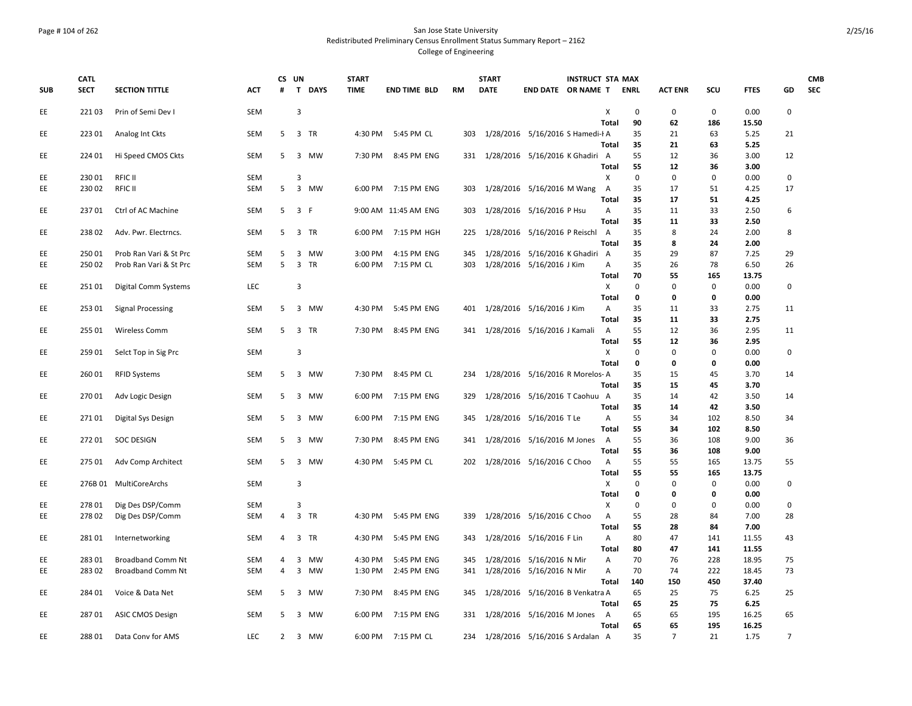### Page # 104 of 262 San Jose State University Redistributed Preliminary Census Enrollment Status Summary Report – 2162 College of Engineering

|            | <b>CATL</b> |                          |            | CS UN |     |           | <b>START</b> |                      |           | <b>START</b>                        |                                  | <b>INSTRUCT STA MAX</b> |                   |             |                |             |               |                | <b>CMB</b> |
|------------|-------------|--------------------------|------------|-------|-----|-----------|--------------|----------------------|-----------|-------------------------------------|----------------------------------|-------------------------|-------------------|-------------|----------------|-------------|---------------|----------------|------------|
| <b>SUB</b> | <b>SECT</b> | <b>SECTION TITTLE</b>    | <b>ACT</b> | #     |     | T DAYS    | <b>TIME</b>  | <b>END TIME BLD</b>  | <b>RM</b> | <b>DATE</b>                         | END DATE OR NAME T               |                         |                   | <b>ENRL</b> | <b>ACT ENR</b> | SCU         | <b>FTES</b>   | GD             | <b>SEC</b> |
| EE         | 22103       | Prin of Semi Dev I       | SEM        |       | 3   |           |              |                      |           |                                     |                                  |                         | X                 | 0           | 0              | 0           | 0.00          | $\mathbf 0$    |            |
|            |             |                          |            |       |     |           |              |                      |           |                                     |                                  |                         | Total             | 90          | 62             | 186         | 15.50         |                |            |
| EE.        | 223 01      | Analog Int Ckts          | SEM        | 5     |     | 3 TR      |              | 4:30 PM 5:45 PM CL   | 303       |                                     | 1/28/2016 5/16/2016 S Hamedi-I A |                         |                   | 35          | 21             | 63          | 5.25          | 21             |            |
|            |             |                          |            |       |     |           |              |                      |           |                                     |                                  |                         | Total             | 35          | 21             | 63          | 5.25          |                |            |
| EE         | 224 01      | Hi Speed CMOS Ckts       | <b>SEM</b> | 5     |     | 3 MW      |              | 7:30 PM 8:45 PM ENG  |           | 331 1/28/2016 5/16/2016 K Ghadiri A |                                  |                         |                   | 55          | 12             | 36          | 3.00          | 12             |            |
|            |             |                          |            |       |     |           |              |                      |           |                                     |                                  |                         | Total             | 55          | 12             | 36          | 3.00          |                |            |
| EE         | 23001       | RFIC II                  | SEM        |       | 3   |           |              |                      |           |                                     |                                  |                         | х                 | $\mathbf 0$ | 0              | $\Omega$    | 0.00          | $\mathbf{0}$   |            |
| EE         | 23002       | RFIC II                  | SEM        | 5     |     | 3 MW      |              | 6:00 PM 7:15 PM ENG  | 303       | 1/28/2016 5/16/2016 M Wang          |                                  |                         | $\overline{A}$    | 35          | 17             | 51          | 4.25          | 17             |            |
|            |             |                          |            |       |     |           |              |                      |           |                                     |                                  |                         | Total             | 35          | 17             | 51          | 4.25          |                |            |
| EE         | 23701       | Ctrl of AC Machine       | SEM        | 5     | 3 F |           |              | 9:00 AM 11:45 AM ENG | 303       |                                     | 1/28/2016 5/16/2016 P Hsu        |                         | Α<br><b>Total</b> | 35<br>35    | 11<br>11       | 33<br>33    | 2.50<br>2.50  | 6              |            |
|            | 23802       | Adv. Pwr. Electrncs.     | SEM        | 5     |     | 3 TR      |              | 6:00 PM 7:15 PM HGH  | 225       |                                     | 1/28/2016 5/16/2016 P Reischl    |                         | A                 | 35          | 8              | 24          | 2.00          | 8              |            |
| EE         |             |                          |            |       |     |           |              |                      |           |                                     |                                  |                         | Total             | 35          | 8              | 24          | 2.00          |                |            |
| EE         | 25001       | Prob Ran Vari & St Prc   | SEM        | 5     | 3   | <b>MW</b> | 3:00 PM      | 4:15 PM ENG          | 345       |                                     | 1/28/2016 5/16/2016 K Ghadiri A  |                         |                   | 35          | 29             | 87          | 7.25          | 29             |            |
| EE         | 250 02      | Prob Ran Vari & St Prc   | SEM        | 5     |     | 3 TR      | 6:00 PM      | 7:15 PM CL           | 303       |                                     | 1/28/2016 5/16/2016 J Kim        |                         | А                 | 35          | 26             | 78          | 6.50          | 26             |            |
|            |             |                          |            |       |     |           |              |                      |           |                                     |                                  |                         | Total             | 70          | 55             | 165         | 13.75         |                |            |
| EE         | 25101       | Digital Comm Systems     | LEC        |       | 3   |           |              |                      |           |                                     |                                  |                         | X                 | $\mathbf 0$ | $\mathbf 0$    | $\mathbf 0$ | 0.00          | $\mathbf 0$    |            |
|            |             |                          |            |       |     |           |              |                      |           |                                     |                                  |                         | <b>Total</b>      | 0           | 0              | 0           | 0.00          |                |            |
| EE         | 253 01      | <b>Signal Processing</b> | SEM        | 5     |     | 3 MW      | 4:30 PM      | 5:45 PM ENG          |           | 401 1/28/2016 5/16/2016 J Kim       |                                  |                         | Α                 | 35          | 11             | 33          | 2.75          | 11             |            |
|            |             |                          |            |       |     |           |              |                      |           |                                     |                                  |                         | <b>Total</b>      | 35          | 11             | 33          | 2.75          |                |            |
| EE.        | 255 01      | <b>Wireless Comm</b>     | SEM        | 5     |     | 3 TR      | 7:30 PM      | 8:45 PM ENG          |           | 341 1/28/2016 5/16/2016 J Kamali    |                                  |                         | A                 | 55          | 12             | 36          | 2.95          | 11             |            |
|            |             |                          |            |       |     |           |              |                      |           |                                     |                                  |                         | Total             | 55          | 12             | 36          | 2.95          |                |            |
| EE         | 259 01      | Selct Top in Sig Prc     | SEM        |       | 3   |           |              |                      |           |                                     |                                  |                         | X                 | $\Omega$    | $\Omega$       | $\Omega$    | 0.00          | $\mathbf{0}$   |            |
|            |             |                          |            |       |     |           |              |                      |           |                                     |                                  |                         | <b>Total</b>      | 0           | 0              | 0           | 0.00          |                |            |
| EE         | 260 01      | <b>RFID Systems</b>      | SEM        | 5     |     | 3 MW      | 7:30 PM      | 8:45 PM CL           | 234       |                                     | 1/28/2016 5/16/2016 R Morelos-A  |                         |                   | 35          | 15             | 45          | 3.70          | 14             |            |
|            |             |                          |            |       |     |           |              |                      |           |                                     |                                  |                         | Total             | 35          | 15             | 45          | 3.70          |                |            |
| EE         | 27001       | Adv Logic Design         | SEM        | 5     |     | 3 MW      | 6:00 PM      | 7:15 PM ENG          | 329       |                                     | 1/28/2016 5/16/2016 T Caohuu A   |                         |                   | 35          | 14             | 42          | 3.50          | 14             |            |
|            |             |                          |            |       |     |           |              |                      |           |                                     |                                  |                         | Total             | 35          | 14             | 42          | 3.50          |                |            |
| EE         | 27101       | Digital Sys Design       | <b>SEM</b> | 5     |     | 3 MW      | 6:00 PM      | 7:15 PM ENG          | 345       |                                     | 1/28/2016 5/16/2016 T Le         |                         | Α<br><b>Total</b> | 55<br>55    | 34<br>34       | 102<br>102  | 8.50          | 34             |            |
| EE         | 27201       | <b>SOC DESIGN</b>        | SEM        | 5     |     | 3 MW      | 7:30 PM      | 8:45 PM ENG          | 341       |                                     | 1/28/2016 5/16/2016 M Jones      |                         | A                 | 55          | 36             | 108         | 8.50<br>9.00  | 36             |            |
|            |             |                          |            |       |     |           |              |                      |           |                                     |                                  |                         | Total             | 55          | 36             | 108         | 9.00          |                |            |
| EE.        | 275 01      | Adv Comp Architect       | SEM        | 5     |     | 3 MW      |              | 4:30 PM 5:45 PM CL   |           | 202 1/28/2016 5/16/2016 C Choo      |                                  |                         | A                 | 55          | 55             | 165         | 13.75         | 55             |            |
|            |             |                          |            |       |     |           |              |                      |           |                                     |                                  |                         | Total             | 55          | 55             | 165         | 13.75         |                |            |
| EE         |             | 276B 01 MultiCoreArchs   | <b>SEM</b> |       | 3   |           |              |                      |           |                                     |                                  |                         | X                 | $\Omega$    | 0              | $\mathbf 0$ | 0.00          | $\mathbf 0$    |            |
|            |             |                          |            |       |     |           |              |                      |           |                                     |                                  |                         | Total             | 0           | 0              | 0           | 0.00          |                |            |
| EE         | 27801       | Dig Des DSP/Comm         | SEM        |       | 3   |           |              |                      |           |                                     |                                  |                         | X                 | $\mathbf 0$ | 0              | $\mathbf 0$ | 0.00          | $\mathbf 0$    |            |
| EE         | 27802       | Dig Des DSP/Comm         | SEM        | 4     |     | 3 TR      | 4:30 PM      | 5:45 PM ENG          | 339       |                                     | 1/28/2016 5/16/2016 C Choo       |                         | Α                 | 55          | 28             | 84          | 7.00          | 28             |            |
|            |             |                          |            |       |     |           |              |                      |           |                                     |                                  |                         | Total             | 55          | 28             | 84          | 7.00          |                |            |
| EE         | 28101       | Internetworking          | <b>SEM</b> | 4     |     | 3 TR      | 4:30 PM      | 5:45 PM ENG          | 343       |                                     | 1/28/2016 5/16/2016 F Lin        |                         | Α                 | 80          | 47             | 141         | 11.55         | 43             |            |
|            |             |                          |            |       |     |           |              |                      |           |                                     |                                  |                         | Total             | 80          | 47             | 141         | 11.55         |                |            |
| EE.        | 283 01      | <b>Broadband Comm Nt</b> | SEM        | 4     |     | 3 MW      | 4:30 PM      | 5:45 PM ENG          | 345       |                                     | 1/28/2016 5/16/2016 N Mir        |                         | Α                 | 70          | 76             | 228         | 18.95         | 75             |            |
| EE         | 283 02      | <b>Broadband Comm Nt</b> | SEM        | 4     |     | 3 MW      | 1:30 PM      | 2:45 PM ENG          | 341       |                                     | 1/28/2016 5/16/2016 N Mir        |                         | Α                 | 70          | 74             | 222         | 18.45         | 73             |            |
|            |             |                          |            |       |     |           |              |                      |           |                                     |                                  |                         | Total             | 140         | 150            | 450         | 37.40         |                |            |
| EE         | 284 01      | Voice & Data Net         | <b>SEM</b> | 5     |     | 3 MW      | 7:30 PM      | 8:45 PM ENG          | 345       |                                     | 1/28/2016 5/16/2016 B Venkatra A |                         |                   | 65          | 25             | 75          | 6.25          | 25             |            |
|            |             |                          |            |       |     |           |              |                      |           |                                     | 1/28/2016 5/16/2016 M Jones      |                         | Total             | 65<br>65    | 25             | 75          | 6.25<br>16.25 | 65             |            |
| EE         | 28701       | <b>ASIC CMOS Design</b>  | <b>SEM</b> | 5     |     | 3 MW      | 6:00 PM      | 7:15 PM ENG          | 331       |                                     |                                  |                         | A<br>Total        | 65          | 65<br>65       | 195<br>195  | 16.25         |                |            |
| EE         | 28801       | Data Conv for AMS        | <b>LEC</b> | 2     |     | 3 MW      |              | 6:00 PM 7:15 PM CL   |           | 234 1/28/2016 5/16/2016 S Ardalan A |                                  |                         |                   | 35          | $\overline{7}$ | 21          | 1.75          | $\overline{7}$ |            |
|            |             |                          |            |       |     |           |              |                      |           |                                     |                                  |                         |                   |             |                |             |               |                |            |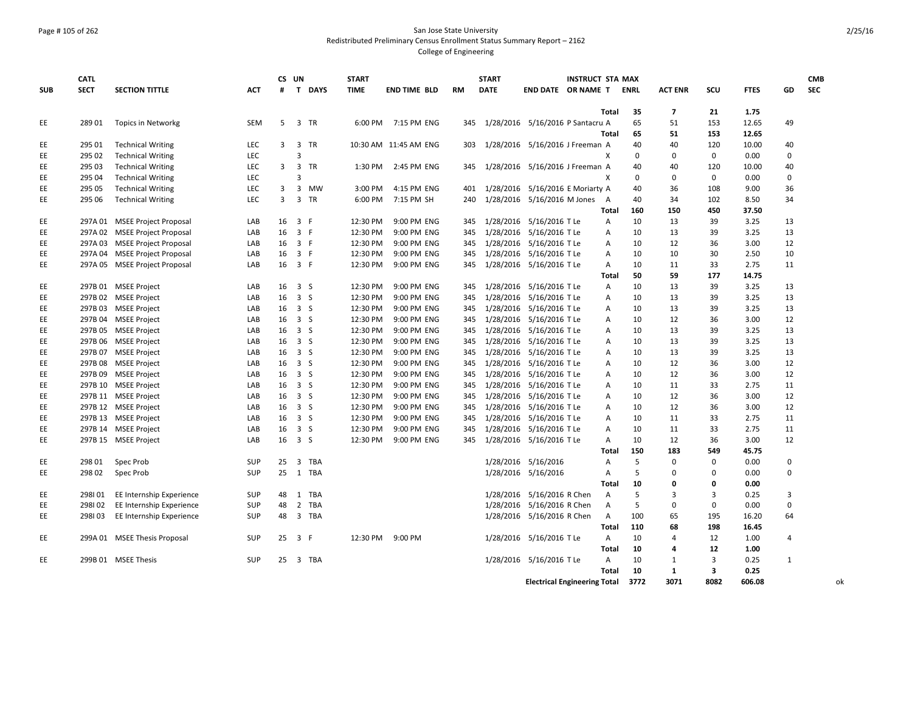### Page # 105 of 262 San Jose State University Redistributed Preliminary Census Enrollment Status Summary Report – 2162 College of Engineering

|            | <b>CATL</b> |                                              |            |    | CS UN                   |           | <b>START</b> |                            |            | <b>START</b> |                                                      | <b>INSTRUCT STA MAX</b> |                   |             |                |             |                |                | <b>CMB</b> |
|------------|-------------|----------------------------------------------|------------|----|-------------------------|-----------|--------------|----------------------------|------------|--------------|------------------------------------------------------|-------------------------|-------------------|-------------|----------------|-------------|----------------|----------------|------------|
| <b>SUB</b> | <b>SECT</b> | <b>SECTION TITTLE</b>                        | <b>ACT</b> | #  |                         | T DAYS    | <b>TIME</b>  | <b>END TIME BLD</b>        | <b>RM</b>  | <b>DATE</b>  | END DATE OR NAME T                                   |                         |                   | <b>ENRL</b> | <b>ACT ENR</b> | <b>SCU</b>  | <b>FTES</b>    | GD             | <b>SEC</b> |
|            |             |                                              |            |    |                         |           |              |                            |            |              |                                                      |                         |                   |             |                |             |                |                |            |
|            |             |                                              |            | 5  | 3 TR                    |           |              |                            |            |              |                                                      |                         | Total             | 35          | 7              | 21          | 1.75           | 49             |            |
| EE         | 28901       | Topics in Networkg                           | SEM        |    |                         |           | 6:00 PM      | 7:15 PM ENG                | 345        |              | 1/28/2016 5/16/2016 P Santacru A                     |                         | Total             | 65<br>65    | 51<br>51       | 153<br>153  | 12.65<br>12.65 |                |            |
| EE         | 295 01      | <b>Technical Writing</b>                     | LEC        | 3  | 3 TR                    |           |              | 10:30 AM 11:45 AM ENG      | 303        |              | 1/28/2016 5/16/2016 J Freeman A                      |                         |                   | 40          | 40             | 120         | 10.00          | 40             |            |
| EE         | 295 02      | <b>Technical Writing</b>                     | <b>LEC</b> |    | 3                       |           |              |                            |            |              |                                                      |                         | x                 | $\mathbf 0$ | $\mathbf 0$    | $\mathbf 0$ | 0.00           | $\Omega$       |            |
| EE         | 295 03      | <b>Technical Writing</b>                     | <b>LEC</b> | 3  | $\overline{\mathbf{3}}$ | <b>TR</b> | 1:30 PM      | 2:45 PM ENG                | 345        |              | 1/28/2016 5/16/2016 J Freeman A                      |                         |                   | 40          | 40             | 120         | 10.00          | 40             |            |
| EE         | 295 04      | <b>Technical Writing</b>                     | LEC        |    | 3                       |           |              |                            |            |              |                                                      |                         | x                 | 0           | $\Omega$       | $\mathbf 0$ | 0.00           | $\Omega$       |            |
| EE         | 295 05      | <b>Technical Writing</b>                     | LEC        | 3  |                         | 3 MW      | 3:00 PM      | 4:15 PM ENG                | 401        |              | 1/28/2016 5/16/2016 E Moriarty A                     |                         |                   | 40          | 36             | 108         | 9.00           | 36             |            |
| EE         | 295 06      | <b>Technical Writing</b>                     | LEC        | 3  | 3 TR                    |           | 6:00 PM      | 7:15 PM SH                 | 240        |              | 1/28/2016 5/16/2016 M Jones                          |                         | A                 | 40          | 34             | 102         | 8.50           | 34             |            |
|            |             |                                              |            |    |                         |           |              |                            |            |              |                                                      |                         | Total             | 160         | 150            | 450         | 37.50          |                |            |
| EE         |             | 297A 01 MSEE Project Proposal                | LAB        | 16 | 3 F                     |           | 12:30 PM     | 9:00 PM ENG                | 345        |              | 1/28/2016 5/16/2016 T Le                             |                         | Α                 | 10          | 13             | 39          | 3.25           | 13             |            |
| EE         |             | 297A 02 MSEE Project Proposal                | LAB        | 16 | 3 F                     |           | 12:30 PM     | 9:00 PM ENG                | 345        |              | 1/28/2016 5/16/2016 T Le                             |                         | Α                 | 10          | 13             | 39          | 3.25           | 13             |            |
| EE         |             | 297A 03 MSEE Project Proposal                | LAB        | 16 | 3 F                     |           | 12:30 PM     | 9:00 PM ENG                | 345        |              | 1/28/2016 5/16/2016 T Le                             |                         | A                 | 10          | 12             | 36          | 3.00           | 12             |            |
| EE         |             | 297A 04 MSEE Project Proposal                | LAB        | 16 | 3 F                     |           | 12:30 PM     | 9:00 PM ENG                | 345        |              | 1/28/2016 5/16/2016 T Le                             |                         | A                 | 10          | 10             | 30          | 2.50           | 10             |            |
| EE         |             | 297A 05 MSEE Project Proposal                | LAB        |    | 16 3 F                  |           | 12:30 PM     | 9:00 PM ENG                | 345        |              | 1/28/2016 5/16/2016 T Le                             |                         | Α                 | 10          | 11             | 33          | 2.75           | 11             |            |
|            |             |                                              |            |    |                         |           |              |                            |            |              |                                                      |                         | Total             | 50          | 59             | 177         | 14.75          |                |            |
| EE         |             | 297B 01 MSEE Project                         | LAB        |    | 16 3 S                  |           | 12:30 PM     | 9:00 PM ENG                | 345        |              | 1/28/2016 5/16/2016 T Le                             |                         | Α                 | 10          | 13             | 39          | 3.25           | 13             |            |
| EE         |             | 297B 02 MSEE Project                         | LAB        | 16 | 3S                      |           | 12:30 PM     | 9:00 PM ENG                | 345        |              | 1/28/2016 5/16/2016 T Le                             |                         | Α                 | 10          | 13             | 39          | 3.25           | 13             |            |
| EE         |             | 297B 03 MSEE Project                         | LAB        |    | $16 \quad 3 \quad S$    |           | 12:30 PM     | 9:00 PM ENG                | 345        |              | 1/28/2016 5/16/2016 T Le                             |                         | A                 | 10          | 13             | 39          | 3.25           | 13             |            |
| EE         |             | 297B 04 MSEE Project                         | LAB        |    | 16 3 S                  |           | 12:30 PM     | 9:00 PM ENG                | 345        |              | 1/28/2016 5/16/2016 T Le                             |                         | Α                 | 10          | 12             | 36          | 3.00           | 12             |            |
| EE         |             | 297B 05 MSEE Project                         | LAB        | 16 | 3S                      |           | 12:30 PM     | 9:00 PM ENG                | 345        |              | 1/28/2016 5/16/2016 T Le                             |                         | Α                 | 10          | 13             | 39          | 3.25           | 13             |            |
| EE         |             | 297B 06 MSEE Project                         | LAB        |    | 16 3 S                  |           | 12:30 PM     | 9:00 PM ENG                | 345        |              | 1/28/2016 5/16/2016 T Le                             |                         | A                 | 10          | 13             | 39          | 3.25           | 13             |            |
| EE         |             |                                              |            |    | 3 S                     |           | 12:30 PM     | 9:00 PM ENG                |            |              | 1/28/2016 5/16/2016 T Le                             |                         |                   | 10          | 13             | 39          |                | 13             |            |
| EE         |             | 297B 07 MSEE Project<br>297B 08 MSEE Project | LAB<br>LAB | 16 | 16 3 S                  |           | 12:30 PM     | 9:00 PM ENG                | 345<br>345 |              | 1/28/2016 5/16/2016 T Le                             |                         | Α                 | 10          | 12             | 36          | 3.25<br>3.00   | 12             |            |
| EE         |             | 297B 09 MSEE Project                         | LAB        | 16 | 3S                      |           | 12:30 PM     | 9:00 PM ENG                | 345        |              | 1/28/2016 5/16/2016 T Le                             |                         | A<br>Α            | 10          | 12             | 36          | 3.00           | 12             |            |
|            |             |                                              |            |    | 16 3 S                  |           | 12:30 PM     | 9:00 PM ENG                |            |              | 1/28/2016 5/16/2016 T Le                             |                         |                   | 10          | 11             | 33          | 2.75           | 11             |            |
| EE         |             | 297B 10 MSEE Project                         | LAB        |    | 16 3 S                  |           | 12:30 PM     |                            | 345<br>345 |              |                                                      |                         | Α                 |             | 12             | 36          | 3.00           | 12             |            |
| EE<br>EE   |             | 297B 11 MSEE Project                         | LAB        |    | 16 3 S                  |           | 12:30 PM     | 9:00 PM ENG<br>9:00 PM ENG | 345        |              | 1/28/2016 5/16/2016 T Le<br>1/28/2016 5/16/2016 T Le |                         | A                 | 10<br>10    | 12             | 36          | 3.00           | 12             |            |
| EE         |             | 297B 12 MSEE Project                         | LAB        |    | 16 3 S                  |           |              |                            |            |              | 1/28/2016 5/16/2016 T Le                             |                         | Α                 | 10          | 11             | 33          |                | 11             |            |
|            |             | 297B 13 MSEE Project                         | LAB        |    |                         |           | 12:30 PM     | 9:00 PM ENG                | 345        |              |                                                      |                         | Α                 |             |                |             | 2.75           |                |            |
| EE         |             | 297B 14 MSEE Project                         | LAB        | 16 | 3S                      |           | 12:30 PM     | 9:00 PM ENG                | 345        |              | 1/28/2016 5/16/2016 T Le                             |                         | A                 | 10          | 11             | 33<br>36    | 2.75           | 11<br>12       |            |
| EE         |             | 297B 15 MSEE Project                         | LAB        | 16 | 3S                      |           | 12:30 PM     | 9:00 PM ENG                | 345        |              | 1/28/2016 5/16/2016 T Le                             |                         | Α<br><b>Total</b> | 10<br>150   | 12<br>183      | 549         | 3.00<br>45.75  |                |            |
| EE         | 298 01      |                                              | SUP        |    | $\overline{\mathbf{3}}$ | TBA       |              |                            |            |              | 1/28/2016 5/16/2016                                  |                         | A                 | 5           | $\mathbf 0$    | $\mathbf 0$ | 0.00           | $\mathbf 0$    |            |
|            |             | Spec Prob                                    |            | 25 |                         |           |              |                            |            |              |                                                      |                         |                   |             | $\Omega$       |             |                | $\Omega$       |            |
| EE         | 298 02      | Spec Prob                                    | SUP        |    | 25 1 TBA                |           |              |                            |            |              | 1/28/2016 5/16/2016                                  |                         | А                 | 5           |                | 0           | 0.00           |                |            |
|            |             |                                              |            |    |                         |           |              |                            |            |              |                                                      |                         | Total             | 10          | 0              | 0           | 0.00           |                |            |
| EE         | 298101      | EE Internship Experience                     | SUP        | 48 | 1 TBA                   |           |              |                            |            |              | 1/28/2016 5/16/2016 R Chen                           |                         | Α                 | 5           | 3              | 3           | 0.25           | 3              |            |
| EE         | 298102      | EE Internship Experience                     | SUP        | 48 |                         | 2 TBA     |              |                            |            |              | 1/28/2016 5/16/2016 R Chen                           |                         | A                 | 5           | $\mathbf 0$    | 0           | 0.00           | $\mathbf 0$    |            |
| EE.        | 298103      | EE Internship Experience                     | SUP        | 48 | 3 TBA                   |           |              |                            |            |              | 1/28/2016 5/16/2016 R Chen                           |                         | Α                 | 100         | 65             | 195         | 16.20          | 64             |            |
|            |             |                                              |            |    |                         |           |              |                            |            |              |                                                      |                         | Total             | 110         | 68             | 198         | 16.45          |                |            |
| EE.        | 299A 01     | <b>MSEE Thesis Proposal</b>                  | SUP        | 25 | 3 F                     |           | 12:30 PM     | 9:00 PM                    |            |              | 1/28/2016 5/16/2016 T Le                             |                         | Α                 | 10          | $\overline{4}$ | 12          | 1.00           | $\overline{4}$ |            |
|            |             |                                              |            |    |                         |           |              |                            |            |              |                                                      |                         | Total             | 10          | 4              | 12          | 1.00           |                |            |
| EE         |             | 299B 01 MSEE Thesis                          | <b>SUP</b> | 25 | 3 TBA                   |           |              |                            |            |              | 1/28/2016 5/16/2016 T Le                             |                         | A                 | 10          | 1              | 3           | 0.25           | 1              |            |
|            |             |                                              |            |    |                         |           |              |                            |            |              |                                                      |                         | <b>Total</b>      | 10          | 1              | 3           | 0.25           |                |            |
|            |             |                                              |            |    |                         |           |              |                            |            |              | <b>Electrical Engineering Total</b>                  |                         |                   | 3772        | 3071           | 8082        | 606.08         |                | ok         |

2/25/16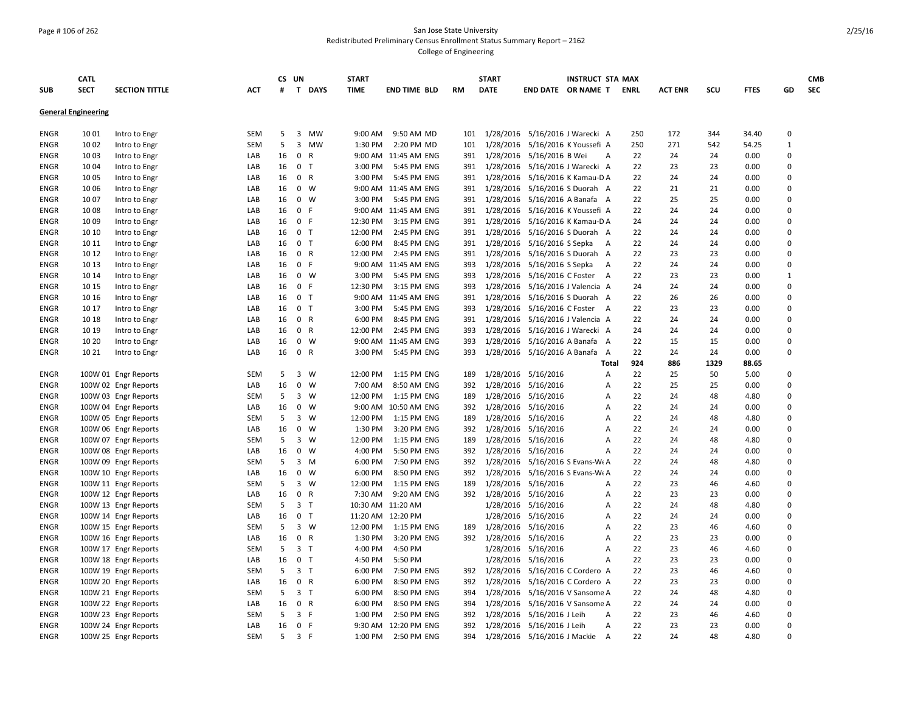### Page # 106 of 262 San Jose State University Redistributed Preliminary Census Enrollment Status Summary Report – 2162 College of Engineering

|             | <b>CATL</b>                |                       |            |    | CS UN          |                | <b>START</b> |                      |           | <b>START</b>                       |                                  | <b>INSTRUCT STA MAX</b> |     |                |      |             |              | <b>CMB</b> |
|-------------|----------------------------|-----------------------|------------|----|----------------|----------------|--------------|----------------------|-----------|------------------------------------|----------------------------------|-------------------------|-----|----------------|------|-------------|--------------|------------|
| <b>SUB</b>  | <b>SECT</b>                | <b>SECTION TITTLE</b> | <b>ACT</b> | #  |                | T DAYS         | <b>TIME</b>  | <b>END TIME BLD</b>  | <b>RM</b> | <b>DATE</b>                        |                                  | END DATE OR NAME T ENRL |     | <b>ACT ENR</b> | scu  | <b>FTES</b> | GD           | <b>SEC</b> |
|             |                            |                       |            |    |                |                |              |                      |           |                                    |                                  |                         |     |                |      |             |              |            |
|             | <b>General Engineering</b> |                       |            |    |                |                |              |                      |           |                                    |                                  |                         |     |                |      |             |              |            |
| ENGR        | 1001                       | Intro to Engr         | SEM        | 5  |                | 3 MW           | 9:00 AM      | 9:50 AM MD           | 101       | 1/28/2016                          |                                  | 5/16/2016 J Warecki A   | 250 | 172            | 344  | 34.40       | $\mathbf 0$  |            |
| ENGR        | 10 02                      | Intro to Engr         | SEM        | 5  |                | 3 MW           | 1:30 PM      | 2:20 PM MD           | 101       | 1/28/2016                          |                                  | 5/16/2016 K Youssefi A  | 250 | 271            | 542  | 54.25       | $\mathbf{1}$ |            |
| ENGR        | 10 03                      | Intro to Engr         | LAB        | 16 |                | 0 R            |              | 9:00 AM 11:45 AM ENG | 391       | 1/28/2016                          | 5/16/2016 B Wei                  | $\overline{A}$          | 22  | 24             | 24   | 0.00        | $\mathbf 0$  |            |
| <b>ENGR</b> | 1004                       | Intro to Engr         | LAB        | 16 |                | 0 <sub>T</sub> | 3:00 PM      | 5:45 PM ENG          | 391       | 1/28/2016                          |                                  | 5/16/2016 J Warecki A   | 22  | 23             | 23   | 0.00        | $\mathbf 0$  |            |
| <b>ENGR</b> | 1005                       | Intro to Engr         | LAB        | 16 | $\mathbf{0}$   | R              | 3:00 PM      | 5:45 PM ENG          | 391       |                                    | 1/28/2016 5/16/2016 K Kamau-D A  |                         | 22  | 24             | 24   | 0.00        | $\mathbf 0$  |            |
| ENGR        | 1006                       | Intro to Engr         | LAB        | 16 |                | $0 \quad W$    |              | 9:00 AM 11:45 AM ENG |           | 391 1/28/2016 5/16/2016 S Duorah A |                                  |                         | 22  | 21             | 21   | 0.00        | $\mathbf 0$  |            |
| ENGR        | 1007                       | Intro to Engr         | LAB        | 16 | $\mathbf{0}$   | W              | 3:00 PM      | 5:45 PM ENG          | 391       | 1/28/2016                          |                                  | 5/16/2016 A Banafa A    | 22  | 25             | 25   | 0.00        | $\mathbf 0$  |            |
| <b>ENGR</b> | 1008                       | Intro to Engr         | LAB        | 16 | 0 F            |                |              | 9:00 AM 11:45 AM ENG | 391       | 1/28/2016                          |                                  | 5/16/2016 K Youssefi A  | 22  | 24             | 24   | 0.00        | $\mathbf 0$  |            |
| <b>ENGR</b> | 1009                       | Intro to Engr         | LAB        | 16 | 0 F            |                | 12:30 PM     | 3:15 PM ENG          | 391       | 1/28/2016                          |                                  | 5/16/2016 K Kamau-D A   | 24  | 24             | 24   | 0.00        | $\mathbf 0$  |            |
| <b>ENGR</b> | 10 10                      | Intro to Engr         | LAB        | 16 |                | 0 <sub>T</sub> | 12:00 PM     | 2:45 PM ENG          | 391       | 1/28/2016                          |                                  | 5/16/2016 S Duorah A    | 22  | 24             | 24   | 0.00        | $\mathbf 0$  |            |
| ENGR        | 10 11                      | Intro to Engr         | LAB        | 16 | 0 <sub>T</sub> |                | 6:00 PM      | 8:45 PM ENG          | 391       |                                    | 1/28/2016 5/16/2016 S Sepka      | A                       | 22  | 24             | 24   | 0.00        | $\mathbf 0$  |            |
| <b>ENGR</b> | 10 12                      | Intro to Engr         | LAB        | 16 |                | 0 R            | 12:00 PM     | 2:45 PM ENG          | 391       | 1/28/2016                          |                                  | 5/16/2016 S Duorah A    | 22  | 23             | 23   | 0.00        | $\mathbf 0$  |            |
| <b>ENGR</b> | 10 13                      | Intro to Engr         | LAB        | 16 | 0 F            |                |              | 9:00 AM 11:45 AM ENG | 393       |                                    | 1/28/2016 5/16/2016 S Sepka      | <b>A</b>                | 22  | 24             | 24   | 0.00        | $\mathbf 0$  |            |
| <b>ENGR</b> | 10 14                      | Intro to Engr         | LAB        | 16 |                | $0 \quad W$    | 3:00 PM      | 5:45 PM ENG          | 393       | 1/28/2016                          |                                  | 5/16/2016 C Foster A    | 22  | 23             | 23   | 0.00        | $\mathbf{1}$ |            |
| <b>ENGR</b> | 10 15                      | Intro to Engr         | LAB        | 16 | 0 F            |                | 12:30 PM     | 3:15 PM ENG          | 393       | 1/28/2016                          |                                  | 5/16/2016 J Valencia A  | 24  | 24             | 24   | 0.00        | $\mathbf 0$  |            |
| <b>ENGR</b> | 10 16                      | Intro to Engr         | LAB        | 16 |                | 0 <sub>T</sub> |              | 9:00 AM 11:45 AM ENG | 391       | 1/28/2016                          |                                  | 5/16/2016 S Duorah A    | 22  | 26             | 26   | 0.00        | $\mathbf 0$  |            |
| <b>ENGR</b> | 10 17                      | Intro to Engr         | LAB        | 16 |                | 0 <sub>T</sub> | 3:00 PM      | 5:45 PM ENG          | 393       | 1/28/2016                          |                                  | 5/16/2016 C Foster A    | 22  | 23             | 23   | 0.00        | $\mathbf 0$  |            |
| <b>ENGR</b> | 10 18                      | Intro to Engr         | LAB        | 16 |                | 0 R            | 6:00 PM      | 8:45 PM ENG          | 391       | 1/28/2016                          |                                  | 5/16/2016 J Valencia A  | 22  | 24             | 24   | 0.00        | $\mathbf 0$  |            |
| <b>ENGR</b> | 10 19                      | Intro to Engr         | LAB        | 16 |                | 0 R            | 12:00 PM     | 2:45 PM ENG          | 393       | 1/28/2016                          |                                  | 5/16/2016 J Warecki A   | 24  | 24             | 24   | 0.00        | $\mathbf 0$  |            |
| <b>ENGR</b> | 10 20                      | Intro to Engr         | LAB        | 16 |                | $0 \quad W$    |              | 9:00 AM 11:45 AM ENG | 393       |                                    | 1/28/2016 5/16/2016 A Banafa A   |                         | 22  | 15             | 15   | 0.00        | $\Omega$     |            |
| ENGR        | 10 21                      | Intro to Engr         | LAB        | 16 | $\mathbf{0}$   | $\mathsf{R}$   | 3:00 PM      | 5:45 PM ENG          | 393       |                                    | 1/28/2016 5/16/2016 A Banafa     | A                       | 22  | 24             | 24   | 0.00        | $\mathbf 0$  |            |
|             |                            |                       |            |    |                |                |              |                      |           |                                    |                                  | Total                   | 924 | 886            | 1329 | 88.65       |              |            |
| <b>ENGR</b> |                            | 100W 01 Engr Reports  | SEM        | 5  | 3              | W              | 12:00 PM     | 1:15 PM ENG          | 189       |                                    | 1/28/2016 5/16/2016              | Α                       | 22  | 25             | 50   | 5.00        | $\mathbf 0$  |            |
| <b>ENGR</b> |                            | 100W 02 Engr Reports  | LAB        | 16 | $\mathbf{0}$   | W              | 7:00 AM      | 8:50 AM ENG          | 392       |                                    | 1/28/2016 5/16/2016              | А                       | 22  | 25             | 25   | 0.00        | $\mathbf 0$  |            |
| <b>ENGR</b> |                            | 100W 03 Engr Reports  | SEM        | 5  |                | $3 \quad W$    | 12:00 PM     | 1:15 PM ENG          | 189       |                                    | 1/28/2016 5/16/2016              | А                       | 22  | 24             | 48   | 4.80        | $\mathbf 0$  |            |
| <b>ENGR</b> |                            | 100W 04 Engr Reports  | LAB        | 16 | $\mathbf{0}$   | W              | 9:00 AM      | 10:50 AM ENG         | 392       |                                    | 1/28/2016 5/16/2016              | A                       | 22  | 24             | 24   | 0.00        | $\mathbf 0$  |            |
| <b>ENGR</b> |                            | 100W 05 Engr Reports  | SEM        | 5  |                | $3 \quad W$    | 12:00 PM     | 1:15 PM ENG          | 189       |                                    | 1/28/2016 5/16/2016              | Α                       | 22  | 24             | 48   | 4.80        | $\mathbf 0$  |            |
| <b>ENGR</b> |                            | 100W 06 Engr Reports  | LAB        | 16 | $\mathbf 0$    | W              | 1:30 PM      | 3:20 PM ENG          | 392       |                                    | 1/28/2016 5/16/2016              | Α                       | 22  | 24             | 24   | 0.00        | $\mathbf 0$  |            |
| <b>ENGR</b> |                            | 100W 07 Engr Reports  | SEM        | 5  |                | $3 \quad W$    | 12:00 PM     | 1:15 PM ENG          | 189       |                                    | 1/28/2016 5/16/2016              | A                       | 22  | 24             | 48   | 4.80        | $\mathbf 0$  |            |
| ENGR        |                            | 100W 08 Engr Reports  | LAB        | 16 | 0              | W              | 4:00 PM      | 5:50 PM ENG          | 392       |                                    | 1/28/2016 5/16/2016              | А                       | 22  | 24             | 24   | 0.00        | $\mathbf 0$  |            |
| <b>ENGR</b> |                            | 100W 09 Engr Reports  | SEM        | 5  |                | $3 \, M$       | 6:00 PM      | 7:50 PM ENG          | 392       |                                    | 1/28/2016 5/16/2016 S Evans-Wt A |                         | 22  | 24             | 48   | 4.80        | $\mathbf 0$  |            |
| <b>ENGR</b> |                            | 100W 10 Engr Reports  | LAB        | 16 | $\mathbf{0}$   | W              | 6:00 PM      | 8:50 PM ENG          | 392       |                                    | 1/28/2016 5/16/2016 S Evans-Wt A |                         | 22  | 24             | 24   | 0.00        | $\mathbf 0$  |            |
| <b>ENGR</b> |                            | 100W 11 Engr Reports  | SEM        | 5  |                | $3 \quad W$    | 12:00 PM     | 1:15 PM ENG          | 189       |                                    | 1/28/2016 5/16/2016              | А                       | 22  | 23             | 46   | 4.60        | $\mathbf 0$  |            |
| <b>ENGR</b> |                            | 100W 12 Engr Reports  | LAB        | 16 |                | 0 R            | 7:30 AM      | 9:20 AM ENG          | 392       |                                    | 1/28/2016 5/16/2016              | А                       | 22  | 23             | 23   | 0.00        | $\mathbf 0$  |            |
| <b>ENGR</b> |                            | 100W 13 Engr Reports  | SEM        | 5  |                | 3 <sub>1</sub> |              | 10:30 AM 11:20 AM    |           |                                    | 1/28/2016 5/16/2016              | А                       | 22  | 24             | 48   | 4.80        | $\mathbf 0$  |            |
| <b>ENGR</b> |                            | 100W 14 Engr Reports  | LAB        | 16 | 0 <sub>T</sub> |                |              | 11:20 AM 12:20 PM    |           |                                    | 1/28/2016 5/16/2016              | А                       | 22  | 24             | 24   | 0.00        | $\mathbf 0$  |            |
| ENGR        |                            | 100W 15 Engr Reports  | SEM        | 5  |                | $3 \quad W$    | 12:00 PM     | 1:15 PM ENG          | 189       | 1/28/2016                          | 5/16/2016                        | A                       | 22  | 23             | 46   | 4.60        | $\mathbf 0$  |            |
| <b>ENGR</b> |                            | 100W 16 Engr Reports  | LAB        | 16 | 0 R            |                | 1:30 PM      | 3:20 PM ENG          | 392       | 1/28/2016 5/16/2016                |                                  | Α                       | 22  | 23             | 23   | 0.00        | $\mathbf 0$  |            |
| <b>ENGR</b> |                            | 100W 17 Engr Reports  | SEM        | 5  |                | 3 <sub>1</sub> | 4:00 PM      | 4:50 PM              |           | 1/28/2016                          | 5/16/2016                        | А                       | 22  | 23             | 46   | 4.60        | $\mathbf 0$  |            |
| <b>ENGR</b> |                            | 100W 18 Engr Reports  | LAB        | 16 |                | 0 <sub>T</sub> | 4:50 PM      | 5:50 PM              |           | 1/28/2016                          | 5/16/2016                        | А                       | 22  | 23             | 23   | 0.00        | $\mathbf 0$  |            |
| <b>ENGR</b> |                            | 100W 19 Engr Reports  | SEM        | 5  | 3 <sub>1</sub> |                | 6:00 PM      | 7:50 PM ENG          | 392       | 1/28/2016                          |                                  | 5/16/2016 C Cordero A   | 22  | 23             | 46   | 4.60        | $\mathbf 0$  |            |
| <b>ENGR</b> |                            | 100W 20 Engr Reports  | LAB        | 16 |                | 0 R            | 6:00 PM      | 8:50 PM ENG          | 392       | 1/28/2016                          |                                  | 5/16/2016 C Cordero A   | 22  | 23             | 23   | 0.00        | $\mathbf 0$  |            |
| <b>ENGR</b> |                            | 100W 21 Engr Reports  | SEM        | 5  | 3 <sub>T</sub> |                | 6:00 PM      | 8:50 PM ENG          | 394       |                                    | 1/28/2016 5/16/2016 V Sansome A  |                         | 22  | 24             | 48   | 4.80        | $\mathbf 0$  |            |
| <b>ENGR</b> |                            | 100W 22 Engr Reports  | LAB        | 16 | $\mathbf{0}$   | $\mathsf{R}$   | 6:00 PM      | 8:50 PM ENG          | 394       |                                    | 1/28/2016 5/16/2016 V Sansome A  |                         | 22  | 24             | 24   | 0.00        | $\mathbf 0$  |            |
| <b>ENGR</b> |                            | 100W 23 Engr Reports  | SEM        | 5  | 3 F            |                | 1:00 PM      | 2:50 PM ENG          | 392       |                                    | 1/28/2016 5/16/2016 J Leih       | A                       | 22  | 23             | 46   | 4.60        | $\mathbf 0$  |            |
| ENGR        |                            | 100W 24 Engr Reports  | LAB        | 16 | 0 F            |                | 9:30 AM      | 12:20 PM ENG         | 392       |                                    | 1/28/2016 5/16/2016 J Leih       | А                       | 22  | 23             | 23   | 0.00        | $\mathbf 0$  |            |
| <b>ENGR</b> |                            | 100W 25 Engr Reports  | SEM        | 5  | 3 F            |                | 1:00 PM      | 2:50 PM ENG          | 394       | 1/28/2016 5/16/2016 J Mackie A     |                                  |                         | 22  | 24             | 48   | 4.80        | $\Omega$     |            |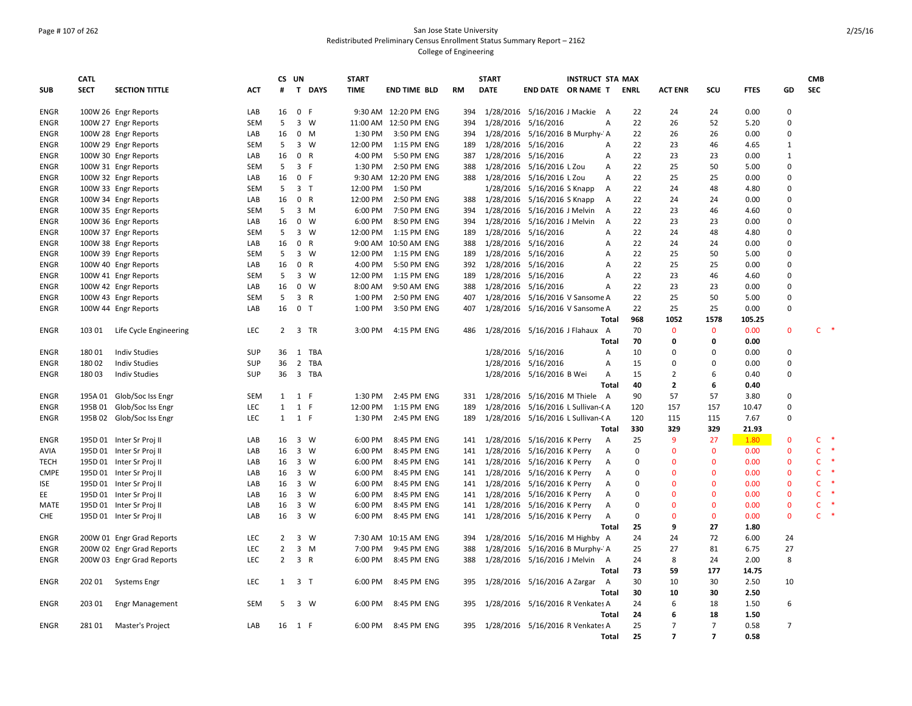# Page # 107 of 262 San Jose State University Redistributed Preliminary Census Enrollment Status Summary Report – 2162 College of Engineering

|             | <b>CATL</b> |                           |            | CS UN          |                     |                | <b>START</b> |                       |           | <b>START</b> |                                      | <b>INSTRUCT STA MAX</b> |             |                          |                |             |                | <b>CMB</b>             |
|-------------|-------------|---------------------------|------------|----------------|---------------------|----------------|--------------|-----------------------|-----------|--------------|--------------------------------------|-------------------------|-------------|--------------------------|----------------|-------------|----------------|------------------------|
| <b>SUB</b>  | <b>SECT</b> | <b>SECTION TITTLE</b>     | <b>ACT</b> | #              |                     | T DAYS         | <b>TIME</b>  | <b>END TIME BLD</b>   | <b>RM</b> | <b>DATE</b>  | END DATE OR NAME T                   |                         | <b>ENRL</b> | <b>ACT ENR</b>           | SCU            | <b>FTES</b> | GD             | <b>SEC</b>             |
| <b>ENGR</b> |             | 100W 26 Engr Reports      | LAB        | 16             | 0 F                 |                |              | 9:30 AM 12:20 PM ENG  | 394       |              | 1/28/2016 5/16/2016 J Mackie A       |                         | 22          | 24                       | 24             | 0.00        | $\mathbf 0$    |                        |
| <b>ENGR</b> |             | 100W 27 Engr Reports      | <b>SEM</b> | 5              |                     | $3 \quad W$    |              | 11:00 AM 12:50 PM ENG | 394       |              | 1/28/2016 5/16/2016                  | Α                       | 22          | 26                       | 52             | 5.20        | $\mathbf 0$    |                        |
| <b>ENGR</b> |             | 100W 28 Engr Reports      | LAB        | 16             |                     | $0$ M          | 1:30 PM      | 3:50 PM ENG           | 394       |              | 1/28/2016 5/16/2016 B Murphy-' A     |                         | 22          | 26                       | 26             | 0.00        | 0              |                        |
| <b>ENGR</b> |             | 100W 29 Engr Reports      | <b>SEM</b> | 5              |                     | $3 \quad W$    | 12:00 PM     | 1:15 PM ENG           | 189       |              | 1/28/2016 5/16/2016                  | $\overline{A}$          | 22          | 23                       | 46             | 4.65        | $\mathbf{1}$   |                        |
| <b>ENGR</b> |             | 100W 30 Engr Reports      | LAB        | 16             |                     | 0 R            | 4:00 PM      | 5:50 PM ENG           | 387       |              | 1/28/2016 5/16/2016                  | A                       | 22          | 23                       | 23             | 0.00        | $\mathbf{1}$   |                        |
| <b>ENGR</b> |             | 100W 31 Engr Reports      | <b>SEM</b> | 5              | 3 F                 |                | 1:30 PM      | 2:50 PM ENG           | 388       |              | 1/28/2016 5/16/2016 L Zou            | А                       | 22          | 25                       | 50             | 5.00        | 0              |                        |
| <b>ENGR</b> |             | 100W 32 Engr Reports      | LAB        | 16             | 0 F                 |                |              | 9:30 AM 12:20 PM ENG  | 388       |              | 1/28/2016 5/16/2016 L Zou            | Α                       | 22          | 25                       | 25             | 0.00        | 0              |                        |
| <b>ENGR</b> |             | 100W 33 Engr Reports      | SEM        | 5              |                     | 3 <sub>7</sub> | 12:00 PM     | 1:50 PM               |           |              | 1/28/2016 5/16/2016 S Knapp          | $\overline{A}$          | 22          | 24                       | 48             | 4.80        | $\mathbf 0$    |                        |
| <b>ENGR</b> |             | 100W 34 Engr Reports      | LAB        | 16             |                     | 0 R            | 12:00 PM     | 2:50 PM ENG           | 388       |              | 1/28/2016 5/16/2016 S Knapp          | Α                       | 22          | 24                       | 24             | 0.00        | 0              |                        |
| <b>ENGR</b> |             | 100W 35 Engr Reports      | <b>SEM</b> | 5              |                     | $3 \, M$       | 6:00 PM      | 7:50 PM ENG           | 394       |              | 1/28/2016 5/16/2016 J Melvin         | Α                       | 22          | 23                       | 46             | 4.60        | 0              |                        |
| <b>ENGR</b> |             | 100W 36 Engr Reports      | LAB        | 16             |                     | $0 \quad W$    | 6:00 PM      | 8:50 PM ENG           | 394       | 1/28/2016    | 5/16/2016 J Melvin                   | A                       | 22          | 23                       | 23             | 0.00        | 0              |                        |
| <b>ENGR</b> |             | 100W 37 Engr Reports      | <b>SEM</b> | 5              |                     | $3 \quad W$    | 12:00 PM     | 1:15 PM ENG           | 189       |              | 1/28/2016 5/16/2016                  | A                       | 22          | 24                       | 48             | 4.80        | $\mathbf 0$    |                        |
| ENGR        |             | 100W 38 Engr Reports      | LAB        | 16             |                     | 0 R            |              | 9:00 AM 10:50 AM ENG  | 388       |              | 1/28/2016 5/16/2016                  | Α                       | 22          | 24                       | 24             | 0.00        | 0              |                        |
| <b>ENGR</b> |             | 100W 39 Engr Reports      | <b>SEM</b> | 5              |                     | 3 W            | 12:00 PM     | 1:15 PM ENG           | 189       |              | 1/28/2016 5/16/2016                  | Α                       | 22          | 25                       | 50             | 5.00        | 0              |                        |
| <b>ENGR</b> |             | 100W 40 Engr Reports      | LAB        | 16             |                     | 0 R            | 4:00 PM      | 5:50 PM ENG           | 392       |              | 1/28/2016 5/16/2016                  | A                       | 22          | 25                       | 25             | 0.00        | $\mathbf 0$    |                        |
| <b>ENGR</b> |             | 100W 41 Engr Reports      | <b>SEM</b> | 5              |                     | $3 \quad W$    | 12:00 PM     | 1:15 PM ENG           | 189       |              | 1/28/2016 5/16/2016                  | A                       | 22          | 23                       | 46             | 4.60        | 0              |                        |
| <b>ENGR</b> |             | 100W 42 Engr Reports      | LAB        | 16             |                     | $0 \quad W$    | 8:00 AM      | 9:50 AM ENG           | 388       |              | 1/28/2016 5/16/2016                  | A                       | 22          | 23                       | 23             | 0.00        | 0              |                        |
| <b>ENGR</b> |             | 100W 43 Engr Reports      | <b>SEM</b> | 5              |                     | 3 R            | 1:00 PM      | 2:50 PM ENG           | 407       |              | 1/28/2016 5/16/2016 V Sansome A      |                         | 22          | 25                       | 50             | 5.00        | 0              |                        |
| <b>ENGR</b> |             | 100W 44 Engr Reports      | LAB        | 16             | 0 <sub>T</sub>      |                | 1:00 PM      | 3:50 PM ENG           | 407       |              | 1/28/2016 5/16/2016 V Sansome A      |                         | 22          | 25                       | 25             | 0.00        | 0              |                        |
|             |             |                           |            |                |                     |                |              |                       |           |              |                                      | <b>Total</b>            | 968         | 1052                     | 1578           | 105.25      |                |                        |
| <b>ENGR</b> | 103 01      | Life Cycle Engineering    | <b>LEC</b> | $\overline{2}$ |                     | 3 TR           | 3:00 PM      | 4:15 PM ENG           | 486       |              | 1/28/2016 5/16/2016 J Flahaux A      |                         | 70          | $\mathbf{0}$             | $\mathbf{0}$   | 0.00        | $\mathbf{0}$   | $C$ *                  |
|             |             |                           |            |                |                     |                |              |                       |           |              |                                      | <b>Total</b>            | 70          | 0                        | $\mathbf{0}$   | 0.00        |                |                        |
| ENGR        | 18001       | <b>Indiv Studies</b>      | SUP        | 36             |                     | 1 TBA          |              |                       |           |              | 1/28/2016 5/16/2016                  | Α                       | 10          | $\Omega$                 | $\Omega$       | 0.00        | 0              |                        |
| <b>ENGR</b> | 18002       | <b>Indiv Studies</b>      | <b>SUP</b> | 36             |                     | 2 TBA          |              |                       |           |              | 1/28/2016 5/16/2016                  | A                       | 15          | $\Omega$                 | $\Omega$       | 0.00        | $\mathbf 0$    |                        |
| <b>ENGR</b> | 18003       | <b>Indiv Studies</b>      | SUP        | 36             |                     | 3 TBA          |              |                       |           |              | 1/28/2016 5/16/2016 B Wei            | Α                       | 15          | $\overline{2}$           | 6              | 0.40        | 0              |                        |
|             |             |                           |            |                |                     |                |              |                       |           |              |                                      | <b>Total</b>            | 40          | $\overline{2}$           | 6              | 0.40        |                |                        |
| <b>ENGR</b> |             | 195A 01 Glob/Soc Iss Engr | SEM        | 1              | 1 F                 |                | 1:30 PM      | 2:45 PM ENG           | 331       |              | 1/28/2016 5/16/2016 M Thiele A       |                         | 90          | 57                       | 57             | 3.80        | 0              |                        |
| <b>ENGR</b> |             | 195B 01 Glob/Soc Iss Engr | <b>LEC</b> | $\mathbf{1}$   | 1 F                 |                | 12:00 PM     | 1:15 PM ENG           | 189       |              | 1/28/2016 5/16/2016 L Sullivan-CA    |                         | 120         | 157                      | 157            | 10.47       | $\mathbf 0$    |                        |
| <b>ENGR</b> |             | 195B 02 Glob/Soc Iss Engr | <b>LEC</b> |                | $1 \quad 1 \quad F$ |                | 1:30 PM      | 2:45 PM ENG           | 189       |              | 1/28/2016 5/16/2016 L Sullivan-CA    |                         | 120         | 115                      | 115            | 7.67        | 0              |                        |
|             |             |                           |            |                |                     |                |              |                       |           |              |                                      | Total                   | 330         | 329                      | 329            | 21.93       |                |                        |
| <b>ENGR</b> |             | 195D 01 Inter Sr Proj II  | LAB        | 16             |                     | $3 \quad W$    | 6:00 PM      | 8:45 PM ENG           | 141       |              | 1/28/2016 5/16/2016 K Perry          | A                       | 25          | 9                        | 27             | 1.80        | $\mathbf{0}$   | Ċ<br>$\ast$            |
| AVIA        |             | 195D 01 Inter Sr Proj II  | LAB        | 16             |                     | 3 W            | 6:00 PM      | 8:45 PM ENG           | 141       |              | 1/28/2016 5/16/2016 K Perry          | Α                       | $\pmb{0}$   | $\mathbf{0}$             | $\mathbf 0$    | 0.00        | $\mathbf 0$    | C                      |
| TECH        |             | 195D 01 Inter Sr Proj II  | LAB        | 16 3 W         |                     |                | 6:00 PM      | 8:45 PM ENG           | 141       |              | 1/28/2016 5/16/2016 K Perry          | Α                       | 0           | $\mathbf 0$              | $\mathbf 0$    | 0.00        | $\mathbf 0$    | c                      |
| <b>CMPE</b> |             | 195D 01 Inter Sr Proj II  | LAB        | 16             |                     | 3 W            | 6:00 PM      | 8:45 PM ENG           | 141       |              | 1/28/2016 5/16/2016 K Perry          | Α                       | $\mathbf 0$ | $\Omega$                 | $\mathbf{0}$   | 0.00        | $\mathbf{0}$   | C.                     |
| <b>ISE</b>  |             | 195D 01 Inter Sr Proj II  | LAB        | 16             |                     | 3 W            | 6:00 PM      | 8:45 PM ENG           | 141       |              | 1/28/2016 5/16/2016 K Perry          | Α                       | 0           | $\mathbf{0}$             | $\mathbf{0}$   | 0.00        | $\mathbf{0}$   | C                      |
| EE          |             | 195D 01 Inter Sr Proj II  | LAB        | 16             |                     | 3 W            | 6:00 PM      | 8:45 PM ENG           | 141       |              | 1/28/2016 5/16/2016 K Perry          | Α                       | 0           | $\mathbf{0}$             | $\mathbf{0}$   | 0.00        | $\mathbf{0}$   | C.<br>$\ast$           |
| MATE        |             | 195D 01 Inter Sr Proj II  | LAB        | 16             | 3 W                 |                | 6:00 PM      | 8:45 PM ENG           | 141       |              | 1/28/2016 5/16/2016 K Perry          | A                       | $\Omega$    | $\mathbf{0}$             | $\mathbf{0}$   | 0.00        | $\mathbf{0}$   | C.                     |
| <b>CHE</b>  |             | 195D 01 Inter Sr Proj II  | LAB        | 16 3 W         |                     |                | 6:00 PM      | 8:45 PM ENG           |           |              | 141 1/28/2016 5/16/2016 K Perry      | A                       | $\mathbf 0$ | $\mathbf{0}$             | $\mathbf{0}$   | 0.00        | $\mathbf{0}$   | $\mathsf{C}$<br>$\ast$ |
|             |             |                           |            |                |                     |                |              |                       |           |              |                                      | <b>Total</b>            | 25          | 9                        | 27             | 1.80        |                |                        |
| <b>ENGR</b> |             | 200W 01 Engr Grad Reports | LEC        | $\overline{2}$ |                     | $3 \quad W$    |              | 7:30 AM 10:15 AM ENG  | 394       |              | 1/28/2016 5/16/2016 M Highby A       |                         | 24          | 24                       | 72             | 6.00        | 24             |                        |
| ENGR        |             | 200W 02 Engr Grad Reports | LEC        | $\overline{2}$ |                     | $3 \, M$       | 7:00 PM      | 9:45 PM ENG           | 388       |              | 1/28/2016 5/16/2016 B Murphy-' A     |                         | 25          | 27                       | 81             | 6.75        | 27             |                        |
| <b>ENGR</b> |             | 200W 03 Engr Grad Reports | LEC        | $\overline{2}$ |                     | 3 R            | 6:00 PM      | 8:45 PM ENG           | 388       |              | 1/28/2016 5/16/2016 J Melvin A       |                         | 24          | 8                        | 24             | 2.00        | 8              |                        |
|             |             |                           |            |                |                     |                |              |                       |           |              |                                      | <b>Total</b>            | 73          | 59                       | 177            | 14.75       |                |                        |
| <b>ENGR</b> | 202 01      | <b>Systems Engr</b>       | LEC        | $\mathbf{1}$   | 3 <sub>T</sub>      |                | 6:00 PM      | 8:45 PM ENG           | 395       |              | 1/28/2016 5/16/2016 A Zargar A       |                         | 30          | 10                       | 30             | 2.50        | 10             |                        |
|             |             |                           |            |                |                     |                |              |                       |           |              |                                      | Total                   | 30          | 10                       | 30             | 2.50        |                |                        |
| ENGR        | 203 01      | <b>Engr Management</b>    | <b>SEM</b> | 5              |                     | 3 W            | 6:00 PM      | 8:45 PM ENG           | 395       |              | 1/28/2016 5/16/2016 R Venkates A     |                         | 24          | 6                        | 18             | 1.50        | 6              |                        |
|             |             |                           |            |                |                     |                |              |                       |           |              |                                      | Total                   | 24          | 6                        | 18             | 1.50        |                |                        |
| ENGR        | 281 01      | Master's Project          | LAB        | 16 1 F         |                     |                | 6:00 PM      | 8:45 PM ENG           |           |              | 395 1/28/2016 5/16/2016 R Venkates A |                         | 25          | $\overline{7}$           | $\overline{7}$ | 0.58        | $\overline{7}$ |                        |
|             |             |                           |            |                |                     |                |              |                       |           |              |                                      | Total                   | 25          | $\overline{\phantom{a}}$ | $\overline{ }$ | 0.58        |                |                        |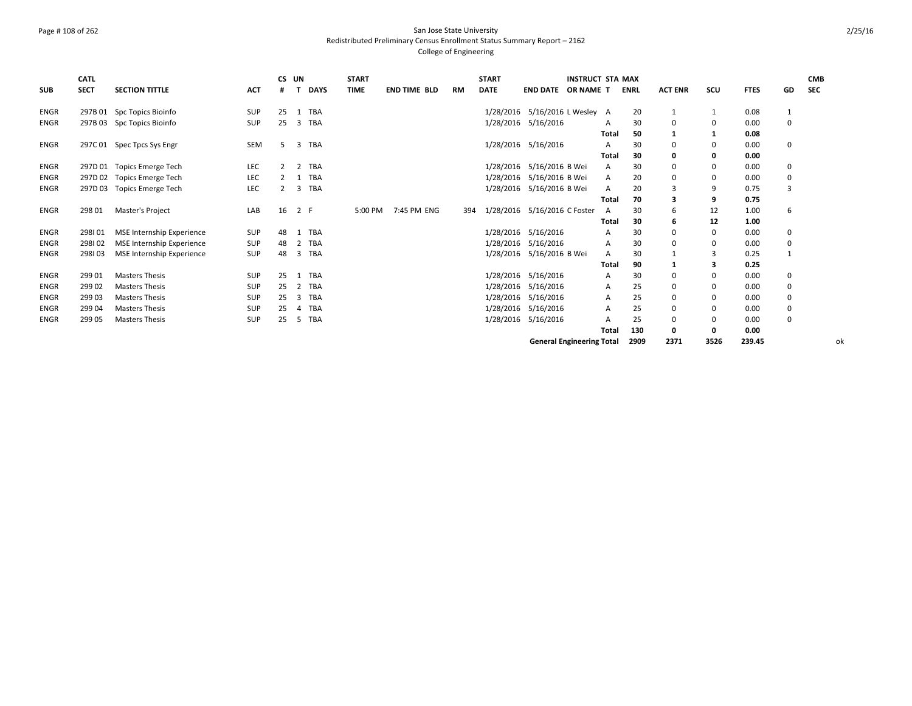### Page # 108 of 262 San Jose State University Redistributed Preliminary Census Enrollment Status Summary Report – 2162 College of Engineering

|             | <b>CATL</b> |                                  |            | <b>CS</b> | UN  |             | <b>START</b> |                     |           | <b>START</b> |                                  | <b>INSTRUCT STA MAX</b> |       |             |                |             |             |                | <b>CMB</b> |
|-------------|-------------|----------------------------------|------------|-----------|-----|-------------|--------------|---------------------|-----------|--------------|----------------------------------|-------------------------|-------|-------------|----------------|-------------|-------------|----------------|------------|
| <b>SUB</b>  | <b>SECT</b> | <b>SECTION TITTLE</b>            | <b>ACT</b> |           | п   | <b>DAYS</b> | <b>TIME</b>  | <b>END TIME BLD</b> | <b>RM</b> | <b>DATE</b>  | <b>END DATE OR NAME T</b>        |                         |       | <b>ENRL</b> | <b>ACT ENR</b> | scu         | <b>FTES</b> | GD             | <b>SEC</b> |
| <b>ENGR</b> |             | 297B 01 Spc Topics Bioinfo       | SUP        | 25        | 1   | TBA         |              |                     |           |              | 1/28/2016 5/16/2016 L Wesley A   |                         |       | 20          |                | 1           | 0.08        | $\mathbf{1}$   |            |
| <b>ENGR</b> | 297B 03     | Spc Topics Bioinfo               | SUP        | 25        | 3   | TBA         |              |                     |           |              | 1/28/2016 5/16/2016              |                         | A     | 30          | $\Omega$       | 0           | 0.00        | 0              |            |
|             |             |                                  |            |           |     |             |              |                     |           |              |                                  |                         | Total | 50          |                | 1           | 0.08        |                |            |
| ENGR        |             | 297C 01 Spec Tpcs Sys Engr       | SEM        |           | 3   | TBA         |              |                     |           |              | 1/28/2016 5/16/2016              |                         | А     | 30          | $\Omega$       | 0           | 0.00        | 0              |            |
|             |             |                                  |            |           |     |             |              |                     |           |              |                                  |                         | Total | 30          | 0              | $\mathbf 0$ | 0.00        |                |            |
| ENGR        |             | 297D 01 Topics Emerge Tech       | LEC        |           |     | TBA         |              |                     |           |              | 1/28/2016 5/16/2016 B Wei        |                         | A     | 30          | $\Omega$       | 0           | 0.00        | 0              |            |
| <b>ENGR</b> |             | 297D 02 Topics Emerge Tech       | <b>LEC</b> |           |     | TBA         |              |                     |           | 1/28/2016    | 5/16/2016 B Wei                  |                         | А     | 20          | $\Omega$       | 0           | 0.00        | 0              |            |
| <b>ENGR</b> | 297D 03     | <b>Topics Emerge Tech</b>        | LEC        |           | 3   | TBA         |              |                     |           |              | 1/28/2016 5/16/2016 B Wei        |                         | А     | 20          |                | 9           | 0.75        | $\overline{3}$ |            |
|             |             |                                  |            |           |     |             |              |                     |           |              |                                  |                         | Total | 70          | 3              | 9           | 0.75        |                |            |
| <b>ENGR</b> | 298 01      | Master's Project                 | LAB        | 16        | 2 F |             | 5:00 PM      | 7:45 PM ENG         | 394       |              | 1/28/2016 5/16/2016 C Foster     |                         | A     | 30          | 6              | 12          | 1.00        | 6              |            |
|             |             |                                  |            |           |     |             |              |                     |           |              |                                  |                         | Total | 30          |                | 12          | 1.00        |                |            |
| ENGR        | 298101      | MSE Internship Experience        | SUP        | 48        |     | TBA         |              |                     |           |              | 1/28/2016 5/16/2016              |                         | А     | 30          | $\Omega$       | 0           | 0.00        | 0              |            |
| <b>ENGR</b> | 298102      | <b>MSE Internship Experience</b> | SUP        | 48        | 2   | TBA         |              |                     |           |              | 1/28/2016 5/16/2016              |                         | A     | 30          | $\Omega$       | 0           | 0.00        | 0              |            |
| <b>ENGR</b> | 298103      | MSE Internship Experience        | <b>SUP</b> | 48        | 3   | TBA         |              |                     |           |              | 1/28/2016 5/16/2016 B Wei        |                         | А     | 30          |                | 3           | 0.25        | $\mathbf{1}$   |            |
|             |             |                                  |            |           |     |             |              |                     |           |              |                                  |                         | Total | 90          |                | 3           | 0.25        |                |            |
| <b>ENGR</b> | 299 01      | <b>Masters Thesis</b>            | SUP        | 25        |     | TBA         |              |                     |           |              | 1/28/2016 5/16/2016              |                         | А     | 30          | $\mathbf 0$    | 0           | 0.00        | 0              |            |
| <b>ENGR</b> | 299 02      | <b>Masters Thesis</b>            | SUP        | 25        |     | TBA         |              |                     |           |              | 1/28/2016 5/16/2016              |                         | А     | 25          | $\mathbf 0$    | 0           | 0.00        | 0              |            |
| <b>ENGR</b> | 299 03      | <b>Masters Thesis</b>            | SUP        | 25        | 3   | TBA         |              |                     |           |              | 1/28/2016 5/16/2016              |                         | А     | 25          | $\mathbf 0$    | 0           | 0.00        | 0              |            |
| <b>ENGR</b> | 299 04      | <b>Masters Thesis</b>            | SUP        | 25        |     | <b>TBA</b>  |              |                     |           |              | 1/28/2016 5/16/2016              |                         | A     | 25          | $\Omega$       | 0           | 0.00        | 0              |            |
| <b>ENGR</b> | 299 05      | <b>Masters Thesis</b>            | <b>SUP</b> | 25        | 5   | TBA         |              |                     |           |              | 1/28/2016 5/16/2016              |                         | А     | 25          | 0              | $\mathbf 0$ | 0.00        | 0              |            |
|             |             |                                  |            |           |     |             |              |                     |           |              |                                  |                         | Total | 130         | 0              | 0           | 0.00        |                |            |
|             |             |                                  |            |           |     |             |              |                     |           |              | <b>General Engineering Total</b> |                         |       | 2909        | 2371           | 3526        | 239.45      |                | оk         |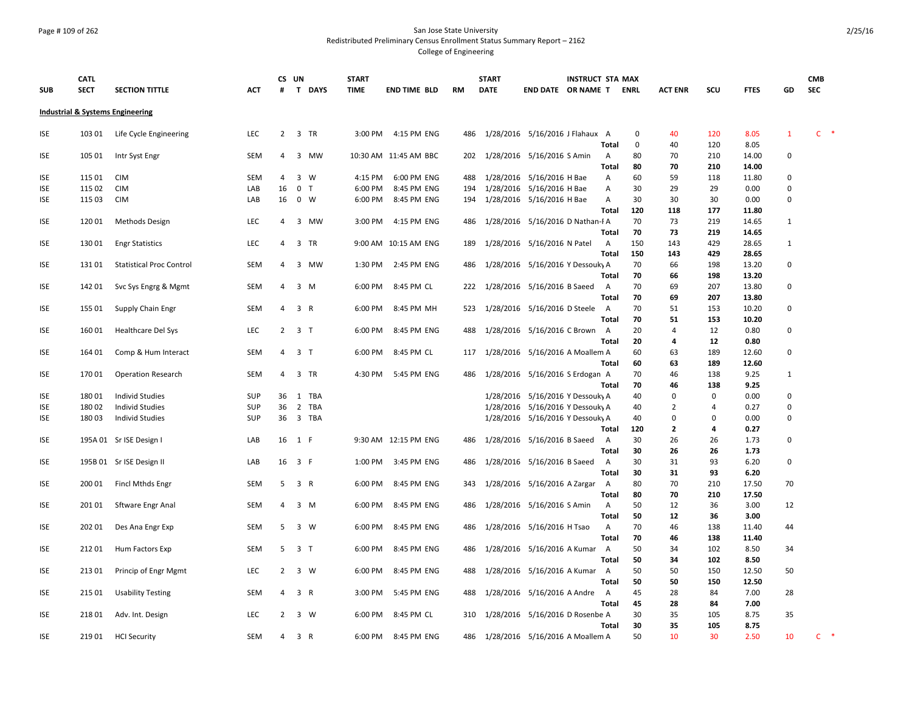#### Page # 109 of 262 San Jose State University Redistributed Preliminary Census Enrollment Status Summary Report – 2162 College of Engineering

**SUB CATL SECT SECTION TITTLE ACT CS UN # T DAYS START TIME END TIME BLD RM START DATE END DATE OR NAME T INSTRUCT STA MAX ENRL ACT ENR SCU FTES GD CMB SEC Industrial & Systems Engineering** ISE 103 01 Life Cycle Engineering LEC 2 3 TR 3:00 PM 4:15 PM ENG 486 1/28/2016 5/16/2016 J Flahaux A 0 40 120 8.05 1 C \* **Total** 0 40 120 8.05 ISE 105 01 Intr Syst Engr SEM 4 3 MW 10:30 AM 11:45 AM BBC 202 1/28/2016 5/16/2016 S Amin A 80 70 210 14.00 0 **Total 80 70 210 14.00** ISE 115 01 CIM SEM 4 3 W 4:15 PM 6:00 PM ENG 488 1/28/2016 5/16/2016 H Bae A 60 59 118 11.80 0 ISE 115 02 CIM LAB 16 0 T 6:00 PM 8:45 PM ENG 194 1/28/2016 5/16/2016 H Bae A 30 29 29 0.00 0 ISE 115 03 CIM LAB 16 0 W 6:00 PM 8:45 PM ENG 194 1/28/2016 5/16/2016 H Bae A 30 30 30 0.00 0 **Total 120 118 177 11.80** ISE 120 01 Methods Design LEC 4 3 MW 3:00 PM 4:15 PM ENG 486 1/28/2016 5/16/2016 D Nathan-RA 70 73 219 14.65 1 **Total 70 73 219 14.65** ISE 130 01 Engr Statistics LEC 4 3 TR 9:00 AM 10:15 AM ENG 189 1/28/2016 5/16/2016 N Patel A 150 143 429 28.65 1 **Total 150 143 429 28.65** ISE 131 01 Statistical Proc Control SEM 4 3 MW 1:30 PM 2:45 PM ENG 486 1/28/2016 5/16/2016 Y DessoukyA 70 66 198 13.20 0 **Total 70 66 198 13.20** ISE 142 01 Svc Sys Engrg & Mgmt SEM 4 3 M 6:00 PM 8:45 PM CL 222 1/28/2016 5/16/2016 B Saeed A 70 69 207 13.80 0 **Total 70 69 207 13.80** ISE 155 01 Supply Chain Engr SEM 4 3 R 6:00 PM 8:45 PM MH 523 1/28/2016 5/16/2016 D Steele A 70 51 153 10.20 0 **Total 70 51 153 10.20** ISE 160 01 Healthcare Del Sys LEC 2 3 T 6:00 PM 8:45 PM ENG 488 1/28/2016 5/16/2016 C Brown A 20 4 12 0.80 0 **Total 20 4 12 0.80** ISE 164 01 Comp & Hum Interact SEM 4 3 T 6:00 PM 8:45 PM CL 117 1/28/2016 5/16/2016 A Moallem A 60 63 189 12.60 0 **Total 60 63 189 12.60** ISE 170 01 Operation Research SEM 4 3 TR 4:30 PM 5:45 PM ENG 486 1/28/2016 5/16/2016 S Erdogan A 70 46 138 9.25 1 **Total 70 46 138 9.25** ISE 180 01 Individ Studies SUP 36 1 TBA 1/28/2016 5/16/2016 Y DessoukyA 40 0 0 0.00 0 ISE 180 02 Individ Studies SUP 36 2 TBA 1/28/2016 5/16/2016 Y DessoukyA 40 2 4 0.27 0 ISE 180 03 Individ Studies SUP 36 3 TBA 1/28/2016 5/16/2016 Y DessoukyA 40 0 0 0.00 0 **Total 120 2 4 0.27** ISE 195A 01 Sr ISE Design I LAB 16 1 F 9:30 AM 12:15 PM ENG 486 1/28/2016 5/16/2016 B Saeed A 30 26 26 1.73 0 **Total 30 26 26 1.73** ISE 195B 01 Sr ISE Design II LAB 16 3 F 1:00 PM 3:45 PM ENG 486 1/28/2016 5/16/2016 B Saeed A 30 31 93 6.20 0 **Total 30 31 93 6.20** ISE 200 01 Fincl Mthds Engr SEM 5 3 R 6:00 PM 8:45 PM ENG 343 1/28/2016 5/16/2016 A Zargar A 80 70 210 17.50 70 **Total 80 70 210 17.50** ISE 201 01 Sftware Engr Anal SEM 4 3 M 6:00 PM 8:45 PM ENG 486 1/28/2016 5/16/2016 S Amin A 50 12 36 3.00 12 **Total 50 12 36 3.00** ISE 202 01 Des Ana Engr Exp SEM 5 3 W 6:00 PM 8:45 PM ENG 486 1/28/2016 5/16/2016 H Tsao A 70 46 138 11.40 44 **Total 70 46 138 11.40** ISE 212 01 Hum Factors Exp SEM 5 3 T 6:00 PM 8:45 PM ENG 486 1/28/2016 5/16/2016 A Kumar A 50 34 102 8.50 34 **Total 50 34 102 8.50** ISE 213 01 Princip of Engr Mgmt LEC 2 3 W 6:00 PM 8:45 PM ENG 488 1/28/2016 5/16/2016 A Kumar A 50 50 150 12.50 50 **Total 50 50 150 12.50** ISE 215 01 Usability Testing SEM 4 3 R 3:00 PM 5:45 PM ENG 488 1/28/2016 5/16/2016 A Andre A 45 28 84 7.00 28 **Total 45 28 84 7.00** ISE 218 01 Adv. Int. Design LEC 2 3 W 6:00 PM 8:45 PM CL 310 1/28/2016 5/16/2016 D Rosenbe A 30 35 105 8.75 35 **Total 30 35 105 8.75** ISE 219 01 HCI Security SEM 4 3 R 6:00 PM 8:45 PM ENG 486 1/28/2016 5/16/2016 A Moallem A 50 10 30 2.50 10 C \*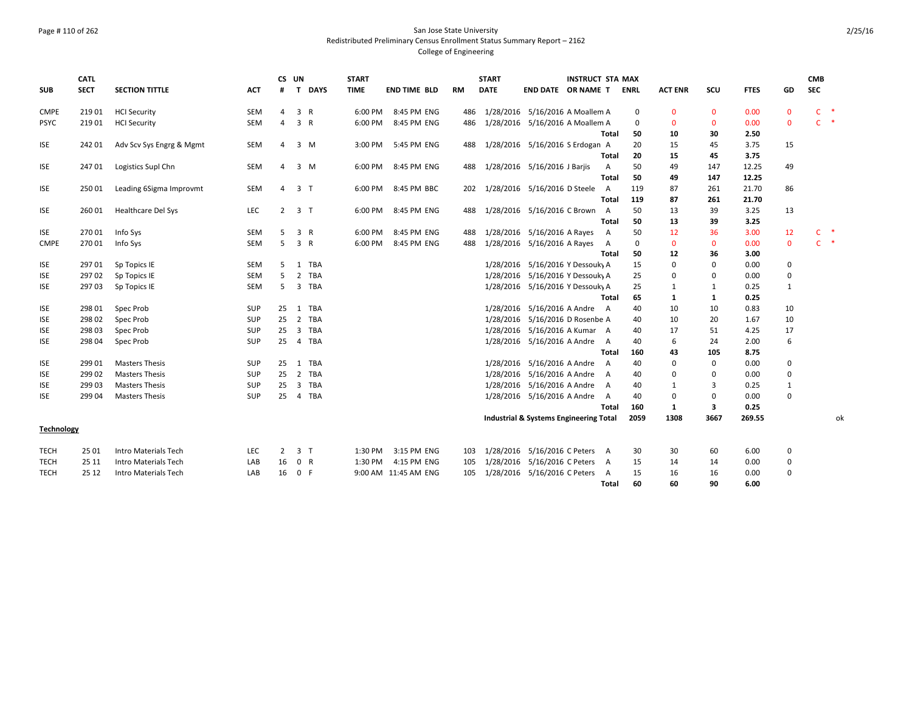### Page # 110 of 262 San Jose State University Redistributed Preliminary Census Enrollment Status Summary Report – 2162 College of Engineering

|                   | <b>CATL</b> |                           |            | CS UN          |                |              | <b>START</b> |                      |     | <b>START</b> |                                        | <b>INSTRUCT STA MAX</b> |                |             |                |              |             |              | <b>CMB</b> |       |
|-------------------|-------------|---------------------------|------------|----------------|----------------|--------------|--------------|----------------------|-----|--------------|----------------------------------------|-------------------------|----------------|-------------|----------------|--------------|-------------|--------------|------------|-------|
| <b>SUB</b>        | <b>SECT</b> | <b>SECTION TITTLE</b>     | <b>ACT</b> | #              | $\mathbf{T}$   | <b>DAYS</b>  | <b>TIME</b>  | <b>END TIME BLD</b>  | RM  | <b>DATE</b>  | END DATE OR NAME T                     |                         |                | <b>ENRL</b> | <b>ACT ENR</b> | SCU          | <b>FTES</b> | GD           | <b>SEC</b> |       |
| <b>CMPE</b>       | 219 01      | <b>HCI Security</b>       | SEM        | 4              | 3              | R            | 6:00 PM      | 8:45 PM ENG          | 486 |              | 1/28/2016 5/16/2016 A Moallem A        |                         |                | 0           | $\Omega$       | $\mathbf{0}$ | 0.00        | $\mathbf{0}$ |            | $C$ * |
| <b>PSYC</b>       | 21901       | <b>HCI Security</b>       | SEM        | 4              | 3              | R            | 6:00 PM      | 8:45 PM ENG          | 486 |              | 1/28/2016 5/16/2016 A Moallem A        |                         |                | 0           | $\Omega$       | $\mathbf{0}$ | 0.00        | $\mathbf{0}$ |            | $C$ * |
|                   |             |                           |            |                |                |              |              |                      |     |              |                                        |                         | Total          | 50          | 10             | 30           | 2.50        |              |            |       |
| <b>ISE</b>        | 24201       | Adv Scv Sys Engrg & Mgmt  | SEM        | 4              |                | 3 M          | 3:00 PM      | 5:45 PM ENG          | 488 |              | 1/28/2016 5/16/2016 S Erdogan A        |                         |                | 20          | 15             | 45           | 3.75        | 15           |            |       |
|                   |             |                           |            |                |                |              |              |                      |     |              |                                        |                         | Total          | 20          | 15             | 45           | 3.75        |              |            |       |
| ISE               | 24701       | Logistics Supl Chn        | SEM        | 4              | 3 M            |              | 6:00 PM      | 8:45 PM ENG          | 488 |              | 1/28/2016 5/16/2016 J Barjis           |                         | A              | 50          | 49             | 147          | 12.25       | 49           |            |       |
|                   |             |                           |            |                |                |              |              |                      |     |              |                                        |                         | Total          | 50          | 49             | 147          | 12.25       |              |            |       |
| ISE               | 25001       | Leading 6Sigma Improvmt   | SEM        |                | 4 3 T          |              | 6:00 PM      | 8:45 PM BBC          | 202 |              | 1/28/2016  5/16/2016 D Steele          |                         | A              | 119         | 87             | 261          | 21.70       | 86           |            |       |
|                   |             |                           |            |                |                |              |              |                      |     |              |                                        |                         | <b>Total</b>   | 119         | 87             | 261          | 21.70       |              |            |       |
| ISE               | 260 01      | <b>Healthcare Del Sys</b> | <b>LEC</b> | $\overline{2}$ | 3 <sub>T</sub> |              | 6:00 PM      | 8:45 PM ENG          | 488 |              | 1/28/2016 5/16/2016 C Brown            |                         | A              | 50          | 13             | 39           | 3.25        | 13           |            |       |
|                   |             |                           |            |                |                |              |              |                      |     |              |                                        |                         | Total          | 50          | 13             | 39           | 3.25        |              |            |       |
| ISE               | 270 01      | Info Sys                  | SEM        |                | 3              | $\mathsf{R}$ | 6:00 PM      | 8:45 PM ENG          | 488 |              | 1/28/2016 5/16/2016 A Rayes            |                         | $\overline{A}$ | 50          | 12             | 36           | 3.00        | 12           |            | $C$ * |
| <b>CMPE</b>       | 27001       | Info Sys                  | <b>SEM</b> | 5.             | 3              | $\mathsf{R}$ | 6:00 PM      | 8:45 PM ENG          | 488 |              | 1/28/2016 5/16/2016 A Rayes            |                         | A              | $\mathbf 0$ | $\mathbf{0}$   | $\mathbf{0}$ | 0.00        | $\mathbf 0$  |            | $C$ * |
|                   |             |                           |            |                |                |              |              |                      |     |              |                                        |                         | <b>Total</b>   | 50          | 12             | 36           | 3.00        |              |            |       |
| ISE               | 29701       | Sp Topics IE              | SEM        | 5.             | 1              | TBA          |              |                      |     |              | 1/28/2016 5/16/2016 Y Dessouky A       |                         |                | 15          | $\Omega$       | $\mathbf{0}$ | 0.00        | $\mathbf 0$  |            |       |
| ISE               | 29702       | Sp Topics IE              | SEM        | 5.             | $\overline{2}$ | <b>TBA</b>   |              |                      |     |              | 1/28/2016 5/16/2016 Y Dessouky A       |                         |                | 25          | $\Omega$       | 0            | 0.00        | $\mathbf 0$  |            |       |
| ISE               | 29703       | Sp Topics IE              | SEM        | 5              |                | 3 TBA        |              |                      |     |              | 1/28/2016 5/16/2016 Y Dessouky A       |                         |                | 25          | 1              | 1            | 0.25        | 1            |            |       |
|                   |             |                           |            |                |                |              |              |                      |     |              |                                        |                         | Total          | 65          | 1              | 1            | 0.25        |              |            |       |
| ISE               | 298 01      | Spec Prob                 | <b>SUP</b> | 25             |                | 1 TBA        |              |                      |     |              | 1/28/2016 5/16/2016 A Andre A          |                         |                | 40          | 10             | 10           | 0.83        | 10           |            |       |
| ISE               | 298 02      | Spec Prob                 | <b>SUP</b> | 25             |                | 2 TBA        |              |                      |     |              | 1/28/2016 5/16/2016 D Rosenbe A        |                         |                | 40          | 10             | 20           | 1.67        | 10           |            |       |
| <b>ISE</b>        | 298 03      | Spec Prob                 | SUP        | 25             | 3              | TBA          |              |                      |     |              | 1/28/2016 5/16/2016 A Kumar A          |                         |                | 40          | 17             | 51           | 4.25        | 17           |            |       |
| ISE               | 298 04      | Spec Prob                 | <b>SUP</b> | 25             |                | 4 TBA        |              |                      |     |              | 1/28/2016 5/16/2016 A Andre            |                         | A              | 40          | 6              | 24           | 2.00        | 6            |            |       |
|                   |             |                           |            |                |                |              |              |                      |     |              |                                        |                         | Total          | 160         | 43             | 105          | 8.75        |              |            |       |
| ISE               | 299 01      | <b>Masters Thesis</b>     | <b>SUP</b> | 25             |                | 1 TBA        |              |                      |     |              | 1/28/2016 5/16/2016 A Andre            |                         | A              | 40          | $\Omega$       | 0            | 0.00        | 0            |            |       |
| ISE               | 299 02      | <b>Masters Thesis</b>     | <b>SUP</b> |                |                | 25 2 TBA     |              |                      |     |              | 1/28/2016 5/16/2016 A Andre            |                         | A              | 40          | $\Omega$       | 0            | 0.00        | 0            |            |       |
| ISE               | 299 03      | <b>Masters Thesis</b>     | <b>SUP</b> | 25             |                | 3 TBA        |              |                      |     |              | 1/28/2016 5/16/2016 A Andre            |                         | A              | 40          | 1              | 3            | 0.25        | 1            |            |       |
| ISE               | 299 04      | <b>Masters Thesis</b>     | <b>SUP</b> |                |                | 25  4  TBA   |              |                      |     |              | 1/28/2016 5/16/2016 A Andre            |                         | A              | 40          | $\Omega$       | 0            | 0.00        | $\mathbf 0$  |            |       |
|                   |             |                           |            |                |                |              |              |                      |     |              |                                        |                         | Total          | 160         | 1              | 3            | 0.25        |              |            |       |
|                   |             |                           |            |                |                |              |              |                      |     |              | Industrial & Systems Engineering Total |                         |                | 2059        | 1308           | 3667         | 269.55      |              |            | оk    |
| <b>Technology</b> |             |                           |            |                |                |              |              |                      |     |              |                                        |                         |                |             |                |              |             |              |            |       |
| <b>TECH</b>       | 25 01       | Intro Materials Tech      | LEC        | $\mathbf{2}$   | 3 <sub>T</sub> |              | 1:30 PM      | 3:15 PM ENG          | 103 |              | 1/28/2016 5/16/2016 C Peters A         |                         |                | 30          | 30             | 60           | 6.00        | 0            |            |       |
| TECH              | 25 11       | Intro Materials Tech      | LAB        | 16             | 0              | $\mathsf{R}$ | 1:30 PM      | 4:15 PM ENG          | 105 |              | 1/28/2016 5/16/2016 C Peters A         |                         |                | 15          | 14             | 14           | 0.00        | 0            |            |       |
| <b>TECH</b>       | 25 12       | Intro Materials Tech      | LAB        | 16             | 0 F            |              |              | 9:00 AM 11:45 AM ENG | 105 |              | 1/28/2016 5/16/2016 C Peters A         |                         |                | 15          | 16             | 16           | 0.00        | 0            |            |       |
|                   |             |                           |            |                |                |              |              |                      |     |              |                                        |                         | Total          | 60          | 60             | 90           | 6.00        |              |            |       |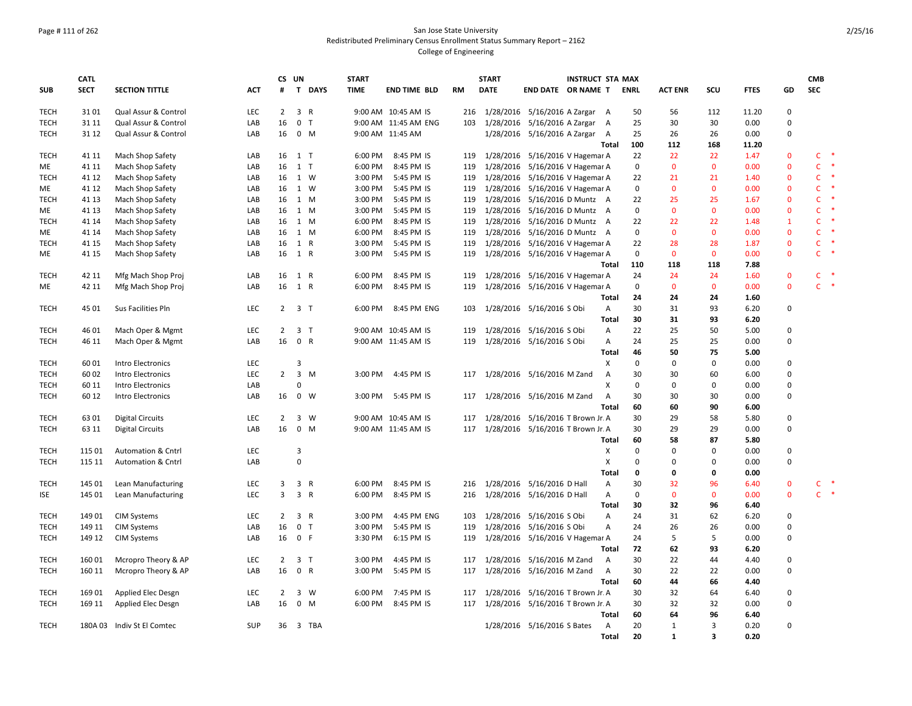### Page # 111 of 262 San Jose State University Redistributed Preliminary Census Enrollment Status Summary Report – 2162 College of Engineering

|             | <b>CATL</b>    |                                          |            | CS UN          |                     |             | <b>START</b> |                          |            | <b>START</b> | <b>INSTRUCT STA MAX</b>                                            |                |                    |                    |                         |              |                              | <b>CMB</b>   |        |
|-------------|----------------|------------------------------------------|------------|----------------|---------------------|-------------|--------------|--------------------------|------------|--------------|--------------------------------------------------------------------|----------------|--------------------|--------------------|-------------------------|--------------|------------------------------|--------------|--------|
| <b>SUB</b>  | <b>SECT</b>    | <b>SECTION TITTLE</b>                    | <b>ACT</b> | #              |                     | T DAYS      | <b>TIME</b>  | <b>END TIME BLD</b>      | <b>RM</b>  | <b>DATE</b>  | <b>END DATE OR NAME T</b>                                          |                | <b>ENRL</b>        | <b>ACT ENR</b>     | <b>SCU</b>              | <b>FTES</b>  | GD                           | <b>SEC</b>   |        |
| <b>TECH</b> | 3101           | Qual Assur & Control                     | <b>LEC</b> | $\overline{2}$ | 3 R                 |             |              | 9:00 AM 10:45 AM IS      | 216        |              | 1/28/2016 5/16/2016 A Zargar A                                     |                | 50                 | 56                 | 112                     | 11.20        | $\mathbf{0}$                 |              |        |
| <b>TECH</b> | 31 11          | Qual Assur & Control                     | LAB        | 16             | 0 <sub>T</sub>      |             |              | 9:00 AM 11:45 AM ENG     | 103        |              | 1/28/2016 5/16/2016 A Zargar                                       | A              | 25                 | 30                 | 30                      | 0.00         | $\Omega$                     |              |        |
| <b>TECH</b> | 31 12          | Qual Assur & Control                     | LAB        | 16             | $0$ M               |             |              | 9:00 AM 11:45 AM         |            |              | 1/28/2016 5/16/2016 A Zargar A                                     |                | 25                 | 26                 | 26                      | 0.00         | 0                            |              |        |
|             |                |                                          |            |                |                     |             |              |                          |            |              |                                                                    | Total          | 100                | 112                | 168                     | 11.20        |                              |              |        |
| <b>TECH</b> | 41 11          | Mach Shop Safety                         | LAB        | 16             | $1$ T               |             | 6:00 PM      | 8:45 PM IS               | 119        |              | 1/28/2016 5/16/2016 V Hagemar A                                    |                | 22                 | 22                 | 22                      | 1.47         | $\mathbf 0$                  |              | $C$ *  |
| ME          | 41 11          | Mach Shop Safety                         | LAB        | 16             | $1$ T               |             | 6:00 PM      | 8:45 PM IS               | 119        |              | 1/28/2016 5/16/2016 V Hagemar A                                    |                | 0                  | $\mathbf{0}$       | $\mathbf{0}$            | 0.00         | $\mathbf 0$                  | Ċ            | $\ast$ |
| <b>TECH</b> | 41 12          | Mach Shop Safety                         | LAB        | 16             | 1 W                 |             | 3:00 PM      | 5:45 PM IS               | 119        |              | 1/28/2016 5/16/2016 V Hagemar A                                    |                | 22                 | 21                 | 21                      | 1.40         | $\mathbf{0}$                 | C            | 米      |
| ME          | 41 12          | Mach Shop Safety                         | LAB        | 16             | 1 W                 |             | 3:00 PM      | 5:45 PM IS               | 119        |              | 1/28/2016 5/16/2016 V Hagemar A                                    |                | $\mathbf 0$        | $\mathbf{0}$       | $\mathbf{0}$            | 0.00         | $\mathbf{0}$                 | Ċ.           | ×      |
| <b>TECH</b> | 41 13          | Mach Shop Safety                         | LAB        | 16             | 1 M                 |             | 3:00 PM      | 5:45 PM IS               | 119        |              | 1/28/2016 5/16/2016 D Muntz A                                      |                | 22                 | 25                 | 25                      | 1.67         | $\mathbf{0}$                 | Ċ            | ×      |
| ME          | 41 13          | Mach Shop Safety                         | LAB        | 16             | 1 M                 |             | 3:00 PM      | 5:45 PM IS               | 119        |              | 1/28/2016 5/16/2016 D Muntz A                                      |                | 0                  | $\mathbf{0}$       | $\mathbf{0}$            | 0.00         | $\mathbf{0}$                 | $\mathsf{C}$ | 一味     |
| <b>TECH</b> | 41 14          | Mach Shop Safety                         | LAB        | 16             | 1 M                 |             | 6:00 PM      | 8:45 PM IS               | 119        |              | 1/28/2016 5/16/2016 D Muntz                                        | A              | 22                 | 22                 | 22                      | 1.48         | $\mathbf{1}$                 | $\mathsf{C}$ | ×      |
| ME          | 41 14          | Mach Shop Safety                         | LAB        |                | 16 1 M              |             | 6:00 PM      | 8:45 PM IS               | 119        |              | 1/28/2016 5/16/2016 D Muntz A                                      |                | 0                  | $\mathbf{0}$       | $\mathbf 0$             | 0.00         | $\mathbf{0}$                 | $\mathsf{C}$ | $\ast$ |
| <b>TECH</b> | 41 15          | Mach Shop Safety                         | LAB        | 16             | 1 R                 |             | 3:00 PM      | 5:45 PM IS               | 119        |              | 1/28/2016 5/16/2016 V Hagemar A                                    |                | 22                 | 28                 | 28                      | 1.87         | $\mathbf{0}$                 | $\mathsf{C}$ |        |
| ME          | 41 15          | Mach Shop Safety                         | LAB        | 16             | 1 R                 |             | 3:00 PM      | 5:45 PM IS               | 119        |              | 1/28/2016 5/16/2016 V Hagemar A                                    |                | $\mathbf 0$<br>110 | $\mathbf{0}$       | $\mathbf{0}$            | 0.00         | $\mathbf{0}$                 | $\mathsf{C}$ |        |
|             |                |                                          |            |                | 1 R                 |             | 6:00 PM      |                          |            |              |                                                                    | <b>Total</b>   | 24                 | 118                | 118                     | 7.88         |                              | $\mathsf{C}$ | -*     |
| <b>TECH</b> | 42 11<br>42 11 | Mfg Mach Shop Proj<br>Mfg Mach Shop Proj | LAB        | 16<br>16       | 1 R                 |             | 6:00 PM      | 8:45 PM IS<br>8:45 PM IS | 119<br>119 |              | 1/28/2016 5/16/2016 V Hagemar A<br>1/28/2016 5/16/2016 V Hagemar A |                | $\mathbf 0$        | 24<br>$\mathbf{0}$ | 24<br>$\mathbf{0}$      | 1.60<br>0.00 | $\mathbf{0}$<br>$\mathbf{0}$ | C.           | $\ast$ |
| ME          |                |                                          | LAB        |                |                     |             |              |                          |            |              |                                                                    | Total          | 24                 | 24                 | 24                      | 1.60         |                              |              |        |
| <b>TECH</b> | 45 01          | Sus Facilities Pln                       | LEC        |                | $2 \quad 3 \quad T$ |             | 6:00 PM      | 8:45 PM ENG              | 103        |              | 1/28/2016 5/16/2016 S Obi                                          | $\mathsf{A}$   | 30                 | 31                 | 93                      | 6.20         | 0                            |              |        |
|             |                |                                          |            |                |                     |             |              |                          |            |              |                                                                    | <b>Total</b>   | 30                 | 31                 | 93                      | 6.20         |                              |              |        |
| TECH        | 46 01          | Mach Oper & Mgmt                         | LEC        | $\overline{2}$ | 3 <sub>T</sub>      |             |              | 9:00 AM 10:45 AM IS      | 119        |              | 1/28/2016 5/16/2016 S Obi                                          | A              | 22                 | 25                 | 50                      | 5.00         | 0                            |              |        |
| TECH        | 46 11          | Mach Oper & Mgmt                         | LAB        | 16             | 0 R                 |             |              | 9:00 AM 11:45 AM IS      |            |              | 119 1/28/2016 5/16/2016 S Obi                                      | Α              | 24                 | 25                 | 25                      | 0.00         | 0                            |              |        |
|             |                |                                          |            |                |                     |             |              |                          |            |              |                                                                    | Total          | 46                 | 50                 | 75                      | 5.00         |                              |              |        |
| <b>TECH</b> | 6001           | Intro Electronics                        | <b>LEC</b> |                | 3                   |             |              |                          |            |              |                                                                    | X              | $\mathbf 0$        | 0                  | $\mathbf 0$             | 0.00         | 0                            |              |        |
| <b>TECH</b> | 60 02          | Intro Electronics                        | LEC        | $\overline{2}$ |                     | $3 \, M$    | 3:00 PM      | 4:45 PM IS               | 117        |              | 1/28/2016 5/16/2016 M Zand                                         | $\overline{A}$ | 30                 | 30                 | 60                      | 6.00         | $\mathbf 0$                  |              |        |
| <b>TECH</b> | 60 11          | Intro Electronics                        | LAB        |                | $\Omega$            |             |              |                          |            |              |                                                                    | X              | $\mathbf 0$        | $\mathbf 0$        | $\mathbf 0$             | 0.00         | $\mathbf 0$                  |              |        |
| <b>TECH</b> | 60 12          | Intro Electronics                        | LAB        | 16             | $0 \quad W$         |             | 3:00 PM      | 5:45 PM IS               | 117        |              | 1/28/2016 5/16/2016 M Zand                                         | A              | 30                 | 30                 | 30                      | 0.00         | 0                            |              |        |
|             |                |                                          |            |                |                     |             |              |                          |            |              |                                                                    | Total          | 60                 | 60                 | 90                      | 6.00         |                              |              |        |
| <b>TECH</b> | 6301           | <b>Digital Circuits</b>                  | <b>LEC</b> | $2^{\circ}$    |                     | $3 \quad W$ |              | 9:00 AM 10:45 AM IS      | 117        |              | 1/28/2016 5/16/2016 T Brown Jr. A                                  |                | 30                 | 29                 | 58                      | 5.80         | $\mathbf 0$                  |              |        |
| TECH        | 63 11          | <b>Digital Circuits</b>                  | LAB        | 16             | $0$ M               |             |              | 9:00 AM 11:45 AM IS      |            |              | 117 1/28/2016 5/16/2016 T Brown Jr. A                              |                | 30                 | 29                 | 29                      | 0.00         | 0                            |              |        |
|             |                |                                          |            |                |                     |             |              |                          |            |              |                                                                    | Total          | 60                 | 58                 | 87                      | 5.80         |                              |              |        |
| <b>TECH</b> | 115 01         | <b>Automation &amp; Cntrl</b>            | <b>LEC</b> |                | $\overline{3}$      |             |              |                          |            |              |                                                                    | X              | $\Omega$           | $\Omega$           | $\mathbf 0$             | 0.00         | $\mathbf 0$                  |              |        |
| <b>TECH</b> | 115 11         | <b>Automation &amp; Cntrl</b>            | LAB        |                | $\mathbf 0$         |             |              |                          |            |              |                                                                    | X              | 0                  | 0                  | $\mathbf 0$             | 0.00         | 0                            |              |        |
|             |                |                                          |            |                |                     |             |              |                          |            |              |                                                                    | Total          | 0                  | 0                  | 0                       | 0.00         |                              |              |        |
| <b>TECH</b> | 145 01         | Lean Manufacturing                       | <b>LEC</b> | 3              | 3 R                 |             | 6:00 PM      | 8:45 PM IS               | 216        |              | 1/28/2016 5/16/2016 D Hall                                         | A              | 30                 | 32                 | 96                      | 6.40         | $\mathbf{0}$                 | $\mathsf{C}$ |        |
| <b>ISE</b>  | 145 01         | Lean Manufacturing                       | LEC        | 3              | 3 R                 |             | 6:00 PM      | 8:45 PM IS               | 216        |              | 1/28/2016 5/16/2016 D Hall                                         | Α              | 0                  | $\mathbf{0}$       | $\mathbf{0}$            | 0.00         | $\mathbf 0$                  |              | $C$ *  |
|             |                |                                          |            |                |                     |             |              |                          |            |              |                                                                    | Total          | 30                 | 32                 | 96                      | 6.40         |                              |              |        |
| <b>TECH</b> | 149 01         | <b>CIM Systems</b>                       | LEC        | $2^{\circ}$    | 3 R                 |             | 3:00 PM      | 4:45 PM ENG              | 103        |              | 1/28/2016 5/16/2016 S Obi                                          | $\overline{A}$ | 24                 | 31                 | 62                      | 6.20         | $\mathbf 0$                  |              |        |
| <b>TECH</b> | 149 11         | <b>CIM Systems</b>                       | LAB        | 16             | 0 <sub>T</sub>      |             | 3:00 PM      | 5:45 PM IS               | 119        |              | 1/28/2016 5/16/2016 S Obi                                          | A              | 24                 | 26                 | 26                      | 0.00         | 0                            |              |        |
| <b>TECH</b> | 149 12         | <b>CIM Systems</b>                       | LAB        | 16             | 0 F                 |             | 3:30 PM      | 6:15 PM IS               | 119        |              | 1/28/2016 5/16/2016 V Hagemar A                                    |                | 24                 | 5                  | 5                       | 0.00         | $\mathbf 0$                  |              |        |
|             |                |                                          |            |                |                     |             |              |                          |            |              |                                                                    | <b>Total</b>   | 72                 | 62                 | 93                      | 6.20         |                              |              |        |
| <b>TECH</b> | 16001          | Mcropro Theory & AP                      | LEC        | $\overline{2}$ | 3 <sub>T</sub>      |             | 3:00 PM      | 4:45 PM IS               | 117        |              | 1/28/2016 5/16/2016 M Zand                                         | A              | 30                 | 22                 | 44                      | 4.40         | 0                            |              |        |
| TECH        | 160 11         | Mcropro Theory & AP                      | LAB        | 16             | 0 R                 |             | 3:00 PM      | 5:45 PM IS               | 117        |              | 1/28/2016 5/16/2016 M Zand                                         | A              | 30                 | 22                 | 22                      | 0.00         | 0                            |              |        |
|             |                |                                          |            |                |                     |             |              |                          |            |              |                                                                    | Total          | 60                 | 44                 | 66                      | 4.40         |                              |              |        |
| TECH        | 16901          | Applied Elec Desgn                       | LEC        | $\overline{2}$ |                     | $3 \quad W$ | 6:00 PM      | 7:45 PM IS               | 117        |              | 1/28/2016 5/16/2016 T Brown Jr. A                                  |                | 30                 | 32                 | 64                      | 6.40         | 0                            |              |        |
| TECH        | 169 11         | Applied Elec Desgn                       | LAB        | 16             | $0$ M               |             | 6:00 PM      | 8:45 PM IS               | 117        |              | 1/28/2016 5/16/2016 T Brown Jr. A                                  |                | 30                 | 32                 | 32                      | 0.00         | $\mathbf 0$                  |              |        |
|             |                |                                          |            |                |                     |             |              |                          |            |              |                                                                    | Total          | 60                 | 64                 | 96                      | 6.40         |                              |              |        |
| TECH        |                | 180A 03 Indiv St El Comtec               | SUP        | 36             |                     | 3 TBA       |              |                          |            |              | 1/28/2016 5/16/2016 S Bates                                        | A              | 20                 | 1                  | $\overline{3}$          | 0.20         | 0                            |              |        |
|             |                |                                          |            |                |                     |             |              |                          |            |              |                                                                    | <b>Total</b>   | 20                 | $\mathbf{1}$       | $\overline{\mathbf{3}}$ | 0.20         |                              |              |        |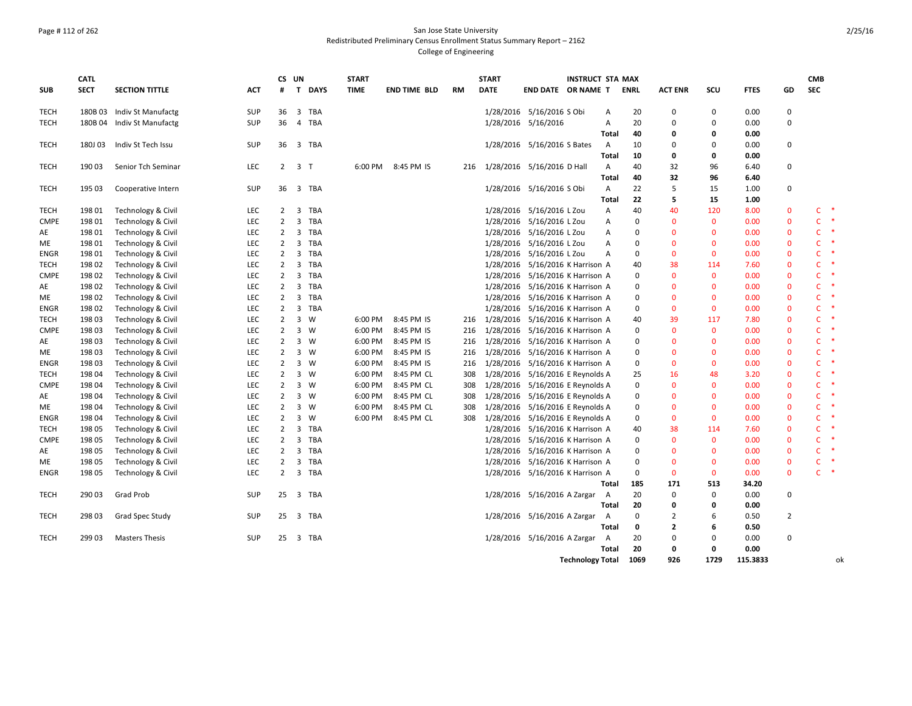### Page # 112 of 262 San Jose State University Redistributed Preliminary Census Enrollment Status Summary Report – 2162 College of Engineering

|             | <b>CATL</b> |                               |            |                | CS UN                   |          | <b>START</b> |                     |     | <b>START</b> |                                      | <b>INSTRUCT STA MAX</b> |              |             |                |              |             |                | <b>CMB</b>   |               |
|-------------|-------------|-------------------------------|------------|----------------|-------------------------|----------|--------------|---------------------|-----|--------------|--------------------------------------|-------------------------|--------------|-------------|----------------|--------------|-------------|----------------|--------------|---------------|
| <b>SUB</b>  | <b>SECT</b> | <b>SECTION TITTLE</b>         | ACT        | #              |                         | T DAYS   | TIME         | <b>END TIME BLD</b> | RM  | <b>DATE</b>  | END DATE OR NAME T                   |                         |              | <b>ENRL</b> | <b>ACT ENR</b> | scu          | <b>FTES</b> | GD             | <b>SEC</b>   |               |
| <b>TECH</b> |             | 180B 03 Indiv St Manufactg    | SUP        | 36             | 3 TBA                   |          |              |                     |     |              | 1/28/2016 5/16/2016 S Obi            |                         | Α            | 20          | 0              | $\mathbf 0$  | 0.00        | $\mathbf 0$    |              |               |
| <b>TECH</b> |             | 180B 04 Indiv St Manufactg    | SUP        | 36             | 4                       | TBA      |              |                     |     |              | 1/28/2016 5/16/2016                  |                         | Α            | 20          | $\Omega$       | $\Omega$     | 0.00        | $\mathbf 0$    |              |               |
|             |             |                               |            |                |                         |          |              |                     |     |              |                                      |                         | <b>Total</b> | 40          | 0              | 0            | 0.00        |                |              |               |
| <b>TECH</b> | 180J 03     | Indiv St Tech Issu            | SUP        |                | 36 3 TBA                |          |              |                     |     |              | 1/28/2016 5/16/2016 S Bates          |                         | A            | 10          | $\Omega$       | 0            | 0.00        | $\mathbf 0$    |              |               |
|             |             |                               |            |                |                         |          |              |                     |     |              |                                      |                         | Total        | 10          | 0              | $\mathbf{0}$ | 0.00        |                |              |               |
| <b>TECH</b> | 19003       | Senior Tch Seminar            | LEC        |                | $2 \quad 3 \quad T$     |          | 6:00 PM      | 8:45 PM IS          | 216 |              | 1/28/2016 5/16/2016 D Hall           |                         | Α            | 40          | 32             | 96           | 6.40        | $\mathbf 0$    |              |               |
|             |             |                               |            |                |                         |          |              |                     |     |              |                                      |                         | Total        | 40          | 32             | 96           | 6.40        |                |              |               |
| <b>TECH</b> | 195 03      | Cooperative Intern            | SUP        | 36             | 3 TBA                   |          |              |                     |     |              | 1/28/2016 5/16/2016 S Obi            |                         | A            | 22          | 5              | 15           | 1.00        | $\Omega$       |              |               |
|             |             |                               |            |                |                         |          |              |                     |     |              |                                      |                         | Total        | 22          | 5              | 15           | 1.00        |                |              |               |
| <b>TECH</b> | 198 01      | Technology & Civil            | LEC        | 2              | $\overline{\mathbf{3}}$ | TBA      |              |                     |     |              | 1/28/2016 5/16/2016 L Zou            |                         | Α            | 40          | 40             | 120          | 8.00        | $\mathbf 0$    | C            | $\ast$        |
| <b>CMPE</b> | 198 01      | Technology & Civil            | LEC        | $\overline{2}$ | 3                       | TBA      |              |                     |     |              | 1/28/2016 5/16/2016 L Zou            |                         | Α            | 0           | $\mathbf{0}$   | $\mathbf{0}$ | 0.00        | $\Omega$       | C            | $\;$ $\;$     |
| AE          | 198 01      | Technology & Civil            | LEC        | $2^{\circ}$    | 3 TBA                   |          |              |                     |     |              | 1/28/2016 5/16/2016 L Zou            |                         | Α            | $\mathbf 0$ | $\Omega$       | $\Omega$     | 0.00        | $\mathbf 0$    | Ċ            | $\ast$        |
| ME          | 198 01      | Technology & Civil            | LEC        | $\overline{2}$ | $\overline{\mathbf{3}}$ | TBA      |              |                     |     |              | 1/28/2016 5/16/2016 L Zou            |                         | Α            | 0           | $\mathbf{0}$   | $\mathbf{0}$ | 0.00        | $\mathbf 0$    | $\mathsf{C}$ | $\ast$        |
| <b>ENGR</b> | 19801       | Technology & Civil            | LEC        | $\overline{2}$ | $\overline{3}$          | TBA      |              |                     |     |              | 1/28/2016 5/16/2016 L Zou            |                         | Α            | 0           | $\mathbf{0}$   | $\mathbf 0$  | 0.00        | $\mathbf{0}$   | $\mathsf{C}$ | $\;$ $\;$     |
| <b>TECH</b> | 198 02      | Technology & Civil            | LEC        | $\overline{2}$ | 3 TBA                   |          |              |                     |     |              | 1/28/2016 5/16/2016 K Harrison A     |                         |              | 40          | 38             | 114          | 7.60        | $\mathbf 0$    | $\mathsf{C}$ | $\ast$        |
| <b>CMPE</b> | 198 02      | Technology & Civil            | LEC        | $\overline{2}$ | $\overline{\mathbf{3}}$ | TBA      |              |                     |     |              | 1/28/2016 5/16/2016 K Harrison A     |                         |              | 0           | $\mathbf{0}$   | $\mathbf{0}$ | 0.00        | $\mathbf{0}$   | C.           | $\ast$        |
| AE          | 19802       | Technology & Civil            | LEC        | $\overline{2}$ | $\overline{\mathbf{3}}$ | TBA      |              |                     |     |              | 1/28/2016 5/16/2016 K Harrison A     |                         |              | $\mathbf 0$ | $\Omega$       | $\mathbf{0}$ | 0.00        | $\Omega$       | C            | $\;$ $\;$     |
| МE          | 198 02      | Technology & Civil            | LEC        | $\overline{2}$ | $\overline{\mathbf{3}}$ | TBA      |              |                     |     |              | 1/28/2016 5/16/2016 K Harrison A     |                         |              | 0           | $\Omega$       | $\mathbf{0}$ | 0.00        | $\mathbf{0}$   | $\mathsf{C}$ | $\ast$        |
| ENGR        | 19802       | Technology & Civil            | LEC        | $\overline{2}$ | 3                       | TBA      |              |                     |     |              | 1/28/2016 5/16/2016 K Harrison A     |                         |              | 0           | $\mathbf{0}$   | $\mathbf{0}$ | 0.00        | $\Omega$       | c            | $\ast$        |
| <b>TECH</b> | 198 03      | Technology & Civil            | LEC        | 2              | 3 W                     |          | 6:00 PM      | 8:45 PM IS          |     |              | 216 1/28/2016 5/16/2016 K Harrison A |                         |              | 40          | 39             | 117          | 7.80        | $\mathbf{0}$   | C            | $\ast$        |
| <b>CMPE</b> | 198 03      | Technology & Civil            | LEC        | $\overline{2}$ | 3 W                     |          | 6:00 PM      | 8:45 PM IS          | 216 |              | 1/28/2016 5/16/2016 K Harrison A     |                         |              | 0           | $\mathbf{0}$   | $\mathbf 0$  | 0.00        | $\mathbf 0$    | C            | $\ast$        |
| AE          | 198 03      | Technology & Civil            | LEC        | $\overline{2}$ | 3 W                     |          | 6:00 PM      | 8:45 PM IS          | 216 |              | 1/28/2016 5/16/2016 K Harrison A     |                         |              | $\Omega$    | $\Omega$       | $\Omega$     | 0.00        | $\Omega$       | C            | $\ast$        |
| ME          | 198 03      | Technology & Civil            | LEC        | $\overline{2}$ | $3 \quad W$             |          | 6:00 PM      | 8:45 PM IS          | 216 |              | 1/28/2016 5/16/2016 K Harrison A     |                         |              | 0           | $\Omega$       | $\mathbf{0}$ | 0.00        | $\mathbf{0}$   | c            | $\;$ $\;$     |
| <b>ENGR</b> | 198 03      | Technology & Civil            | LEC        | $\overline{2}$ | $3 \quad W$             |          | 6:00 PM      | 8:45 PM IS          | 216 |              | 1/28/2016 5/16/2016 K Harrison A     |                         |              | 0           | $\mathbf{0}$   | $\mathbf 0$  | 0.00        | $\mathbf 0$    | C            | $\;$ $\;$     |
| <b>TECH</b> | 198 04      | Technology & Civil            | LEC        | 2              | 3                       | W        | 6:00 PM      | 8:45 PM CL          | 308 |              | 1/28/2016 5/16/2016 E Reynolds A     |                         |              | 25          | 16             | 48           | 3.20        | $\mathbf{0}$   | $\mathsf{C}$ | $\ast$        |
| <b>CMPE</b> | 19804       | <b>Technology &amp; Civil</b> | <b>LEC</b> | $\overline{2}$ | 3 W                     |          | 6:00 PM      | 8:45 PM CL          | 308 |              | 1/28/2016 5/16/2016 E Reynolds A     |                         |              | $\mathbf 0$ | $\Omega$       | $\mathbf 0$  | 0.00        | $\mathbf{0}$   | Ċ            | $\ast$        |
| AE          | 19804       | Technology & Civil            | LEC        | $\overline{2}$ | 3 W                     |          | 6:00 PM      | 8:45 PM CL          | 308 |              | 1/28/2016 5/16/2016 E Reynolds A     |                         |              | 0           | $\Omega$       | $\mathbf{0}$ | 0.00        | $\mathbf{0}$   | $\mathsf{C}$ | $\ast$        |
| МE          | 19804       | Technology & Civil            | LEC        | $\overline{2}$ | $\overline{\mathbf{3}}$ | <b>W</b> | 6:00 PM      | 8:45 PM CL          | 308 |              | 1/28/2016 5/16/2016 E Reynolds A     |                         |              | $\mathbf 0$ | $\Omega$       | $\mathbf{0}$ | 0.00        | $\Omega$       | C            | $\ast$        |
| ENGR        | 19804       | Technology & Civil            | LEC        | $\overline{2}$ | 3 W                     |          | 6:00 PM      | 8:45 PM CL          | 308 |              | 1/28/2016 5/16/2016 E Reynolds A     |                         |              | 0           | $\Omega$       | $\mathbf{0}$ | 0.00        | $\Omega$       | C            | $\ast$        |
| <b>TECH</b> | 198 05      | Technology & Civil            | LEC        | 2              | $\overline{\mathbf{3}}$ | TBA      |              |                     |     | 1/28/2016    | 5/16/2016 K Harrison A               |                         |              | 40          | 38             | 114          | 7.60        | $\mathbf{0}$   | C            | $\ast$        |
| <b>CMPE</b> | 198 05      | Technology & Civil            | LEC        | 2              | 3                       | TBA      |              |                     |     | 1/28/2016    | 5/16/2016 K Harrison A               |                         |              | 0           | $\mathbf{0}$   | $\mathbf{0}$ | 0.00        | $\Omega$       | $\mathsf{C}$ | $\;$ $\;$     |
| AE          | 198 05      | Technology & Civil            | LEC        | $\overline{2}$ | 3 TBA                   |          |              |                     |     |              | 1/28/2016 5/16/2016 K Harrison A     |                         |              | 0           | $\Omega$       | $\Omega$     | 0.00        | $\Omega$       | $\mathsf{C}$ | $\rightarrow$ |
| ME          | 198 05      | Technology & Civil            | LEC        | $\overline{2}$ | $\overline{\mathbf{3}}$ | TBA      |              |                     |     |              | 1/28/2016 5/16/2016 K Harrison A     |                         |              | 0           | $\Omega$       | $\mathbf 0$  | 0.00        | $\mathbf{0}$   | $\mathsf{C}$ | $\ast$        |
| <b>ENGR</b> | 198 05      | Technology & Civil            | LEC        | $\overline{2}$ | $\overline{3}$          | TBA      |              |                     |     |              | 1/28/2016 5/16/2016 K Harrison A     |                         |              | 0           | $\mathbf{0}$   | $\mathbf 0$  | 0.00        | $\mathbf{0}$   | $\mathsf{C}$ | $\ast$        |
|             |             |                               |            |                |                         |          |              |                     |     |              |                                      |                         | Total        | 185         | 171            | 513          | 34.20       |                |              |               |
| <b>TECH</b> | 290 03      | Grad Prob                     | <b>SUP</b> | 25             | $\overline{\mathbf{3}}$ | TBA      |              |                     |     |              | 1/28/2016 5/16/2016 A Zargar         |                         | A            | 20          | $\mathbf 0$    | $\mathbf 0$  | 0.00        | $\mathbf 0$    |              |               |
|             |             |                               |            |                |                         |          |              |                     |     |              |                                      |                         | Total        | 20          | 0              | 0            | 0.00        |                |              |               |
| <b>TECH</b> | 298 03      | Grad Spec Study               | SUP        | 25             | 3 TBA                   |          |              |                     |     |              | 1/28/2016 5/16/2016 A Zargar A       |                         |              | 0           | $\overline{2}$ | 6            | 0.50        | $\overline{2}$ |              |               |
|             |             |                               |            |                |                         |          |              |                     |     |              |                                      |                         | Total        | 0           | $\overline{2}$ | 6            | 0.50        |                |              |               |
| <b>TECH</b> | 299 03      | <b>Masters Thesis</b>         | SUP        | 25             | 3 TBA                   |          |              |                     |     |              | 1/28/2016 5/16/2016 A Zargar         |                         | A            | 20          | $\mathbf 0$    | 0            | 0.00        | $\Omega$       |              |               |
|             |             |                               |            |                |                         |          |              |                     |     |              |                                      |                         | Total        | 20          | 0              | 0            | 0.00        |                |              |               |
|             |             |                               |            |                |                         |          |              |                     |     |              |                                      | <b>Technology Total</b> |              | 1069        | 926            | 1729         | 115.3833    |                |              | ok            |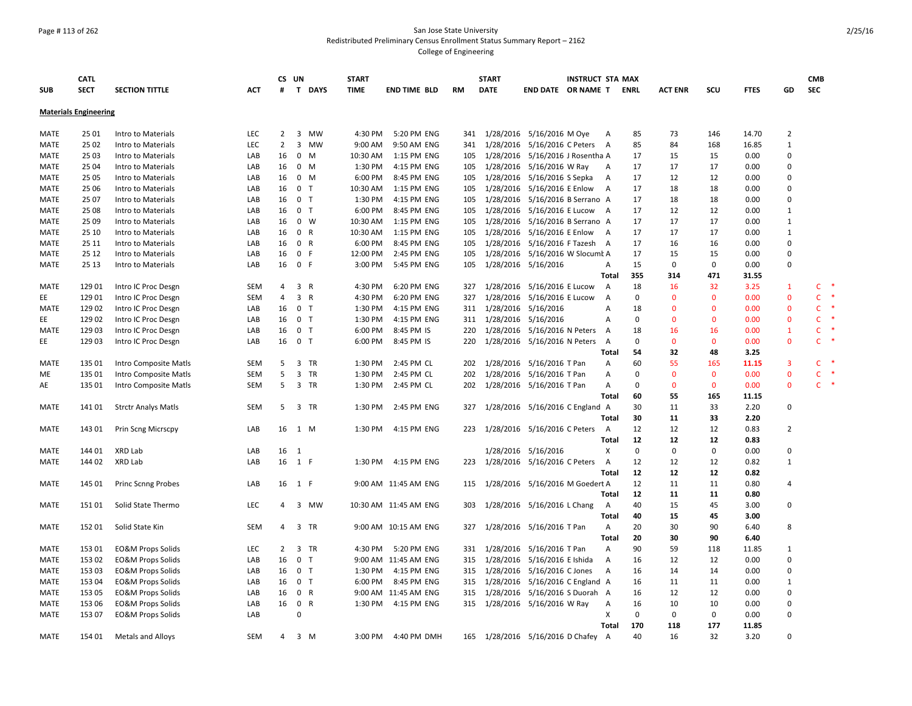### Page # 113 of 262 San Jose State University Redistributed Preliminary Census Enrollment Status Summary Report – 2162 College of Engineering

|             | <b>CATL</b>                  |                              |            |                | CS UN          |                | <b>START</b> |                       |           | <b>START</b> |                                  | <b>INSTRUCT STA MAX</b> |                |              |                |              |             |                | <b>CMB</b>   |        |
|-------------|------------------------------|------------------------------|------------|----------------|----------------|----------------|--------------|-----------------------|-----------|--------------|----------------------------------|-------------------------|----------------|--------------|----------------|--------------|-------------|----------------|--------------|--------|
| <b>SUB</b>  | <b>SECT</b>                  | <b>SECTION TITTLE</b>        | <b>ACT</b> | #              | $\mathbf{T}$   | <b>DAYS</b>    | <b>TIME</b>  | <b>END TIME BLD</b>   | <b>RM</b> | <b>DATE</b>  | END DATE OR NAME T               |                         |                | ENRL         | <b>ACT ENR</b> | SCU          | <b>FTES</b> | GD             | <b>SEC</b>   |        |
|             | <b>Materials Engineering</b> |                              |            |                |                |                |              |                       |           |              |                                  |                         |                |              |                |              |             |                |              |        |
|             |                              |                              |            |                |                |                |              |                       |           |              |                                  |                         |                |              |                |              |             |                |              |        |
| MATE        | 25 01                        | Intro to Materials           | LEC        | $\overline{2}$ |                | 3 MW           | 4:30 PM      | 5:20 PM ENG           | 341       |              | 1/28/2016 5/16/2016 M Oye        |                         | A              | 85           | 73             | 146          | 14.70       | $\overline{2}$ |              |        |
| MATE        | 25 02                        | Intro to Materials           | <b>LEC</b> | $\overline{2}$ | 3              | <b>MW</b>      | 9:00 AM      | 9:50 AM ENG           | 341       |              | 1/28/2016 5/16/2016 C Peters     |                         | A              | 85           | 84             | 168          | 16.85       | 1              |              |        |
| MATE        | 25 03                        | Intro to Materials           | LAB        | 16             |                | $0$ M          | 10:30 AM     | 1:15 PM ENG           | 105       |              | 1/28/2016 5/16/2016 J Rosentha A |                         |                | 17           | 15             | 15           | 0.00        | $\mathbf 0$    |              |        |
| MATE        | 25 04                        | Intro to Materials           | LAB        | 16             |                | $0$ M          | 1:30 PM      | 4:15 PM ENG           | 105       |              | 1/28/2016 5/16/2016 W Ray        |                         | Α              | 17           | 17             | 17           | 0.00        | $\mathbf 0$    |              |        |
| MATE        | 25 05                        | Intro to Materials           | LAB        | 16             |                | $0 \mathsf{M}$ | 6:00 PM      | 8:45 PM ENG           | 105       |              | 1/28/2016 5/16/2016 S Sepka      |                         | A              | 17           | 12             | 12           | 0.00        | 0              |              |        |
| MATE        | 25 06                        | Intro to Materials           | LAB        | 16             |                | 0 <sub>T</sub> | 10:30 AM     | 1:15 PM ENG           | 105       |              | 1/28/2016 5/16/2016 E Enlow      |                         | $\overline{A}$ | 17           | 18             | 18           | 0.00        | $\mathbf 0$    |              |        |
| MATE        | 25 07                        | Intro to Materials           | LAB        | 16             |                | 0 <sub>T</sub> | 1:30 PM      | 4:15 PM ENG           | 105       | 1/28/2016    | 5/16/2016 B Serrano A            |                         |                | 17           | 18             | 18           | 0.00        | $\mathbf 0$    |              |        |
| MATE        | 25 08                        | Intro to Materials           | LAB        | 16             |                | 0 <sub>T</sub> | 6:00 PM      | 8:45 PM ENG           | 105       |              | 1/28/2016 5/16/2016 E Lucow      |                         | A              | 17           | 12             | 12           | 0.00        | 1              |              |        |
| MATE        | 25 09                        | Intro to Materials           | LAB        | 16             |                | $0 \quad W$    | 10:30 AM     | 1:15 PM ENG           | 105       | 1/28/2016    | 5/16/2016 B Serrano A            |                         |                | 17           | 17             | 17           | 0.00        | 1              |              |        |
| <b>MATE</b> | 25 10                        | Intro to Materials           | LAB        | 16             |                | 0 R            | 10:30 AM     | 1:15 PM ENG           | 105       |              | 1/28/2016 5/16/2016 E Enlow      |                         | A              | 17           | 17             | 17           | 0.00        | $\mathbf{1}$   |              |        |
| MATE        | 25 11                        | Intro to Materials           | LAB        | 16             |                | 0 R            | 6:00 PM      | 8:45 PM ENG           | 105       | 1/28/2016    | 5/16/2016 F Tazesh               |                         | A              | 17           | 16             | 16           | 0.00        | $\mathbf 0$    |              |        |
| MATE        | 25 12                        | Intro to Materials           | LAB        | 16             |                | 0 F            | 12:00 PM     | 2:45 PM ENG           | 105       |              | 1/28/2016 5/16/2016 W Slocumt A  |                         |                | 17           | 15             | 15           | 0.00        | $\mathbf 0$    |              |        |
| MATE        | 25 13                        | Intro to Materials           | LAB        | 16             | 0 F            |                | 3:00 PM      | 5:45 PM ENG           | 105       |              | 1/28/2016 5/16/2016              |                         | Α              | 15           | $\mathbf 0$    | $\mathbf 0$  | 0.00        | $\mathbf 0$    |              |        |
|             |                              |                              |            |                |                |                |              |                       |           |              |                                  |                         | <b>Total</b>   | 355          | 314            | 471          | 31.55       |                |              |        |
| MATE        | 129 01                       | Intro IC Proc Desgn          | <b>SEM</b> | 4              |                | 3 R            | 4:30 PM      | 6:20 PM ENG           | 327       |              | 1/28/2016 5/16/2016 E Lucow      |                         | $\overline{A}$ | 18           | 16             | 32           | 3.25        | $\mathbf{1}$   | $\mathsf{C}$ |        |
| EE          | 129 01                       | Intro IC Proc Desgn          | <b>SEM</b> | $\overline{4}$ |                | 3 R            | 4:30 PM      | 6:20 PM ENG           | 327       | 1/28/2016    | 5/16/2016 E Lucow                |                         | Α              | $\mathbf 0$  | $\Omega$       | $\mathbf{0}$ | 0.00        | $\mathbf 0$    | $\mathsf{C}$ | $\ast$ |
| MATE        | 129 02                       | Intro IC Proc Desgn          | LAB        | 16             |                | 0 <sub>T</sub> | 1:30 PM      | 4:15 PM ENG           | 311       |              | 1/28/2016 5/16/2016              |                         | Α              | 18           | $\Omega$       | $\Omega$     | 0.00        | $\mathbf 0$    | $\mathsf{C}$ |        |
| EE          | 129 02                       | Intro IC Proc Desgn          | LAB        | 16             |                | 0 <sub>T</sub> | 1:30 PM      | 4:15 PM ENG           | 311       |              | 1/28/2016 5/16/2016              |                         | A              | $\mathbf 0$  | $\Omega$       | $\Omega$     | 0.00        | $\mathbf{0}$   | $\mathsf{C}$ | ×      |
| MATE        | 129 03                       | Intro IC Proc Desgn          | LAB        | 16             |                | 0 <sub>T</sub> | 6:00 PM      | 8:45 PM IS            | 220       |              | 1/28/2016 5/16/2016 N Peters     |                         | A              | 18           | 16             | 16           | 0.00        | $\mathbf{1}$   | $\mathsf{C}$ |        |
| EE          | 129 03                       | Intro IC Proc Desgn          | LAB        | 16             | 0 <sub>T</sub> |                | 6:00 PM      | 8:45 PM IS            | 220       |              | 1/28/2016 5/16/2016 N Peters     |                         | A              | $\mathbf{0}$ | $\Omega$       | $\mathbf{0}$ | 0.00        | $\mathbf{0}$   | C            |        |
|             |                              |                              |            |                |                |                |              |                       |           |              |                                  |                         | Total          | 54           | 32             | 48           | 3.25        |                |              |        |
| MATE        | 135 01                       | Intro Composite Matls        | SEM        | 5              |                | 3 TR           | 1:30 PM      | 2:45 PM CL            | 202       |              | 1/28/2016 5/16/2016 T Pan        |                         | A              | 60           | 55             | 165          | 11.15       | $\overline{3}$ | $\mathsf{C}$ |        |
| МE          | 135 01                       | Intro Composite Matls        | SEM        | 5              |                | 3 TR           | 1:30 PM      | 2:45 PM CL            | 202       |              | 1/28/2016 5/16/2016 T Pan        |                         | Α              | $\mathbf{0}$ | $\Omega$       | $\mathbf{0}$ | 0.00        | $\mathbf 0$    | $\mathsf{C}$ | $\ast$ |
| AE          | 135 01                       | Intro Composite Matls        | <b>SEM</b> | 5              |                | 3 TR           | 1:30 PM      | 2:45 PM CL            |           |              | 202 1/28/2016 5/16/2016 T Pan    |                         | Α              | $\mathbf{0}$ | $\Omega$       | $\mathbf{0}$ | 0.00        | $\mathbf{0}$   | $\mathsf{C}$ | $\ast$ |
|             |                              |                              |            |                |                |                |              |                       |           |              |                                  |                         | Total          | 60           | 55             | 165          | 11.15       |                |              |        |
| MATE        | 141 01                       | <b>Strctr Analys Matls</b>   | <b>SEM</b> | 5              |                | 3 TR           | 1:30 PM      | 2:45 PM ENG           | 327       |              | 1/28/2016 5/16/2016 C England A  |                         |                | 30           | 11             | 33           | 2.20        | $\mathbf 0$    |              |        |
|             |                              |                              |            |                |                |                |              |                       |           |              |                                  |                         | Total          | 30           | 11             | 33           | 2.20        |                |              |        |
| MATE        | 143 01                       | Prin Scng Micrscpy           | LAB        | 16             | 1 M            |                | 1:30 PM      | 4:15 PM ENG           | 223       |              | 1/28/2016 5/16/2016 C Peters     |                         | A              | 12           | 12             | 12           | 0.83        | $\overline{2}$ |              |        |
|             |                              |                              |            |                |                |                |              |                       |           |              |                                  |                         | <b>Total</b>   | 12           | 12             | 12           | 0.83        |                |              |        |
| MATE        | 144 01                       | XRD Lab                      | LAB        | 16             | 1              |                |              |                       |           | 1/28/2016    | 5/16/2016                        |                         | X              | $\mathbf 0$  | $\Omega$       | $\mathbf 0$  | 0.00        | $\mathbf 0$    |              |        |
| MATE        | 144 02                       | XRD Lab                      | LAB        | 16             | 1 F            |                | 1:30 PM      | 4:15 PM ENG           | 223       |              | 1/28/2016 5/16/2016 C Peters     |                         | $\overline{A}$ | 12           | 12             | 12           | 0.82        | $\mathbf{1}$   |              |        |
|             |                              |                              |            |                |                |                |              |                       |           |              |                                  |                         | Total          | 12           | 12             | 12           | 0.82        |                |              |        |
| MATE        | 145 01                       | Princ Scnng Probes           | LAB        | 16             | 1 F            |                |              | 9:00 AM 11:45 AM ENG  | 115       |              | 1/28/2016 5/16/2016 M Goedert A  |                         |                | 12           | 11             | 11           | 0.80        | $\overline{4}$ |              |        |
|             |                              |                              |            |                |                |                |              |                       |           |              |                                  |                         | Total          | 12           | 11             | 11           | 0.80        |                |              |        |
| MATE        | 15101                        | Solid State Thermo           | LEC        | 4              |                | 3 MW           |              | 10:30 AM 11:45 AM ENG | 303       |              | 1/28/2016 5/16/2016 L Chang      |                         | A              | 40           | 15             | 45           | 3.00        | $\mathbf 0$    |              |        |
|             |                              |                              |            |                |                |                |              |                       |           |              |                                  |                         | Total          | 40           | 15             | 45           | 3.00        |                |              |        |
| MATE        | 15201                        | Solid State Kin              | SEM        | 4              |                | 3 TR           |              | 9:00 AM 10:15 AM ENG  | 327       |              | 1/28/2016 5/16/2016 T Pan        |                         | A              | 20           | 30             | 90           | 6.40        | 8              |              |        |
|             |                              |                              |            |                |                |                |              |                       |           |              |                                  |                         | Total          | 20           | 30             | 90           | 6.40        |                |              |        |
| MATE        | 153 01                       | <b>EO&amp;M Props Solids</b> | LEC        | $\overline{2}$ |                | 3 TR           | 4:30 PM      | 5:20 PM ENG           | 331       |              | 1/28/2016 5/16/2016 T Pan        |                         | A              | 90           | 59             | 118          | 11.85       | 1              |              |        |
| MATE        | 153 02                       | <b>EO&amp;M Props Solids</b> | LAB        | 16             |                | 0 <sub>T</sub> |              | 9:00 AM 11:45 AM ENG  | 315       |              | 1/28/2016 5/16/2016 E Ishida     |                         | Α              | 16           | 12             | 12           | 0.00        | $\mathbf 0$    |              |        |
| MATE        | 153 03                       | EO&M Props Solids            | LAB        | 16             |                | 0 <sub>T</sub> | 1:30 PM      | 4:15 PM ENG           | 315       |              | 1/28/2016 5/16/2016 C Jones      |                         | A              | 16           | 14             | 14           | 0.00        | $\mathbf 0$    |              |        |
| MATE        | 153 04                       | <b>EO&amp;M Props Solids</b> | LAB        | 16             |                | 0 <sub>T</sub> | 6:00 PM      | 8:45 PM ENG           | 315       |              | 1/28/2016 5/16/2016 C England A  |                         |                | 16           | 11             | 11           | 0.00        | $\mathbf{1}$   |              |        |
| MATE        | 153 05                       | <b>EO&amp;M Props Solids</b> | LAB        | 16             |                | 0 R            |              | 9:00 AM 11:45 AM ENG  | 315       |              | 1/28/2016 5/16/2016 S Duorah A   |                         |                | 16           | 12             | 12           | 0.00        | $\mathbf 0$    |              |        |
| MATE        | 153 06                       | <b>EO&amp;M Props Solids</b> | LAB        | 16             |                | 0 R            | 1:30 PM      | 4:15 PM ENG           | 315       |              | 1/28/2016 5/16/2016 W Ray        |                         | A              | 16           | 10             | 10           | 0.00        | 0              |              |        |
| MATE        | 153 07                       | <b>EO&amp;M Props Solids</b> | LAB        |                | $\Omega$       |                |              |                       |           |              |                                  |                         | X              | $\mathbf{0}$ | $\Omega$       | $\mathbf 0$  | 0.00        | $\mathbf 0$    |              |        |
|             |                              |                              |            |                |                |                |              |                       |           |              |                                  |                         | <b>Total</b>   | 170          | 118            | 177          | 11.85       |                |              |        |
| MATE        | 154 01                       | <b>Metals and Alloys</b>     | <b>SEM</b> | $\overline{4}$ |                | 3 M            | 3:00 PM      | 4:40 PM DMH           | 165       |              | 1/28/2016 5/16/2016 D Chafey     |                         | A              | 40           | 16             | 32           | 3.20        | $\Omega$       |              |        |
|             |                              |                              |            |                |                |                |              |                       |           |              |                                  |                         |                |              |                |              |             |                |              |        |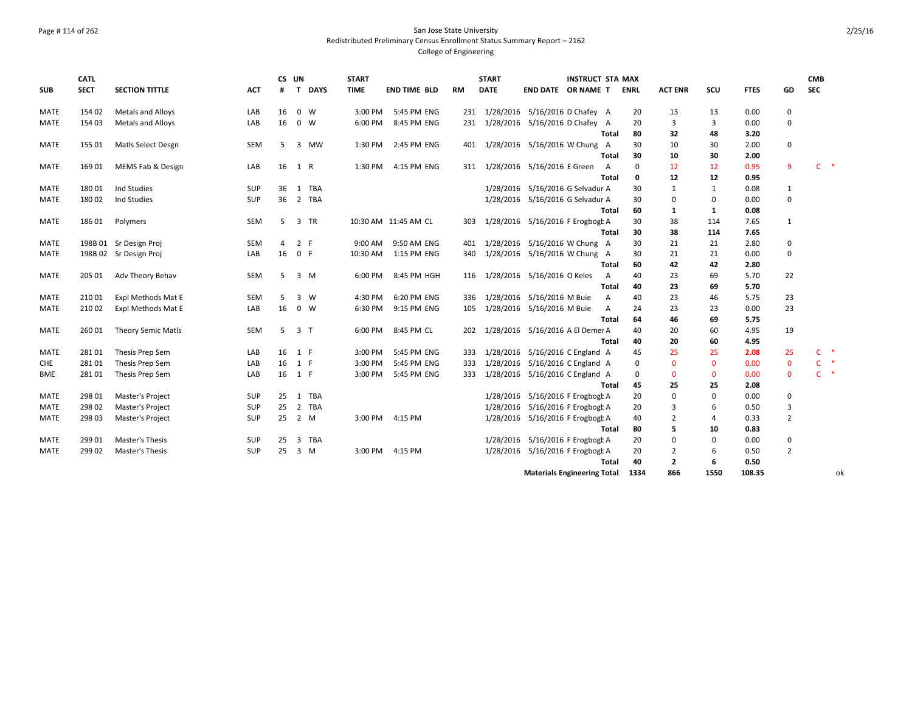### Page # 114 of 262 San Jose State University Redistributed Preliminary Census Enrollment Status Summary Report – 2162 College of Engineering

|             | <b>CATL</b> |                           |            | CS UN |                |        | <b>START</b> |                      |           | <b>START</b> |                                    | <b>INSTRUCT STA MAX</b> |                |             |                |                |             |                | <b>CMB</b>   |               |
|-------------|-------------|---------------------------|------------|-------|----------------|--------|--------------|----------------------|-----------|--------------|------------------------------------|-------------------------|----------------|-------------|----------------|----------------|-------------|----------------|--------------|---------------|
| <b>SUB</b>  | <b>SECT</b> | <b>SECTION TITTLE</b>     | <b>ACT</b> | #     |                | T DAYS | <b>TIME</b>  | <b>END TIME BLD</b>  | <b>RM</b> | <b>DATE</b>  | END DATE OR NAME T                 |                         |                | <b>ENRL</b> | <b>ACT ENR</b> | SCU            | <b>FTES</b> | GD             | <b>SEC</b>   |               |
| MATE        | 154 02      | Metals and Alloys         | LAB        | 16    | $0 \quad W$    |        | 3:00 PM      | 5:45 PM ENG          | 231       |              | 1/28/2016 5/16/2016 D Chafey A     |                         |                | 20          | 13             | 13             | 0.00        | 0              |              |               |
| MATE        | 154 03      | Metals and Alloys         | LAB        | 16    | $0 \quad W$    |        | 6:00 PM      | 8:45 PM ENG          | 231       |              | 1/28/2016 5/16/2016 D Chafey A     |                         |                | 20          | 3              | 3              | 0.00        | $\mathbf 0$    |              |               |
|             |             |                           |            |       |                |        |              |                      |           |              |                                    |                         | Total          | 80          | 32             | 48             | 3.20        |                |              |               |
| MATE        | 155 01      | <b>Matls Select Desgn</b> | SEM        | 5     |                | 3 MW   | 1:30 PM      | 2:45 PM ENG          | 401       |              | 1/28/2016 5/16/2016 W Chung A      |                         |                | 30          | 10             | 30             | 2.00        | $\mathbf 0$    |              |               |
|             |             |                           |            |       |                |        |              |                      |           |              |                                    |                         | <b>Total</b>   | 30          | 10             | 30             | 2.00        |                |              |               |
| MATE        | 169 01      | MEMS Fab & Design         | LAB        | 16    | 1 R            |        | 1:30 PM      | 4:15 PM ENG          | 311       |              | 1/28/2016 5/16/2016 E Green        |                         | $\overline{A}$ | 0           | 12             | 12             | 0.95        | 9              | $\mathsf{C}$ | $\rightarrow$ |
|             |             |                           |            |       |                |        |              |                      |           |              |                                    |                         | Total          | 0           | 12             | 12             | 0.95        |                |              |               |
| <b>MATE</b> | 18001       | Ind Studies               | SUP        | 36    |                | 1 TBA  |              |                      |           |              | 1/28/2016 5/16/2016 G Selvadur A   |                         |                | 30          | 1              | 1              | 0.08        | 1              |              |               |
| MATE        | 18002       | Ind Studies               | SUP        | 36    |                | 2 TBA  |              |                      |           |              | 1/28/2016 5/16/2016 G Selvadur A   |                         |                | 30          | $\mathbf 0$    | $\mathbf 0$    | 0.00        | $\mathbf 0$    |              |               |
|             |             |                           |            |       |                |        |              |                      |           |              |                                    |                         | Total          | 60          | 1              | 1              | 0.08        |                |              |               |
| MATE        | 186 01      | Polymers                  | SEM        | 5     | 3 TR           |        |              | 10:30 AM 11:45 AM CL | 303       |              | 1/28/2016 5/16/2016 F Erogbogt A   |                         |                | 30          | 38             | 114            | 7.65        | 1              |              |               |
|             |             |                           |            |       |                |        |              |                      |           |              |                                    |                         | <b>Total</b>   | 30          | 38             | 114            | 7.65        |                |              |               |
| MATE        |             | 198B 01 Sr Design Proj    | <b>SEM</b> | 4     | 2 F            |        | 9:00 AM      | 9:50 AM ENG          | 401       |              | 1/28/2016 5/16/2016 W Chung A      |                         |                | 30          | 21             | 21             | 2.80        | 0              |              |               |
| MATE        |             | 198B 02 Sr Design Proj    | LAB        | 16    | 0 F            |        | 10:30 AM     | 1:15 PM ENG          | 340       |              | 1/28/2016 5/16/2016 W Chung A      |                         |                | 30          | 21             | 21             | 0.00        | $\mathbf 0$    |              |               |
|             |             |                           |            |       |                |        |              |                      |           |              |                                    |                         | Total          | 60          | 42             | 42             | 2.80        |                |              |               |
| MATE        | 205 01      | Adv Theory Behav          | SEM        | 5     | 3 M            |        | 6:00 PM      | 8:45 PM HGH          | 116       |              | 1/28/2016 5/16/2016 O Keles        |                         | A              | 40          | 23             | 69             | 5.70        | 22             |              |               |
|             |             |                           |            |       |                |        |              |                      |           |              |                                    |                         | <b>Total</b>   | 40          | 23             | 69             | 5.70        |                |              |               |
| MATE        | 210 01      | Expl Methods Mat E        | <b>SEM</b> | 5     | 3 W            |        | 4:30 PM      | 6:20 PM ENG          | 336       |              | 1/28/2016 5/16/2016 M Buie         |                         | A              | 40          | 23             | 46             | 5.75        | 23             |              |               |
| MATE        | 210 02      | Expl Methods Mat E        | LAB        | 16    | $0 \quad W$    |        | 6:30 PM      | 9:15 PM ENG          | 105       |              | 1/28/2016 5/16/2016 M Buie         |                         | $\overline{A}$ | 24          | 23             | 23             | 0.00        | 23             |              |               |
|             |             |                           |            |       |                |        |              |                      |           |              |                                    |                         | Total          | 64          | 46             | 69             | 5.75        |                |              |               |
| <b>MATE</b> | 260 01      | Theory Semic Matls        | <b>SEM</b> | 5.    | 3 <sub>1</sub> |        | 6:00 PM      | 8:45 PM CL           | 202       |              | 1/28/2016 5/16/2016 A El Demer A   |                         |                | 40          | 20             | 60             | 4.95        | 19             |              |               |
|             |             |                           |            |       |                |        |              |                      |           |              |                                    |                         | Total          | 40          | 20             | 60             | 4.95        |                |              |               |
| MATE        | 28101       | Thesis Prep Sem           | LAB        | 16    | 1 F            |        | 3:00 PM      | 5:45 PM ENG          | 333       |              | 1/28/2016 5/16/2016 C England A    |                         |                | 45          | 25             | 25             | 2.08        | 25             | $\mathsf{C}$ | $\rightarrow$ |
| <b>CHE</b>  | 28101       | Thesis Prep Sem           | LAB        | 16    | 1 F            |        | 3:00 PM      | 5:45 PM ENG          | 333       | 1/28/2016    | 5/16/2016 C England A              |                         |                | $\mathbf 0$ | $\Omega$       | $\mathbf{0}$   | 0.00        | $\mathbf 0$    | $\mathsf{C}$ | $\rightarrow$ |
| BME         | 28101       | Thesis Prep Sem           | LAB        | 16    | 1 F            |        | 3:00 PM      | 5:45 PM ENG          | 333       |              | 1/28/2016 5/16/2016 C England A    |                         |                | 0           | $\mathbf{0}$   | $\mathbf 0$    | 0.00        | $\mathbf 0$    | $\mathsf{C}$ | $\ast$        |
|             |             |                           |            |       |                |        |              |                      |           |              |                                    |                         | Total          | 45          | 25             | 25             | 2.08        |                |              |               |
| MATE        | 298 01      | Master's Project          | SUP        | 25    |                | 1 TBA  |              |                      |           |              | 1/28/2016 5/16/2016 F Erogbogt A   |                         |                | 20          | $\Omega$       | $\mathbf 0$    | 0.00        | 0              |              |               |
| MATE        | 298 02      | Master's Project          | SUP        | 25    |                | 2 TBA  |              |                      |           |              | 1/28/2016 5/16/2016 F Erogbogt A   |                         |                | 20          | 3              | 6              | 0.50        | 3              |              |               |
| <b>MATE</b> | 298 03      | Master's Project          | SUP        | 25    | 2 M            |        | 3:00 PM      | 4:15 PM              |           |              | 1/28/2016 5/16/2016 F Erogbogt A   |                         |                | 40          | $\overline{2}$ | $\overline{4}$ | 0.33        | $\overline{2}$ |              |               |
|             |             |                           |            |       |                |        |              |                      |           |              |                                    |                         | Total          | 80          | 5              | 10             | 0.83        |                |              |               |
| MATE        | 299 01      | Master's Thesis           | SUP        | 25    | 3              | TBA    |              |                      |           |              | 1/28/2016 5/16/2016 F Erogbogt A   |                         |                | 20          | $\Omega$       | $\mathbf 0$    | 0.00        | 0              |              |               |
| MATE        | 299 02      | Master's Thesis           | SUP        | 25    | 3 M            |        | 3:00 PM      | 4:15 PM              |           |              | 1/28/2016 5/16/2016 F Erogbogt A   |                         |                | 20          | $\overline{2}$ | 6              | 0.50        | $\overline{2}$ |              |               |
|             |             |                           |            |       |                |        |              |                      |           |              |                                    |                         | Total          | 40          | 2              | 6              | 0.50        |                |              |               |
|             |             |                           |            |       |                |        |              |                      |           |              | <b>Materials Engineering Total</b> |                         |                | 1334        | 866            | 1550           | 108.35      |                |              | оk            |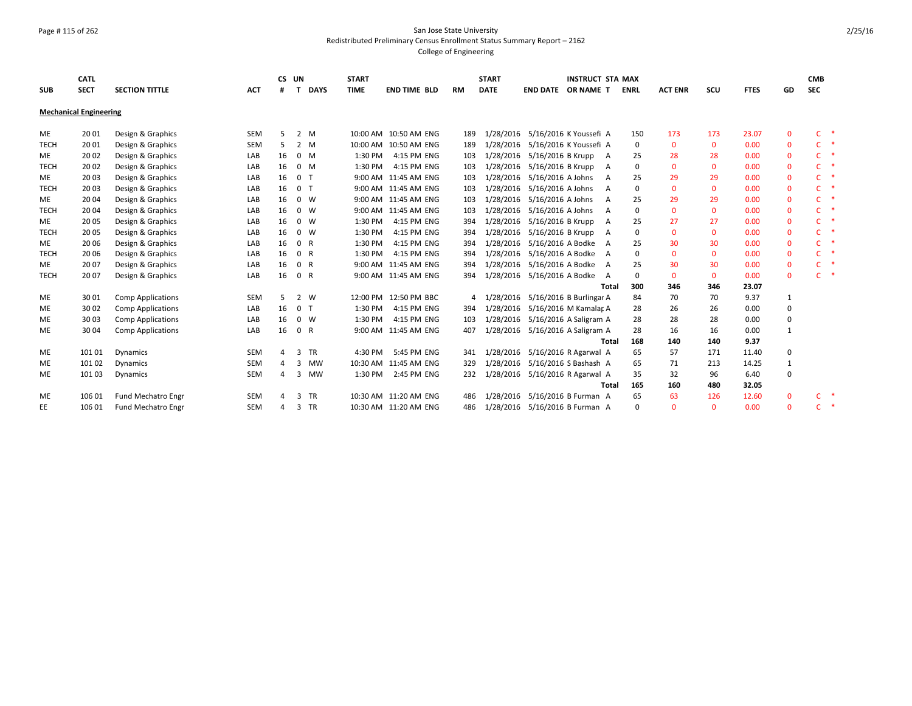### Page # 115 of 262 San Jose State University Redistributed Preliminary Census Enrollment Status Summary Report – 2162 College of Engineering

|             | <b>CATL</b>                   |                          |            | CS UN |                |              | <b>START</b> |                       |           | <b>START</b> |                                 | <b>INSTRUCT STA MAX</b> |             |                |              |             |              | <b>CMB</b> |   |
|-------------|-------------------------------|--------------------------|------------|-------|----------------|--------------|--------------|-----------------------|-----------|--------------|---------------------------------|-------------------------|-------------|----------------|--------------|-------------|--------------|------------|---|
| <b>SUB</b>  | <b>SECT</b>                   | <b>SECTION TITTLE</b>    | <b>ACT</b> | #     |                | <b>DAYS</b>  | <b>TIME</b>  | <b>END TIME BLD</b>   | <b>RM</b> | <b>DATE</b>  | <b>END DATE</b>                 | OR NAME T               | <b>ENRL</b> | <b>ACT ENR</b> | scu          | <b>FTES</b> | GD           | <b>SEC</b> |   |
|             | <b>Mechanical Engineering</b> |                          |            |       |                |              |              |                       |           |              |                                 |                         |             |                |              |             |              |            |   |
| ME          | 20 01                         | Design & Graphics        | <b>SEM</b> | 5     | 2              | M            |              | 10:00 AM 10:50 AM ENG | 189       | 1/28/2016    | 5/16/2016 K Youssefi A          |                         | 150         | 173            | 173          | 23.07       | $\mathbf 0$  | C.         |   |
| <b>TECH</b> | 20 01                         | Design & Graphics        | <b>SEM</b> | 5     | $\overline{2}$ | M            |              | 10:00 AM 10:50 AM ENG | 189       | 1/28/2016    | 5/16/2016 K Youssefi A          |                         | 0           | $\Omega$       | $\mathbf{0}$ | 0.00        | $\mathbf{0}$ | C.         | * |
| ME          | 20 02                         | Design & Graphics        | LAB        | 16    |                | $0$ M        | 1:30 PM      | 4:15 PM ENG           | 103       | 1/28/2016    | 5/16/2016 B Krupp               | $\overline{A}$          | 25          | 28             | 28           | 0.00        | 0            | C          |   |
| <b>TECH</b> | 20 02                         | Design & Graphics        | LAB        | 16    |                | $0$ M        | 1:30 PM      | 4:15 PM ENG           | 103       | 1/28/2016    | 5/16/2016 B Krupp               | A                       | $\mathbf 0$ | $\Omega$       | $\Omega$     | 0.00        | $\mathbf 0$  | C          |   |
| ME          | 2003                          | Design & Graphics        | LAB        | 16    | $\mathbf{0}$   | $\mathsf{T}$ |              | 9:00 AM 11:45 AM ENG  | 103       | 1/28/2016    | 5/16/2016 A Johns               | $\mathsf{A}$            | 25          | 29             | 29           | 0.00        | $\mathbf{0}$ | C          |   |
| <b>TECH</b> | 20 03                         | Design & Graphics        | LAB        | 16    | 0 <sub>1</sub> |              |              | 9:00 AM 11:45 AM ENG  | 103       | 1/28/2016    | 5/16/2016 A Johns               | A                       | 0           | $\Omega$       | $\mathbf{0}$ | 0.00        | $\mathbf 0$  | C          |   |
| ME          | 2004                          | Design & Graphics        | LAB        | 16    |                | $0 \quad W$  |              | 9:00 AM 11:45 AM ENG  | 103       | 1/28/2016    | 5/16/2016 A Johns               | $\overline{A}$          | 25          | 29             | 29           | 0.00        | $\mathbf 0$  | C          |   |
| <b>TECH</b> | 2004                          | Design & Graphics        | LAB        | 16    |                | $0 \quad W$  |              | 9:00 AM 11:45 AM ENG  | 103       | 1/28/2016    | 5/16/2016 A Johns               | A                       | $\mathbf 0$ | $\Omega$       | $\mathbf{0}$ | 0.00        | $\mathbf 0$  | C          |   |
| ME          | 2005                          | Design & Graphics        | LAB        | 16    |                | $0 \quad W$  | 1:30 PM      | 4:15 PM ENG           | 394       | 1/28/2016    | 5/16/2016 B Krupp               | A                       | 25          | 27             | 27           | 0.00        | $\mathbf{0}$ | C          |   |
| <b>TECH</b> | 2005                          | Design & Graphics        | LAB        | 16    |                | $0 \quad W$  | 1:30 PM      | 4:15 PM ENG           | 394       | 1/28/2016    | 5/16/2016 B Krupp               | A                       | $\Omega$    | $\Omega$       | $\Omega$     | 0.00        | $\mathbf{0}$ | C          |   |
| ME          | 20 06                         | Design & Graphics        | LAB        | 16    | $\mathbf{0}$   | R            | 1:30 PM      | 4:15 PM ENG           | 394       | 1/28/2016    | 5/16/2016 A Bodke               | A                       | 25          | 30             | 30           | 0.00        | $\mathbf 0$  | C          |   |
| <b>TECH</b> | 2006                          | Design & Graphics        | LAB        | 16    | $\mathbf{0}$   | R            | 1:30 PM      | 4:15 PM ENG           | 394       | 1/28/2016    | 5/16/2016 A Bodke               | A                       | 0           | $\Omega$       | $\mathbf{0}$ | 0.00        | $\mathbf{0}$ | C.         |   |
| ME          | 20 07                         | Design & Graphics        | LAB        | 16    | $\mathbf{0}$   | R            |              | 9:00 AM 11:45 AM ENG  | 394       | 1/28/2016    | 5/16/2016 A Bodke               | A                       | 25          | 30             | 30           | 0.00        | $\mathbf{0}$ | C.         |   |
| <b>TECH</b> | 2007                          | Design & Graphics        | LAB        | 16    | 0 R            |              |              | 9:00 AM 11:45 AM ENG  | 394       |              | 1/28/2016 5/16/2016 A Bodke     | $\overline{A}$          | $\mathbf 0$ | $\Omega$       | $\mathbf{0}$ | 0.00        | $\mathbf{0}$ | C.         |   |
|             |                               |                          |            |       |                |              |              |                       |           |              |                                 | Total                   | 300         | 346            | 346          | 23.07       |              |            |   |
| ME          | 30 01                         | <b>Comp Applications</b> | <b>SEM</b> | 5     | 2              | <b>W</b>     |              | 12:00 PM 12:50 PM BBC | 4         | 1/28/2016    | 5/16/2016 B Burlingar A         |                         | 84          | 70             | 70           | 9.37        | 1            |            |   |
| ME          | 30 02                         | <b>Comp Applications</b> | LAB        | 16    | 0 <sub>T</sub> |              | 1:30 PM      | 4:15 PM ENG           | 394       | 1/28/2016    | 5/16/2016 M Kamalar A           |                         | 28          | 26             | 26           | 0.00        | $\mathbf 0$  |            |   |
| <b>ME</b>   | 3003                          | <b>Comp Applications</b> | LAB        | 16    |                | $0 \quad W$  | 1:30 PM      | 4:15 PM ENG           | 103       | 1/28/2016    | 5/16/2016 A Saligram A          |                         | 28          | 28             | 28           | 0.00        | $\mathbf 0$  |            |   |
| ME          | 30 04                         | <b>Comp Applications</b> | LAB        | 16    |                | 0 R          |              | 9:00 AM 11:45 AM ENG  | 407       | 1/28/2016    | 5/16/2016 A Saligram A          |                         | 28          | 16             | 16           | 0.00        | 1            |            |   |
|             |                               |                          |            |       |                |              |              |                       |           |              |                                 | Total                   | 168         | 140            | 140          | 9.37        |              |            |   |
| ME          | 101 01                        | Dynamics                 | <b>SEM</b> | 4     | з              | <b>TR</b>    | 4:30 PM      | 5:45 PM ENG           | 341       | 1/28/2016    | 5/16/2016 R Agarwal A           |                         | 65          | 57             | 171          | 11.40       | $\mathbf 0$  |            |   |
| ME          | 101 02                        | Dynamics                 | SEM        | 4     | 3              | <b>MW</b>    |              | 10:30 AM 11:45 AM ENG | 329       | 1/28/2016    | 5/16/2016 S Bashash A           |                         | 65          | 71             | 213          | 14.25       | $\mathbf{1}$ |            |   |
| ME          | 101 03                        | <b>Dynamics</b>          | SEM        | 4     | 3              | <b>MW</b>    | 1:30 PM      | 2:45 PM ENG           | 232       |              | 1/28/2016 5/16/2016 R Agarwal A |                         | 35          | 32             | 96           | 6.40        | $\Omega$     |            |   |
|             |                               |                          |            |       |                |              |              |                       |           |              |                                 | Total                   | 165         | 160            | 480          | 32.05       |              |            |   |
| <b>ME</b>   | 106 01                        | Fund Mechatro Engr       | <b>SEM</b> |       | 3              | TR           |              | 10:30 AM 11:20 AM ENG | 486       | 1/28/2016    | 5/16/2016 B Furman A            |                         | 65          | 63             | 126          | 12.60       | $\mathbf{0}$ | C.         |   |
| EE.         | 106 01                        | Fund Mechatro Engr       | <b>SEM</b> | Δ     | 3              | TR           |              | 10:30 AM 11:20 AM ENG | 486       | 1/28/2016    | 5/16/2016 B Furman A            |                         | 0           | $\Omega$       | $\Omega$     | 0.00        | $\Omega$     | C.         | ∗ |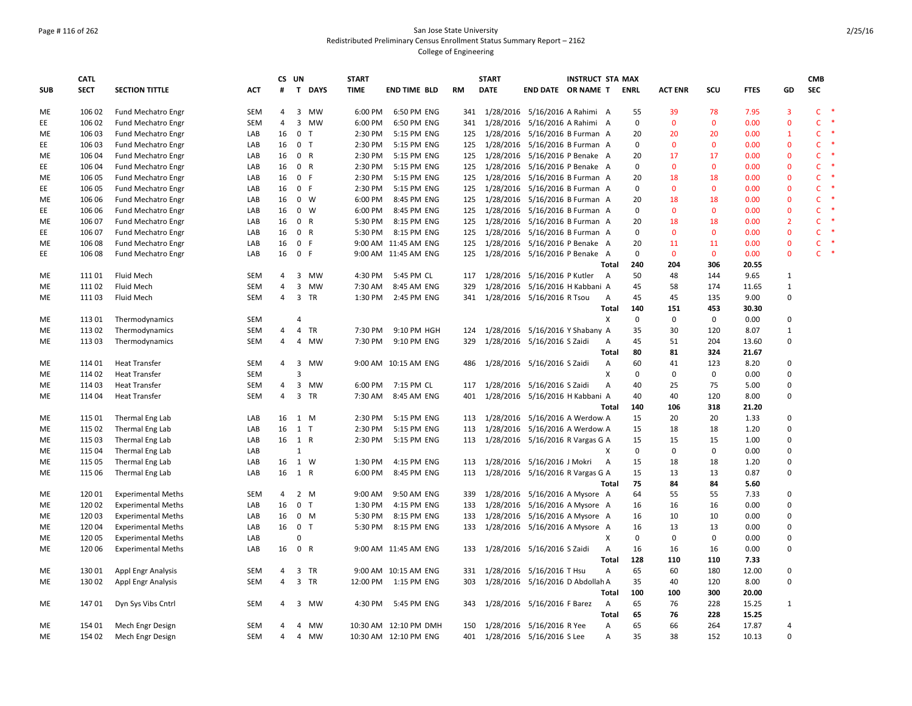### Page # 116 of 262 San Jose State University Redistributed Preliminary Census Enrollment Status Summary Report – 2162 College of Engineering

|            | <b>CATL</b> |                           |            |                | CS UN          |                | <b>START</b> |                       |           | <b>START</b> | <b>INSTRUCT STA MAX</b>            |                |             |                |              |             |                         | <b>CMB</b>   |               |
|------------|-------------|---------------------------|------------|----------------|----------------|----------------|--------------|-----------------------|-----------|--------------|------------------------------------|----------------|-------------|----------------|--------------|-------------|-------------------------|--------------|---------------|
| <b>SUB</b> | <b>SECT</b> | <b>SECTION TITTLE</b>     | ACT        | #              |                | T DAYS         | <b>TIME</b>  | <b>END TIME BLD</b>   | <b>RM</b> | <b>DATE</b>  | END DATE OR NAME T                 |                | <b>ENRL</b> | <b>ACT ENR</b> | scu          | <b>FTES</b> | GD                      | <b>SEC</b>   |               |
| ME         | 106 02      | Fund Mechatro Engr        | SEM        | $\overline{4}$ |                | 3 MW           | 6:00 PM      | 6:50 PM ENG           |           |              | 341 1/28/2016 5/16/2016 A Rahimi A |                | 55          | 39             | 78           | 7.95        | $\overline{\mathbf{3}}$ | $\mathsf{C}$ | $\rightarrow$ |
| EE         | 106 02      | Fund Mechatro Engr        | <b>SEM</b> | $\overline{4}$ |                | 3 MW           | 6:00 PM      | 6:50 PM ENG           | 341       |              | 1/28/2016 5/16/2016 A Rahimi A     |                | $\mathsf 0$ | $\mathbf 0$    | $\mathbf 0$  | 0.00        | $\mathbf 0$             | $\mathsf{C}$ | $\ast$        |
| ME         | 106 03      | Fund Mechatro Engr        | LAB        | 16             |                | 0 <sub>T</sub> | 2:30 PM      | 5:15 PM ENG           | 125       |              | 1/28/2016 5/16/2016 B Furman A     |                | 20          | 20             | 20           | 0.00        | $\mathbf{1}$            | $\mathsf{C}$ |               |
| ЕE         | 106 03      | <b>Fund Mechatro Engr</b> | LAB        | 16             |                | 0 <sub>T</sub> | 2:30 PM      | 5:15 PM ENG           | 125       |              | 1/28/2016 5/16/2016 B Furman A     |                | $\mathbf 0$ | $\mathbf{0}$   | $\mathbf{0}$ | 0.00        | $\mathbf{0}$            | C.           | $\ast$        |
| ME         | 106 04      | <b>Fund Mechatro Engr</b> | LAB        | 16             |                | 0 R            | 2:30 PM      | 5:15 PM ENG           | 125       |              | 1/28/2016 5/16/2016 P Benake A     |                | 20          | 17             | 17           | 0.00        | $\mathbf 0$             | $\mathsf{C}$ |               |
| ЕE         | 106 04      | Fund Mechatro Engr        | LAB        | 16             |                | 0 R            | 2:30 PM      | 5:15 PM ENG           | 125       |              | 1/28/2016 5/16/2016 P Benake A     |                | $\mathbf 0$ | $\mathbf{0}$   | $\mathbf{0}$ | 0.00        | $\mathbf 0$             | C.           | 米             |
| ME         | 106 05      | Fund Mechatro Engr        | LAB        | 16             |                | 0 F            | 2:30 PM      | 5:15 PM ENG           | 125       |              | 1/28/2016 5/16/2016 B Furman A     |                | 20          | 18             | 18           | 0.00        | $\mathbf{0}$            | $\mathsf{C}$ |               |
| EE         | 106 05      | <b>Fund Mechatro Engr</b> | LAB        | 16             |                | 0 F            | 2:30 PM      | 5:15 PM ENG           | 125       |              | 1/28/2016 5/16/2016 B Furman A     |                | 0           | $\mathbf 0$    | $\mathbf 0$  | 0.00        | $\mathbf 0$             | $\mathsf{C}$ |               |
| ME         | 106 06      | Fund Mechatro Engr        | LAB        | 16             |                | $0 \quad W$    | 6:00 PM      | 8:45 PM ENG           | 125       |              | 1/28/2016 5/16/2016 B Furman A     |                | 20          | 18             | 18           | 0.00        | $\mathbf 0$             | $\mathsf{C}$ | ۶             |
| EE         | 106 06      | Fund Mechatro Engr        | LAB        | 16             |                | $0 \quad W$    | 6:00 PM      | 8:45 PM ENG           | 125       |              | 1/28/2016 5/16/2016 B Furman A     |                | $\mathbf 0$ | $\mathbf 0$    | $\mathbf 0$  | 0.00        | $\mathbf 0$             | $\mathsf{C}$ |               |
| ME         | 106 07      | <b>Fund Mechatro Engr</b> | LAB        | 16             |                | 0 R            | 5:30 PM      | 8:15 PM ENG           | 125       |              | 1/28/2016 5/16/2016 B Furman A     |                | 20          | 18             | 18           | 0.00        | $\overline{2}$          | $\mathsf{C}$ | $\ast$        |
| EE         | 106 07      | Fund Mechatro Engr        | LAB        | 16             |                | 0 R            | 5:30 PM      | 8:15 PM ENG           | 125       |              | 1/28/2016 5/16/2016 B Furman A     |                | $\mathbf 0$ | $\mathbf{0}$   | $\mathbf{0}$ | 0.00        | $\mathbf{0}$            | $\mathsf{C}$ |               |
| ME         | 106 08      | Fund Mechatro Engr        | LAB        | 16             |                | 0 F            |              | 9:00 AM 11:45 AM ENG  | 125       |              | 1/28/2016 5/16/2016 P Benake A     |                | 20          | 11             | 11           | 0.00        | $\mathbf 0$             | C            | $\ast$        |
| EE         | 106 08      | Fund Mechatro Engr        | LAB        | 16             |                | 0 F            |              | 9:00 AM 11:45 AM ENG  | 125       |              | 1/28/2016 5/16/2016 P Benake A     |                | $\mathbf 0$ | $\mathbf{0}$   | $\mathbf{0}$ | 0.00        | $\mathbf{0}$            | $\mathsf{C}$ | $\rightarrow$ |
|            |             |                           |            |                |                |                |              |                       |           |              |                                    | <b>Total</b>   | 240         | 204            | 306          | 20.55       |                         |              |               |
| ME         | 111 01      | Fluid Mech                | <b>SEM</b> | 4              | 3              | MW             | 4:30 PM      | 5:45 PM CL            | 117       |              | 1/28/2016 5/16/2016 P Kutler       | A              | 50          | 48             | 144          | 9.65        | 1                       |              |               |
| ME         | 11102       | Fluid Mech                | SEM        | $\overline{4}$ |                | 3 MW           | 7:30 AM      | 8:45 AM ENG           | 329       |              | 1/28/2016 5/16/2016 H Kabbani A    |                | 45          | 58             | 174          | 11.65       | $\mathbf{1}$            |              |               |
| ME         | 11103       | Fluid Mech                | SEM        | $\overline{4}$ |                | 3 TR           | 1:30 PM      | 2:45 PM ENG           | 341       |              | 1/28/2016 5/16/2016 R Tsou         | $\mathsf{A}$   | 45          | 45             | 135          | 9.00        | 0                       |              |               |
|            |             |                           |            |                |                |                |              |                       |           |              |                                    | Total          | 140         | 151            | 453          | 30.30       |                         |              |               |
| ME         | 113 01      | Thermodynamics            | SEM        |                | $\overline{4}$ |                |              |                       |           |              |                                    | X              | $\mathbf 0$ | $\mathbf 0$    | $\mathbf 0$  | 0.00        | $\mathbf 0$             |              |               |
| ME         | 113 02      | Thermodynamics            | SEM        | 4              | 4              | TR             | 7:30 PM      | 9:10 PM HGH           | 124       |              | 1/28/2016 5/16/2016 Y Shabany A    |                | 35          | 30             | 120          | 8.07        | 1                       |              |               |
| МE         | 113 03      | Thermodynamics            | <b>SEM</b> | 4              |                | 4 MW           | 7:30 PM      | 9:10 PM ENG           | 329       |              | 1/28/2016 5/16/2016 S Zaidi        | Α              | 45          | 51             | 204          | 13.60       | $\mathbf 0$             |              |               |
|            |             |                           |            |                |                |                |              |                       |           |              |                                    | Total          | 80          | 81             | 324          | 21.67       |                         |              |               |
| ME         | 114 01      | <b>Heat Transfer</b>      | SEM        | 4              | 3              | MW             |              | 9:00 AM 10:15 AM ENG  | 486       |              | 1/28/2016 5/16/2016 S Zaidi        | A              | 60          | 41             | 123          | 8.20        | 0                       |              |               |
| <b>ME</b>  | 114 02      | <b>Heat Transfer</b>      | <b>SEM</b> |                | $\overline{3}$ |                |              |                       |           |              |                                    | X              | $\mathbf 0$ | $\mathbf 0$    | $\mathbf 0$  | 0.00        | $\mathbf 0$             |              |               |
| ME         | 114 03      | <b>Heat Transfer</b>      | SEM        | 4              |                | 3 MW           | 6:00 PM      | 7:15 PM CL            | 117       |              | 1/28/2016 5/16/2016 S Zaidi        | A              | 40          | 25             | 75           | 5.00        | 0                       |              |               |
| ME         | 114 04      | <b>Heat Transfer</b>      | <b>SEM</b> | $\overline{4}$ |                | 3 TR           | 7:30 AM      | 8:45 AM ENG           | 401       |              | 1/28/2016 5/16/2016 H Kabbani A    |                | 40          | 40             | 120          | 8.00        | $\mathbf 0$             |              |               |
|            |             |                           |            |                |                |                |              |                       |           |              |                                    | Total          | 140         | 106            | 318          | 21.20       |                         |              |               |
| ME         | 115 01      | Thermal Eng Lab           | LAB        | 16             | 1 M            |                | 2:30 PM      | 5:15 PM ENG           | 113       |              | 1/28/2016 5/16/2016 A Werdow A     |                | 15          | 20             | 20           | 1.33        | 0                       |              |               |
| ME         | 115 02      | Thermal Eng Lab           | LAB        | 16             | $1$ T          |                | 2:30 PM      | 5:15 PM ENG           | 113       |              | 1/28/2016 5/16/2016 A Werdow A     |                | 15          | 18             | 18           | 1.20        | $\Omega$                |              |               |
| ME         | 115 03      | Thermal Eng Lab           | LAB        | 16             | 1 R            |                | 2:30 PM      | 5:15 PM ENG           | 113       |              | 1/28/2016 5/16/2016 R Vargas G A   |                | 15          | 15             | 15           | 1.00        | 0                       |              |               |
| ME         | 115 04      | Thermal Eng Lab           | LAB        |                | $\mathbf{1}$   |                |              |                       |           |              |                                    | X              | $\mathbf 0$ | $\mathbf 0$    | $\mathbf 0$  | 0.00        | 0                       |              |               |
| ME         | 115 05      | Thermal Eng Lab           | LAB        | 16             |                | 1 W            | 1:30 PM      | 4:15 PM ENG           | 113       |              | 1/28/2016 5/16/2016 J Mokri        | $\overline{A}$ | 15          | 18             | 18           | 1.20        | 0                       |              |               |
| ME         | 115 06      | Thermal Eng Lab           | LAB        | 16             | 1 R            |                | 6:00 PM      | 8:45 PM ENG           | 113       |              | 1/28/2016 5/16/2016 R Vargas G A   |                | 15          | 13             | 13           | 0.87        | 0                       |              |               |
|            |             |                           |            |                |                |                |              |                       |           |              |                                    | Total          | 75          | 84             | 84           | 5.60        |                         |              |               |
| ME         | 12001       | <b>Experimental Meths</b> | <b>SEM</b> | 4              |                | $2 \, M$       | 9:00 AM      | 9:50 AM ENG           | 339       |              | 1/28/2016 5/16/2016 A Mysore A     |                | 64          | 55             | 55           | 7.33        | 0                       |              |               |
| ME         | 120 02      | <b>Experimental Meths</b> | LAB        | 16             |                | 0 <sub>T</sub> | 1:30 PM      | 4:15 PM ENG           | 133       |              | 1/28/2016 5/16/2016 A Mysore A     |                | 16          | 16             | 16           | 0.00        | 0                       |              |               |
| ME         | 12003       | <b>Experimental Meths</b> | LAB        | 16             |                | $0$ M          | 5:30 PM      | 8:15 PM ENG           | 133       |              | 1/28/2016 5/16/2016 A Mysore A     |                | 16          | 10             | 10           | 0.00        | 0                       |              |               |
| ME         | 120 04      | <b>Experimental Meths</b> | LAB        | 16             |                | 0 <sub>T</sub> | 5:30 PM      | 8:15 PM ENG           | 133       |              | 1/28/2016 5/16/2016 A Mysore A     |                | 16          | 13             | 13           | 0.00        | 0                       |              |               |
| ME         | 120 05      | <b>Experimental Meths</b> | LAB        |                | $\Omega$       |                |              |                       |           |              |                                    | Χ              | $\mathbf 0$ | $\mathbf 0$    | 0            | 0.00        | 0                       |              |               |
| ME         | 120 06      | <b>Experimental Meths</b> | LAB        | 16             |                | 0 R            |              | 9:00 AM 11:45 AM ENG  | 133       |              | 1/28/2016 5/16/2016 S Zaidi        | $\overline{A}$ | 16          | 16             | 16           | 0.00        | 0                       |              |               |
|            |             |                           |            |                |                |                |              |                       |           |              |                                    | <b>Total</b>   | 128         | 110            | 110          | 7.33        |                         |              |               |
| МE         | 13001       | Appl Engr Analysis        | SEM        | 4              |                | 3 TR           |              | 9:00 AM 10:15 AM ENG  | 331       |              | 1/28/2016 5/16/2016 T Hsu          | $\overline{A}$ | 65          | 60             | 180          | 12.00       | 0                       |              |               |
| ME         | 130 02      | Appl Engr Analysis        | SEM        | 4              |                | 3 TR           | 12:00 PM     | 1:15 PM ENG           | 303       |              | 1/28/2016 5/16/2016 D Abdollah A   |                | 35          | 40             | 120          | 8.00        | 0                       |              |               |
|            |             |                           |            |                |                |                |              |                       |           |              |                                    | <b>Total</b>   | 100         | 100            | 300          | 20.00       |                         |              |               |
| ME         | 14701       | Dyn Sys Vibs Cntrl        | SEM        | 4              | 3              | <b>MW</b>      | 4:30 PM      | 5:45 PM ENG           | 343       |              | 1/28/2016 5/16/2016 F Barez        | $\overline{A}$ | 65          | 76             | 228          | 15.25       | 1                       |              |               |
|            |             |                           |            |                |                |                |              |                       |           |              |                                    | Total          | 65          | 76             | 228          | 15.25       |                         |              |               |
| ME         | 154 01      | Mech Engr Design          | <b>SEM</b> | 4              | 4              | <b>MW</b>      |              | 10:30 AM 12:10 PM DMH | 150       |              | 1/28/2016 5/16/2016 R Yee          | Α              | 65          | 66             | 264          | 17.87       | 4                       |              |               |
| ME         | 154 02      | Mech Engr Design          | SEM        | $\overline{4}$ |                | 4 MW           |              | 10:30 AM 12:10 PM ENG | 401       |              | 1/28/2016 5/16/2016 S Lee          | А              | 35          | 38             | 152          | 10.13       | $\mathbf 0$             |              |               |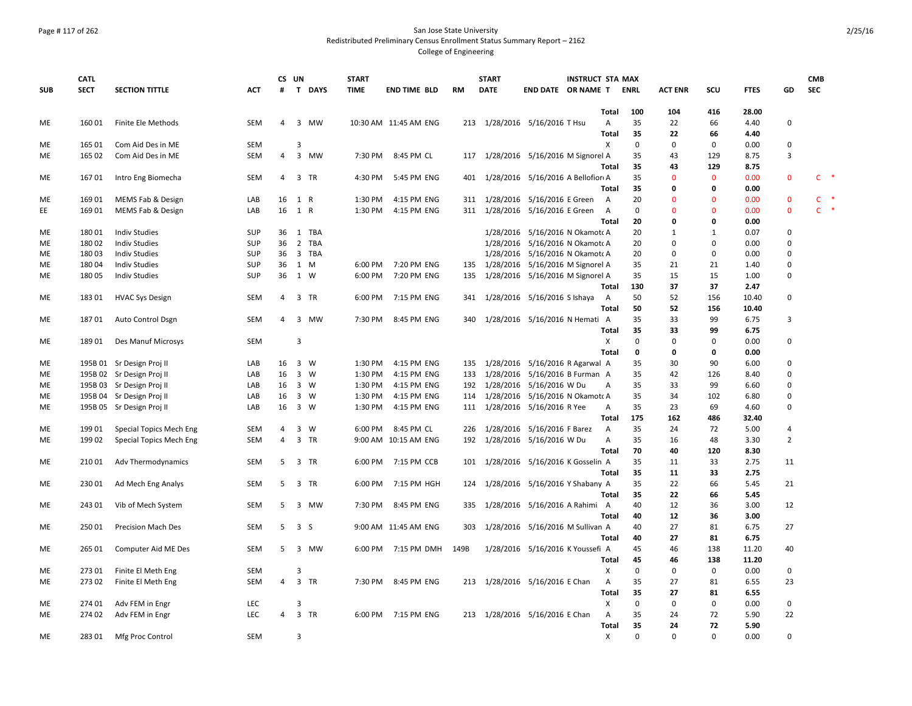### Page # 117 of 262 San Jose State University Redistributed Preliminary Census Enrollment Status Summary Report – 2162 College of Engineering

|            | <b>CATL</b> |                           |            | CS UN          |                |             | <b>START</b> |                       |           | <b>START</b> | <b>INSTRUCT STA MAX</b>              |              |             |                |              |             |                | <b>CMB</b>   |               |
|------------|-------------|---------------------------|------------|----------------|----------------|-------------|--------------|-----------------------|-----------|--------------|--------------------------------------|--------------|-------------|----------------|--------------|-------------|----------------|--------------|---------------|
| <b>SUB</b> | <b>SECT</b> | <b>SECTION TITTLE</b>     | <b>ACT</b> | #              |                | T DAYS      | <b>TIME</b>  | <b>END TIME BLD</b>   | <b>RM</b> | <b>DATE</b>  | <b>END DATE OR NAME T</b>            |              | <b>ENRL</b> | <b>ACT ENR</b> | SCU          | <b>FTES</b> | GD             | <b>SEC</b>   |               |
|            |             |                           |            |                |                |             |              |                       |           |              |                                      | Total        | 100         | 104            | 416          | 28.00       |                |              |               |
| ME         | 16001       | Finite Ele Methods        | <b>SEM</b> | 4              |                | 3 MW        |              | 10:30 AM 11:45 AM ENG |           |              | 213 1/28/2016 5/16/2016 T Hsu        | A            | 35          | 22             | 66           | 4.40        | $\mathbf 0$    |              |               |
|            |             |                           |            |                |                |             |              |                       |           |              |                                      | <b>Total</b> | 35          | 22             | 66           | 4.40        |                |              |               |
| ME         | 16501       | Com Aid Des in ME         | SEM        |                | 3              |             |              |                       |           |              |                                      | Χ            | $\mathbf 0$ | $\mathbf 0$    | $\mathbf 0$  | 0.00        | 0              |              |               |
| ME         | 165 02      | Com Aid Des in ME         | SEM        | 4              |                | 3 MW        |              | 7:30 PM 8:45 PM CL    |           |              | 117 1/28/2016 5/16/2016 M Signorel A |              | 35          | 43             | 129          | 8.75        | 3              |              |               |
|            |             |                           |            |                |                |             |              |                       |           |              |                                      | Total        | 35          | 43             | 129          | 8.75        |                |              |               |
| ME         | 16701       | Intro Eng Biomecha        | SEM        | 4              |                | 3 TR        | 4:30 PM      | 5:45 PM ENG           | 401       |              | 1/28/2016 5/16/2016 A Bellofior A    |              | 35          | $\mathbf{0}$   | $\mathbf{0}$ | 0.00        | $\mathbf 0$    | C            | $\rightarrow$ |
|            |             |                           |            |                |                |             |              |                       |           |              |                                      | <b>Total</b> | 35          | 0              | 0            | 0.00        |                |              |               |
| ME         | 169 01      | MEMS Fab & Design         | LAB        | 16             | 1 R            |             | 1:30 PM      | 4:15 PM ENG           |           |              | 311 1/28/2016 5/16/2016 E Green      | A            | 20          | $\Omega$       | $\Omega$     | 0.00        | $\mathbf 0$    | c            |               |
| EE         | 169 01      | MEMS Fab & Design         | LAB        | 16             | 1 R            |             | 1:30 PM      | 4:15 PM ENG           |           |              | 311 1/28/2016 5/16/2016 E Green      | A            | $\mathbf 0$ | $\mathbf{0}$   | $\Omega$     | 0.00        | $\mathbf{0}$   | $\mathsf{C}$ | $\rightarrow$ |
|            |             |                           |            |                |                |             |              |                       |           |              |                                      | <b>Total</b> | 20          | 0              | 0            | 0.00        |                |              |               |
| ME         | 18001       | <b>Indiv Studies</b>      | SUP        | 36             |                | 1 TBA       |              |                       |           |              | 1/28/2016 5/16/2016 N Okamoto A      |              | 20          | 1              | 1            | 0.07        | 0              |              |               |
| <b>ME</b>  | 18002       | <b>Indiv Studies</b>      | SUP        | 36             |                | 2 TBA       |              |                       |           |              | 1/28/2016 5/16/2016 N Okamoto A      |              | 20          | $\mathbf 0$    | 0            | 0.00        | $\Omega$       |              |               |
| ME         | 18003       | <b>Indiv Studies</b>      | SUP        | 36             |                | 3 TBA       |              |                       |           |              | 1/28/2016 5/16/2016 N Okamoto A      |              | 20          | $\mathbf 0$    | $\mathbf 0$  | 0.00        | $\mathbf 0$    |              |               |
| ME         | 18004       | <b>Indiv Studies</b>      | SUP        | 36             | 1 M            |             |              | 6:00 PM 7:20 PM ENG   |           |              | 135 1/28/2016 5/16/2016 M Signorel A |              | 35          | 21             | 21           | 1.40        | $\mathbf 0$    |              |               |
| ME         | 18005       | <b>Indiv Studies</b>      | SUP        | 36             | 1 W            |             | 6:00 PM      | 7:20 PM ENG           | 135       |              | 1/28/2016 5/16/2016 M Signorel A     |              | 35          | 15             | 15           | 1.00        | $\mathbf 0$    |              |               |
|            |             |                           |            |                |                |             |              |                       |           |              |                                      | Total        | 130         | 37             | 37           | 2.47        |                |              |               |
| ME         | 18301       | <b>HVAC Sys Design</b>    | SEM        | 4              |                | 3 TR        | 6:00 PM      | 7:15 PM ENG           | 341       |              | 1/28/2016 5/16/2016 S Ishaya         | A            | 50          | 52             | 156          | 10.40       | $\pmb{0}$      |              |               |
|            |             |                           |            |                |                |             |              |                       |           |              |                                      | <b>Total</b> | 50          | 52             | 156          | 10.40       |                |              |               |
| ME         | 18701       | Auto Control Dsgn         | <b>SEM</b> | 4              |                | 3 MW        | 7:30 PM      | 8:45 PM ENG           | 340       |              | 1/28/2016 5/16/2016 N Hemati A       |              | 35          | 33             | 99           | 6.75        | 3              |              |               |
|            |             |                           |            |                |                |             |              |                       |           |              |                                      | Total        | 35          | 33             | 99           | 6.75        |                |              |               |
| ME         | 18901       | Des Manuf Microsys        | SEM        |                | 3              |             |              |                       |           |              |                                      | X            | $\mathbf 0$ | $\mathbf 0$    | $\mathbf 0$  | 0.00        | $\mathbf 0$    |              |               |
|            |             |                           |            |                |                |             |              |                       |           |              |                                      | <b>Total</b> | $\mathbf 0$ | 0              | 0            | 0.00        |                |              |               |
| ME         |             | 195B 01 Sr Design Proj II | LAB        | 16             |                | 3 W         | 1:30 PM      | 4:15 PM ENG           | 135       |              | 1/28/2016 5/16/2016 R Agarwal A      |              | 35          | 30             | 90           | 6.00        | 0              |              |               |
| ME         |             | 195B 02 Sr Design Proj II | LAB        | 16             |                | $3 \quad W$ | 1:30 PM      | 4:15 PM ENG           | 133       |              | 1/28/2016 5/16/2016 B Furman A       |              | 35          | 42             | 126          | 8.40        | $\mathbf 0$    |              |               |
| ME         |             | 195B 03 Sr Design Proj II | LAB        | 16             |                | 3 W         | 1:30 PM      | 4:15 PM ENG           |           |              | 192 1/28/2016 5/16/2016 W Du         | А            | 35          | 33             | 99           | 6.60        | $\pmb{0}$      |              |               |
| ME         |             | 195B 04 Sr Design Proj II | LAB        | 16             |                | 3 W         | 1:30 PM      | 4:15 PM ENG           | 114       |              | 1/28/2016 5/16/2016 N Okamoto A      |              | 35          | 34             | 102          | 6.80        | 0              |              |               |
| ME         |             | 195B 05 Sr Design Proj II | LAB        | 16             |                | 3 W         | 1:30 PM      | 4:15 PM ENG           |           |              | 111 1/28/2016 5/16/2016 R Yee        | Α            | 35          | 23             | 69           | 4.60        | $\mathbf 0$    |              |               |
|            |             |                           |            |                |                |             |              |                       |           |              |                                      | <b>Total</b> | 175         | 162            | 486          | 32.40       |                |              |               |
| ME         | 199 01      | Special Topics Mech Eng   | <b>SEM</b> | 4              |                | 3 W         | 6:00 PM      | 8:45 PM CL            | 226       |              | 1/28/2016 5/16/2016 F Barez          | A            | 35          | 24             | 72           | 5.00        | 4              |              |               |
| ME         | 199 02      | Special Topics Mech Eng   | SEM        | 4              |                | 3 TR        |              | 9:00 AM 10:15 AM ENG  | 192       |              | 1/28/2016 5/16/2016 W Du             | А            | 35          | 16             | 48           | 3.30        | $\overline{2}$ |              |               |
|            |             |                           |            |                |                |             |              |                       |           |              |                                      | <b>Total</b> | 70          | 40             | 120          | 8.30        |                |              |               |
| ME         | 210 01      | Adv Thermodynamics        | SEM        | 5              |                | 3 TR        |              | 6:00 PM 7:15 PM CCB   |           |              | 101 1/28/2016 5/16/2016 K Gosselin A |              | 35          | 11             | 33           | 2.75        | 11             |              |               |
|            |             |                           |            |                |                |             |              |                       |           |              |                                      | Total        | 35          | 11             | 33           | 2.75        |                |              |               |
| ME         | 230 01      | Ad Mech Eng Analys        | SEM        | 5              |                | 3 TR        |              | 6:00 PM 7:15 PM HGH   | 124       |              | 1/28/2016 5/16/2016 Y Shabany A      |              | 35          | 22             | 66           | 5.45        | 21             |              |               |
|            |             |                           |            |                |                |             |              |                       |           |              |                                      | Total        | 35          | 22             | 66           | 5.45        |                |              |               |
| ME         | 243 01      | Vib of Mech System        | <b>SEM</b> | 5              |                | 3 MW        | 7:30 PM      | 8:45 PM ENG           | 335       |              | 1/28/2016 5/16/2016 A Rahimi A       |              | 40          | 12             | 36           | 3.00        | 12             |              |               |
|            |             |                           |            |                |                |             |              |                       |           |              |                                      | <b>Total</b> | 40          | 12             | 36           | 3.00        |                |              |               |
| ME         | 25001       | <b>Precision Mach Des</b> | SEM        | 5              | 3 <sub>5</sub> |             |              | 9:00 AM 11:45 AM ENG  | 303       |              | 1/28/2016 5/16/2016 M Sullivan A     |              | 40          | 27             | 81           | 6.75        | 27             |              |               |
|            |             |                           |            |                |                |             |              |                       |           |              |                                      | Total        | 40          | 27             | 81           | 6.75        |                |              |               |
| ME         | 265 01      | Computer Aid ME Des       | SEM        | -5             |                | 3 MW        |              | 6:00 PM 7:15 PM DMH   | 149B      |              | 1/28/2016 5/16/2016 K Youssefi A     |              | 45          | 46             | 138          | 11.20       | 40             |              |               |
|            |             |                           |            |                |                |             |              |                       |           |              |                                      | <b>Total</b> | 45          | 46             | 138          | 11.20       |                |              |               |
| ME         | 27301       | Finite El Meth Eng        | SEM        |                | 3              |             |              |                       |           |              |                                      | х            | $\mathbf 0$ | $\mathbf 0$    | $\mathbf 0$  | 0.00        | 0              |              |               |
| ME         | 27302       | Finite El Meth Eng        | SEM        | $\overline{4}$ |                | 3 TR        |              | 7:30 PM 8:45 PM ENG   |           |              | 213 1/28/2016 5/16/2016 E Chan       | A            | 35          | 27             | 81           | 6.55        | 23             |              |               |
|            |             |                           |            |                |                |             |              |                       |           |              |                                      | <b>Total</b> | 35          | 27             | 81           | 6.55        |                |              |               |
| ME         | 274 01      | Adv FEM in Engr           | <b>LEC</b> |                | 3              |             |              |                       |           |              |                                      | х            | $\mathbf 0$ | $\mathbf 0$    | 0            | 0.00        | $\mathbf 0$    |              |               |
| ME         | 274 02      | Adv FEM in Engr           | <b>LEC</b> | 4              |                | 3 TR        |              | 6:00 PM 7:15 PM ENG   |           |              | 213 1/28/2016 5/16/2016 E Chan       | A            | 35          | 24             | 72           | 5.90        | 22             |              |               |
|            |             |                           |            |                |                |             |              |                       |           |              |                                      | <b>Total</b> | 35          | 24             | 72           | 5.90        |                |              |               |
| ME         | 28301       | Mfg Proc Control          | <b>SEM</b> |                | 3              |             |              |                       |           |              |                                      | X            | $\Omega$    | $\Omega$       | $\Omega$     | 0.00        | $\mathbf 0$    |              |               |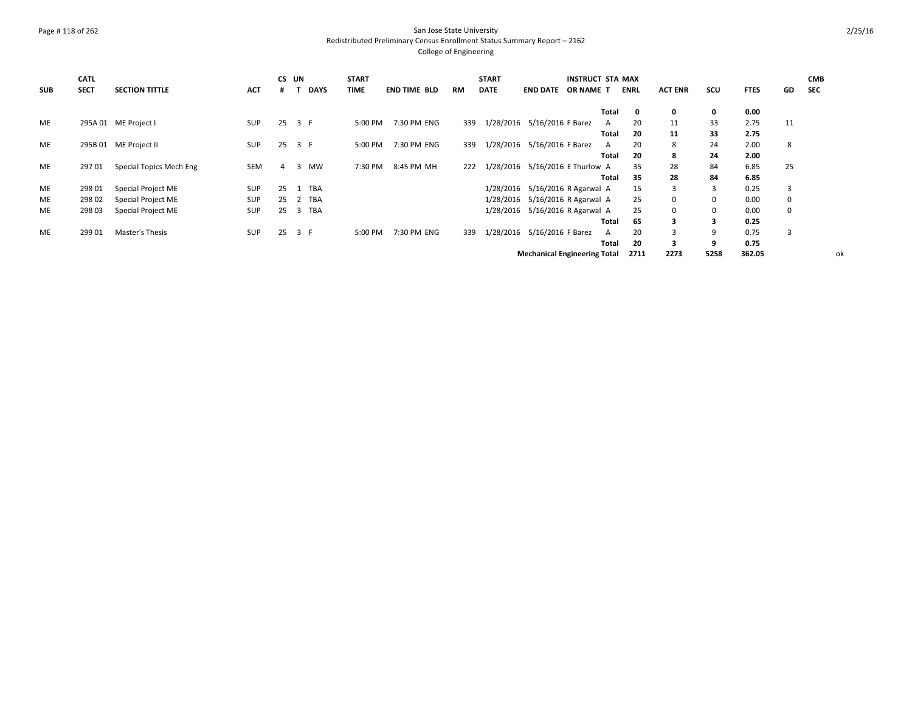### Page # 118 of 262 San Jose State University Redistributed Preliminary Census Enrollment Status Summary Report – 2162 College of Engineering

|            | <b>CATL</b> |                         |            |    | CS UN       | <b>START</b> |                     |           | <b>START</b> |                                     | <b>INSTRUCT STA MAX</b> |       |             |                |             |             |    | <b>CMB</b> |
|------------|-------------|-------------------------|------------|----|-------------|--------------|---------------------|-----------|--------------|-------------------------------------|-------------------------|-------|-------------|----------------|-------------|-------------|----|------------|
| <b>SUB</b> | <b>SECT</b> | <b>SECTION TITTLE</b>   | ACT        |    | <b>DAYS</b> | <b>TIME</b>  | <b>END TIME BLD</b> | <b>RM</b> | <b>DATE</b>  | <b>END DATE</b>                     | OR NAME T               |       | <b>ENRL</b> | <b>ACT ENR</b> | scu         | <b>FTES</b> | GD | <b>SEC</b> |
|            |             |                         |            |    |             |              |                     |           |              |                                     |                         | Total | 0           | 0              | 0           | 0.00        |    |            |
| ME         |             | 295A 01 ME Project I    | <b>SUP</b> | 25 | 3 F         | 5:00 PM      | 7:30 PM ENG         | 339       |              | 1/28/2016 5/16/2016 F Barez         |                         | A     | 20          | 11             | 33          | 2.75        | 11 |            |
|            |             |                         |            |    |             |              |                     |           |              |                                     |                         | Total | 20          | 11             | 33          | 2.75        |    |            |
| ME         |             | 295B 01 ME Project II   | <b>SUP</b> | 25 | 3 F         | 5:00 PM      | 7:30 PM ENG         | 339       |              | 1/28/2016 5/16/2016 F Barez         |                         | A     | 20          | 8              | 24          | 2.00        | 8  |            |
|            |             |                         |            |    |             |              |                     |           |              |                                     |                         | Total | 20          | 8              | 24          | 2.00        |    |            |
| ME         | 29701       | Special Topics Mech Eng | <b>SEM</b> | 4  | MW<br>3     | 7:30 PM      | 8:45 PM MH          | 222       | 1/28/2016    | 5/16/2016 E Thurlow A               |                         |       | 35          | 28             | 84          | 6.85        | 25 |            |
|            |             |                         |            |    |             |              |                     |           |              |                                     |                         | Total | 35          | 28             | 84          | 6.85        |    |            |
| ME         | 298 01      | Special Project ME      | SUP        | 25 | 1 TBA       |              |                     |           |              | 1/28/2016 5/16/2016 R Agarwal A     |                         |       | 15          | 3              | 3           | 0.25        | 3  |            |
| ME         | 298 02      | Special Project ME      | SUP        | 25 | 2 TBA       |              |                     |           |              | 1/28/2016 5/16/2016 R Agarwal A     |                         |       | 25          | $\Omega$       | $\mathbf 0$ | 0.00        | 0  |            |
| ME         | 298 03      | Special Project ME      | SUP        | 25 | 3 TBA       |              |                     |           |              | 1/28/2016 5/16/2016 R Agarwal A     |                         |       | 25          | $\Omega$       | $\mathbf 0$ | 0.00        | 0  |            |
|            |             |                         |            |    |             |              |                     |           |              |                                     |                         | Total | 65          |                | 3           | 0.25        |    |            |
| ME         | 299 01      | Master's Thesis         | SUP        | 25 | 3 F         | 5:00 PM      | 7:30 PM ENG         | 339       | 1/28/2016    | 5/16/2016 F Barez                   |                         | A     | 20          |                | 9           | 0.75        | 3  |            |
|            |             |                         |            |    |             |              |                     |           |              |                                     |                         | Total | 20          | 3              | 9           | 0.75        |    |            |
|            |             |                         |            |    |             |              |                     |           |              | <b>Mechanical Engineering Total</b> |                         |       | 2711        | 2273           | 5258        | 362.05      |    | ok         |